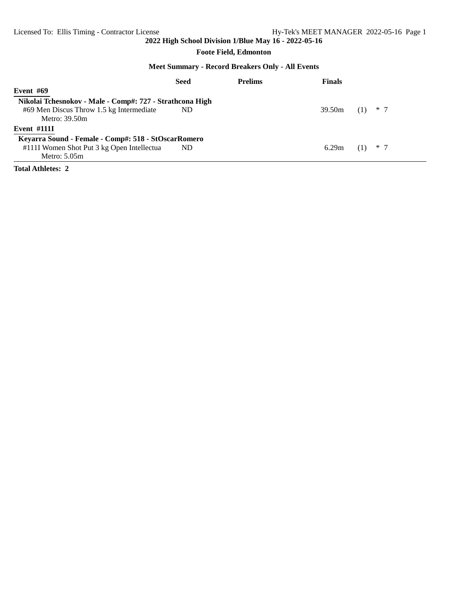#### **Foote Field, Edmonton**

#### **Meet Summary - Record Breakers Only - All Events**

|                                                          | Seed | <b>Prelims</b> | <b>Finals</b> |       |
|----------------------------------------------------------|------|----------------|---------------|-------|
| Event $#69$                                              |      |                |               |       |
| Nikolai Tchesnokov - Male - Comp#: 727 - Strathcona High |      |                |               |       |
| #69 Men Discus Throw 1.5 kg Intermediate                 | ND.  |                | 39.50m        | $*$ 7 |
| Metro: 39.50m                                            |      |                |               |       |
| <b>Event #1111</b>                                       |      |                |               |       |
| Keyarra Sound - Female - Comp#: 518 - StOscarRomero      |      |                |               |       |
| #111I Women Shot Put 3 kg Open Intellectua               | ND.  |                | 6.29m         | $*$ 7 |
| Metro: $5.05m$                                           |      |                |               |       |

**Total Athletes: 2**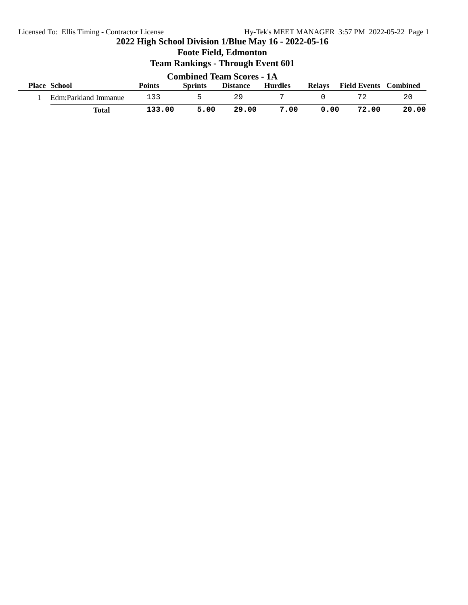**Foote Field, Edmonton**

| <b>Combined Team Scores - 1A</b> |        |                |                 |                |      |                              |       |  |  |  |
|----------------------------------|--------|----------------|-----------------|----------------|------|------------------------------|-------|--|--|--|
| <b>Place School</b>              | Points | <b>Sprints</b> | <b>Distance</b> | <b>Hurdles</b> |      | Relays Field Events Combined |       |  |  |  |
| Edm:Parkland Immanue             | 133    |                | 29              |                |      |                              | 20    |  |  |  |
| Total                            | 133.00 | 5.00           | 29.00           | 7.00           | 0.00 | 72.00                        | 20.00 |  |  |  |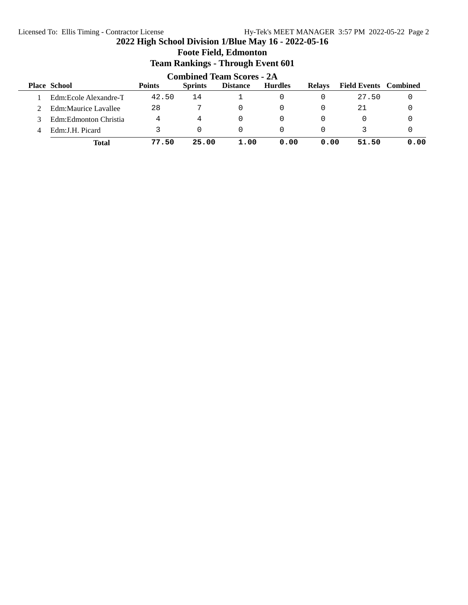## **Foote Field, Edmonton Team Rankings - Through Event 601 Combined Team Scores - 2A**<br>Sprints Distance Hurdles **Place School Points Sprints Distance Hurdles Relays Field Events Combined** 1 Edm:Ecole Alexandre-T 42.50 14 1 0 0 27.50 0 2 Edm: Maurice Lavallee 28 7 0 0 0 21 0 3 Edm:Edmonton Christia 4 4 0 0 0 0 0 0 4 Edm:J.H. Picard 3 0 0 0 0 3 0 **Total 77.50 25.00 1.00 0.00 0.00 51.50 0.00**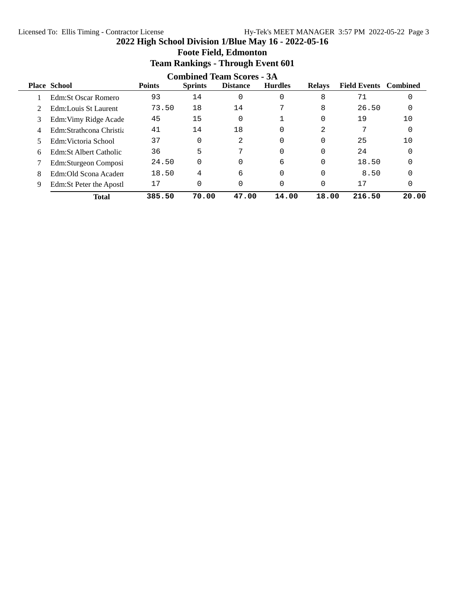|   |                                  |               | o              | o               |                |               |                              |       |  |  |  |  |
|---|----------------------------------|---------------|----------------|-----------------|----------------|---------------|------------------------------|-------|--|--|--|--|
|   | <b>Combined Team Scores - 3A</b> |               |                |                 |                |               |                              |       |  |  |  |  |
|   | <b>Place School</b>              | <b>Points</b> | <b>Sprints</b> | <b>Distance</b> | <b>Hurdles</b> | <b>Relays</b> | <b>Field Events</b> Combined |       |  |  |  |  |
|   | Edm:St Oscar Romero              | 93            | 14             | $\Omega$        | 0              | 8             | 71                           |       |  |  |  |  |
|   | Edm:Louis St Laurent             | 73.50         | 18             | 14              | 7              | 8             | 26.50                        |       |  |  |  |  |
| 3 | Edm: Vimy Ridge Acade            | 45            | 15             | $\Omega$        |                |               | 19                           | 10    |  |  |  |  |
| 4 | Edm:Strathcona Christia          | 41            | 14             | 18              | 0              | 2             |                              |       |  |  |  |  |
|   | Edm: Victoria School             | 37            | $\Omega$       | 2               | 0              |               | 25                           | 10    |  |  |  |  |
| 6 | Edm:St Albert Catholic           | 36            | 5              | 7               | 0              |               | 24                           |       |  |  |  |  |
|   | Edm:Sturgeon Composi             | 24.50         | $\Omega$       | $\Omega$        | 6              |               | 18.50                        |       |  |  |  |  |
| 8 | Edm:Old Scona Academ             | 18.50         | 4              | 6               | 0              |               | 8.50                         |       |  |  |  |  |
| 9 | Edm: St Peter the Apostl         | 17            | 0              | $\Omega$        | 0              |               | 17                           | 0     |  |  |  |  |
|   | <b>Total</b>                     | 385.50        | 70.00          | 47.00           | 14.00          | 18.00         | 216.50                       | 20.00 |  |  |  |  |

# **Foote Field, Edmonton Team Rankings - Through Event 601**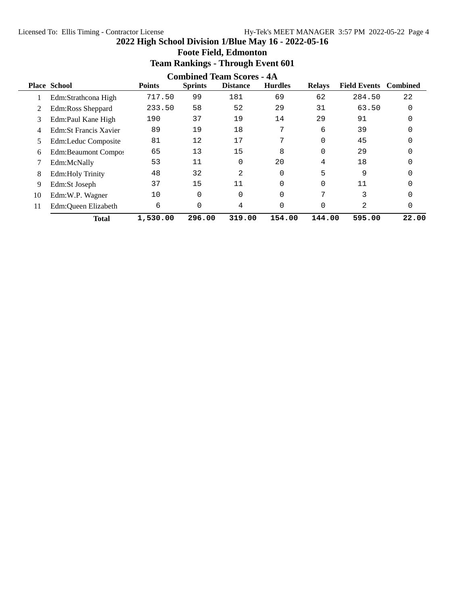|    | <b>Combined Team Scores - 4A</b> |               |                |                 |                |               |                              |       |  |  |  |
|----|----------------------------------|---------------|----------------|-----------------|----------------|---------------|------------------------------|-------|--|--|--|
|    | <b>Place School</b>              | <b>Points</b> | <b>Sprints</b> | <b>Distance</b> | <b>Hurdles</b> | <b>Relays</b> | <b>Field Events</b> Combined |       |  |  |  |
|    | Edm:Strathcona High              | 717.50        | 99             | 181             | 69             | 62            | 284.50                       | 22    |  |  |  |
| 2  | Edm:Ross Sheppard                | 233.50        | 58             | 52              | 29             | 31            | 63.50                        | 0     |  |  |  |
| 3  | Edm:Paul Kane High               | 190           | 37             | 19              | 14             | 29            | 91                           |       |  |  |  |
| 4  | Edm: St Francis Xavier           | 89            | 19             | 18              | 7              | 6             | 39                           |       |  |  |  |
| 5. | Edm:Leduc Composite              | 81            | 12             | 17              | 7              | 0             | 45                           |       |  |  |  |
| 6  | Edm:Beaumont Compos              | 65            | 13             | 15              | 8              | 0             | 29                           |       |  |  |  |
|    | Edm:McNally                      | 53            | 11             |                 | 20             | 4             | 18                           |       |  |  |  |
| 8  | <b>Edm:Holy Trinity</b>          | 48            | 32             | 2               | 0              | 5             | 9                            |       |  |  |  |
| 9  | Edm:St Joseph                    | 37            | 15             | 11              | 0              | 0             | 11                           |       |  |  |  |
| 10 | Edm:W.P. Wagner                  | 10            | $\Omega$       |                 | 0              | ⇁             | 3                            |       |  |  |  |
| 11 | Edm:Queen Elizabeth              | 6             | $\Omega$       | 4               | 0              | 0             | $\overline{2}$               | 0     |  |  |  |
|    | <b>Total</b>                     | 1,530.00      | 296.00         | 319.00          | 154.00         | 144.00        | 595.00                       | 22.00 |  |  |  |

# **Foote Field, Edmonton Team Rankings - Through Event 601**

**2022 High School Division 1/Blue May 16 - 2022-05-16**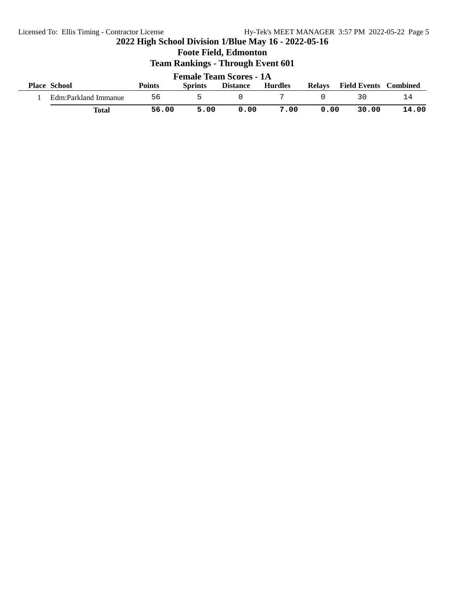**Foote Field, Edmonton**

| <b>Female Team Scores - 1A</b> |        |                |                 |                |      |                              |       |  |  |  |
|--------------------------------|--------|----------------|-----------------|----------------|------|------------------------------|-------|--|--|--|
| <b>Place School</b>            | Points | <b>Sprints</b> | <b>Distance</b> | <b>Hurdles</b> |      | Relays Field Events Combined |       |  |  |  |
| Edm:Parkland Immanue           | 56     | ь.             |                 |                |      | 30                           |       |  |  |  |
| Total                          | 56.00  | 5.00           | 0.00            | 7.00           | 0.00 | 30.00                        | 14.00 |  |  |  |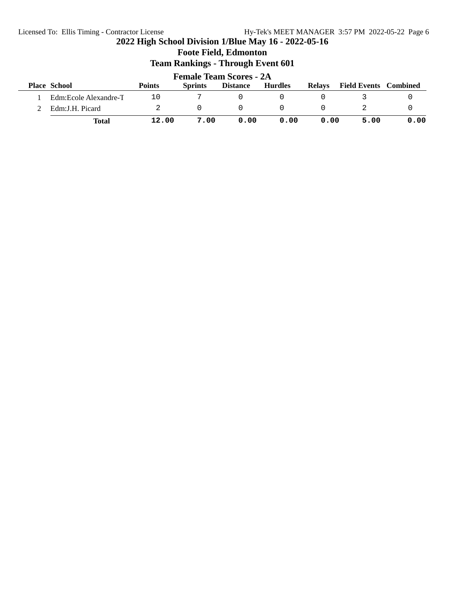|                                | <b>Foote Field, Edmonton</b><br><b>Team Rankings - Through Event 601</b> |               |                |                 |                |               |                              |      |  |  |  |
|--------------------------------|--------------------------------------------------------------------------|---------------|----------------|-----------------|----------------|---------------|------------------------------|------|--|--|--|
| <b>Female Team Scores - 2A</b> |                                                                          |               |                |                 |                |               |                              |      |  |  |  |
|                                | <b>Place School</b>                                                      | <b>Points</b> | <b>Sprints</b> | <b>Distance</b> | <b>Hurdles</b> | <b>Relays</b> | <b>Field Events</b> Combined |      |  |  |  |
|                                | Edm:Ecole Alexandre-T                                                    | 10            |                | O               |                |               |                              |      |  |  |  |
|                                | Edm: J.H. Picard                                                         |               | 0              | 0               | <sup>n</sup>   |               |                              |      |  |  |  |
|                                | Total                                                                    | 12.00         | 7.00           | 0.00            | 0.00           | 0.00          | 5.00                         | 0.00 |  |  |  |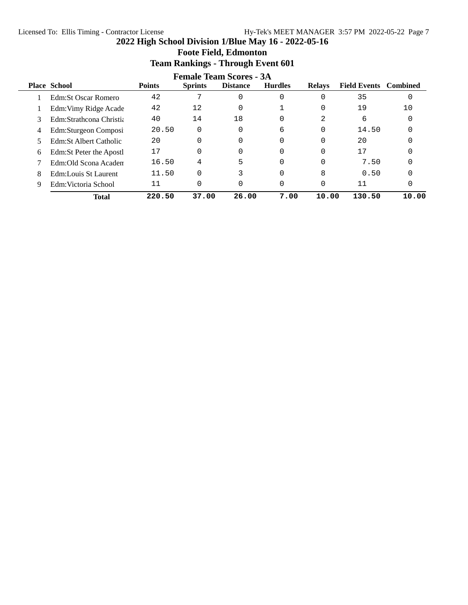$\overline{a}$ 

|                                | Team Rankings - Through Event bol |               |                |                 |                |               |                              |       |  |  |  |  |
|--------------------------------|-----------------------------------|---------------|----------------|-----------------|----------------|---------------|------------------------------|-------|--|--|--|--|
| <b>Female Team Scores - 3A</b> |                                   |               |                |                 |                |               |                              |       |  |  |  |  |
|                                | <b>Place School</b>               | <b>Points</b> | <b>Sprints</b> | <b>Distance</b> | <b>Hurdles</b> | <b>Relays</b> | <b>Field Events</b> Combined |       |  |  |  |  |
|                                | <b>Edm:St Oscar Romero</b>        | 42            | 7              | 0               | 0              | 0             | 35                           | 0     |  |  |  |  |
|                                | Edm: Vimy Ridge Acade             | 42            | 12             | 0               |                | 0             | 19                           | 10    |  |  |  |  |
| 3                              | Edm:Strathcona Christia           | 40            | 14             | 18              | 0              | 2             | 6                            | 0     |  |  |  |  |
| 4                              | Edm:Sturgeon Composi              | 20.50         | 0              | 0               | 6              | 0             | 14.50                        |       |  |  |  |  |
|                                | Edm:St Albert Catholic            | 20            | $\Omega$       | $\Omega$        | 0              | 0             | 20                           |       |  |  |  |  |
| 6                              | Edm: St Peter the Apostl          | 17            | $\Omega$       | 0               | 0              | 0             | 17                           |       |  |  |  |  |
|                                | Edm:Old Scona Academ              | 16.50         | 4              | 5               |                | 0             | 7.50                         |       |  |  |  |  |
| 8                              | Edm:Louis St Laurent              | 11.50         | $\Omega$       |                 | 0              | 8             | 0.50                         |       |  |  |  |  |
| 9                              | Edm: Victoria School              | 11            | 0              | 0               |                | 0             | 11                           | 0     |  |  |  |  |
|                                | <b>Total</b>                      | 220.50        | 37.00          | 26.00           | 7.00           | 10.00         | 130.50                       | 10.00 |  |  |  |  |

#### **2022 High School Division 1/Blue May 16 - 2022-05-16 Foote Field, Edmonton Team Rankings - Through Event 601**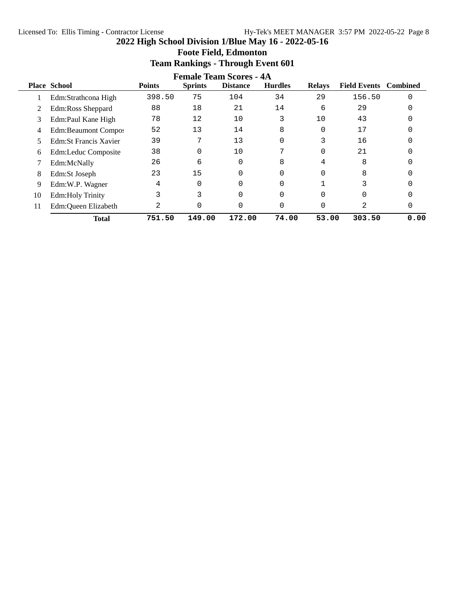|    | <b>Female Team Scores - 4A</b> |               |                |                 |                |               |                     |                 |  |  |  |  |
|----|--------------------------------|---------------|----------------|-----------------|----------------|---------------|---------------------|-----------------|--|--|--|--|
|    | <b>Place School</b>            | <b>Points</b> | <b>Sprints</b> | <b>Distance</b> | <b>Hurdles</b> | <b>Relays</b> | <b>Field Events</b> | <b>Combined</b> |  |  |  |  |
|    | Edm:Strathcona High            | 398.50        | 75             | 104             | 34             | 29            | 156.50              | 0               |  |  |  |  |
|    | Edm:Ross Sheppard              | 88            | 18             | 21              | 14             | 6             | 29                  |                 |  |  |  |  |
| 3  | Edm:Paul Kane High             | 78            | 12             | 10              | 3              | 10            | 43                  |                 |  |  |  |  |
| 4  | Edm:Beaumont Compos            | 52            | 13             | 14              | 8              | 0             | 17                  |                 |  |  |  |  |
| 5  | Edm: St Francis Xavier         | 39            | 7              | 13              | 0              | 3             | 16                  |                 |  |  |  |  |
| 6  | Edm:Leduc Composite            | 38            | $\Omega$       | 10              | 7              | 0             | 21                  |                 |  |  |  |  |
|    | Edm:McNally                    | 26            | 6              |                 | 8              | 4             | 8                   |                 |  |  |  |  |
| 8  | Edm:St Joseph                  | 23            | 15             |                 | 0              |               | 8                   |                 |  |  |  |  |
| 9  | Edm:W.P. Wagner                | 4             | $\Omega$       |                 | 0              |               | 3                   |                 |  |  |  |  |
| 10 | <b>Edm:Holy Trinity</b>        | 3             |                |                 |                |               |                     |                 |  |  |  |  |
| 11 | Edm:Queen Elizabeth            | 2             |                |                 | 0              |               | 2                   |                 |  |  |  |  |
|    | <b>Total</b>                   | 751.50        | 149.00         | 172.00          | 74.00          | 53.00         | 303.50              | 0.00            |  |  |  |  |

## **Foote Field, Edmonton Team Rankings - Through Event 601**

**2022 High School Division 1/Blue May 16 - 2022-05-16**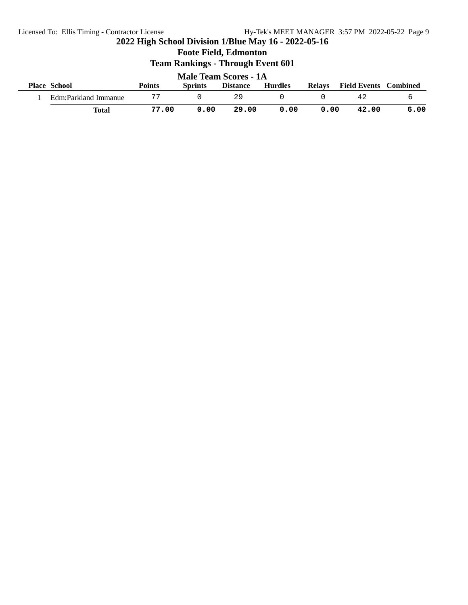| <b>Male Team Scores - 1A</b> |               |                |                 |                |               |                              |      |  |  |
|------------------------------|---------------|----------------|-----------------|----------------|---------------|------------------------------|------|--|--|
| <b>Place School</b>          | <b>Points</b> | <b>Sprints</b> | <b>Distance</b> | <b>Hurdles</b> | <b>Relays</b> | <b>Field Events</b> Combined |      |  |  |
| Edm:Parkland Immanue         |               |                | 29              |                |               | 42                           |      |  |  |
| Total                        | 77.00         | 0.00           | 29.00           | 0.00           | 0.00          | 42.00                        | 6.00 |  |  |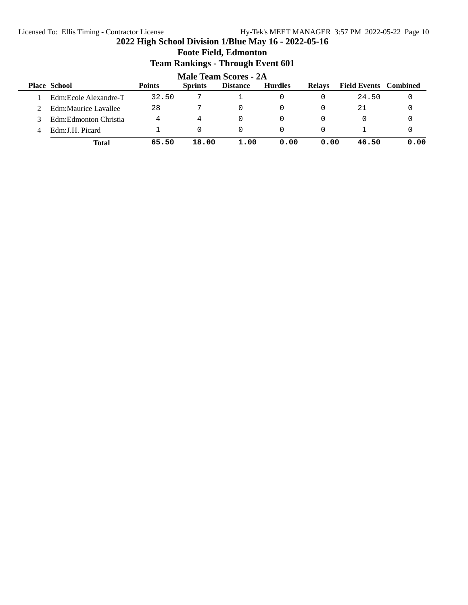#### Licensed To: Ellis Timing - Contractor License Hy-Tek's MEET MANAGER 3:57 PM 2022-05-22 Page 10

|   |                              |               |                | 10000           |                |               |                              |      |  |  |  |  |
|---|------------------------------|---------------|----------------|-----------------|----------------|---------------|------------------------------|------|--|--|--|--|
|   | <b>Male Team Scores - 2A</b> |               |                |                 |                |               |                              |      |  |  |  |  |
|   | <b>Place School</b>          | <b>Points</b> | <b>Sprints</b> | <b>Distance</b> | <b>Hurdles</b> | <b>Relays</b> | <b>Field Events</b> Combined |      |  |  |  |  |
|   | Edm: Ecole Alexandre-T       | 32.50         |                |                 |                |               | 24.50                        |      |  |  |  |  |
|   | Edm:Maurice Lavallee         | 28            |                |                 |                |               | 21                           |      |  |  |  |  |
|   | Edm:Edmonton Christia        | 4             | 4              |                 |                |               |                              |      |  |  |  |  |
| 4 | Edm:J.H. Picard              |               | $\Omega$       |                 |                |               |                              |      |  |  |  |  |
|   | <b>Total</b>                 | 65.50         | 18.00          | 1.00            | 0.00           | 0.00          | 46.50                        | 0.00 |  |  |  |  |

#### **2022 High School Division 1/Blue May 16 - 2022-05-16 Foote Field, Edmonton Team Rankings - Through Event 601**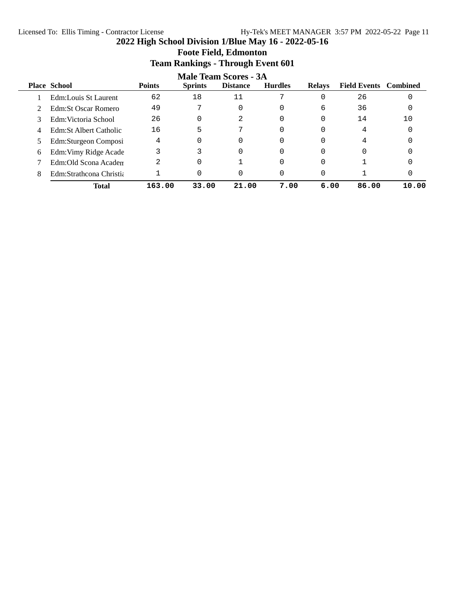**Foote Field, Edmonton**

|   | <b>Team Rankings - Through Event 601</b>                                                                                                                              |        |          |          |          |      |       |       |  |  |  |  |  |
|---|-----------------------------------------------------------------------------------------------------------------------------------------------------------------------|--------|----------|----------|----------|------|-------|-------|--|--|--|--|--|
|   | Male Team Scores - 3A<br><b>Place School</b><br><b>Points</b><br><b>Field Events</b> Combined<br><b>Sprints</b><br><b>Distance</b><br><b>Hurdles</b><br><b>Relays</b> |        |          |          |          |      |       |       |  |  |  |  |  |
|   | Edm:Louis St Laurent                                                                                                                                                  | 62     | 18       | 11       |          |      | 26    | 0     |  |  |  |  |  |
|   | Edm:St Oscar Romero                                                                                                                                                   | 49     |          | $\Omega$ | 0        | 6    | 36    | 0     |  |  |  |  |  |
| 3 | Edm:Victoria School                                                                                                                                                   | 26     | $\Omega$ | 2        | 0        |      | 14    | 10    |  |  |  |  |  |
| 4 | Edm:St Albert Catholic                                                                                                                                                | 16     | 5        | 7        | 0        |      | 4     |       |  |  |  |  |  |
|   | Edm:Sturgeon Composi                                                                                                                                                  | 4      | $\Omega$ | $\Omega$ | 0        |      | 4     |       |  |  |  |  |  |
| 6 | Edm: Vimy Ridge Acade                                                                                                                                                 | 3      |          | $\Omega$ | $\Omega$ |      |       |       |  |  |  |  |  |
|   | Edm:Old Scona Academ                                                                                                                                                  | 2      | $\Omega$ |          | $\Omega$ |      |       |       |  |  |  |  |  |
| 8 | Edm:Strathcona Christia                                                                                                                                               |        | 0        | 0        | 0        |      |       |       |  |  |  |  |  |
|   | <b>Total</b>                                                                                                                                                          | 163.00 | 33.00    | 21.00    | 7.00     | 6.00 | 86.00 | 10.00 |  |  |  |  |  |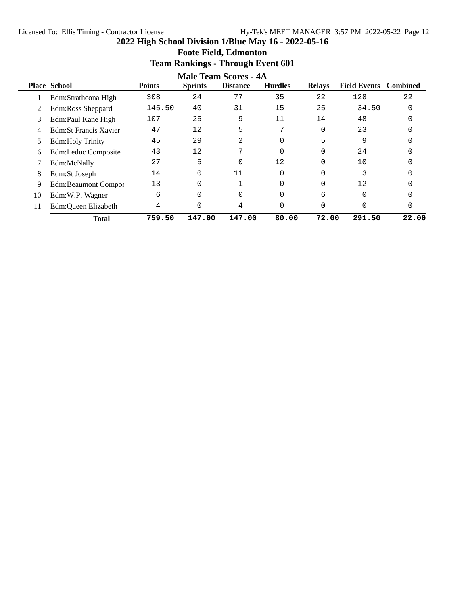#### Licensed To: Ellis Timing - Contractor License Hy-Tek's MEET MANAGER 3:57 PM 2022-05-22 Page 12

**2022 High School Division 1/Blue May 16 - 2022-05-16**

|    | <b>Male Team Scores - 4A</b> |               |                |                 |                |               |                              |       |  |  |
|----|------------------------------|---------------|----------------|-----------------|----------------|---------------|------------------------------|-------|--|--|
|    | <b>Place School</b>          | <b>Points</b> | <b>Sprints</b> | <b>Distance</b> | <b>Hurdles</b> | <b>Relays</b> | <b>Field Events</b> Combined |       |  |  |
|    | Edm:Strathcona High          | 308           | 24             | 77              | 35             | 22            | 128                          | 22    |  |  |
|    | Edm:Ross Sheppard            | 145.50        | 40             | 31              | 15             | 25            | 34.50                        |       |  |  |
| 3  | Edm:Paul Kane High           | 107           | 25             | 9               | 11             | 14            | 48                           |       |  |  |
| 4  | Edm:St Francis Xavier        | 47            | 12             | 5               | 7              | 0             | 23                           |       |  |  |
| 5. | <b>Edm:Holy Trinity</b>      | 45            | 29             | 2               | 0              | 5             | 9                            |       |  |  |
| 6  | Edm:Leduc Composite          | 43            | 12             | $\mathbf{r}$    | 0              | 0             | 24                           |       |  |  |
|    | Edm:McNally                  | 27            | 5              | $\Omega$        | 12             | 0             | 10                           |       |  |  |
| 8  | Edm:St Joseph                | 14            | $\Omega$       | 11              | 0              | 0             | 3                            |       |  |  |
| 9  | Edm:Beaumont Compos          | 13            | $\Omega$       |                 | $\Omega$       | 0             | 12                           |       |  |  |
| 10 | Edm:W.P. Wagner              | 6             | $\Omega$       | $\Omega$        | $\Omega$       | 6             | $\Omega$                     |       |  |  |
| 11 | Edm:Queen Elizabeth          | 4             | 0              | 4               | 0              | 0             | 0                            | 0     |  |  |
|    | <b>Total</b>                 | 759.50        | 147.00         | 147.00          | 80.00          | 72.00         | 291.50                       | 22.00 |  |  |

## **Foote Field, Edmonton Team Rankings - Through Event 601**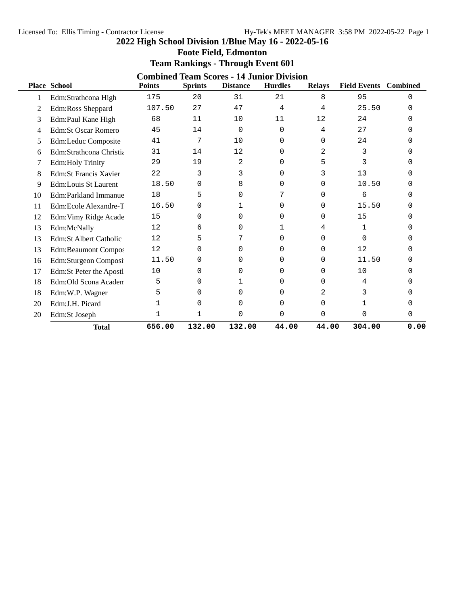**Foote Field, Edmonton**

|    | <b>Team Rankings - Through Event 601</b> |               |                |                 |                                                                    |               |                              |              |  |  |  |
|----|------------------------------------------|---------------|----------------|-----------------|--------------------------------------------------------------------|---------------|------------------------------|--------------|--|--|--|
|    | <b>Place School</b>                      | <b>Points</b> | <b>Sprints</b> | <b>Distance</b> | <b>Combined Team Scores - 14 Junior Division</b><br><b>Hurdles</b> | <b>Relays</b> | <b>Field Events</b> Combined |              |  |  |  |
| 1  | Edm:Strathcona High                      | 175           | 20             | 31              | 21                                                                 | 8             | 95                           | $\Omega$     |  |  |  |
| 2  | Edm:Ross Sheppard                        | 107.50        | 27             | 47              | 4                                                                  | 4             | 25.50                        | $\Omega$     |  |  |  |
| 3  | Edm:Paul Kane High                       | 68            | 11             | 10              | 11                                                                 | 12            | 24                           | $\Omega$     |  |  |  |
| 4  | <b>Edm:St Oscar Romero</b>               | 45            | 14             | 0               | 0                                                                  | 4             | 27                           | U            |  |  |  |
| 5  | Edm:Leduc Composite                      | 41            | 7              | 10              | 0                                                                  | 0             | 24                           | U            |  |  |  |
| 6  | Edm:Strathcona Christia                  | 31            | 14             | 12              | $\Omega$                                                           | 2             | 3                            | 0            |  |  |  |
| 7  | <b>Edm:Holy Trinity</b>                  | 29            | 19             | 2               | $\Omega$                                                           | 5             | 3                            | 0            |  |  |  |
| 8  | <b>Edm:St Francis Xavier</b>             | 22            | 3              | 3               | $\Omega$                                                           | 3             | 13                           | U            |  |  |  |
| 9  | Edm:Louis St Laurent                     | 18.50         | 0              | 8               | 0                                                                  | 0             | 10.50                        | <sup>0</sup> |  |  |  |
| 10 | Edm:Parkland Immanue                     | 18            | 5              | $\Omega$        | 7                                                                  | $\Omega$      | 6                            | $\Omega$     |  |  |  |
| 11 | Edm:Ecole Alexandre-T                    | 16.50         | 0              | 1               | 0                                                                  | 0             | 15.50                        | U            |  |  |  |
| 12 | Edm: Vimy Ridge Acade                    | 15            | 0              | $\Omega$        | $\Omega$                                                           | 0             | 15                           | $\Omega$     |  |  |  |
| 13 | Edm:McNally                              | 12            | 6              | $\Omega$        | 1                                                                  | 4             | 1                            | <sup>0</sup> |  |  |  |
| 13 | Edm:St Albert Catholic                   | 12            | 5              | 7               | $\Omega$                                                           | $\Omega$      | $\Omega$                     | <sup>0</sup> |  |  |  |
| 13 | Edm:Beaumont Compos                      | 12            | 0              | 0               | $\Omega$                                                           | 0             | 12                           | U            |  |  |  |
| 16 | Edm:Sturgeon Composi                     | 11.50         | 0              | $\Omega$        | $\Omega$                                                           | 0             | 11.50                        | <sup>0</sup> |  |  |  |
| 17 | Edm:St Peter the Apostl                  | 10            | 0              | $\Omega$        | $\Omega$                                                           | 0             | 10                           | U            |  |  |  |
| 18 | Edm:Old Scona Academ                     | 5             | 0              | 1               | 0                                                                  | 0             | 4                            | U            |  |  |  |
| 18 | Edm:W.P. Wagner                          | 5             | 0              | $\Omega$        | $\Omega$                                                           | 2             | 3                            | U            |  |  |  |
| 20 | Edm:J.H. Picard                          | 1             | 0              | $\Omega$        | $\Omega$                                                           | $\Omega$      | 1                            | 0            |  |  |  |
| 20 | Edm:St Joseph                            | 1             | 1              | $\mathbf 0$     | $\mathbf 0$                                                        | $\Omega$      | $\Omega$                     | $\mathbf 0$  |  |  |  |
|    | <b>Total</b>                             | 656.00        | 132.00         | 132.00          | 44.00                                                              | 44.00         | 304.00                       | 0.00         |  |  |  |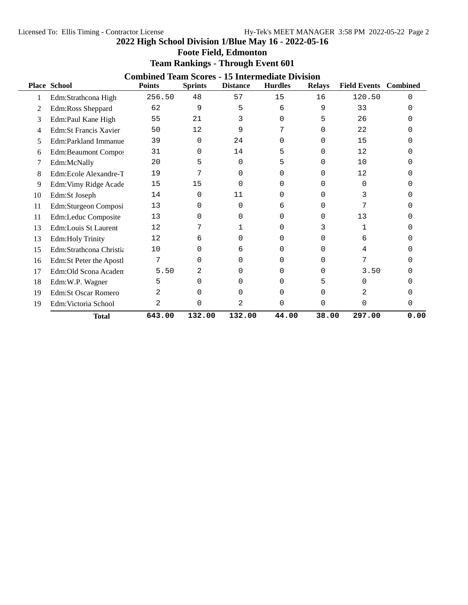**Foote Field, Edmonton**

|    | <b>Combined Team Scores - 15 Intermediate Division</b> |               |                |                 |                |               |                              |      |  |  |
|----|--------------------------------------------------------|---------------|----------------|-----------------|----------------|---------------|------------------------------|------|--|--|
|    | <b>Place School</b>                                    | <b>Points</b> | <b>Sprints</b> | <b>Distance</b> | <b>Hurdles</b> | <b>Relays</b> | <b>Field Events</b> Combined |      |  |  |
|    | Edm:Strathcona High                                    | 256.50        | 48             | 57              | 15             | 16            | 120.50                       | 0    |  |  |
| 2  | Edm:Ross Sheppard                                      | 62            | 9              | 5               | 6              | 9             | 33                           | U    |  |  |
| 3  | Edm:Paul Kane High                                     | 55            | 21             | 3               | 0              | 5             | 26                           |      |  |  |
| 4  | <b>Edm:St Francis Xavier</b>                           | 50            | 12             | 9               |                | $\Omega$      | 22                           |      |  |  |
| 5  | Edm:Parkland Immanue                                   | 39            | 0              | 24              | 0              | 0             | 15                           |      |  |  |
| 6  | Edm:Beaumont Compos                                    | 31            | 0              | 14              | 5              | <sup>0</sup>  | 12                           |      |  |  |
|    | Edm:McNally                                            | 20            | 5              | 0               | 5              | $\Omega$      | 10                           |      |  |  |
| 8  | Edm:Ecole Alexandre-T                                  | 19            |                | <sup>0</sup>    | U              | 0             | 12                           |      |  |  |
| 9  | Edm: Vimy Ridge Acade                                  | 15            | 15             | 0               | 0              | 0             | $\Omega$                     |      |  |  |
| 10 | Edm:St Joseph                                          | 14            | 0              | 11              | 0              | 0             | 3                            |      |  |  |
| 11 | Edm:Sturgeon Composi                                   | 13            | 0              | 0               | 6              | <sup>0</sup>  |                              |      |  |  |
| 11 | Edm:Leduc Composite                                    | 13            | 0              | <sup>0</sup>    | 0              | 0             | 13                           |      |  |  |
| 13 | Edm:Louis St Laurent                                   | 12            | 7              |                 | 0              | 3             | ı                            |      |  |  |
| 13 | <b>Edm:Holy Trinity</b>                                | 12            | 6              | 0               | $\Omega$       | <sup>0</sup>  | 6                            |      |  |  |
| 15 | Edm:Strathcona Christia                                | 10            | 0              | 6               | $\Omega$       | $\Omega$      | 4                            |      |  |  |
| 16 | Edm:St Peter the Apostl                                | 7             | 0              | <sup>0</sup>    | U              | U             |                              |      |  |  |
| 17 | Edm:Old Scona Academ                                   | 5.50          | 2              | 0               | 0              | 0             | 3.50                         |      |  |  |
| 18 | Edm:W.P. Wagner                                        | 5             | 0              | 0               | 0              | 5             | 0                            |      |  |  |
| 19 | <b>Edm:St Oscar Romero</b>                             | 2             | O              | <sup>0</sup>    | 0              | 0             | 2                            |      |  |  |
| 19 | Edm: Victoria School                                   | 2             | 0              | 2               | 0              | $\Omega$      | 0                            | 0    |  |  |
|    | <b>Total</b>                                           | 643.00        | 132.00         | 132.00          | 44.00          | 38.00         | 297.00                       | 0.00 |  |  |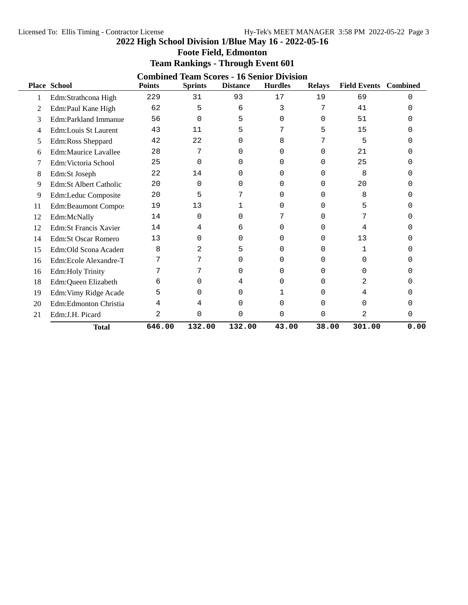**Foote Field, Edmonton**

|    | <b>Combined Team Scores - 16 Senior Division</b> |               |                |                 |                |               |                              |      |  |  |
|----|--------------------------------------------------|---------------|----------------|-----------------|----------------|---------------|------------------------------|------|--|--|
|    | <b>Place School</b>                              | <b>Points</b> | <b>Sprints</b> | <b>Distance</b> | <b>Hurdles</b> | <b>Relays</b> | <b>Field Events</b> Combined |      |  |  |
|    | Edm:Strathcona High                              | 229           | 31             | 93              | 17             | 19            | 69                           | 0    |  |  |
| 2  | Edm:Paul Kane High                               | 62            | 5              | 6               | 3              | 7             | 41                           | ∩    |  |  |
| 3  | Edm:Parkland Immanue                             | 56            | 0              | 5               | 0              | $\Omega$      | 51                           |      |  |  |
| 4  | <b>Edm:Louis St Laurent</b>                      | 43            | 11             | 5               | 7              | 5             | 15                           |      |  |  |
| 5  | Edm:Ross Sheppard                                | 42            | 22             | 0               | 8              |               | 5                            |      |  |  |
| 6  | Edm:Maurice Lavallee                             | 28            | 7              | O               | 0              | 0             | 21                           |      |  |  |
|    | Edm: Victoria School                             | 25            | 0              | 0               | U              | 0             | 25                           |      |  |  |
| 8  | Edm:St Joseph                                    | 22            | 14             | 0               | $\Omega$       | $\Omega$      | 8                            |      |  |  |
| 9  | Edm:St Albert Catholic                           | 20            | 0              | 0               | U              | 0             | 20                           |      |  |  |
| 9  | Edm:Leduc Composite                              | 20            | 5              |                 | O              | <sup>0</sup>  | 8                            |      |  |  |
| 11 | <b>Edm:Beaumont Compos</b>                       | 19            | 13             |                 | O              | 0             | 5                            |      |  |  |
| 12 | Edm:McNally                                      | 14            | 0              | 0               | 7              | 0             | 7                            |      |  |  |
| 12 | <b>Edm:St Francis Xavier</b>                     | 14            | 4              | 6               | 0              | $\Omega$      | 4                            |      |  |  |
| 14 | <b>Edm:St Oscar Romero</b>                       | 13            | 0              | 0               | O              | 0             | 13                           |      |  |  |
| 15 | Edm: Old Scona Academ                            | 8             | 2              | 5               | $\Omega$       | 0             | 1                            |      |  |  |
| 16 | Edm:Ecole Alexandre-T                            |               | 7              | <sup>0</sup>    | U              | O             | 0                            |      |  |  |
| 16 | Edm:Holy Trinity                                 |               |                | 0               | O              | 0             | $\Omega$                     |      |  |  |
| 18 | Edm:Queen Elizabeth                              | 6             | 0              | 4               | 0              | O             | 2                            |      |  |  |
| 19 | Edm: Vimy Ridge Acade                            | 5             | 0              | 0               |                | 0             | 4                            |      |  |  |
| 20 | Edm:Edmonton Christia                            | 4             | 4              | 0               | 0              | $\Omega$      | $\Omega$                     |      |  |  |
| 21 | Edm:J.H. Picard                                  | 2             | 0              | 0               | 0              | $\Omega$      | 2                            | 0    |  |  |
|    | <b>Total</b>                                     | 646.00        | 132.00         | 132.00          | 43.00          | 38.00         | 301.00                       | 0.00 |  |  |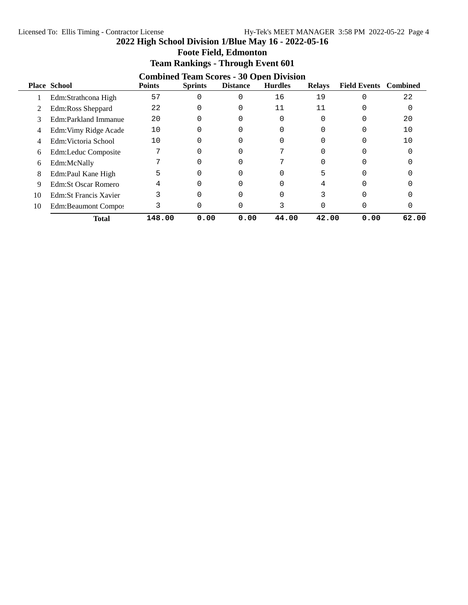|    |                        |               | $\overline{\phantom{a}}$<br>$\frac{1}{2}$ and $\frac{1}{2}$ and $\frac{1}{2}$ and $\frac{1}{2}$ |                 |                                                                  |               |                              |       |
|----|------------------------|---------------|-------------------------------------------------------------------------------------------------|-----------------|------------------------------------------------------------------|---------------|------------------------------|-------|
|    | <b>Place School</b>    | <b>Points</b> | <b>Sprints</b>                                                                                  | <b>Distance</b> | <b>Combined Team Scores - 30 Open Division</b><br><b>Hurdles</b> | <b>Relays</b> | <b>Field Events</b> Combined |       |
|    | Edm:Strathcona High    | 57            | 0                                                                                               |                 | 16                                                               | 19            |                              | 22    |
|    | Edm:Ross Sheppard      | 22            | 0                                                                                               | $\Omega$        | 11                                                               | 11            |                              |       |
| 3  | Edm:Parkland Immanue   | 20            | $\Omega$                                                                                        |                 | 0                                                                |               |                              | 20    |
| 4  | Edm: Vimy Ridge Acade  | 10            | 0                                                                                               | $\Omega$        | 0                                                                |               |                              | 10    |
| 4  | Edm: Victoria School   | 10            |                                                                                                 |                 |                                                                  |               |                              | 10    |
| 6  | Edm:Leduc Composite    |               | 0                                                                                               |                 |                                                                  |               |                              |       |
| 6  | Edm:McNally            |               | 0                                                                                               |                 |                                                                  |               |                              |       |
| 8  | Edm:Paul Kane High     |               | 0                                                                                               |                 |                                                                  |               |                              |       |
| 9  | Edm:St Oscar Romero    |               | 0                                                                                               |                 |                                                                  |               |                              |       |
| 10 | Edm: St Francis Xavier |               | 0                                                                                               |                 |                                                                  |               |                              |       |
| 10 | Edm:Beaumont Compos    |               | 0                                                                                               |                 |                                                                  |               | U                            |       |
|    | <b>Total</b>           | 148.00        | 0.00                                                                                            | 0.00            | 44.00                                                            | 42.00         | 0.00                         | 62.00 |

## **Foote Field, Edmonton Team Rankings - Through Event 601**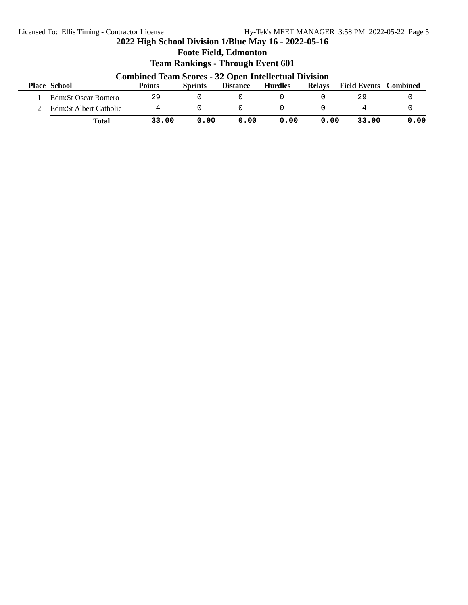## **2022 High School Division 1/Blue May 16 - 2022-05-16 Foote Field, Edmonton Team Rankings - Through Event 601 Combined Team Scores - 32 Open Intellectual Division Place School Points Sprints Distance Hurdles Relays Field Events Combined** 1 Edm:St Oscar Romero 29 0 0 0 0 29 0 2 Edm:St Albert Catholic 4 0 0 0 0 4 0 **Total 33.00 0.00 0.00 0.00 0.00 33.00 0.00**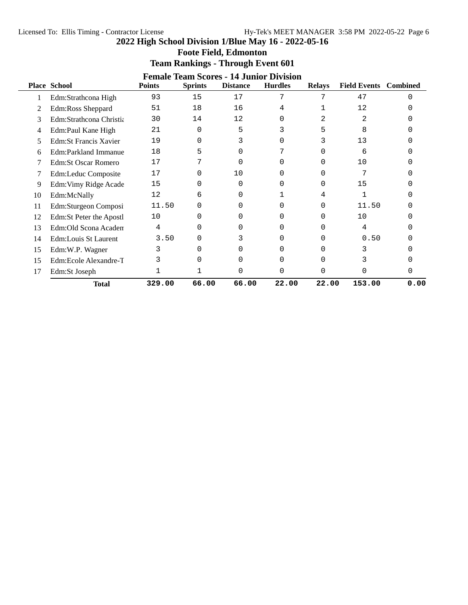|    | <b>Female Team Scores - 14 Junior Division</b> |               |                |                 |                |               |                              |          |  |  |
|----|------------------------------------------------|---------------|----------------|-----------------|----------------|---------------|------------------------------|----------|--|--|
|    | <b>Place School</b>                            | <b>Points</b> | <b>Sprints</b> | <b>Distance</b> | <b>Hurdles</b> | <b>Relays</b> | <b>Field Events</b> Combined |          |  |  |
|    | Edm:Strathcona High                            | 93            | 15             | 17              | 7              | 7             | 47                           | $\Omega$ |  |  |
| 2  | Edm:Ross Sheppard                              | 51            | 18             | 16              | 4              |               | 12                           |          |  |  |
| 3  | Edm:Strathcona Christia                        | 30            | 14             | 12              | O              | 2             | 2                            |          |  |  |
| 4  | Edm:Paul Kane High                             | 21            | $\Omega$       | 5               |                |               | 8                            |          |  |  |
| 5  | <b>Edm:St Francis Xavier</b>                   | 19            | 0              | 3               | 0              |               | 13                           |          |  |  |
| 6  | Edm:Parkland Immanue                           | 18            | 5              | 0               |                |               | 6                            |          |  |  |
|    | Edm:St Oscar Romero                            | 17            | 7              | ∩               | O              | 0             | 10                           |          |  |  |
|    | Edm:Leduc Composite                            | 17            | $\Omega$       | 10              | 0              | 0             | 7                            |          |  |  |
| 9  | Edm: Vimy Ridge Acade                          | 15            | 0              | 0               | 0              | 0             | 15                           |          |  |  |
| 10 | Edm:McNally                                    | 12            | 6              | O               |                | 4             |                              |          |  |  |
| 11 | Edm:Sturgeon Composi                           | 11.50         | 0              | O               | <sup>0</sup>   | 0             | 11.50                        |          |  |  |
| 12 | Edm:St Peter the Apostl                        | 10            | 0              | <sup>0</sup>    |                |               | 10                           |          |  |  |
| 13 | Edm:Old Scona Academ                           | 4             | 0              | 0               |                | U             | 4                            |          |  |  |
| 14 | Edm:Louis St Laurent                           | 3.50          | $\Omega$       | 3               | 0              | 0             | 0.50                         |          |  |  |
| 15 | Edm:W.P. Wagner                                | 3             | 0              | O               | <sup>0</sup>   | ∩             | 3                            |          |  |  |
| 15 | Edm:Ecole Alexandre-T                          |               | U              |                 | O              |               | 3                            |          |  |  |
| 17 | Edm:St Joseph                                  |               |                |                 | 0              | 0             |                              | O        |  |  |
|    | <b>Total</b>                                   | 329.00        | 66.00          | 66.00           | 22.00          | 22.00         | 153.00                       | 0.00     |  |  |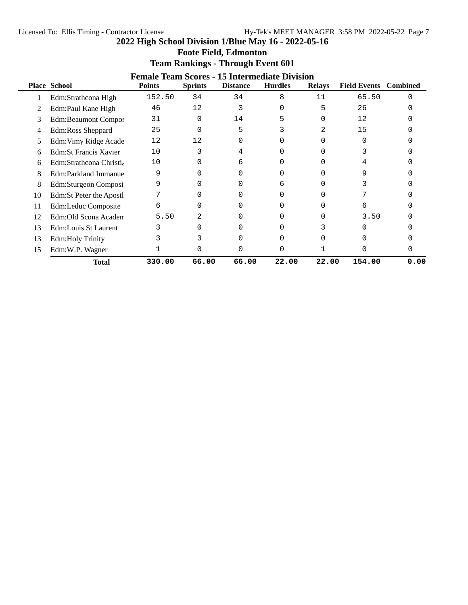| <b>Foote Field, Edmonton</b> |  |
|------------------------------|--|
|------------------------------|--|

|    | <b>Female Team Scores - 15 Intermediate Division</b> |               |                |                 |                |               |                     |                 |  |  |
|----|------------------------------------------------------|---------------|----------------|-----------------|----------------|---------------|---------------------|-----------------|--|--|
|    | <b>Place School</b>                                  | <b>Points</b> | <b>Sprints</b> | <b>Distance</b> | <b>Hurdles</b> | <b>Relays</b> | <b>Field Events</b> | <b>Combined</b> |  |  |
|    | Edm:Strathcona High                                  | 152.50        | 34             | 34              | 8              | 11            | 65.50               | $\Omega$        |  |  |
| 2  | Edm:Paul Kane High                                   | 46            | 12             | 3               |                | 5             | 26                  |                 |  |  |
| 3  | <b>Edm:Beaumont Compos</b>                           | 31            | $\Omega$       | 14              |                | U             | 12                  |                 |  |  |
| 4  | Edm:Ross Sheppard                                    | 25            | 0              | 5               |                | 2.            | 15                  |                 |  |  |
| 5  | Edm: Vimy Ridge Acade                                | 12            | 12             | 0               |                |               |                     |                 |  |  |
| 6  | <b>Edm:St Francis Xavier</b>                         | 10            |                | 4               |                |               |                     |                 |  |  |
| 6  | Edm:Strathcona Christia                              | 10            | 0              | 6               |                |               |                     |                 |  |  |
| 8  | Edm:Parkland Immanue                                 | 9             | U              |                 | U              |               | 9                   |                 |  |  |
| 8  | Edm:Sturgeon Composi                                 | 9             | 0              | O               | 6              |               | 3                   |                 |  |  |
| 10 | Edm:St Peter the Apostl                              |               | U              |                 |                |               |                     |                 |  |  |
| 11 | Edm:Leduc Composite                                  | 6             | 0              |                 |                |               | 6                   |                 |  |  |
| 12 | Edm:Old Scona Academ                                 | 5.50          | 2              |                 |                | 0             | 3.50                |                 |  |  |
| 13 | Edm:Louis St Laurent                                 | 3             | 0              |                 | U              |               |                     |                 |  |  |
| 13 | <b>Edm:Holy Trinity</b>                              |               |                |                 | U              |               |                     |                 |  |  |
| 15 | Edm:W.P. Wagner                                      |               |                |                 | 0              |               |                     | O               |  |  |
|    | Total                                                | 330.00        | 66.00          | 66.00           | 22.00          | 22.00         | 154.00              | 0.00            |  |  |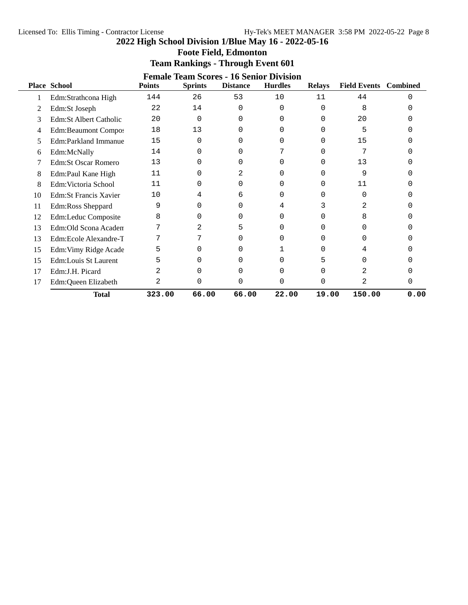| <b>Foote Field, Edmonton</b> |  |
|------------------------------|--|
|------------------------------|--|

#### **Team Rankings - Through Event 601 Female Team Scores - 16 Senior Division**

|    | Female Team Scores - 16 Senior Division |               |                |                 |                |               |                     |                 |  |  |
|----|-----------------------------------------|---------------|----------------|-----------------|----------------|---------------|---------------------|-----------------|--|--|
|    | Place School                            | <b>Points</b> | <b>Sprints</b> | <b>Distance</b> | <b>Hurdles</b> | <b>Relays</b> | <b>Field Events</b> | <b>Combined</b> |  |  |
|    | Edm:Strathcona High                     | 144           | 26             | 53              | 10             | 11            | 44                  | U               |  |  |
| 2  | Edm:St Joseph                           | 22            | 14             | $\Omega$        | 0              | 0             | 8                   |                 |  |  |
| 3  | Edm:St Albert Catholic                  | 20            | 0              | 0               | 0              | 0             | 20                  |                 |  |  |
| 4  | <b>Edm:Beaumont Compos</b>              | 18            | 13             | O               | 0              | 0             | 5                   |                 |  |  |
| 5  | Edm:Parkland Immanue                    | 15            | 0              |                 | 0              |               | 15                  |                 |  |  |
| 6  | Edm:McNally                             | 14            | 0              |                 |                |               |                     |                 |  |  |
|    | <b>Edm:St Oscar Romero</b>              | 13            | 0              |                 |                | $\cup$        | 13                  |                 |  |  |
| 8  | Edm:Paul Kane High                      | 11            | 0              |                 | 0              | 0             | 9                   |                 |  |  |
| 8  | Edm: Victoria School                    | 11            | 0              |                 | 0              |               | 11                  |                 |  |  |
| 10 | <b>Edm:St Francis Xavier</b>            | 10            | 4              | 6               |                |               | O                   |                 |  |  |
| 11 | Edm:Ross Sheppard                       | 9             | 0              | O               | 4              |               | 2                   |                 |  |  |
| 12 | Edm:Leduc Composite                     | 8             | 0              | U               | 0              |               | 8                   |                 |  |  |
| 13 | Edm:Old Scona Academ                    | 7             | 2              | 5               | 0              |               | <sup>0</sup>        |                 |  |  |
| 13 | Edm:Ecole Alexandre-T                   | 7             | 7              | O               | 0              |               | <sup>0</sup>        |                 |  |  |
| 15 | Edm: Vimy Ridge Acade                   | 5             | 0              | O               |                |               | 4                   |                 |  |  |
| 15 | Edm:Louis St Laurent                    | 5             | 0              | 0               | 0              |               | U                   |                 |  |  |
| 17 | Edm:J.H. Picard                         |               | 0              |                 | 0              |               | 2                   |                 |  |  |
| 17 | Edm:Queen Elizabeth                     | 2             | 0              |                 | 0              | 0             | 2                   | U               |  |  |
|    | <b>Total</b>                            | 323.00        | 66.00          | 66.00           | 22.00          | 19.00         | 150.00              | 0.00            |  |  |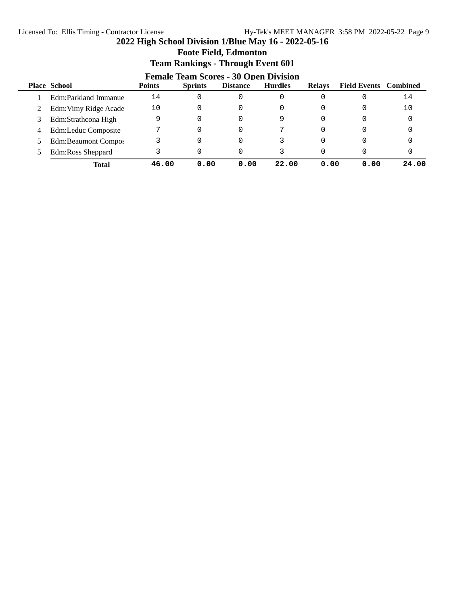**Foote Field, Edmonton**

|    | <b>Female Team Scores - 30 Open Division</b> |               |                |                 |                |               |                              |       |  |  |
|----|----------------------------------------------|---------------|----------------|-----------------|----------------|---------------|------------------------------|-------|--|--|
|    | <b>Place School</b>                          | <b>Points</b> | <b>Sprints</b> | <b>Distance</b> | <b>Hurdles</b> | <b>Relays</b> | <b>Field Events</b> Combined |       |  |  |
|    | Edm:Parkland Immanue                         | 14            | 0              | 0               | 0              |               |                              | 14    |  |  |
|    | Edm: Vimy Ridge Acade                        | 10            |                | 0               | 0              | $\Omega$      | 0                            | 10    |  |  |
| 3. | Edm:Strathcona High                          | 9             | 0              | 0               | 9              | $\Omega$      |                              |       |  |  |
| 4  | Edm:Leduc Composite                          |               |                | 0               |                | $\Omega$      |                              |       |  |  |
|    | <b>Edm:Beaumont Compos</b>                   |               | 0              | 0               |                | $\Omega$      |                              |       |  |  |
|    | Edm:Ross Sheppard                            |               |                | 0               |                | $\Omega$      |                              |       |  |  |
|    | Total                                        | 46.00         | 0.00           | 0.00            | 22.00          | 0.00          | 0.00                         | 24.00 |  |  |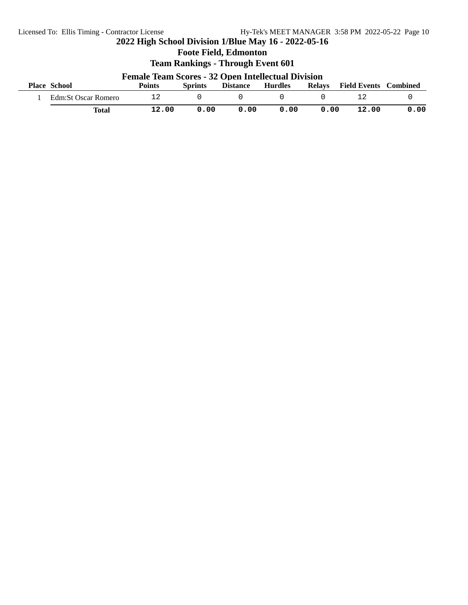**Foote Field, Edmonton**

| <b>Female Team Scores - 32 Open Intellectual Division</b> |               |                |                 |                |               |                     |          |
|-----------------------------------------------------------|---------------|----------------|-----------------|----------------|---------------|---------------------|----------|
| <b>Place School</b>                                       | <b>Points</b> | <b>Sprints</b> | <b>Distance</b> | <b>Hurdles</b> | <b>Relays</b> | <b>Field Events</b> | Combined |
| Edm:St Oscar Romero                                       |               |                |                 |                |               |                     |          |
| <b>Total</b>                                              | 12.00         | 0.00           | 0.00            | 0.00           | 0.00          | 12.00               | 0.00     |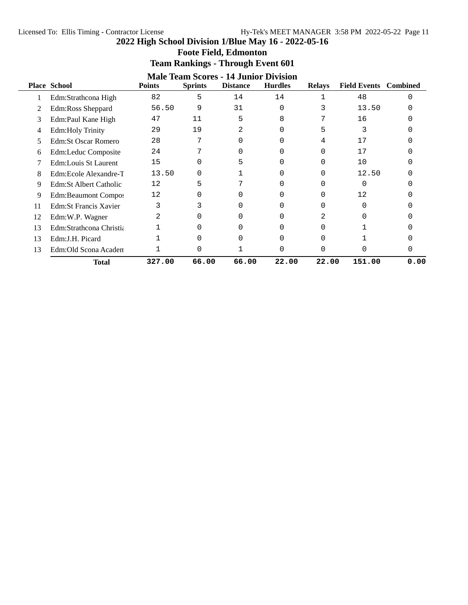|    | <b>Male Team Scores - 14 Junior Division</b> |               |                |                 |                |               |                              |      |  |
|----|----------------------------------------------|---------------|----------------|-----------------|----------------|---------------|------------------------------|------|--|
|    | <b>Place School</b>                          | <b>Points</b> | <b>Sprints</b> | <b>Distance</b> | <b>Hurdles</b> | <b>Relays</b> | <b>Field Events</b> Combined |      |  |
|    | Edm:Strathcona High                          | 82            | 5              | 14              | 14             |               | 48                           | ∩    |  |
|    | Edm:Ross Sheppard                            | 56.50         | 9              | 31              | $\Omega$       |               | 13.50                        |      |  |
| 3  | Edm:Paul Kane High                           | 47            | 11             | 5               | 8              | ⇁             | 16                           |      |  |
| 4  | <b>Edm:Holy Trinity</b>                      | 29            | 19             | 2               | $\Omega$       | 5             | 3                            |      |  |
| 5  | Edm:St Oscar Romero                          | 28            | 7              | $\Omega$        | 0              | 4             | 17                           |      |  |
| 6  | Edm:Leduc Composite                          | 24            |                | 0               | U              | U             | 17                           |      |  |
|    | Edm:Louis St Laurent                         | 15            | U              | 5               |                |               | 10                           |      |  |
| 8  | Edm:Ecole Alexandre-T                        | 13.50         | U              |                 |                | 0             | 12.50                        |      |  |
| 9  | Edm:St Albert Catholic                       | 12            | 5              |                 |                |               |                              |      |  |
| 9  | Edm:Beaumont Compos                          | 12            | U              | O               |                | 0             | 12                           |      |  |
| 11 | <b>Edm:St Francis Xavier</b>                 | 3             |                |                 |                |               |                              |      |  |
| 12 | Edm:W.P. Wagner                              | 2             | 0              | ∩               | O              | 2             |                              |      |  |
| 13 | Edm:Strathcona Christia                      |               | 0              | 0               | 0              | U             |                              |      |  |
| 13 | Edm:J.H. Picard                              |               | U              |                 | O              | U             |                              |      |  |
| 13 | Edm: Old Scona Academ                        |               | U              |                 | C              | U             |                              |      |  |
|    | Total                                        | 327.00        | 66.00          | 66.00           | 22.00          | 22.00         | 151.00                       | 0.00 |  |

# **Foote Field, Edmonton Team Rankings - Through Event 601**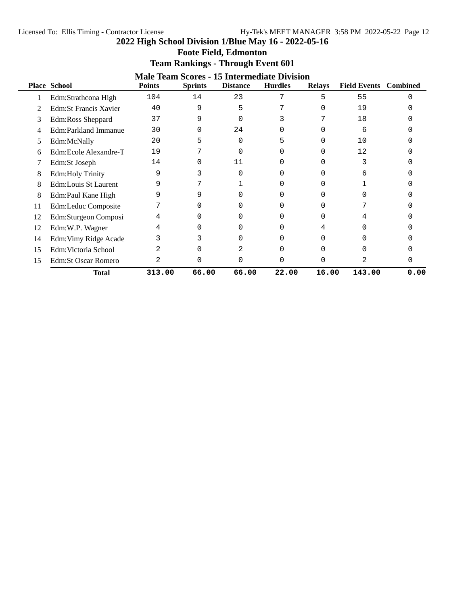#### Licensed To: Ellis Timing - Contractor License Hy-Tek's MEET MANAGER 3:58 PM 2022-05-22 Page 12

**2022 High School Division 1/Blue May 16 - 2022-05-16**

| <b>Foote Field, Edmonton</b> |  |  |
|------------------------------|--|--|
|------------------------------|--|--|

|               | <b>Male Team Scores - 15 Intermediate Division</b> |               |                |                 |                |               |                              |      |  |  |
|---------------|----------------------------------------------------|---------------|----------------|-----------------|----------------|---------------|------------------------------|------|--|--|
|               | <b>Place School</b>                                | <b>Points</b> | <b>Sprints</b> | <b>Distance</b> | <b>Hurdles</b> | <b>Relays</b> | <b>Field Events</b> Combined |      |  |  |
|               | Edm:Strathcona High                                | 104           | 14             | 23              | 7              | 5             | 55                           |      |  |  |
|               | Edm: St Francis Xavier                             | 40            | 9              | 5               |                |               | 19                           |      |  |  |
| 3             | Edm:Ross Sheppard                                  | 37            | 9              |                 |                |               | 18                           |      |  |  |
|               | Edm:Parkland Immanue                               | 30            | O              | 24              |                |               | 6                            |      |  |  |
| $\mathcal{D}$ | Edm:McNally                                        | 20            | 5              | $\Omega$        |                |               | 10                           |      |  |  |
| 6             | Edm:Ecole Alexandre-T                              | 19            |                | ∩               |                |               | 12                           |      |  |  |
|               | Edm:St Joseph                                      | 14            | O              | 11              |                |               |                              |      |  |  |
| 8             | Edm:Holy Trinity                                   | 9             |                |                 |                |               | 6                            |      |  |  |
| 8             | Edm:Louis St Laurent                               | 9             |                |                 |                |               |                              |      |  |  |
| 8             | Edm:Paul Kane High                                 | 9             | 9              |                 |                |               |                              |      |  |  |
| 11            | Edm:Leduc Composite                                |               | U              |                 |                |               |                              |      |  |  |
| 12            | Edm:Sturgeon Composi                               |               | U              |                 |                |               |                              |      |  |  |
| 12            | Edm:W.P. Wagner                                    |               | 0              |                 |                |               |                              |      |  |  |
| 14            | Edm: Vimy Ridge Acade                              |               |                |                 |                |               |                              |      |  |  |
| 15            | Edm: Victoria School                               |               | 0              |                 |                |               |                              |      |  |  |
| 15            | <b>Edm:St Oscar Romero</b>                         |               | 0              |                 |                |               | 2                            |      |  |  |
|               | <b>Total</b>                                       | 313.00        | 66.00          | 66.00           | 22.00          | 16.00         | 143.00                       | 0.00 |  |  |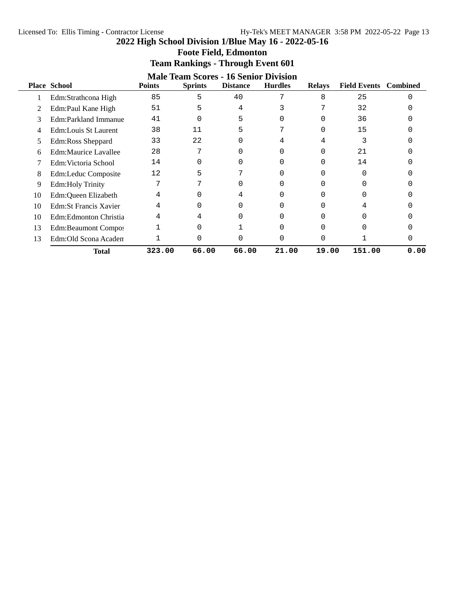**Foote Field, Edmonton**

|    | <b>Team Rankings - Through Event 601</b>                                                                                                                                                               |        |       |       |       |       |        |      |  |  |
|----|--------------------------------------------------------------------------------------------------------------------------------------------------------------------------------------------------------|--------|-------|-------|-------|-------|--------|------|--|--|
|    | <b>Male Team Scores - 16 Senior Division</b><br><b>Place School</b><br><b>Sprints</b><br><b>Hurdles</b><br><b>Field Events</b><br><b>Points</b><br><b>Distance</b><br><b>Relays</b><br><b>Combined</b> |        |       |       |       |       |        |      |  |  |
|    | Edm:Strathcona High                                                                                                                                                                                    | 85     | 5     | 40    | 7     | 8     | 25     | ∩    |  |  |
|    | Edm:Paul Kane High                                                                                                                                                                                     | 51     | 5     | 4     |       |       | 32     |      |  |  |
| 3  | Edm:Parkland Immanue                                                                                                                                                                                   | 41     | O     | 5     |       |       | 36     |      |  |  |
|    | Edm:Louis St Laurent                                                                                                                                                                                   | 38     | 11    | 5     |       |       | 15     |      |  |  |
| 5  | Edm:Ross Sheppard                                                                                                                                                                                      | 33     | 22    | O     |       | 4     |        |      |  |  |
| 6  | <b>Edm:Maurice Lavallee</b>                                                                                                                                                                            | 28     | 7     |       |       |       | 2.1    |      |  |  |
|    | Edm: Victoria School                                                                                                                                                                                   | 14     | 0     |       |       |       | 14     |      |  |  |
| 8  | Edm:Leduc Composite                                                                                                                                                                                    | 12     | 5     |       |       |       | O      |      |  |  |
| 9  | <b>Edm:Holy Trinity</b>                                                                                                                                                                                |        |       |       | 0     |       |        |      |  |  |
| 10 | Edm:Queen Elizabeth                                                                                                                                                                                    |        | 0     | 4     | 0     |       | U      |      |  |  |
| 10 | <b>Edm:St Francis Xavier</b>                                                                                                                                                                           | 4      | 0     | O     | 0     |       | 4      |      |  |  |
| 10 | Edm:Edmonton Christia                                                                                                                                                                                  | 4      | 4     |       |       |       | U      |      |  |  |
| 13 | Edm:Beaumont Compos                                                                                                                                                                                    |        | O     |       | ∩     |       |        |      |  |  |
| 13 | Edm:Old Scona Academ                                                                                                                                                                                   |        | O     |       |       |       |        |      |  |  |
|    | <b>Total</b>                                                                                                                                                                                           | 323.00 | 66.00 | 66.00 | 21.00 | 19.00 | 151.00 | 0.00 |  |  |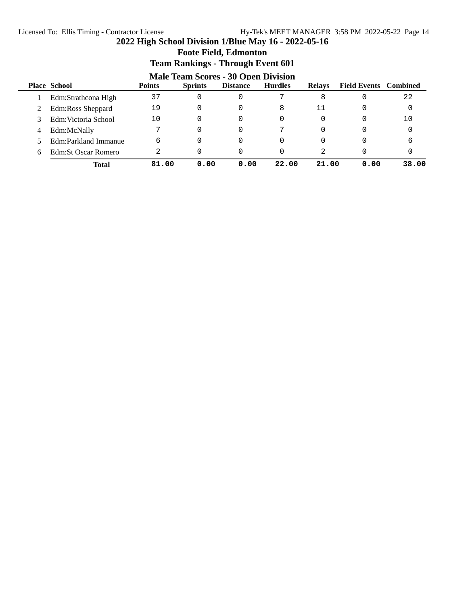# **Foote Field, Edmonton**

|   | <b>Male Team Scores - 30 Open Division</b> |               |                |                 |                |               |                              |       |  |
|---|--------------------------------------------|---------------|----------------|-----------------|----------------|---------------|------------------------------|-------|--|
|   | <b>Place School</b>                        | <b>Points</b> | <b>Sprints</b> | <b>Distance</b> | <b>Hurdles</b> | <b>Relays</b> | <b>Field Events</b> Combined |       |  |
|   | Edm:Strathcona High                        | 37            | 0              | 0               |                | 8             |                              | 22    |  |
|   | Edm:Ross Sheppard                          | 19            | 0              | 0               | 8              | 11            |                              |       |  |
|   | Edm: Victoria School                       | 10            | 0              | 0               | 0              | 0             | 0                            | 10    |  |
| 4 | Edm:McNally                                | ヮ             | 0              | 0               | 7              | $\Omega$      |                              |       |  |
|   | Edm:Parkland Immanue                       | 6             | 0              | 0               | 0              | $\Omega$      |                              | 6     |  |
| 6 | Edm:St Oscar Romero                        | 2             | 0              | 0               | 0              | 2             |                              |       |  |
|   | Total                                      | 81.00         | 0.00           | 0.00            | 22.00          | 21.00         | 0.00                         | 38.00 |  |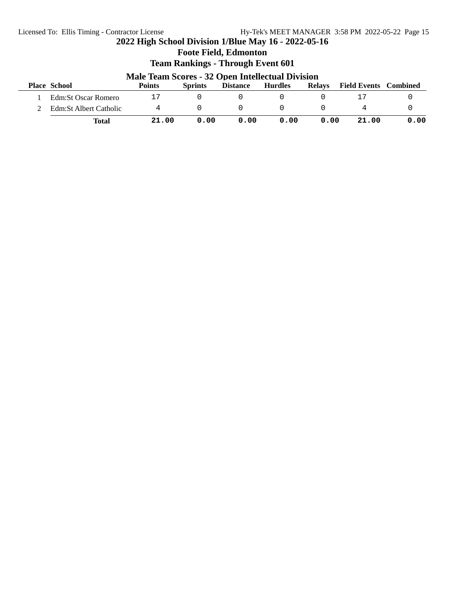## **2022 High School Division 1/Blue May 16 - 2022-05-16 Foote Field, Edmonton Team Rankings - Through Event 601 Male Team Scores - 32 Open Intellectual Division Place School Points Sprints Distance Hurdles Relays Field Events Combined** 1 Edm:St Oscar Romero 17 0 0 0 0 17 0 2 Edm:St Albert Catholic 4 0 0 0 0 4 0 **Total 21.00 0.00 0.00 0.00 0.00 21.00 0.00**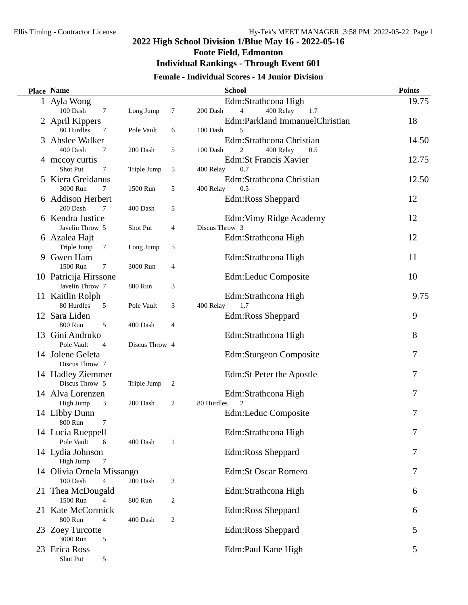$\overline{\phantom{0}}$ 

## **2022 High School Division 1/Blue May 16 - 2022-05-16 Foote Field, Edmonton**

### **Individual Rankings - Through Event 601**

### **Female - Individual Scores - 14 Junior Division**

|    | Place Name                    |                 |                | <b>School</b>                                  | <b>Points</b> |
|----|-------------------------------|-----------------|----------------|------------------------------------------------|---------------|
|    | 1 Ayla Wong                   |                 |                | Edm:Strathcona High                            | 19.75         |
|    | 100 Dash<br>$\tau$            | Long Jump       | 7              | 4<br>400 Relay<br>200 Dash<br>1.7              |               |
|    | 2 April Kippers               |                 |                | Edm:Parkland ImmanuelChristian                 | 18            |
|    | 80 Hurdles<br>7               | Pole Vault      | 6              | 100 Dash<br>5                                  |               |
| 3  | Ahslee Walker                 |                 |                | Edm:Strathcona Christian                       | 14.50         |
|    | 400 Dash<br>7                 | 200 Dash        | 5              | $\overline{c}$<br>400 Relay<br>100 Dash<br>0.5 |               |
|    | 4 mccoy curtis                |                 |                | <b>Edm:St Francis Xavier</b>                   | 12.75         |
|    | Shot Put<br>7                 | Triple Jump     | 5              | 0.7<br>400 Relay                               |               |
| 5  | Kiera Greidanus               |                 |                | Edm:Strathcona Christian                       | 12.50         |
|    | 3000 Run<br>7                 | 1500 Run        | 5              | 400 Relay<br>0.5                               |               |
| 6. | <b>Addison Herbert</b>        |                 |                | Edm:Ross Sheppard                              | 12            |
|    | 200 Dash<br>7                 | 400 Dash        | 5              |                                                |               |
|    | 6 Kendra Justice              |                 |                | Edm: Vimy Ridge Academy                        | 12            |
|    | Javelin Throw 5               | <b>Shot Put</b> | 4              | Discus Throw 3                                 |               |
|    | 6 Azalea Hajt                 |                 |                | Edm:Strathcona High                            | 12            |
|    | Triple Jump<br>$\tau$         | Long Jump       | 5              |                                                |               |
|    | 9 Gwen Ham                    |                 |                | Edm:Strathcona High                            | 11            |
|    | 1500 Run<br>7                 | 3000 Run        | 4              |                                                |               |
|    | 10 Patricija Hirssone         |                 |                | Edm:Leduc Composite                            | 10            |
|    | Javelin Throw 7               | 800 Run         | 3              |                                                |               |
|    | 11 Kaitlin Rolph              |                 |                | Edm:Strathcona High                            | 9.75          |
|    | 80 Hurdles<br>5               | Pole Vault      | 3              | 1.7<br>400 Relay                               |               |
|    | 12 Sara Liden<br>800 Run<br>5 |                 |                | Edm:Ross Sheppard                              | 9             |
|    | Gini Andruko                  | 400 Dash        | 4              |                                                | 8             |
| 13 | Pole Vault<br>$\overline{4}$  | Discus Throw 4  |                | Edm:Strathcona High                            |               |
|    | 14 Jolene Geleta              |                 |                | Edm:Sturgeon Composite                         | 7             |
|    | Discus Throw 7                |                 |                |                                                |               |
|    | 14 Hadley Ziemmer             |                 |                | Edm: St Peter the Apostle                      | 7             |
|    | Discus Throw 5                | Triple Jump     | $\overline{c}$ |                                                |               |
|    | 14 Alva Lorenzen              |                 |                | Edm:Strathcona High                            | 7             |
|    | High Jump<br>3                | 200 Dash        | 2              | $\overline{2}$<br>80 Hurdles                   |               |
|    | 14 Libby Dunn                 |                 |                | Edm:Leduc Composite                            | 7             |
|    | 800 Run<br>7                  |                 |                |                                                |               |
|    | 14 Lucia Rueppell             |                 |                | Edm:Strathcona High                            | 7             |
|    | Pole Vault<br>6               | 400 Dash        | 1              |                                                |               |
|    | 14 Lydia Johnson              |                 |                | Edm:Ross Sheppard                              | 7             |
|    | High Jump<br>7                |                 |                |                                                |               |
|    | 14 Olivia Ornela Missango     |                 |                | <b>Edm:St Oscar Romero</b>                     | 7             |
|    | 100 Dash<br>$\overline{4}$    | 200 Dash        | 3              |                                                |               |
|    | 21 Thea McDougald             |                 |                | Edm:Strathcona High                            | 6             |
|    | 1500 Run<br>4                 | 800 Run         | 2              |                                                |               |
| 21 | Kate McCormick                |                 |                | Edm:Ross Sheppard                              | 6             |
|    | 800 Run<br>4                  | 400 Dash        | 2              |                                                |               |
|    | 23 Zoey Turcotte              |                 |                | Edm:Ross Sheppard                              | 5             |
|    | 3000 Run<br>5                 |                 |                |                                                |               |
|    | 23 Erica Ross                 |                 |                | Edm:Paul Kane High                             | 5             |
|    | Shot Put<br>5                 |                 |                |                                                |               |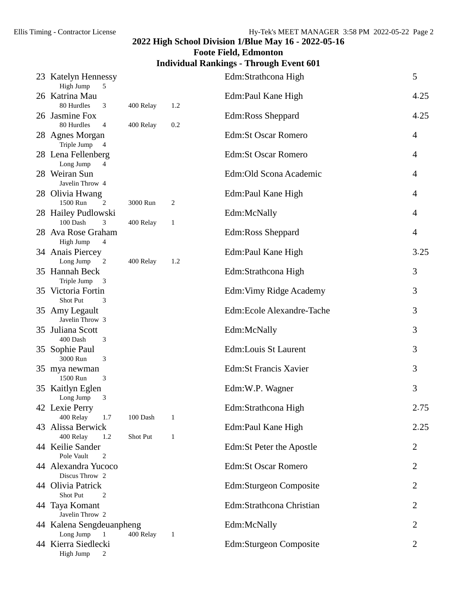# **Foote Field, Edmonton**

## **Individual Rankings - Through Event 601**

| 23 Katelyn Hennessy<br>High Jump<br>5                   |           |              | Edm:Strathcona High          | 5              |
|---------------------------------------------------------|-----------|--------------|------------------------------|----------------|
| 26 Katrina Mau<br>80 Hurdles<br>3                       | 400 Relay | 1.2          | Edm:Paul Kane High           | 4.25           |
| 26 Jasmine Fox<br>80 Hurdles<br>$\overline{4}$          | 400 Relay | 0.2          | Edm:Ross Sheppard            | 4.25           |
| 28 Agnes Morgan<br>Triple Jump 4                        |           |              | <b>Edm:St Oscar Romero</b>   | 4              |
| 28 Lena Fellenberg<br>Long Jump<br>4                    |           |              | <b>Edm:St Oscar Romero</b>   | 4              |
| 28 Weiran Sun<br>Javelin Throw 4                        |           |              | Edm: Old Scona Academic      | 4              |
| 28 Olivia Hwang<br>1500 Run<br>$\overline{c}$           | 3000 Run  | 2            | Edm:Paul Kane High           | 4              |
| 28 Hailey Pudlowski<br>100 Dash<br>3                    | 400 Relay | $\mathbf{1}$ | Edm:McNally                  | 4              |
| 28 Ava Rose Graham<br>High Jump<br>$\overline{4}$       |           |              | Edm:Ross Sheppard            | $\overline{4}$ |
| 34 Anais Piercey<br>Long Jump<br>$\overline{c}$         | 400 Relay | 1.2          | Edm:Paul Kane High           | 3.25           |
| 35 Hannah Beck<br>Triple Jump<br>3                      |           |              | Edm:Strathcona High          | 3              |
| 35 Victoria Fortin<br>Shot Put<br>3                     |           |              | Edm: Vimy Ridge Academy      | 3              |
| 35 Amy Legault<br>Javelin Throw 3                       |           |              | Edm:Ecole Alexandre-Tache    | 3              |
| 35 Juliana Scott<br>400 Dash<br>3                       |           |              | Edm:McNally                  | 3              |
| 35 Sophie Paul<br>3000 Run<br>3                         |           |              | Edm:Louis St Laurent         | 3              |
| 35 mya newman<br>1500 Run<br>3                          |           |              | <b>Edm:St Francis Xavier</b> | 3              |
| 35 Kaitlyn Eglen<br>Long Jump<br>3                      |           |              | Edm:W.P. Wagner              | 3              |
| 42 Lexie Perry<br>400 Relay<br>1.7                      | 100 Dash  | $\mathbf{1}$ | Edm:Strathcona High          | 2.75           |
| 43 Alissa Berwick<br>400 Relay<br>1.2                   | Shot Put  | 1            | Edm:Paul Kane High           | 2.25           |
| 44 Keilie Sander<br>Pole Vault<br>$\overline{2}$        |           |              | Edm:St Peter the Apostle     | 2              |
| 44 Alexandra Yucoco<br>Discus Throw 2                   |           |              | <b>Edm:St Oscar Romero</b>   | $\overline{2}$ |
| 44 Olivia Patrick<br>Shot Put<br>$\overline{c}$         |           |              | Edm:Sturgeon Composite       | 2              |
| 44 Taya Komant<br>Javelin Throw 2                       |           |              | Edm:Strathcona Christian     | 2              |
| 44 Kalena Sengdeuanpheng<br>Long Jump<br>$\overline{1}$ | 400 Relay | 1            | Edm:McNally                  | 2              |
| 44 Kierra Siedlecki<br>High Jump<br>2                   |           |              | Edm:Sturgeon Composite       | $\overline{2}$ |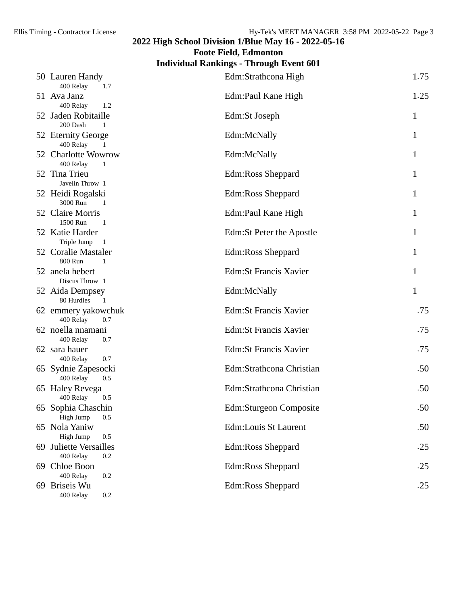**Foote Field, Edmonton**

## **Individual Rankings - Through Event 601**

| 50 Lauren Handy<br>400 Relay<br>1.7                      | Edm:Strathcona High          | 1.75         |
|----------------------------------------------------------|------------------------------|--------------|
| 51 Ava Janz                                              | Edm:Paul Kane High           | 1.25         |
| 400 Relay<br>1.2<br>52 Jaden Robitaille<br>200 Dash<br>1 | Edm:St Joseph                | 1            |
| 52 Eternity George<br>400 Relay<br>$\mathbf{1}$          | Edm:McNally                  | $\mathbf{1}$ |
| 52 Charlotte Wowrow<br>400 Relay<br>$\mathbf{1}$         | Edm:McNally                  | 1            |
| 52 Tina Trieu<br>Javelin Throw 1                         | <b>Edm:Ross Sheppard</b>     | 1            |
| 52 Heidi Rogalski<br>3000 Run<br>1                       | Edm:Ross Sheppard            | 1            |
| 52 Claire Morris<br>1500 Run<br>- 1                      | Edm:Paul Kane High           | 1            |
| 52 Katie Harder<br>Triple Jump 1                         | Edm: St Peter the Apostle    | 1            |
| 52 Coralie Mastaler<br>800 Run<br>$\mathbf{1}$           | Edm:Ross Sheppard            | 1            |
| 52 anela hebert<br>Discus Throw 1                        | <b>Edm:St Francis Xavier</b> | 1            |
| 52 Aida Dempsey<br>80 Hurdles<br>$\overline{1}$          | Edm:McNally                  | $\mathbf{1}$ |
| 62 emmery yakowchuk<br>400 Relay<br>0.7                  | <b>Edm:St Francis Xavier</b> | .75          |
| 62 noella nnamani<br>400 Relay<br>0.7                    | <b>Edm:St Francis Xavier</b> | .75          |
| 62 sara hauer<br>400 Relay<br>0.7                        | <b>Edm:St Francis Xavier</b> | .75          |
| 65 Sydnie Zapesocki<br>400 Relay<br>0.5                  | Edm:Strathcona Christian     | .50          |
| 65 Haley Revega<br>400 Relay<br>0.5                      | Edm:Strathcona Christian     | .50          |
| 65 Sophia Chaschin<br>High Jump<br>0.5                   | Edm:Sturgeon Composite       | .50          |
| 65 Nola Yaniw<br>High Jump<br>0.5                        | <b>Edm:Louis St Laurent</b>  | .50          |
| 69 Juliette Versailles<br>400 Relay<br>0.2               | Edm:Ross Sheppard            | .25          |
| 69 Chloe Boon<br>400 Relay<br>0.2                        | Edm:Ross Sheppard            | .25          |
| 69 Briseis Wu<br>400 Relay<br>0.2                        | <b>Edm:Ross Sheppard</b>     | .25          |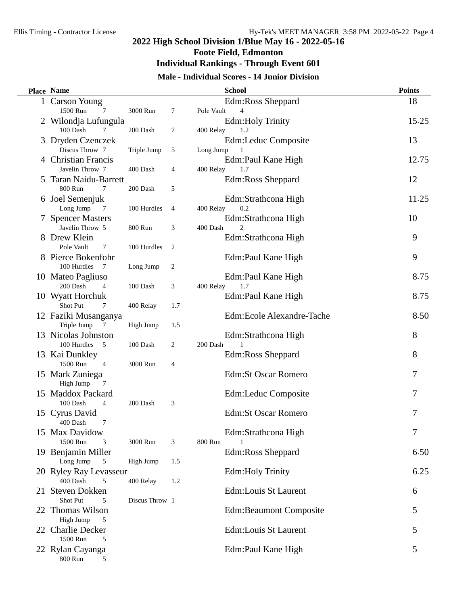## **2022 High School Division 1/Blue May 16 - 2022-05-16 Foote Field, Edmonton**

# **Individual Rankings - Through Event 601**

### **Male - Individual Scores - 14 Junior Division**

| Place Name                                           |                |                |            | <b>School</b>                       | <b>Points</b> |
|------------------------------------------------------|----------------|----------------|------------|-------------------------------------|---------------|
| 1 Carson Young                                       |                |                |            | Edm:Ross Sheppard                   | 18            |
| 1500 Run<br>7                                        | 3000 Run       | 7              | Pole Vault | $\overline{4}$                      |               |
| 2 Wilondja Lufungula                                 |                |                |            | <b>Edm:Holy Trinity</b>             | 15.25         |
| 100 Dash<br>7                                        | 200 Dash       | 7              | 400 Relay  | 1.2                                 |               |
| 3 Dryden Czenczek                                    |                |                |            | Edm:Leduc Composite                 | 13            |
| Discus Throw 7                                       | Triple Jump    | 5              | Long Jump  |                                     |               |
| 4 Christian Francis                                  |                |                |            | Edm:Paul Kane High                  | 12.75         |
| Javelin Throw 7                                      | 400 Dash       | 4              | 400 Relay  | 1.7                                 |               |
| 5 Taran Naidu-Barrett                                |                |                |            | Edm:Ross Sheppard                   | 12            |
| 800 Run<br>7                                         | 200 Dash       | 5              |            |                                     |               |
| 6 Joel Semenjuk                                      |                |                |            | Edm:Strathcona High                 | 11.25         |
| Long Jump<br>7                                       | 100 Hurdles    | 4              | 400 Relay  | 0.2                                 |               |
| 7 Spencer Masters                                    |                |                |            | Edm:Strathcona High                 | 10            |
| Javelin Throw 5                                      | 800 Run        | 3              | 400 Dash   | $\mathfrak{D}$                      |               |
| 8 Drew Klein                                         |                |                |            | Edm:Strathcona High                 | 9             |
| Pole Vault<br>7                                      | 100 Hurdles    | $\overline{c}$ |            |                                     |               |
| 8 Pierce Bokenfohr                                   |                |                |            | Edm:Paul Kane High                  | 9             |
| 100 Hurdles<br>$\overline{7}$                        | Long Jump      | 2              |            |                                     |               |
| 10 Mateo Pagliuso                                    |                |                |            | Edm:Paul Kane High                  | 8.75          |
| 200 Dash<br>4                                        | 100 Dash       | 3              | 400 Relay  | 1.7                                 |               |
| 10 Wyatt Horchuk                                     |                |                |            | Edm:Paul Kane High                  | 8.75          |
| Shot Put<br>7                                        | 400 Relay      | 1.7            |            |                                     |               |
| 12 Faziki Musanganya                                 |                |                |            | Edm:Ecole Alexandre-Tache           | 8.50          |
| Triple Jump<br>$\overline{7}$                        | High Jump      | 1.5            |            |                                     | 8             |
| 13 Nicolas Johnston<br>100 Hurdles<br>$\overline{5}$ | 100 Dash       | 2              | 200 Dash   | Edm:Strathcona High<br>$\mathbf{1}$ |               |
| 13 Kai Dunkley                                       |                |                |            | Edm:Ross Sheppard                   | 8             |
| 1500 Run<br>$\overline{4}$                           | 3000 Run       | 4              |            |                                     |               |
| 15 Mark Zuniega                                      |                |                |            | <b>Edm:St Oscar Romero</b>          | 7             |
| High Jump<br>7                                       |                |                |            |                                     |               |
| 15 Maddox Packard                                    |                |                |            | Edm:Leduc Composite                 | 7             |
| 100 Dash<br>$\overline{4}$                           | 200 Dash       | 3              |            |                                     |               |
| 15 Cyrus David                                       |                |                |            | <b>Edm:St Oscar Romero</b>          | 7             |
| 400 Dash<br>7                                        |                |                |            |                                     |               |
| 15 Max Davidow                                       |                |                |            | Edm:Strathcona High                 | 7             |
| 1500 Run<br>3                                        | 3000 Run       | 3              | 800 Run    |                                     |               |
| 19 Benjamin Miller                                   |                |                |            | Edm:Ross Sheppard                   | 6.50          |
| Long Jump<br>5                                       | High Jump      | 1.5            |            |                                     |               |
| 20 Ryley Ray Levasseur                               |                |                |            | <b>Edm:Holy Trinity</b>             | 6.25          |
| 400 Dash<br>5                                        | 400 Relay      | 1.2            |            |                                     |               |
| 21 Steven Dokken                                     |                |                |            | Edm:Louis St Laurent                | 6             |
| Shot Put<br>5                                        | Discus Throw 1 |                |            |                                     |               |
| 22 Thomas Wilson                                     |                |                |            | <b>Edm:Beaumont Composite</b>       | 5             |
| High Jump<br>5                                       |                |                |            |                                     |               |
| 22 Charlie Decker                                    |                |                |            | Edm:Louis St Laurent                | 5             |
| 1500 Run<br>5                                        |                |                |            |                                     |               |
| 22 Rylan Cayanga                                     |                |                |            | Edm:Paul Kane High                  | 5             |
| 800 Run<br>5                                         |                |                |            |                                     |               |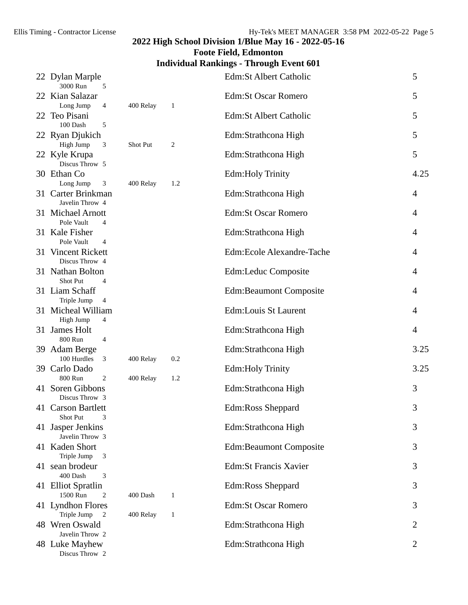# **Foote Field, Edmonton**

## **Individual Rankings - Through Event 601**

| 22 Dylan Marple<br>3000 Run<br>5                |           |                | Edm:St Albert Catholic        | 5              |
|-------------------------------------------------|-----------|----------------|-------------------------------|----------------|
| 22 Kian Salazar<br>Long Jump<br>$\overline{4}$  | 400 Relay | $\mathbf{1}$   | <b>Edm:St Oscar Romero</b>    | 5              |
| 22 Teo Pisani<br>100 Dash<br>5                  |           |                | Edm:St Albert Catholic        | 5              |
| 22 Ryan Djukich<br>High Jump<br>3               | Shot Put  | $\overline{c}$ | Edm:Strathcona High           | 5              |
| 22 Kyle Krupa<br>Discus Throw 5                 |           |                | Edm:Strathcona High           | 5              |
| 30 Ethan Co<br>Long Jump<br>3                   | 400 Relay | 1.2            | <b>Edm:Holy Trinity</b>       | 4.25           |
| 31 Carter Brinkman<br>Javelin Throw 4           |           |                | Edm:Strathcona High           | $\overline{4}$ |
| 31 Michael Arnott<br>Pole Vault<br>4            |           |                | <b>Edm:St Oscar Romero</b>    | $\overline{4}$ |
| 31 Kale Fisher<br>Pole Vault<br>4               |           |                | Edm:Strathcona High           | $\overline{4}$ |
| 31 Vincent Rickett<br>Discus Throw 4            |           |                | Edm:Ecole Alexandre-Tache     | 4              |
| 31 Nathan Bolton<br>Shot Put<br>4               |           |                | Edm:Leduc Composite           | 4              |
| 31 Liam Schaff<br>Triple Jump<br>$\overline{4}$ |           |                | <b>Edm:Beaumont Composite</b> | 4              |
| 31 Micheal William<br>High Jump<br>4            |           |                | Edm:Louis St Laurent          | 4              |
| 31 James Holt<br>800 Run<br>$\overline{4}$      |           |                | Edm:Strathcona High           | 4              |
| 39 Adam Berge<br>100 Hurdles<br>3               | 400 Relay | 0.2            | Edm:Strathcona High           | 3.25           |
| 39 Carlo Dado<br>800 Run<br>2                   | 400 Relay | 1.2            | <b>Edm:Holy Trinity</b>       | 3.25           |
| 41 Soren Gibbons<br>Discus Throw 3              |           |                | Edm:Strathcona High           | 3              |
| 41 Carson Bartlett<br>Shot Put<br>3             |           |                | Edm:Ross Sheppard             | 3              |
| 41 Jasper Jenkins<br>Javelin Throw 3            |           |                | Edm:Strathcona High           | 3              |
| 41 Kaden Short<br>Triple Jump<br>3              |           |                | <b>Edm:Beaumont Composite</b> | 3              |
| 41 sean brodeur<br>400 Dash<br>3                |           |                | <b>Edm:St Francis Xavier</b>  | 3              |
| 41 Elliot Spratlin<br>1500 Run<br>2             | 400 Dash  | 1              | Edm:Ross Sheppard             | 3              |
| 41 Lyndhon Flores<br>Triple Jump<br>2           | 400 Relay | $\mathbf{1}$   | <b>Edm:St Oscar Romero</b>    | 3              |
| 48 Wren Oswald<br>Javelin Throw 2               |           |                | Edm:Strathcona High           | 2              |
| 48 Luke Mayhew<br>Discus Throw 2                |           |                | Edm:Strathcona High           | 2              |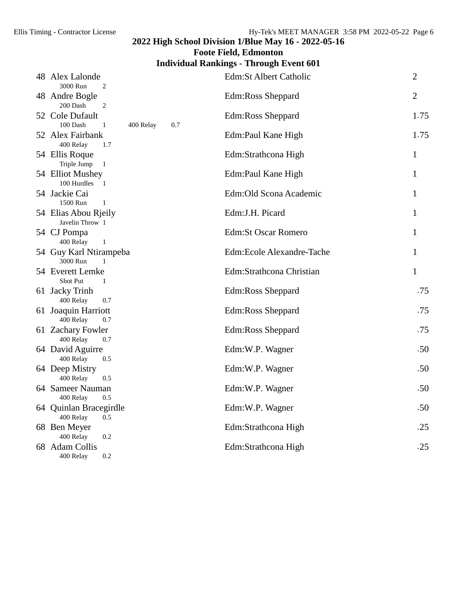**Foote Field, Edmonton**

## **Individual Rankings - Through Event 601**

| 48 Alex Lalonde<br>3000 Run<br>$\overline{2}$                   | <b>Edm:St Albert Catholic</b> | $\overline{2}$ |
|-----------------------------------------------------------------|-------------------------------|----------------|
| 48 Andre Bogle<br>200 Dash<br>$\overline{2}$                    | Edm:Ross Sheppard             | $\overline{2}$ |
| 52 Cole Dufault<br>100 Dash<br>$\mathbf{1}$<br>400 Relay<br>0.7 | Edm:Ross Sheppard             | 1.75           |
| 52 Alex Fairbank<br>400 Relay<br>1.7                            | Edm:Paul Kane High            | 1.75           |
| 54 Ellis Roque<br>Triple Jump<br>$\overline{1}$                 | Edm:Strathcona High           | 1              |
| 54 Elliot Mushey<br>100 Hurdles 1                               | Edm:Paul Kane High            | $\mathbf{1}$   |
| 54 Jackie Cai<br>1500 Run<br>$\mathbf{1}$                       | Edm:Old Scona Academic        | 1              |
| 54 Elias Abou Rjeily<br>Javelin Throw 1                         | Edm:J.H. Picard               | $\mathbf{1}$   |
| 54 CJ Pompa<br>400 Relay<br>$\,1\,$                             | <b>Edm:St Oscar Romero</b>    | 1              |
| 54 Guy Karl Ntirampeba<br>3000 Run<br>$\mathbf{1}$              | Edm:Ecole Alexandre-Tache     | $\mathbf{1}$   |
| 54 Everett Lemke<br>Shot Put<br>1                               | Edm:Strathcona Christian      | $\mathbf{1}$   |
| 61 Jacky Trinh<br>400 Relay<br>0.7                              | Edm:Ross Sheppard             | .75            |
| 61 Joaquin Harriott<br>400 Relay<br>0.7                         | Edm:Ross Sheppard             | .75            |
| 61 Zachary Fowler<br>400 Relay<br>0.7                           | Edm:Ross Sheppard             | .75            |
| 64 David Aguirre<br>400 Relay<br>0.5                            | Edm:W.P. Wagner               | .50            |
| 64 Deep Mistry<br>400 Relay<br>0.5                              | Edm:W.P. Wagner               | .50            |
| 64 Sameer Nauman<br>400 Relay<br>0.5                            | Edm:W.P. Wagner               | .50            |
| 64 Quinlan Bracegirdle<br>400 Relay<br>0.5                      | Edm:W.P. Wagner               | .50            |
| 68 Ben Meyer<br>400 Relay<br>0.2                                | Edm:Strathcona High           | .25            |
| 68 Adam Collis<br>400 Relay<br>0.2                              | Edm:Strathcona High           | .25            |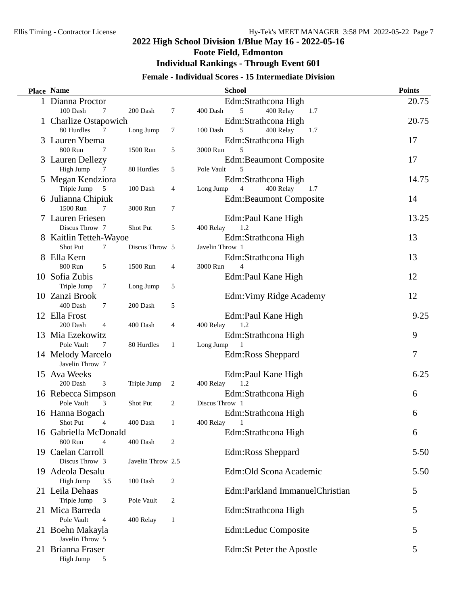## **2022 High School Division 1/Blue May 16 - 2022-05-16 Foote Field, Edmonton**

# **Individual Rankings - Through Event 601**

### **Female - Individual Scores - 15 Intermediate Division**

| <b>Place Name</b>                   |                   |                | <b>School</b>                                   | <b>Points</b> |
|-------------------------------------|-------------------|----------------|-------------------------------------------------|---------------|
| 1 Dianna Proctor                    |                   |                | Edm:Strathcona High                             | 20.75         |
| 100 Dash<br>7                       | 200 Dash          | 7              | 400 Relay<br>400 Dash<br>5<br>1.7               |               |
| 1 Charlize Ostapowich               |                   |                | Edm:Strathcona High                             | 20.75         |
| 80 Hurdles<br>7                     | Long Jump         | 7              | 400 Relay<br>100 Dash<br>5<br>1.7               |               |
| 3 Lauren Ybema                      |                   |                | Edm:Strathcona High                             | 17            |
| 800 Run<br>7                        | 1500 Run          | 5              | 3000 Run<br>5                                   |               |
| 3 Lauren Dellezy                    |                   |                | <b>Edm:Beaumont Composite</b>                   | 17            |
| High Jump<br>7                      | 80 Hurdles        | 5              | Pole Vault<br>5                                 |               |
| 5 Megan Kendziora                   |                   |                | Edm:Strathcona High                             | 14.75         |
| Triple Jump<br>5                    | 100 Dash          | 4              | 400 Relay<br>Long Jump<br>$\overline{4}$<br>1.7 |               |
| 6 Julianna Chipiuk<br>1500 Run<br>7 | 3000 Run          |                | <b>Edm:Beaumont Composite</b>                   | 14            |
| 7 Lauren Friesen                    |                   | 7              |                                                 | 13.25         |
| Discus Throw 7                      | Shot Put          | 5              | Edm:Paul Kane High<br>1.2<br>400 Relay          |               |
| 8 Kaitlin Tetteh-Wayoe              |                   |                | Edm:Strathcona High                             | 13            |
| Shot Put<br>7                       | Discus Throw 5    |                | Javelin Throw 1                                 |               |
| 8 Ella Kern                         |                   |                | Edm:Strathcona High                             | 13            |
| 800 Run<br>5                        | 1500 Run          | 4              | 3000 Run<br>$\overline{4}$                      |               |
| 10 Sofia Zubis                      |                   |                | Edm:Paul Kane High                              | 12            |
| Triple Jump<br>7                    | Long Jump         | 5              |                                                 |               |
| 10 Zanzi Brook                      |                   |                | Edm: Vimy Ridge Academy                         | 12            |
| 400 Dash<br>7                       | 200 Dash          | 5              |                                                 |               |
| 12 Ella Frost                       |                   |                | Edm:Paul Kane High                              | 9.25          |
| 200 Dash<br>$\overline{4}$          | 400 Dash          | 4              | 1.2<br>400 Relay                                |               |
| 13 Mia Ezekowitz                    |                   |                | Edm:Strathcona High                             | 9             |
| Pole Vault<br>7                     | 80 Hurdles        | 1              | Long Jump                                       |               |
| 14 Melody Marcelo                   |                   |                | Edm:Ross Sheppard                               | 7             |
| Javelin Throw 7                     |                   |                |                                                 |               |
| 15 Ava Weeks                        |                   |                | Edm:Paul Kane High                              | 6.25          |
| 200 Dash<br>3                       | Triple Jump       | 2              | 400 Relay<br>1.2                                |               |
| 16 Rebecca Simpson                  |                   |                | Edm:Strathcona High                             | 6             |
| Pole Vault<br>3                     | Shot Put          | $\overline{c}$ | Discus Throw 1                                  |               |
| 16 Hanna Bogach                     |                   |                | Edm:Strathcona High                             | 6             |
| Shot Put<br>4                       | 400 Dash          | 1              | 400 Relay<br>1                                  |               |
| 16 Gabriella McDonald               |                   |                | Edm:Strathcona High                             | 6             |
| 800 Run<br>4                        | 400 Dash          | 2              |                                                 |               |
| 19 Caelan Carroll                   |                   |                | Edm:Ross Sheppard                               | 5.50          |
| Discus Throw 3<br>19 Adeola Desalu  | Javelin Throw 2.5 |                | Edm: Old Scona Academic                         | 5.50          |
| High Jump<br>3.5                    | 100 Dash          | 2              |                                                 |               |
| 21 Leila Dehaas                     |                   |                | Edm:Parkland ImmanuelChristian                  | 5             |
| Triple Jump<br>3                    | Pole Vault        | 2              |                                                 |               |
| 21 Mica Barreda                     |                   |                | Edm:Strathcona High                             | 5             |
| Pole Vault<br>4                     | 400 Relay         | $\mathbf{1}$   |                                                 |               |
| 21 Boehn Makayla                    |                   |                | Edm:Leduc Composite                             | 5             |
| Javelin Throw 5                     |                   |                |                                                 |               |
| 21 Brianna Fraser                   |                   |                | Edm:St Peter the Apostle                        | 5             |
| High Jump<br>5                      |                   |                |                                                 |               |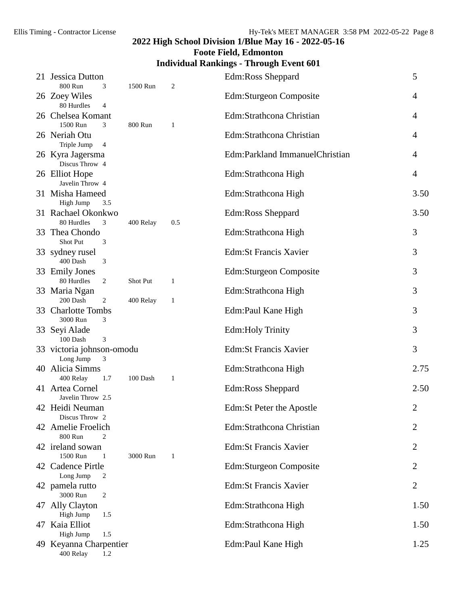# **Foote Field, Edmonton**

## **Individual Rankings - Through Event 601**

|    | 21 Jessica Dutton<br>800 Run<br>3              | 1500 Run  | $\overline{c}$ | Edm:Ross Sheppard              | 5              |
|----|------------------------------------------------|-----------|----------------|--------------------------------|----------------|
|    | 26 Zoey Wiles<br>80 Hurdles<br>4               |           |                | Edm:Sturgeon Composite         | 4              |
|    | 26 Chelsea Komant<br>1500 Run<br>3             | 800 Run   | 1              | Edm:Strathcona Christian       | 4              |
|    | 26 Neriah Otu<br>Triple Jump<br>$\overline{4}$ |           |                | Edm:Strathcona Christian       | 4              |
|    | 26 Kyra Jagersma<br>Discus Throw 4             |           |                | Edm:Parkland ImmanuelChristian | 4              |
|    | 26 Elliot Hope<br>Javelin Throw 4              |           |                | Edm:Strathcona High            | 4              |
|    | 31 Misha Hameed<br>High Jump<br>3.5            |           |                | Edm:Strathcona High            | 3.50           |
|    | 31 Rachael Okonkwo<br>80 Hurdles<br>3          | 400 Relay | 0.5            | Edm:Ross Sheppard              | 3.50           |
|    | 33 Thea Chondo<br>Shot Put<br>3                |           |                | Edm:Strathcona High            | 3              |
|    | 33 sydney rusel<br>400 Dash<br>3               |           |                | <b>Edm:St Francis Xavier</b>   | 3              |
|    | 33 Emily Jones<br>80 Hurdles<br>2              | Shot Put  | $\mathbf{1}$   | Edm:Sturgeon Composite         | 3              |
|    | 33 Maria Ngan<br>200 Dash<br>$\overline{2}$    | 400 Relay | $\mathbf{1}$   | Edm:Strathcona High            | 3              |
|    | 33 Charlotte Tombs<br>3000 Run<br>3            |           |                | Edm:Paul Kane High             | 3              |
|    | 33 Seyi Alade<br>3<br>100 Dash                 |           |                | <b>Edm:Holy Trinity</b>        | 3              |
|    | 33 victoria johnson-omodu<br>Long Jump<br>3    |           |                | <b>Edm:St Francis Xavier</b>   | 3              |
|    | 40 Alicia Simms<br>400 Relay<br>1.7            | 100 Dash  | 1              | Edm:Strathcona High            | 2.75           |
|    | 41 Artea Cornel<br>Javelin Throw 2.5           |           |                | Edm:Ross Sheppard              | 2.50           |
|    | 42 Heidi Neuman<br>Discus Throw 2              |           |                | Edm: St Peter the Apostle      | $\overline{2}$ |
|    | 42 Amelie Froelich<br>800 Run<br>2             |           |                | Edm:Strathcona Christian       | 2              |
|    | 42 ireland sowan<br>1500 Run<br>$\mathbf{1}$   | 3000 Run  | 1              | <b>Edm:St Francis Xavier</b>   | 2              |
|    | 42 Cadence Pirtle<br>Long Jump<br>2            |           |                | Edm:Sturgeon Composite         | 2              |
|    | 42 pamela rutto<br>3000 Run<br>2               |           |                | <b>Edm:St Francis Xavier</b>   | 2              |
|    | 47 Ally Clayton<br>High Jump<br>1.5            |           |                | Edm:Strathcona High            | 1.50           |
| 47 | Kaia Elliot<br>High Jump<br>1.5                |           |                | Edm:Strathcona High            | 1.50           |
|    | 49 Keyanna Charpentier<br>400 Relay<br>1.2     |           |                | Edm:Paul Kane High             | 1.25           |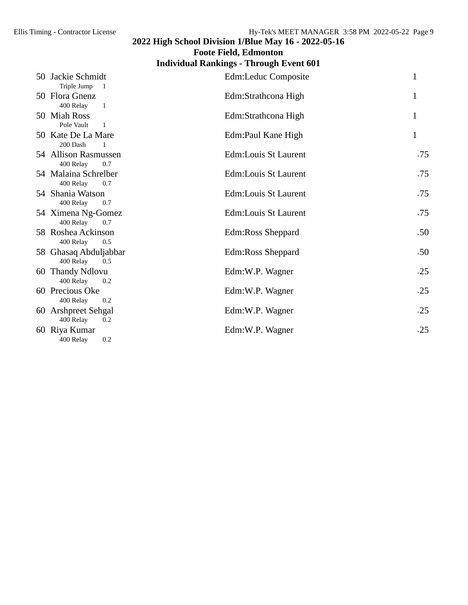## **2022 High School Division 1/Blue May 16 - 2022-05-16 Foote Field, Edmonton**

# **Individual Rankings - Through Event 601**

| 50 Jackie Schmidt<br>Triple Jump 1                 | Edm:Leduc Composite  | 1   |
|----------------------------------------------------|----------------------|-----|
| 50 Flora Gnenz<br>400 Relay<br>-1                  | Edm:Strathcona High  | 1   |
| 50 Miah Ross<br>Pole Vault<br>$\overline{1}$       | Edm:Strathcona High  |     |
| 50 Kate De La Mare<br>200 Dash<br>$\blacksquare$ 1 | Edm:Paul Kane High   | 1   |
| 54 Allison Rasmussen<br>400 Relay<br>0.7           | Edm:Louis St Laurent | .75 |
| 54 Malaina Schrelber<br>400 Relay<br>0.7           | Edm:Louis St Laurent | .75 |
| 54 Shania Watson<br>400 Relay<br>0.7               | Edm:Louis St Laurent | .75 |
| 54 Ximena Ng-Gomez<br>400 Relay<br>0.7             | Edm:Louis St Laurent | .75 |
| 58 Roshea Ackinson<br>400 Relay<br>0.5             | Edm:Ross Sheppard    | .50 |
| 58 Ghasaq Abduljabbar<br>400 Relay<br>0.5          | Edm:Ross Sheppard    | .50 |
| 60 Thandy Ndlovu<br>400 Relay<br>0.2               | Edm:W.P. Wagner      | .25 |
| 60 Precious Oke<br>400 Relay<br>0.2                | Edm:W.P. Wagner      | .25 |
| 60 Arshpreet Sehgal<br>400 Relay<br>0.2            | Edm:W.P. Wagner      | .25 |
| 60 Riya Kumar<br>400 Relay<br>0.2                  | Edm:W.P. Wagner      | .25 |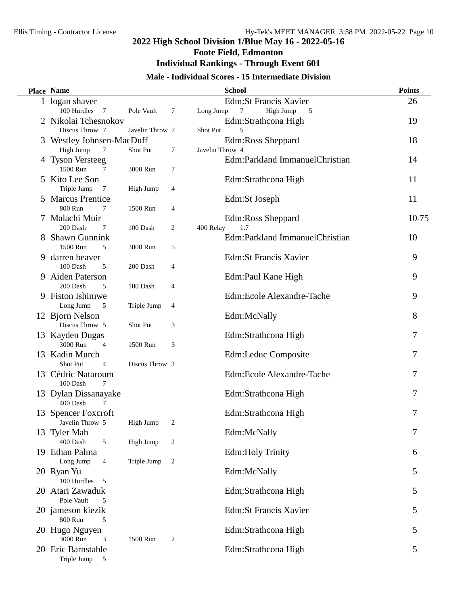# **Foote Field, Edmonton**

#### **Individual Rankings - Through Event 601**

#### **Male - Individual Scores - 15 Intermediate Division**

|   | Place Name                    |                 |                | <b>School</b>                    | <b>Points</b> |
|---|-------------------------------|-----------------|----------------|----------------------------------|---------------|
|   | 1 logan shaver                |                 |                | <b>Edm:St Francis Xavier</b>     | 26            |
|   | 100 Hurdles<br>$\overline{7}$ | Pole Vault      | 7              | High Jump<br>Long Jump<br>7<br>5 |               |
|   | 2 Nikolai Tchesnokov          |                 |                | Edm:Strathcona High              | 19            |
|   | Discus Throw 7                | Javelin Throw 7 |                | Shot Put<br>5                    |               |
|   | 3 Westley Johnsen-MacDuff     |                 |                | Edm:Ross Sheppard                | 18            |
|   | High Jump<br>$\overline{7}$   | Shot Put        | 7              | Javelin Throw 4                  |               |
|   | 4 Tyson Versteeg              |                 |                | Edm:Parkland ImmanuelChristian   | 14            |
|   | 1500 Run<br>7                 | 3000 Run        | 7              |                                  |               |
|   | 5 Kito Lee Son                |                 |                | Edm:Strathcona High              | 11            |
|   | Triple Jump<br>7              | High Jump       | 4              |                                  |               |
|   | 5 Marcus Prentice             |                 |                | Edm:St Joseph                    | 11            |
|   | 800 Run<br>7                  | 1500 Run        | 4              |                                  |               |
|   | 7 Malachi Muir                |                 |                | Edm:Ross Sheppard                | 10.75         |
|   | 200 Dash<br>7                 | 100 Dash        | 2              | 400 Relay<br>1.7                 |               |
|   | <b>Shawn Gunnink</b>          |                 |                | Edm:Parkland ImmanuelChristian   | 10            |
|   | 1500 Run<br>5                 | 3000 Run        | 5              |                                  |               |
| 9 | darren beaver                 |                 |                | <b>Edm:St Francis Xavier</b>     | 9             |
|   | 100 Dash<br>5                 | 200 Dash        | 4              |                                  |               |
| 9 | <b>Aiden Paterson</b>         |                 |                | Edm:Paul Kane High               | 9             |
|   | 200 Dash<br>5                 | 100 Dash        | 4              |                                  |               |
|   | 9 Fiston Ishimwe              |                 |                | Edm:Ecole Alexandre-Tache        | 9             |
|   | Long Jump<br>5                | Triple Jump     | 4              |                                  |               |
|   | 12 Bjorn Nelson               |                 |                | Edm:McNally                      | 8             |
|   | Discus Throw 5                | Shot Put        | 3              |                                  |               |
|   | 13 Kayden Dugas               |                 |                | Edm:Strathcona High              | 7             |
|   | 3000 Run<br>$\overline{4}$    | 1500 Run        | 3              |                                  |               |
|   | 13 Kadin Murch                |                 |                | Edm:Leduc Composite              | 7             |
|   | Shot Put<br>4                 | Discus Throw 3  |                |                                  |               |
|   | 13 Cédric Nataroum            |                 |                | Edm:Ecole Alexandre-Tache        | 7             |
|   | 100 Dash<br>$\tau$            |                 |                |                                  |               |
|   | 13 Dylan Dissanayake          |                 |                | Edm:Strathcona High              | 7             |
|   | 400 Dash<br>7                 |                 |                |                                  |               |
|   | 13 Spencer Foxcroft           |                 |                | Edm:Strathcona High              | 7             |
|   | Javelin Throw 5               | High Jump       | 2              |                                  |               |
|   | 13 Tyler Mah<br>400 Dash<br>5 |                 |                | Edm:McNally                      | 7             |
|   | 19 Ethan Palma                | High Jump       | 2              |                                  |               |
|   | Long Jump<br>4                | Triple Jump     | $\overline{c}$ | <b>Edm:Holy Trinity</b>          | 6             |
|   | 20 Ryan Yu                    |                 |                | Edm:McNally                      | 5             |
|   | 100 Hurdles<br>5              |                 |                |                                  |               |
|   | 20 Atari Zawaduk              |                 |                | Edm:Strathcona High              | 5             |
|   | Pole Vault<br>5               |                 |                |                                  |               |
|   | 20 jameson kiezik             |                 |                | <b>Edm:St Francis Xavier</b>     | 5             |
|   | 800 Run<br>5                  |                 |                |                                  |               |
|   | 20 Hugo Nguyen                |                 |                | Edm:Strathcona High              | 5             |
|   | 3000 Run<br>3                 | 1500 Run        | $\overline{c}$ |                                  |               |
|   | 20 Eric Barnstable            |                 |                | Edm:Strathcona High              | 5             |
|   | Triple Jump<br>5              |                 |                |                                  |               |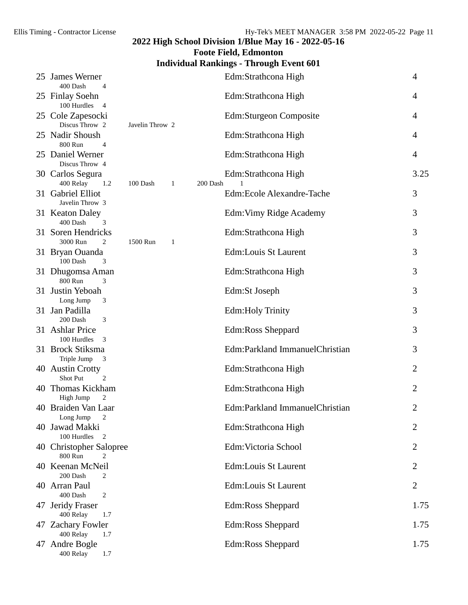## **Foote Field, Edmonton**

## **Individual Rankings - Through Event 601**

| 25 James Werner<br>400 Dash<br>$\overline{4}$      |                 |              |          | Edm:Strathcona High            | 4              |
|----------------------------------------------------|-----------------|--------------|----------|--------------------------------|----------------|
| 25 Finlay Soehn<br>100 Hurdles<br>$\overline{4}$   |                 |              |          | Edm:Strathcona High            | 4              |
| 25 Cole Zapesocki<br>Discus Throw 2                | Javelin Throw 2 |              |          | Edm:Sturgeon Composite         | 4              |
| 25 Nadir Shoush<br>800 Run<br>$\overline{4}$       |                 |              |          | Edm:Strathcona High            | 4              |
| 25 Daniel Werner<br>Discus Throw 4                 |                 |              |          | Edm:Strathcona High            | 4              |
| 30 Carlos Segura<br>400 Relay<br>1.2               | 100 Dash        | 1            | 200 Dash | Edm:Strathcona High            | 3.25           |
| 31 Gabriel Elliot<br>Javelin Throw 3               |                 |              |          | Edm:Ecole Alexandre-Tache      | 3              |
| 31 Keaton Daley<br>400 Dash<br>3                   |                 |              |          | Edm: Vimy Ridge Academy        | 3              |
| 31 Soren Hendricks<br>3000 Run<br>2                | 1500 Run        | $\mathbf{1}$ |          | Edm:Strathcona High            | 3              |
| 31 Bryan Ouanda<br>100 Dash<br>3                   |                 |              |          | Edm:Louis St Laurent           | 3              |
| 31 Dhugomsa Aman<br>800 Run<br>3                   |                 |              |          | Edm:Strathcona High            | 3              |
| 31 Justin Yeboah<br>Long Jump<br>3                 |                 |              |          | Edm:St Joseph                  | 3              |
| 31 Jan Padilla<br>200 Dash<br>3                    |                 |              |          | Edm: Holy Trinity              | 3              |
| 31 Ashlar Price<br>100 Hurdles<br>3                |                 |              |          | Edm:Ross Sheppard              | 3              |
| 31 Brock Stiksma<br>Triple Jump<br>3               |                 |              |          | Edm:Parkland ImmanuelChristian | 3              |
| 40 Austin Crotty<br>Shot Put<br>2                  |                 |              |          | Edm:Strathcona High            | 2              |
| 40 Thomas Kickham<br>High Jump<br>2                |                 |              |          | Edm:Strathcona High            | $\overline{2}$ |
| 40 Braiden Van Laar<br>Long Jump<br>$\overline{c}$ |                 |              |          | Edm:Parkland ImmanuelChristian | 2              |
| 40 Jawad Makki<br>100 Hurdles<br>2                 |                 |              |          | Edm:Strathcona High            | 2              |
| 40 Christopher Salopree<br>800 Run<br>2            |                 |              |          | Edm: Victoria School           | 2              |
| 40 Keenan McNeil<br>200 Dash<br>2                  |                 |              |          | Edm:Louis St Laurent           | 2              |
| 40 Arran Paul<br>400 Dash<br>2                     |                 |              |          | Edm:Louis St Laurent           | $\overline{2}$ |
| 47 Jeridy Fraser<br>400 Relay<br>1.7               |                 |              |          | Edm:Ross Sheppard              | 1.75           |
| 47 Zachary Fowler<br>400 Relay<br>1.7              |                 |              |          | Edm:Ross Sheppard              | 1.75           |
| 47 Andre Bogle<br>400 Relay<br>1.7                 |                 |              |          | Edm:Ross Sheppard              | 1.75           |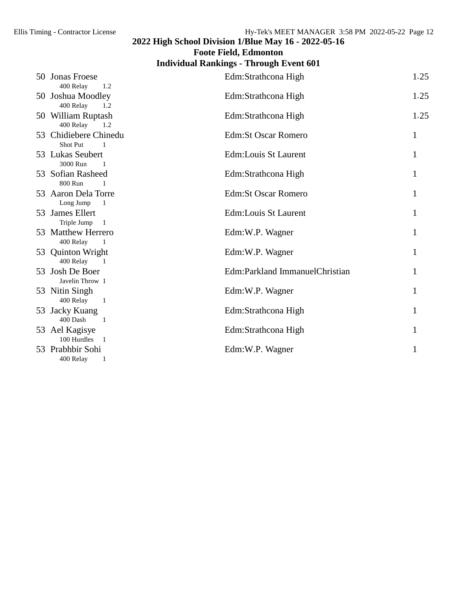**Foote Field, Edmonton**

## **Individual Rankings - Through Event 601**

| 50 Jonas Froese<br>400 Relay<br>1.2                          | Edm:Strathcona High            | 1.25 |
|--------------------------------------------------------------|--------------------------------|------|
| 50 Joshua Moodley<br>400 Relay<br>1.2                        | Edm:Strathcona High            | 1.25 |
| 50 William Ruptash<br>400 Relay<br>1.2                       | Edm:Strathcona High            | 1.25 |
| 53 Chidiebere Chinedu<br>Shot Put<br>$\mathbf{1}$            | <b>Edm:St Oscar Romero</b>     | 1    |
| 53 Lukas Seubert<br>3000 Run<br>$\overline{1}$               | Edm:Louis St Laurent           | 1    |
| 53 Sofian Rasheed<br>800 Run<br>$\mathbf{1}$                 | Edm:Strathcona High            |      |
| 53 Aaron Dela Torre<br>Long Jump<br>$\overline{\phantom{0}}$ | <b>Edm:St Oscar Romero</b>     |      |
| 53 James Ellert<br>Triple Jump<br>$\overline{1}$             | Edm:Louis St Laurent           |      |
| 53 Matthew Herrero<br>400 Relay<br>$\overline{\phantom{0}}$  | Edm:W.P. Wagner                |      |
| 53 Quinton Wright<br>400 Relay<br>$\overline{\phantom{0}}$   | Edm:W.P. Wagner                |      |
| 53 Josh De Boer<br>Javelin Throw 1                           | Edm:Parkland ImmanuelChristian |      |
| 53 Nitin Singh<br>400 Relay<br>$\overline{1}$                | Edm:W.P. Wagner                |      |
| 53 Jacky Kuang<br>400 Dash<br>$\overline{1}$                 | Edm:Strathcona High            |      |
| 53 Ael Kagisye<br>100 Hurdles                                | Edm:Strathcona High            |      |
| 53 Prabhbir Sohi<br>400 Relay                                | Edm:W.P. Wagner                |      |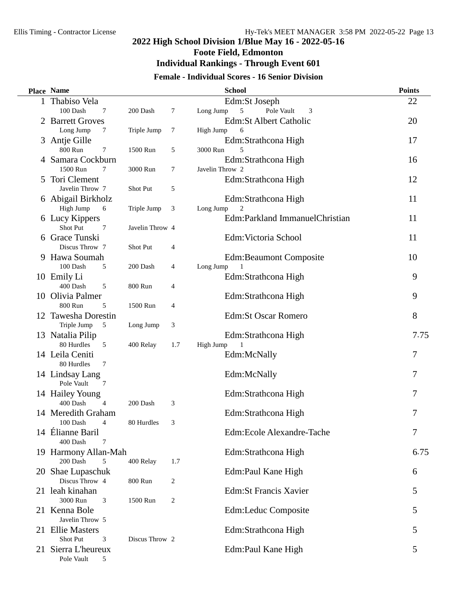## **2022 High School Division 1/Blue May 16 - 2022-05-16 Foote Field, Edmonton Individual Rankings - Through Event 601**

#### **Female - Individual Scores - 16 Senior Division**

| Place Name                          |                 |     | <b>School</b>                     | <b>Points</b> |
|-------------------------------------|-----------------|-----|-----------------------------------|---------------|
| 1 Thabiso Vela                      |                 |     | Edm:St Joseph                     | 22            |
| 100 Dash<br>7                       | 200 Dash        | 7   | Pole Vault<br>Long Jump<br>5<br>3 |               |
| 2 Barrett Groves                    |                 |     | Edm:St Albert Catholic            | 20            |
| Long Jump<br>7                      | Triple Jump     | 7   | High Jump<br>6                    |               |
| 3 Antje Gille                       |                 |     | Edm:Strathcona High               | 17            |
| 800 Run<br>7                        | 1500 Run        | 5   | 5<br>3000 Run                     |               |
| 4 Samara Cockburn                   |                 |     | Edm:Strathcona High               | 16            |
| 1500 Run<br>$\tau$                  | 3000 Run        | 7   | Javelin Throw 2                   |               |
| 5 Tori Clement                      |                 |     | Edm:Strathcona High               | 12            |
| Javelin Throw 7                     | Shot Put        | 5   |                                   |               |
| 6 Abigail Birkholz                  |                 |     | Edm:Strathcona High               | 11            |
| High Jump<br>6                      | Triple Jump     | 3   | Long Jump<br>2                    |               |
| 6 Lucy Kippers<br>Shot Put          |                 |     | Edm:Parkland ImmanuelChristian    | 11            |
| 7<br>6 Grace Tunski                 | Javelin Throw 4 |     | Edm: Victoria School              | 11            |
| Discus Throw 7                      | Shot Put        | 4   |                                   |               |
| 9 Hawa Soumah                       |                 |     | <b>Edm:Beaumont Composite</b>     | 10            |
| 100 Dash<br>5                       | 200 Dash        | 4   | Long Jump                         |               |
| 10 Emily Li                         |                 |     | Edm:Strathcona High               | 9             |
| 400 Dash<br>5                       | 800 Run         | 4   |                                   |               |
| 10 Olivia Palmer                    |                 |     | Edm:Strathcona High               | 9             |
| 800 Run<br>5                        | 1500 Run        | 4   |                                   |               |
| 12 Tawesha Dorestin                 |                 |     | <b>Edm:St Oscar Romero</b>        | 8             |
| Triple Jump<br>5                    | Long Jump       | 3   |                                   |               |
| 13 Natalia Pilip                    |                 |     | Edm:Strathcona High               | 7.75          |
| 80 Hurdles<br>5                     | 400 Relay       | 1.7 | High Jump                         |               |
| 14 Leila Ceniti                     |                 |     | Edm:McNally                       | 7             |
| 80 Hurdles<br>$\tau$                |                 |     |                                   |               |
| 14 Lindsay Lang                     |                 |     | Edm:McNally                       | 7             |
| Pole Vault<br>7                     |                 |     |                                   |               |
| 14 Hailey Young                     |                 |     | Edm:Strathcona High               | 7             |
| 400 Dash<br>$\overline{4}$          | 200 Dash        | 3   |                                   |               |
| 14 Meredith Graham                  |                 |     | Edm:Strathcona High               | 7             |
| 100 Dash<br>4                       | 80 Hurdles      | 3   |                                   |               |
| 14 Elianne Baril                    |                 |     | Edm:Ecole Alexandre-Tache         | 7             |
| 400 Dash<br>7                       |                 |     |                                   |               |
| 19 Harmony Allan-Mah                |                 |     | Edm:Strathcona High               | 6.75          |
| 200 Dash<br>5                       | 400 Relay       | 1.7 |                                   |               |
| 20 Shae Lupaschuk<br>Discus Throw 4 |                 |     | Edm:Paul Kane High                | 6             |
| 21 leah kinahan                     | 800 Run         | 2   | <b>Edm:St Francis Xavier</b>      |               |
| 3000 Run<br>3                       | 1500 Run        | 2   |                                   | 5             |
| 21 Kenna Bole                       |                 |     | Edm:Leduc Composite               | 5             |
| Javelin Throw 5                     |                 |     |                                   |               |
| 21 Ellie Masters                    |                 |     | Edm:Strathcona High               | 5             |
| Shot Put<br>3                       | Discus Throw 2  |     |                                   |               |
| 21 Sierra L'heureux                 |                 |     | Edm:Paul Kane High                | 5             |
| Pole Vault<br>5                     |                 |     |                                   |               |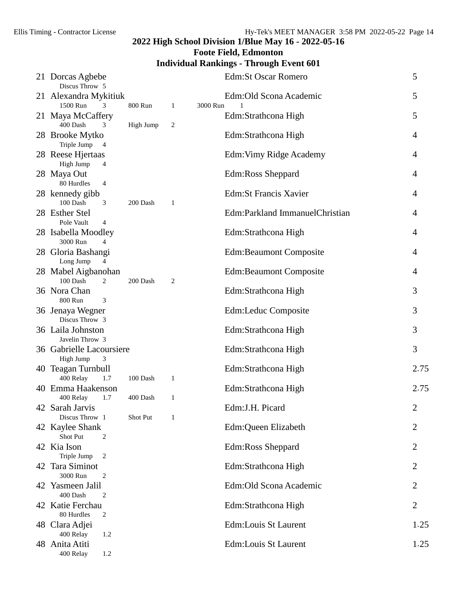## **Foote Field, Edmonton**

## **Individual Rankings - Through Event 601**

|    | 21 Dorcas Agbebe<br>Discus Throw 5                          |           |                |          | <b>Edm:St Oscar Romero</b>                 | 5              |
|----|-------------------------------------------------------------|-----------|----------------|----------|--------------------------------------------|----------------|
|    | 21 Alexandra Mykitiuk<br>1500 Run<br>3                      | 800 Run   | 1              | 3000 Run | Edm:Old Scona Academic                     | 5              |
|    | 21 Maya McCaffery<br>400 Dash<br>3                          | High Jump | $\overline{c}$ |          | Edm:Strathcona High                        | 5              |
|    | 28 Brooke Mytko<br>Triple Jump 4                            |           |                |          | Edm:Strathcona High                        | 4              |
|    | 28 Reese Hjertaas<br>High Jump<br>4                         |           |                |          | Edm: Vimy Ridge Academy                    | 4              |
|    | 28 Maya Out<br>80 Hurdles<br>$\overline{4}$                 |           |                |          | Edm:Ross Sheppard                          | 4              |
|    | 28 kennedy gibb<br>100 Dash<br>3                            | 200 Dash  | 1              |          | <b>Edm:St Francis Xavier</b>               | 4              |
|    | 28 Esther Stel<br>Pole Vault<br>$\overline{4}$              |           |                |          | Edm:Parkland ImmanuelChristian             | 4              |
|    | 28 Isabella Moodley<br>3000 Run<br>4                        |           |                |          | Edm:Strathcona High                        | $\overline{4}$ |
|    | 28 Gloria Bashangi<br>Long Jump<br>4                        |           |                |          | <b>Edm:Beaumont Composite</b>              | 4              |
|    | 28 Mabel Aigbanohan<br>100 Dash<br>2                        | 200 Dash  | $\overline{c}$ |          | <b>Edm:Beaumont Composite</b>              | 4              |
|    | 36 Nora Chan<br>800 Run<br>3                                |           |                |          | Edm:Strathcona High                        | 3              |
|    | 36 Jenaya Wegner<br>Discus Throw 3                          |           |                |          | Edm:Leduc Composite                        | 3              |
|    | 36 Laila Johnston<br>Javelin Throw 3                        |           |                |          | Edm:Strathcona High                        | 3              |
|    | 36 Gabrielle Lacoursiere<br>3<br>High Jump                  |           |                |          | Edm:Strathcona High<br>Edm:Strathcona High | 3<br>2.75      |
|    | 40 Teagan Turnbull<br>400 Relay<br>1.7<br>40 Emma Haakenson | 100 Dash  | 1              |          | Edm:Strathcona High                        | 2.75           |
|    | 400 Relay<br>1.7<br>42 Sarah Jarvis                         | 400 Dash  | $\mathbf{1}$   |          | Edm:J.H. Picard                            | 2              |
|    | Discus Throw 1<br>42 Kaylee Shank                           | Shot Put  | 1              |          | Edm:Queen Elizabeth                        | 2              |
|    | Shot Put<br>2<br>42 Kia Ison                                |           |                |          | Edm:Ross Sheppard                          | 2              |
| 42 | Triple Jump<br>$\overline{2}$<br>Tara Siminot               |           |                |          | Edm:Strathcona High                        | 2              |
| 42 | 3000 Run<br>2<br>Yasmeen Jalil                              |           |                |          | Edm: Old Scona Academic                    | 2              |
|    | 400 Dash<br>2<br>42 Katie Ferchau                           |           |                |          | Edm:Strathcona High                        | $\overline{2}$ |
|    | 80 Hurdles<br>2<br>48 Clara Adjei                           |           |                |          | Edm:Louis St Laurent                       | 1.25           |
|    | 400 Relay<br>1.2<br>48 Anita Atiti                          |           |                |          | Edm:Louis St Laurent                       | 1.25           |
|    | 400 Relay<br>1.2                                            |           |                |          |                                            |                |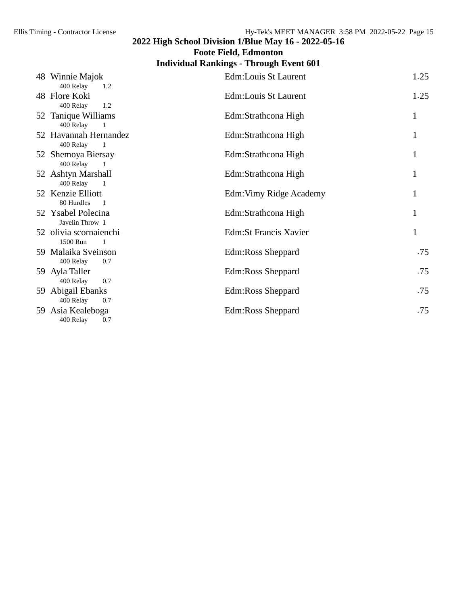**Foote Field, Edmonton**

## **Individual Rankings - Through Event 601**

| 48 Winnie Majok<br>400 Relay<br>1.2                  | Edm:Louis St Laurent    | 1.25 |
|------------------------------------------------------|-------------------------|------|
| 48 Flore Koki<br>400 Relay<br>1.2                    | Edm:Louis St Laurent    | 1.25 |
| 52 Tanique Williams<br>400 Relay                     | Edm:Strathcona High     | 1    |
| 52 Havannah Hernandez<br>400 Relay<br>$\overline{1}$ | Edm:Strathcona High     | 1    |
| 52 Shemoya Biersay<br>400 Relay<br>-1                | Edm:Strathcona High     | 1    |
| 52 Ashtyn Marshall<br>400 Relay                      | Edm:Strathcona High     |      |
| 52 Kenzie Elliott<br>80 Hurdles<br>$\blacksquare$    | Edm: Vimy Ridge Academy | 1    |
| 52 Ysabel Polecina<br>Javelin Throw 1                | Edm:Strathcona High     | 1    |
| 52 olivia scornaienchi<br>1500 Run<br>$\overline{1}$ | Edm: St Francis Xavier  | 1    |
| 59 Malaika Sveinson<br>400 Relay<br>0.7              | Edm:Ross Sheppard       | .75  |
| 59 Ayla Taller<br>400 Relay<br>0.7                   | Edm:Ross Sheppard       | .75  |
| 59 Abigail Ebanks<br>400 Relay<br>0.7                | Edm:Ross Sheppard       | .75  |
| 59 Asia Kealeboga<br>400 Relay<br>0.7                | Edm:Ross Sheppard       | .75  |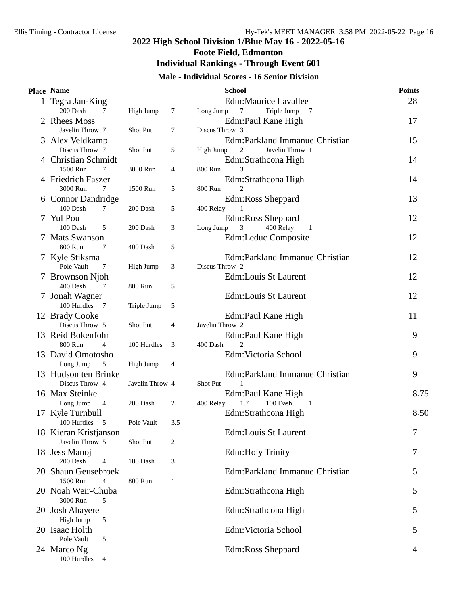## **2022 High School Division 1/Blue May 16 - 2022-05-16 Foote Field, Edmonton**

# **Individual Rankings - Through Event 601**

## **Male - Individual Scores - 16 Senior Division**

| Place Name                       |                 |        | <b>School</b>                                    | <b>Points</b> |
|----------------------------------|-----------------|--------|--------------------------------------------------|---------------|
| 1 Tegra Jan-King                 |                 |        | <b>Edm:Maurice Lavallee</b>                      | 28            |
| 200 Dash<br>7                    | High Jump       | $\tau$ | Triple Jump<br>Long Jump<br>7<br>$\overline{7}$  |               |
| 2 Rhees Moss                     |                 |        | Edm:Paul Kane High                               | 17            |
| Javelin Throw 7                  | Shot Put        | 7      | Discus Throw 3                                   |               |
| 3 Alex Veldkamp                  |                 |        | Edm:Parkland ImmanuelChristian                   | 15            |
| Discus Throw 7                   | Shot Put        | 5      | 2<br>Javelin Throw 1<br>High Jump                |               |
| 4 Christian Schmidt              |                 |        | Edm:Strathcona High                              | 14            |
| 1500 Run<br>$\tau$               | 3000 Run        | 4      | 800 Run<br>3                                     |               |
| 4 Friedrich Faszer               |                 |        | Edm:Strathcona High                              | 14            |
| 3000 Run<br>7                    | 1500 Run        | 5      | 800 Run                                          |               |
| 6 Connor Dandridge               |                 |        | Edm:Ross Sheppard                                | 13            |
| 100 Dash<br>7                    | 200 Dash        | 5      | 400 Relay                                        |               |
| 7 Yul Pou                        |                 |        | Edm:Ross Sheppard                                | 12            |
| 100 Dash<br>5                    | 200 Dash        | 3      | 400 Relay<br>3<br>Long Jump<br>- 1               |               |
| 7 Mats Swanson                   |                 |        | Edm:Leduc Composite                              | 12            |
| 800 Run<br>$\tau$                | 400 Dash        | 5      |                                                  |               |
| 7 Kyle Stiksma                   |                 |        | Edm:Parkland ImmanuelChristian                   | 12            |
| Pole Vault<br>7                  | High Jump       | 3      | Discus Throw 2                                   |               |
| 7 Brownson Njoh                  |                 |        | Edm:Louis St Laurent                             | 12            |
| 400 Dash<br>7                    | 800 Run         | 5      |                                                  |               |
| 7 Jonah Wagner                   |                 |        | Edm:Louis St Laurent                             | 12            |
| 100 Hurdles<br>$\overline{7}$    | Triple Jump     | 5      |                                                  |               |
| 12 Brady Cooke<br>Discus Throw 5 | Shot Put        | 4      | Edm:Paul Kane High<br>Javelin Throw 2            | 11            |
| 13 Reid Bokenfohr                |                 |        |                                                  | 9             |
| 800 Run<br>$\overline{4}$        | 100 Hurdles     | 3      | Edm:Paul Kane High<br>$\overline{c}$<br>400 Dash |               |
| 13 David Omotosho                |                 |        | Edm: Victoria School                             | 9             |
| Long Jump<br>5                   | High Jump       | 4      |                                                  |               |
| 13 Hudson ten Brinke             |                 |        | Edm:Parkland ImmanuelChristian                   | 9             |
| Discus Throw 4                   | Javelin Throw 4 |        | Shot Put<br>1                                    |               |
| 16 Max Steinke                   |                 |        | Edm:Paul Kane High                               | 8.75          |
| Long Jump<br>$\overline{4}$      | 200 Dash        | 2      | 1.7<br>100 Dash<br>400 Relay<br>$\overline{1}$   |               |
| 17 Kyle Turnbull                 |                 |        | Edm:Strathcona High                              | 8.50          |
| 100 Hurdles<br>5                 | Pole Vault      | 3.5    |                                                  |               |
| 18 Kieran Kristjanson            |                 |        | Edm:Louis St Laurent                             | 7             |
| Javelin Throw 5                  | Shot Put        | 2      |                                                  |               |
| 18 Jess Manoj                    |                 |        | <b>Edm:Holy Trinity</b>                          | 7             |
| 200 Dash<br>4                    | 100 Dash        | 3      |                                                  |               |
| 20 Shaun Geusebroek              |                 |        | Edm:Parkland ImmanuelChristian                   | 5             |
| 1500 Run<br>$\overline{4}$       | 800 Run         | 1      |                                                  |               |
| 20 Noah Weir-Chuba               |                 |        | Edm:Strathcona High                              | 5             |
| 3000 Run<br>5                    |                 |        |                                                  |               |
| 20 Josh Ahayere                  |                 |        | Edm:Strathcona High                              | 5             |
| High Jump<br>5                   |                 |        |                                                  |               |
| 20 Isaac Holth                   |                 |        | Edm:Victoria School                              | 5             |
| Pole Vault<br>5                  |                 |        |                                                  |               |
| 24 Marco Ng                      |                 |        | Edm:Ross Sheppard                                | 4             |
| 100 Hurdles<br>$\overline{4}$    |                 |        |                                                  |               |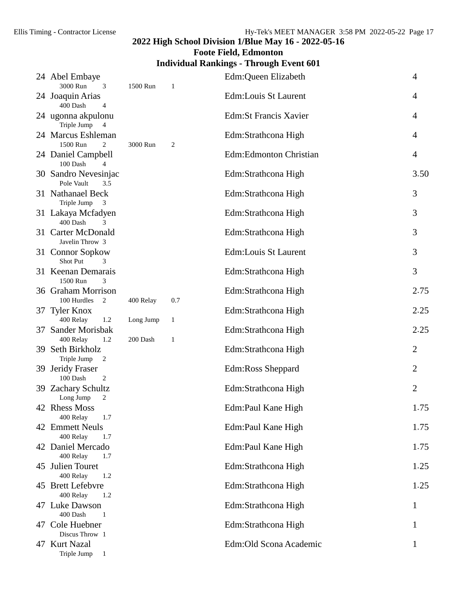## **Foote Field, Edmonton**

## **Individual Rankings - Through Event 601**

| 24 Abel Embaye<br>3000 Run<br>3                     | 1500 Run  | 1            | Edm:Queen Elizabeth          | $\overline{4}$ |
|-----------------------------------------------------|-----------|--------------|------------------------------|----------------|
| 24 Joaquin Arias<br>400 Dash<br>4                   |           |              | Edm:Louis St Laurent         | 4              |
| 24 ugonna akpulonu<br>Triple Jump<br>$\overline{4}$ |           |              | <b>Edm:St Francis Xavier</b> | 4              |
| 24 Marcus Eshleman<br>1500 Run<br>2                 | 3000 Run  | 2            | Edm:Strathcona High          | 4              |
| 24 Daniel Campbell<br>100 Dash<br>4                 |           |              | Edm:Edmonton Christian       | $\overline{4}$ |
| 30 Sandro Nevesinjac<br>Pole Vault<br>3.5           |           |              | Edm:Strathcona High          | 3.50           |
| 31 Nathanael Beck<br>Triple Jump<br>3               |           |              | Edm:Strathcona High          | 3              |
| 31 Lakaya Mcfadyen<br>400 Dash<br>3                 |           |              | Edm:Strathcona High          | 3              |
| 31 Carter McDonald<br>Javelin Throw 3               |           |              | Edm:Strathcona High          | 3              |
| 31 Connor Sopkow<br>Shot Put<br>3                   |           |              | Edm:Louis St Laurent         | 3              |
| 31 Keenan Demarais<br>1500 Run<br>3                 |           |              | Edm:Strathcona High          | 3              |
| 36 Graham Morrison<br>100 Hurdles<br>2              | 400 Relay | 0.7          | Edm:Strathcona High          | 2.75           |
| 37 Tyler Knox<br>400 Relay<br>1.2                   | Long Jump | $\mathbf{1}$ | Edm:Strathcona High          | 2.25           |
| 37 Sander Morisbak<br>400 Relay<br>1.2              | 200 Dash  | 1            | Edm:Strathcona High          | 2.25           |
| 39 Seth Birkholz<br>Triple Jump<br>2                |           |              | Edm:Strathcona High          | 2              |
| 39 Jeridy Fraser<br>100 Dash<br>2                   |           |              | <b>Edm:Ross Sheppard</b>     | 2              |
| 39 Zachary Schultz<br>Long Jump<br>2                |           |              | Edm:Strathcona High          | $\overline{2}$ |
| 42 Rhess Moss<br>400 Relay<br>1.7                   |           |              | Edm:Paul Kane High           | 1.75           |
| 42 Emmett Neuls<br>400 Relay<br>1.7                 |           |              | Edm:Paul Kane High           | 1.75           |
| 42 Daniel Mercado<br>400 Relay<br>1.7               |           |              | Edm:Paul Kane High           | 1.75           |
| 45 Julien Touret<br>400 Relay<br>1.2                |           |              | Edm:Strathcona High          | 1.25           |
| 45 Brett Lefebvre<br>400 Relay<br>1.2               |           |              | Edm:Strathcona High          | 1.25           |
| 47 Luke Dawson<br>400 Dash<br>1                     |           |              | Edm:Strathcona High          | 1              |
| 47 Cole Huebner<br>Discus Throw 1                   |           |              | Edm:Strathcona High          | 1              |
| 47 Kurt Nazal<br>Triple Jump<br>$\mathbf{1}$        |           |              | Edm: Old Scona Academic      | 1              |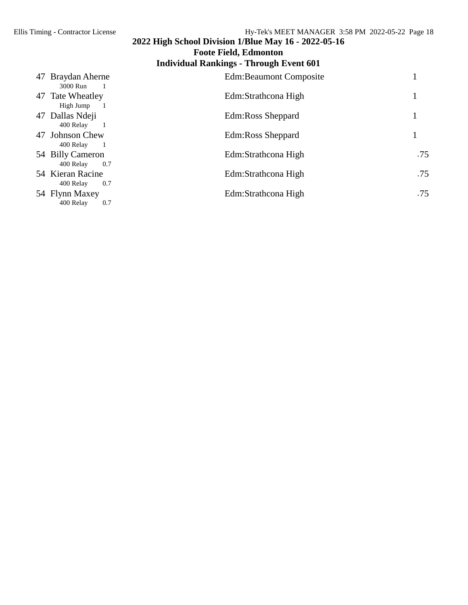# **2022 High School Division 1/Blue May 16 - 2022-05-16 Foote Field, Edmonton**

#### **Individual Rankings - Through Event 601** 47 Braydan Aherne **Edm:Beaumont Composite** 1 3000 Run 1 47 Tate Wheatley Edm:Strathcona High 1<br>High Jump 1 High Jump 1 47 Dallas Ndeji Edm:Ross Sheppard 1 400 Relay 1 47 Johnson Chew Edm:Ross Sheppard 1 400 Relay 1 54 Billy Cameron Edm:Strathcona High .75<br>400 Relay 0.7 6.75  $400$  Relay 54 Kieran Racine Edm:Strathcona High .75 400 Relay 0.7 54 Flynn Maxey Edm:Strathcona High .75<br>400 Relay 0.7 6.75 400 Relay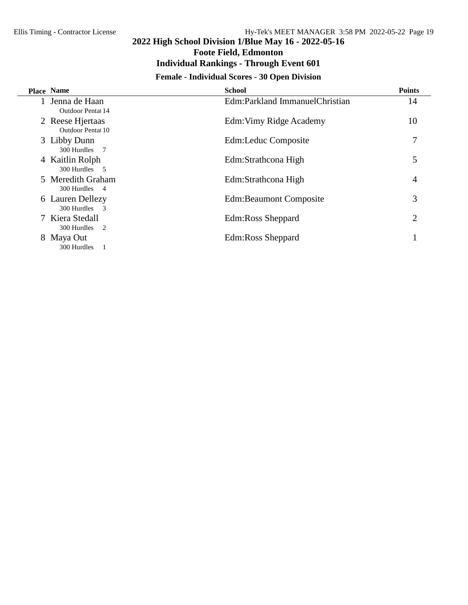**Foote Field, Edmonton**

#### **Individual Rankings - Through Event 601**

## **Female - Individual Scores - 30 Open Division**

| Place Name                            | <b>School</b>                  | <b>Points</b> |
|---------------------------------------|--------------------------------|---------------|
| 1 Jenna de Haan<br>Outdoor Pental 14  | Edm:Parkland ImmanuelChristian | 14            |
| 2 Reese Hjertaas<br>Outdoor Pentat 10 | Edm: Vimy Ridge Academy        | 10            |
| 3 Libby Dunn<br>300 Hurdles 7         | Edm:Leduc Composite            | 7             |
| 4 Kaitlin Rolph<br>300 Hurdles 5      | Edm:Strathcona High            | 5             |
| 5 Meredith Graham<br>300 Hurdles 4    | Edm:Strathcona High            | 4             |
| 6 Lauren Dellezy<br>300 Hurdles 3     | <b>Edm:Beaumont Composite</b>  | 3             |
| 7 Kiera Stedall<br>300 Hurdles 2      | Edm:Ross Sheppard              | 2             |
| 8 Maya Out<br>300 Hurdles 1           | Edm:Ross Sheppard              |               |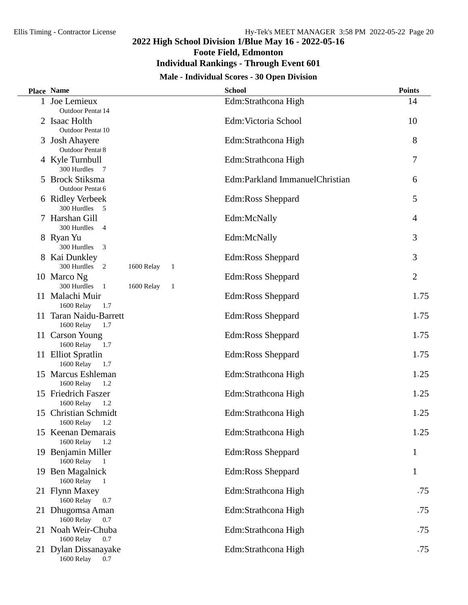**Foote Field, Edmonton**

## **Individual Rankings - Through Event 601**

#### **Male - Individual Scores - 30 Open Division**

|    | <b>Place Name</b>                                   | <b>School</b>                  | <b>Points</b>  |
|----|-----------------------------------------------------|--------------------------------|----------------|
|    | 1 Joe Lemieux                                       | Edm:Strathcona High            | 14             |
|    | Outdoor Pentat 14                                   |                                |                |
|    | 2 Isaac Holth                                       | Edm: Victoria School           | 10             |
|    | Outdoor Pentat 10                                   |                                |                |
|    | 3 Josh Ahayere<br>Outdoor Pentat 8                  | Edm:Strathcona High            | 8              |
|    | 4 Kyle Turnbull                                     | Edm:Strathcona High            | 7              |
|    | 300 Hurdles<br>$\overline{7}$                       |                                |                |
|    | 5 Brock Stiksma                                     | Edm:Parkland ImmanuelChristian | 6              |
|    | Outdoor Pentat 6                                    |                                |                |
|    | 6 Ridley Verbeek                                    | Edm:Ross Sheppard              | 5              |
|    | 300 Hurdles 5                                       |                                |                |
|    | 7 Harshan Gill                                      | Edm:McNally                    | 4              |
|    | 300 Hurdles<br>$\overline{4}$                       | Edm:McNally                    | 3              |
|    | 8 Ryan Yu<br>300 Hurdles<br>$\overline{\mathbf{3}}$ |                                |                |
|    | 8 Kai Dunkley                                       | Edm:Ross Sheppard              | 3              |
|    | 300 Hurdles<br>2<br>1600 Relay<br>1                 |                                |                |
|    | 10 Marco Ng                                         | Edm:Ross Sheppard              | $\overline{2}$ |
|    | 300 Hurdles<br>1600 Relay<br>$\mathbf{1}$<br>- 1    |                                |                |
|    | 11 Malachi Muir                                     | Edm:Ross Sheppard              | 1.75           |
|    | 1600 Relay<br>1.7                                   |                                |                |
|    | 11 Taran Naidu-Barrett<br>1600 Relay<br>1.7         | Edm:Ross Sheppard              | 1.75           |
|    | 11 Carson Young                                     | Edm:Ross Sheppard              | 1.75           |
|    | 1600 Relay<br>1.7                                   |                                |                |
|    | 11 Elliot Spratlin                                  | Edm:Ross Sheppard              | 1.75           |
|    | 1600 Relay<br>1.7                                   |                                |                |
|    | 15 Marcus Eshleman                                  | Edm:Strathcona High            | 1.25           |
|    | 1600 Relay<br>1.2                                   |                                |                |
|    | 15 Friedrich Faszer<br>1600 Relay<br>1.2            | Edm:Strathcona High            | 1.25           |
| 15 | <b>Christian Schmidt</b>                            | Edm:Strathcona High            | 1.25           |
|    | 1.2<br>1600 Relay                                   |                                |                |
|    | 15 Keenan Demarais                                  | Edm:Strathcona High            | 1.25           |
|    | 1600 Relay<br>1.2                                   |                                |                |
|    | 19 Benjamin Miller                                  | Edm:Ross Sheppard              | 1              |
|    | 1600 Relay 1                                        |                                |                |
|    | 19 Ben Magalnick<br>1600 Relay<br>$\overline{1}$    | Edm:Ross Sheppard              | $\mathbf{1}$   |
|    | 21 Flynn Maxey                                      | Edm:Strathcona High            | .75            |
|    | 1600 Relay<br>0.7                                   |                                |                |
|    | 21 Dhugomsa Aman                                    | Edm:Strathcona High            | .75            |
|    | 1600 Relay<br>0.7                                   |                                |                |
|    | 21 Noah Weir-Chuba                                  | Edm:Strathcona High            | .75            |
|    | 1600 Relay<br>0.7                                   |                                |                |
|    | 21 Dylan Dissanayake<br>1600 Relay<br>0.7           | Edm:Strathcona High            | .75            |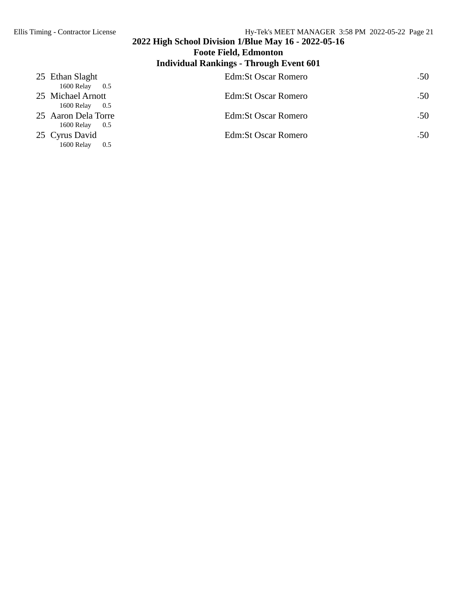#### **2022 High School Division 1/Blue May 16 - 2022-05-16 Foote Field, Edmonton Individual Rankings - Through Event 601** 25 Ethan Slaght Edm:St Oscar Romero .50

| 25 Ethan Stagne<br>1600 Relay<br>0.5                       | EQUITO USCAL ROHIETO | .JU              |
|------------------------------------------------------------|----------------------|------------------|
| 25 Michael Arnott                                          | Edm: St Oscar Romero | .50 <sub>1</sub> |
| 1600 Relay 0.5<br>25 Aaron Dela Torre<br>1600 Relay<br>0.5 | Edm: St Oscar Romero | .50              |
| 25 Cyrus David<br>1600 Relay<br>0.5                        | Edm: St Oscar Romero | .50 <sub>1</sub> |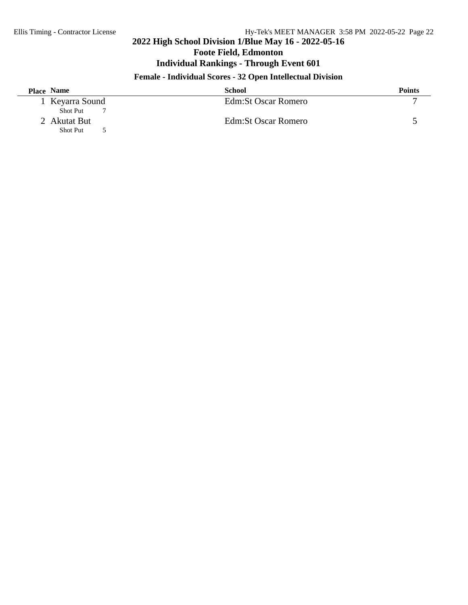**Foote Field, Edmonton**

## **Individual Rankings - Through Event 601**

## **Female - Individual Scores - 32 Open Intellectual Division**

| <b>Place Name</b> | School               | <b>Points</b> |
|-------------------|----------------------|---------------|
| 1 Keyarra Sound   | Edm: St Oscar Romero |               |
| <b>Shot Put</b>   |                      |               |
| 2 Akutat But      | Edm: St Oscar Romero |               |
| <b>Shot Put</b>   |                      |               |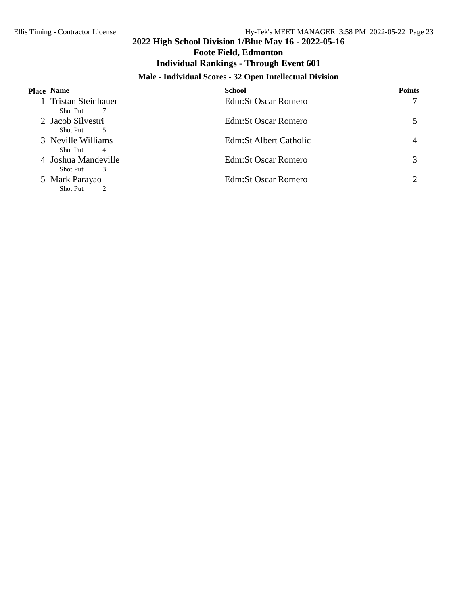## **2022 High School Division 1/Blue May 16 - 2022-05-16 Foote Field, Edmonton Individual Rankings - Through Event 601**

## **Male - Individual Scores - 32 Open Intellectual Division**

| Place Name                                                | <b>School</b>           | <b>Points</b> |
|-----------------------------------------------------------|-------------------------|---------------|
| 1 Tristan Steinhauer<br><b>Shot Put</b><br>$\overline{7}$ | Edm: St Oscar Romero    |               |
| 2 Jacob Silvestri<br>5<br><b>Shot Put</b>                 | Edm: St Oscar Romero    |               |
| 3 Neville Williams<br><b>Shot Put</b><br>$\overline{4}$   | Edm: St Albert Catholic |               |
| 4 Joshua Mandeville<br><b>Shot Put</b><br>3               | Edm: St Oscar Romero    | 3             |
| 5 Mark Parayao<br><b>Shot Put</b>                         | Edm: St Oscar Romero    |               |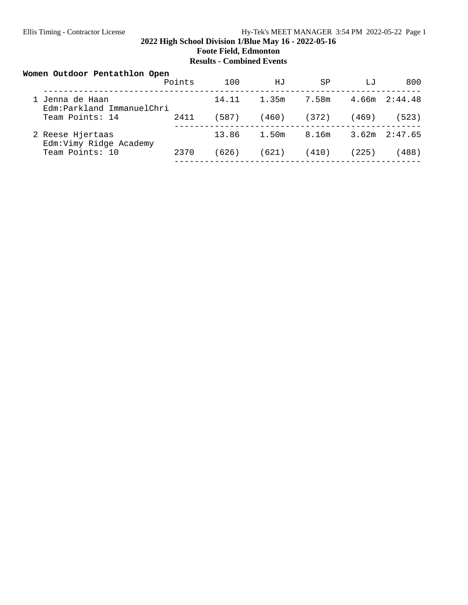#### **2022 High School Division 1/Blue May 16 - 2022-05-16 Foote Field, Edmonton Results - Combined Events**

| Women Outdoor Pentathlon Open                | Points | 100   | НJ    | SP    | LJ    | 800               |
|----------------------------------------------|--------|-------|-------|-------|-------|-------------------|
| 1 Jenna de Haan<br>Edm:Parkland ImmanuelChri |        | 14.11 | 1.35m | 7.58m |       | $4.66m$ $2:44.48$ |
| Team Points: 14                              | 2411   | (587) | (460) | (372) | (469) | (523)             |
| 2 Reese Hjertaas<br>Edm: Vimy Ridge Academy  |        | 13.86 | 1.50m | 8.16m |       | $3.62m$ $2:47.65$ |
| Team Points: 10                              | 2370   | (626) | (621) | (410) | (225) | 488)              |
|                                              |        |       |       |       |       |                   |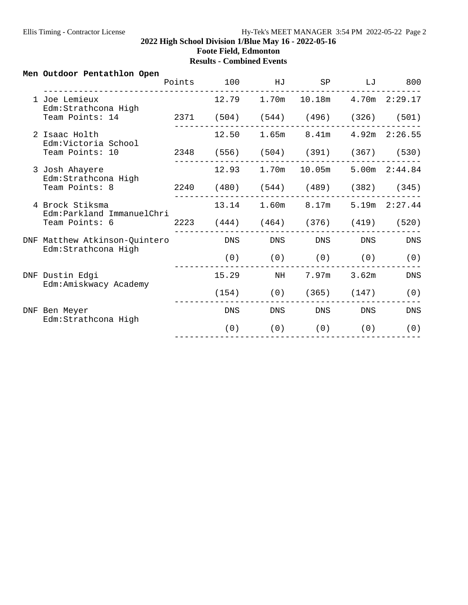#### **2022 High School Division 1/Blue May 16 - 2022-05-16 Foote Field, Edmonton Results - Combined Events**

#### **Men Outdoor Pentathlon Open**

|     |                                                   | Points | 100        | HJ          | SP                              | LJ                     | 800               |
|-----|---------------------------------------------------|--------|------------|-------------|---------------------------------|------------------------|-------------------|
|     | 1 Joe Lemieux<br>Edm: Strathcona High             |        |            | 12.79 1.70m |                                 | 10.18m  4.70m  2:29.17 |                   |
|     | Team Points: 14                                   |        | 2371 (504) |             | $(544)$ $(496)$ $(326)$ $(501)$ |                        |                   |
|     | 2 Isaac Holth<br>Edm:Victoria School              |        | 12.50      | 1.65m       | 8.41m                           |                        | $4.92m$ $2:26.55$ |
|     | Team Points: 10                                   | 2348   | (556)      |             | $(504)$ $(391)$ $(367)$ $(530)$ |                        |                   |
|     | 3 Josh Ahayere<br>Edm: Strathcona High            |        | 12.93      | 1.70m       | 10.05m                          |                        | 5.00m 2:44.84     |
|     | Team Points: 8                                    | 2240   | (480)      |             | $(544)$ $(489)$ $(382)$ $(345)$ |                        |                   |
|     | 4 Brock Stiksma<br>Edm: Parkland ImmanuelChri     |        | 13.14      | 1.60m       | 8.17m                           |                        | 5.19m 2:27.44     |
|     | Team Points: 6                                    | 2223   | (444)      |             | $(464)$ $(376)$                 | (419)                  | (520)             |
| DNF | Matthew Atkinson-Quintero<br>Edm: Strathcona High |        | <b>DNS</b> | <b>DNS</b>  | DNS                             | <b>DNS</b>             | <b>DNS</b>        |
|     |                                                   |        | (0)        | (0)         | (0)                             | (0)                    | (0)               |
|     | DNF Dustin Edgi<br>Edm: Amiskwacy Academy         |        | 15.29      | NH          | 7.97m                           | 3.62m                  | <b>DNS</b>        |
|     |                                                   |        | (154)      | (0)         | (365)                           | (147)                  | (0)               |
|     | DNF Ben Meyer<br>Edm: Strathcona High             |        | DNS        | <b>DNS</b>  | DNS                             | DNS                    | DNS               |
|     |                                                   |        | (0)        | (0)         | (0)                             | (0)                    | (0)               |
|     |                                                   |        |            |             |                                 |                        |                   |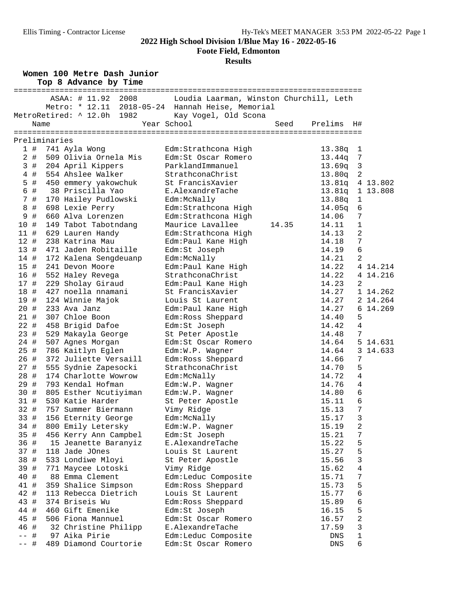**Foote Field, Edmonton**

#### **Results**

**Women 100 Metre Dash Junior**

|                     |      | Top 8 Advance by Time      |                                                  |       |         |                |          |
|---------------------|------|----------------------------|--------------------------------------------------|-------|---------|----------------|----------|
|                     |      | 2008<br>ASAA: # 11.92      | Loudia Laarman, Winston Churchill, Leth          |       |         |                |          |
|                     |      |                            | Metro: * 12.11 2018-05-24 Hannah Heise, Memorial |       |         |                |          |
|                     |      | MetroRetired: ^ 12.0h 1982 | Kay Vogel, Old Scona                             |       |         |                |          |
|                     | Name |                            | Year School                                      | Seed  | Prelims | H#             |          |
|                     |      |                            |                                                  |       |         |                |          |
| Preliminaries       |      |                            |                                                  |       |         |                |          |
| 1#                  |      | 741 Ayla Wong              | Edm:Strathcona High                              |       | 13.38q  | 1              |          |
| $2$ #               |      | 509 Olivia Ornela Mis      | Edm: St Oscar Romero                             |       | 13.44q  | 7              |          |
| 3#                  |      | 204 April Kippers          | ParklandImmanuel                                 |       | 13.69q  | $\mathfrak{Z}$ |          |
| 4 #                 |      | 554 Ahslee Walker          | StrathconaChrist                                 |       | 13.80q  | $\overline{a}$ |          |
| $5$ #               |      | 450 emmery yakowchuk       | St FrancisXavier                                 |       | 13.81q  |                | 4 13.802 |
| 6<br>#              |      | 38 Priscilla Yao           | E.AlexandreTache                                 |       | 13.81q  |                | 1 13.808 |
| 7 <sup>7</sup><br># |      | 170 Hailey Pudlowski       | Edm:McNally                                      |       | 13.88q  | $\mathbf 1$    |          |
| $\#$<br>8           |      | 698 Lexie Perry            | Edm: Strathcona High                             |       | 14.05q  | 6              |          |
| #<br>9              |      | 660 Alva Lorenzen          | Edm:Strathcona High                              |       | 14.06   | 7              |          |
| 10 #                |      | 149 Tabot Tabotndang       | Maurice Lavallee                                 | 14.35 | 14.11   | $\mathbf{1}$   |          |
| 11#                 |      | 629 Lauren Handy           | Edm: Strathcona High                             |       | 14.13   | 2              |          |
| 12#                 |      | 238 Katrina Mau            | Edm: Paul Kane High                              |       | 14.18   | 7              |          |
| 13#                 |      | 471 Jaden Robitaille       | Edm:St Joseph                                    |       | 14.19   | 6              |          |
| 14 #                |      | 172 Kalena Sengdeuanp      | Edm:McNally                                      |       | 14.21   | 2              |          |
| 15#                 |      | 241 Devon Moore            | Edm: Paul Kane High                              |       | 14.22   |                | 4 14.214 |
| 16 #                |      | 552 Haley Revega           | StrathconaChrist                                 |       | 14.22   |                | 4 14.216 |
| 17 #                |      | 229 Sholay Giraud          | Edm: Paul Kane High                              |       | 14.23   | 2              |          |
| 18 #                |      | 427 noella nnamani         | St FrancisXavier                                 |       | 14.27   |                | 1 14.262 |
| 19 #                |      | 124 Winnie Majok           | Louis St Laurent                                 |       | 14.27   |                | 2 14.264 |
| 20#                 |      | 233 Ava Janz               | Edm: Paul Kane High                              |       | 14.27   |                | 6 14.269 |
| 21#                 |      | 307 Chloe Boon             | Edm: Ross Sheppard                               |       | 14.40   | 5              |          |
| 22 #                |      | 458 Brigid Dafoe           | Edm:St Joseph                                    |       | 14.42   | $\overline{4}$ |          |
| 23 #                |      | 529 Makayla George         | St Peter Apostle                                 |       | 14.48   | 7              |          |
| 24 #                |      | 507 Agnes Morgan           | Edm: St Oscar Romero                             |       | 14.64   |                | 5 14.631 |
| 25 #                |      | 786 Kaitlyn Eglen          | Edm:W.P. Wagner                                  |       | 14.64   |                | 3 14.633 |
| 26 #                |      | 372 Juliette Versaill      | Edm: Ross Sheppard                               |       | 14.66   | 7              |          |
| 27 #                |      | 555 Sydnie Zapesocki       | StrathconaChrist                                 |       | 14.70   | 5              |          |
| 28 #                |      | 174 Charlotte Wowrow       | Edm:McNally                                      |       | 14.72   | $\overline{4}$ |          |
| 29 #                |      | 793 Kendal Hofman          | Edm:W.P. Wagner                                  |       | 14.76   | 4              |          |
| 30 #                |      | 805 Esther Ncutiyiman      | Edm:W.P. Wagner                                  |       | 14.80   | 6              |          |
| 31 #                |      | 530 Katie Harder           | St Peter Apostle                                 |       | 15.11   | 6              |          |
| 32 #                |      | 757 Summer Biermann        | Vimy Ridge                                       |       | 15.13   | $\overline{7}$ |          |
| 33 #                |      | 156 Eternity George        | Edm:McNally                                      |       | 15.17   | 3              |          |
| 34 #                |      | 800 Emily Letersky         | Edm:W.P. Wagner                                  |       | 15.19   | 2              |          |
| 35 #                |      | 456 Kerry Ann Campbel      | Edm:St Joseph                                    |       | 15.21   | 7              |          |
| 36 #                |      | 15 Jeanette Baranyiz       | E.AlexandreTache                                 |       | 15.22   | 5              |          |
| 37 #                |      | 118 Jade JOnes             | Louis St Laurent                                 |       | 15.27   | 5              |          |
| 38 #                |      | 533 Londiwe Mloyi          | St Peter Apostle                                 |       | 15.56   | 3              |          |
| 39 #                |      | 771 Maycee Lotoski         | Vimy Ridge                                       |       | 15.62   | $\overline{4}$ |          |
| 40 #                |      | 88 Emma Clement            | Edm:Leduc Composite                              |       | 15.71   | 7              |          |
| 41 #                |      | 359 Shalice Simpson        | Edm: Ross Sheppard                               |       | 15.73   | 5              |          |
| 42 #                |      | 113 Rebecca Dietrich       | Louis St Laurent                                 |       | 15.77   | 6              |          |
| 43 #                |      | 374 Briseis Wu             | Edm:Ross Sheppard                                |       | 15.89   | 6              |          |
| 44 #                |      | 460 Gift Emenike           | Edm:St Joseph                                    |       | 16.15   | 5              |          |
| 45 #                |      | 506 Fiona Mannuel          | Edm:St Oscar Romero                              |       | 16.57   | 2              |          |
| 46 #                |      | 32 Christine Philipp       | E.AlexandreTache                                 |       | 17.59   | 3              |          |
| $--$ #              |      | 97 Aika Pirie              | Edm:Leduc Composite                              |       | DNS     | $\mathbf 1$    |          |
| -- #                |      | 489 Diamond Courtorie      | Edm:St Oscar Romero                              |       | DNS     | 6              |          |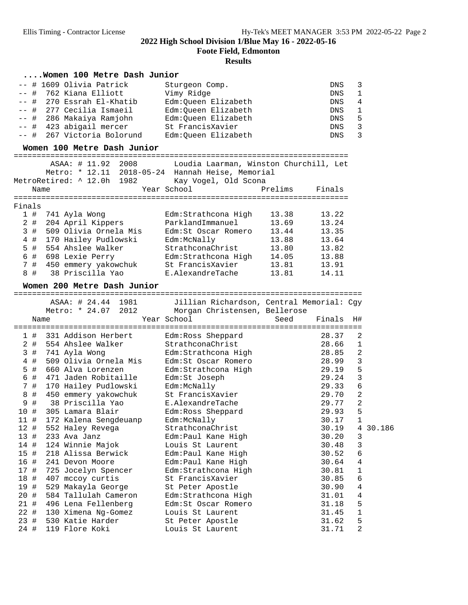**Foote Field, Edmonton**

|        |       | Women 100 Metre Dash Junior          |                                                  |         |            |             |        |
|--------|-------|--------------------------------------|--------------------------------------------------|---------|------------|-------------|--------|
|        |       | # 1609 Olivia Patrick                | Sturgeon Comp.                                   |         | DNS        | 3           |        |
|        | #     | 762 Kiana Elliott                    | Vimy Ridge                                       |         | DNS        | 1           |        |
|        | #     | 270 Essrah El-Khatib                 | Edm:Queen Elizabeth                              |         | DNS        | 4           |        |
|        | #     | 277 Cecilia Ismaeil                  | Edm:Queen Elizabeth                              |         | DNS        | 1           |        |
|        | #     | 286 Makaiya Ramjohn                  | Edm:Queen Elizabeth                              |         | DNS        | 5           |        |
|        | #     | 423 abigail mercer                   | St FrancisXavier                                 |         | DNS        | 3           |        |
| ——     | -- #  | 267 Victoria Bolorund                | Edm:Queen Elizabeth                              |         | <b>DNS</b> | 3           |        |
|        |       | Women 100 Metre Dash Junior          |                                                  |         |            |             |        |
|        |       | ==================================== | =============================                    |         |            |             |        |
|        |       | ASAA: # 11.92 2008                   | Loudia Laarman, Winston Churchill, Let           |         |            |             |        |
|        |       |                                      | Metro: * 12.11 2018-05-24 Hannah Heise, Memorial |         |            |             |        |
|        |       | MetroRetired: ^ 12.0h 1982           | Kay Vogel, Old Scona                             |         |            |             |        |
|        | Name  |                                      | Year School                                      | Prelims | Finals     |             |        |
|        |       |                                      |                                                  |         |            |             |        |
| Finals |       |                                      |                                                  |         |            |             |        |
|        | 1 #   | 741 Ayla Wong                        | Edm: Strathcona High                             | 13.38   | 13.22      |             |        |
|        | $2$ # | 204 April Kippers                    | ParklandImmanuel                                 | 13.69   | 13.24      |             |        |
|        | 3#    | 509 Olivia Ornela Mis                | Edm:St Oscar Romero                              | 13.44   | 13.35      |             |        |
| 4      | #     | 170 Hailey Pudlowski                 | Edm:McNally                                      | 13.88   | 13.64      |             |        |
|        | 5 #   | 554 Ahslee Walker                    | StrathconaChrist                                 | 13.80   | 13.82      |             |        |
|        | 6 #   | 698 Lexie Perry                      | Edm:Strathcona High                              | 14.05   | 13.88      |             |        |
|        | 7#    | 450 emmery yakowchuk                 | St FrancisXavier                                 | 13.81   | 13.91      |             |        |
|        | 8#    | 38 Priscilla Yao                     | E.AlexandreTache                                 | 13.81   | 14.11      |             |        |
|        |       | Women 200 Metre Dash Junior          |                                                  |         |            |             |        |
|        |       | ASAA: # 24.44 1981                   | Jillian Richardson, Central Memorial: Cgy        |         |            |             |        |
|        |       | Metro: * 24.07 2012                  |                                                  |         |            |             |        |
|        |       |                                      | Morgan Christensen, Bellerose<br>Year School     | Seed    | Finals     | H#          |        |
|        | Name  |                                      |                                                  |         |            |             |        |
|        | 1#    | 331 Addison Herbert                  | Edm: Ross Sheppard                               |         | 28.37      | 2           |        |
|        | $2$ # | 554 Ahslee Walker                    | StrathconaChrist                                 |         | 28.66      | $\mathbf 1$ |        |
| 3      | #     | 741 Ayla Wong                        | Edm:Strathcona High                              |         | 28.85      | 2           |        |
| 4      | #     | 509 Olivia Ornela Mis                | Edm:St Oscar Romero                              |         | 28.99      | 3           |        |
| 5      | #     | 660 Alva Lorenzen                    | Edm:Strathcona High                              |         | 29.19      | 5           |        |
| 6      | #     | 471 Jaden Robitaille                 | Edm:St Joseph                                    |         | 29.24      | 3           |        |
|        | 7 #   | 170 Hailey Pudlowski                 | Edm:McNally                                      |         | 29.33      | 6           |        |
| 8      | #     | 450 emmery yakowchuk                 | St FrancisXavier                                 |         | 29.70      | 2           |        |
|        | 9 #   | 38 Priscilla Yao                     | E.AlexandreTache                                 |         | 29.77      | 2           |        |
| 10 #   |       | 305 Lamara Blair                     | Edm: Ross Sheppard                               |         | 29.93      | 5           |        |
| 11#    |       | 172 Kalena Sengdeuanp                | Edm:McNally                                      |         | 30.17      | 1           |        |
| 12#    |       | 552 Haley Revega                     | StrathconaChrist                                 |         | 30.19      | 4           | 30.186 |
| 13#    |       | 233 Ava Janz                         | Edm: Paul Kane High                              |         | 30.20      | 3           |        |
|        |       |                                      |                                                  |         |            |             |        |
| 14 #   |       | 124 Winnie Majok                     | Louis St Laurent                                 |         | 30.48      | 3           |        |
| 15 #   |       | 218 Alissa Berwick                   | Edm:Paul Kane High                               |         | 30.52      | б           |        |
| 16 #   |       | 241 Devon Moore                      | Edm: Paul Kane High                              |         | 30.64      | 4           |        |
| 17 #   |       | 725 Jocelyn Spencer                  | Edm:Strathcona High                              |         | 30.81      | 1           |        |
| 18 #   |       | 407 mccoy curtis                     | St FrancisXavier                                 |         | 30.85      | 6           |        |
| 19 #   |       | 529 Makayla George                   | St Peter Apostle                                 |         | 30.90      | 4           |        |
| 20 #   |       | 584 Tallulah Cameron                 | Edm: Strathcona High                             |         | 31.01      | 4           |        |
| 21 #   |       | 496 Lena Fellenberg                  | Edm:St Oscar Romero                              |         | 31.18      | 5           |        |
| 22 #   |       | 130 Ximena Ng-Gomez                  | Louis St Laurent                                 |         | 31.45      | $\mathbf 1$ |        |
| 23#    |       | 530 Katie Harder                     | St Peter Apostle                                 |         | 31.62      | 5           |        |
| 24 #   |       | 119 Flore Koki                       | Louis St Laurent                                 |         | 31.71      | 2           |        |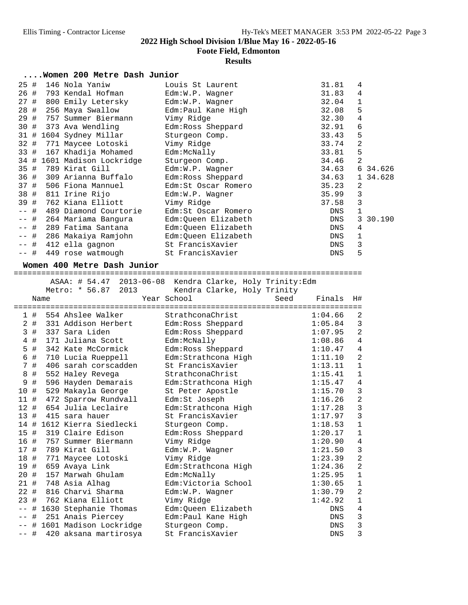**Foote Field, Edmonton**

|  |  |  |  |  | Women 200 Metre Dash Junior |
|--|--|--|--|--|-----------------------------|
|--|--|--|--|--|-----------------------------|

| 25 #      | 146 Nola Yaniw              | Louis St Laurent    | 31.81 | 4              |          |
|-----------|-----------------------------|---------------------|-------|----------------|----------|
| 26 #      | 793 Kendal Hofman           | Edm:W.P. Wagner     | 31.83 | 4              |          |
| #<br>27   | 800 Emily Letersky          | Edm:W.P. Wagner     | 32.04 | $\mathbf{1}$   |          |
| 28 #      | 256 Maya Swallow            | Edm:Paul Kane High  | 32.08 | 5              |          |
| 29 #      | 757 Summer Biermann         | Vimy Ridge          | 32.30 | 4              |          |
| 30 #      | 373 Ava Wendling            | Edm:Ross Sheppard   | 32.91 | 6              |          |
|           | 31 # 1604 Sydney Millar     | Sturgeon Comp.      | 33.43 | 5              |          |
| 32 #      | 771 Maycee Lotoski          | Vimy Ridge          | 33.74 | $\overline{2}$ |          |
| 33 #      | 167 Khadija Mohamed         | Edm:McNally         | 33.81 | 5              |          |
|           | 34 # 1601 Madison Lockridge | Sturgeon Comp.      | 34.46 | $\overline{2}$ |          |
| 35 #      | 789 Kirat Gill              | Edm:W.P. Wagner     | 34.63 |                | 6 34.626 |
| 36 #      | 309 Arianna Buffalo         | Edm:Ross Sheppard   | 34.63 |                | 1 34.628 |
| 37 #      | 506 Fiona Mannuel           | Edm:St Oscar Romero | 35.23 | 2              |          |
| 38 #      | 811 Irine Rijo              | $Edm:W.P.$ Waqner   | 35.99 | 3              |          |
| 39 #      | 762 Kiana Elliott           | Vimy Ridge          | 37.58 | 3              |          |
| #<br>$ -$ | 489 Diamond Courtorie       | Edm:St Oscar Romero | DNS   |                |          |
| -- #      | 264 Mariama Bangura         | Edm:Queen Elizabeth | DNS   |                | 3 30.190 |
| -- #      | 289 Fatima Santana          | Edm:Oueen Elizabeth | DNS   | 4              |          |
| —— #      | 286 Makaiya Ramjohn         | Edm:Oueen Elizabeth | DNS   | 1              |          |
| -- #      | 412 ella gagnon             | St FrancisXavier    | DNS   | 3              |          |
| $--$ #    | 449 rose watmough           | St FrancisXavier    | DNS   | 5              |          |

| $^{\rm{H}}$<br>til rose watuough    | DE LIGHETSVOATET                                         |      | כי גדר     |                |
|-------------------------------------|----------------------------------------------------------|------|------------|----------------|
| Women 400 Metre Dash Junior         |                                                          |      |            |                |
|                                     | ASAA: # 54.47 2013-06-08 Kendra Clarke, Holy Trinity:Edm |      |            |                |
| Metro: * 56.87 2013                 | Kendra Clarke, Holy Trinity                              |      |            |                |
| Name                                | Year School                                              | Seed | Finals     | H#             |
|                                     |                                                          |      |            |                |
| 554 Ahslee Walker<br>1#             | StrathconaChrist                                         |      | 1:04.66    | $\overline{2}$ |
| 2 # 331 Addison Herbert             | Edm:Ross Sheppard                                        |      | 1:05.84    | 3              |
| 3 # 337 Sara Liden                  | Edm: Ross Sheppard                                       |      | 1:07.95    | $\overline{a}$ |
| 4 # 171 Juliana Scott               | Edm:McNally                                              |      | 1:08.86    | $\overline{4}$ |
| 5 #<br>342 Kate McCormick           | Edm: Ross Sheppard                                       |      | 1:10.47    | $\overline{4}$ |
| 6 #<br>710 Lucia Rueppell           | Edm: Strathcona High                                     |      | 1:11.10    | $\overline{c}$ |
| 7#<br>406 sarah corscadden          | St FrancisXavier                                         |      | 1:13.11    | $\mathbf{1}$   |
| #<br>8<br>552 Haley Revega          | StrathconaChrist                                         |      | 1:15.41    | $\mathbf{1}$   |
| 9 #<br>596 Hayden Demarais          | Edm: Strathcona High                                     |      | 1:15.47    | $\overline{4}$ |
| 10 #<br>529 Makayla George          | St Peter Apostle                                         |      | 1:15.70    | 3              |
| 11 # 472 Sparrow Rundvall           | Edm:St Joseph                                            |      | 1:16.26    | $\overline{a}$ |
| 12 # 654 Julia Leclaire             | Edm: Strathcona High                                     |      | 1:17.28    | $\overline{3}$ |
| 13#<br>415 sara hauer               | St FrancisXavier                                         |      | 1:17.97    | 3              |
| 14 # 1612 Kierra Siedlecki          | Sturgeon Comp.                                           |      | 1:18.53    | $\overline{1}$ |
| 15 # 319 Claire Edison              | Edm: Ross Sheppard                                       |      | 1:20.17    | $\mathbf{1}$   |
| 16 # 757 Summer Biermann            | Vimy Ridge                                               |      | 1:20.90    | $\overline{4}$ |
| 17 # 789 Kirat Gill                 | Edm:W.P. Wagner                                          |      | 1:21.50    | 3              |
| 18 # 771 Maycee Lotoski             | Vimy Ridge                                               |      | 1:23.39    | $\overline{a}$ |
| 19 #<br>659 Avaya Link              | Edm: Strathcona High                                     |      | 1:24.36    | $\overline{a}$ |
| 20 #<br>157 Marwah Ghulam           | Edm:McNally                                              |      | 1:25.95    | $\mathbf{1}$   |
| 21 # 748 Asia Alhag                 | Edm:Victoria School                                      |      | 1:30.65    | $\mathbf{1}$   |
| 22 # 816 Charvi Sharma              | Edm:W.P. Wagner                                          |      | 1:30.79    | $\overline{c}$ |
| 23 # 762 Kiana Elliott              | Vimy Ridge                                               |      | 1:42.92    | $\mathbf{1}$   |
| -- # 1630 Stephanie Thomas          | Edm:Queen Elizabeth                                      |      | DNS        | $\overline{4}$ |
| #<br>251 Anais Piercey<br>$- -$     | Edm: Paul Kane High                                      |      | DNS        | 3              |
| # 1601 Madison Lockridge<br>$- -$   | Sturgeon Comp.                                           |      | DNS        | 3              |
| 420 aksana martirosya<br>#<br>$- -$ | St FrancisXavier                                         |      | <b>DNS</b> | 3              |
|                                     |                                                          |      |            |                |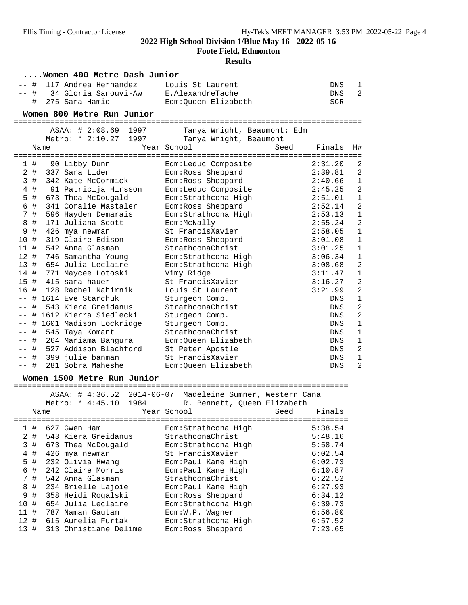**Foote Field, Edmonton**

|              | Women 400 Metre Dash Junior                   |                                           |            |                |  |  |  |  |
|--------------|-----------------------------------------------|-------------------------------------------|------------|----------------|--|--|--|--|
|              | #<br>117 Andrea Hernandez                     | Louis St Laurent                          | DNS        | 1              |  |  |  |  |
|              | #<br>34 Gloria Sanouvi-Aw<br>E.AlexandreTache |                                           |            |                |  |  |  |  |
|              | 275 Sara Hamid<br>Edm:Queen Elizabeth<br>-- # |                                           |            |                |  |  |  |  |
|              | Women 800 Metre Run Junior                    |                                           |            |                |  |  |  |  |
|              |                                               |                                           |            |                |  |  |  |  |
|              | ASAA: # 2:08.69<br>1997                       | Tanya Wright, Beaumont: Edm               |            |                |  |  |  |  |
|              | Metro: * 2:10.27<br>1997                      | Tanya Wright, Beaumont                    |            |                |  |  |  |  |
|              | Name                                          | Year School<br>Seed                       | Finals     | H#             |  |  |  |  |
| 1#           | 90 Libby Dunn                                 | Edm:Leduc Composite                       | 2:31.20    | 2              |  |  |  |  |
| $2$ #        | 337 Sara Liden                                | Edm: Ross Sheppard                        | 2:39.81    | $\overline{2}$ |  |  |  |  |
| 3#           | 342 Kate McCormick                            | Edm: Ross Sheppard                        | 2:40.66    | $\mathbf{1}$   |  |  |  |  |
| $4$ #        | 91 Patricija Hirsson                          | Edm:Leduc Composite                       | 2:45.25    | $\overline{2}$ |  |  |  |  |
| 5            | #<br>673 Thea McDougald                       | Edm: Strathcona High                      | 2:51.01    | $\mathbf{1}$   |  |  |  |  |
| 6            | 341 Coralie Mastaler<br>#                     | Edm: Ross Sheppard                        | 2:52.14    | $\overline{a}$ |  |  |  |  |
| 7#           | 596 Hayden Demarais                           | Edm: Strathcona High                      | 2:53.13    | $\mathbf{1}$   |  |  |  |  |
| 8            | 171 Juliana Scott<br>#                        | Edm:McNally                               | 2:55.24    | $\overline{a}$ |  |  |  |  |
| 9            | $\#$<br>426 mya newman                        | St FrancisXavier                          | 2:58.05    | $\mathbf{1}$   |  |  |  |  |
| 10#          | 319 Claire Edison                             | Edm: Ross Sheppard                        | 3:01.08    | $\mathbf 1$    |  |  |  |  |
| 11#          | 542 Anna Glasman                              | StrathconaChrist                          | 3:01.25    | $\mathbf{1}$   |  |  |  |  |
| 12#          | 746 Samantha Young                            | Edm: Strathcona High                      | 3:06.34    | $\mathbf{1}$   |  |  |  |  |
| 13#          | 654 Julia Leclaire                            |                                           | 3:08.68    | 2              |  |  |  |  |
|              | 14 # 771 Maycee Lotoski                       | Edm:Strathcona High<br>Vimy Ridge         | 3:11.47    | $\mathbf{1}$   |  |  |  |  |
|              | 15 # 415 sara hauer                           | St FrancisXavier                          | 3:16.27    | $\overline{a}$ |  |  |  |  |
|              | 16 # 128 Rachel Nahirnik                      | Louis St Laurent                          | 3:21.99    | $\overline{a}$ |  |  |  |  |
|              | -- # 1614 Eve Starchuk                        |                                           | <b>DNS</b> | $\mathbf{1}$   |  |  |  |  |
| $- -$        | 543 Kiera Greidanus<br>#                      | Sturgeon Comp.<br>StrathconaChrist        | DNS        | $\overline{a}$ |  |  |  |  |
|              | # 1612 Kierra Siedlecki                       |                                           | DNS        | $\overline{a}$ |  |  |  |  |
|              |                                               | Sturgeon Comp.                            |            | $\mathbf{1}$   |  |  |  |  |
|              | -- # 1601 Madison Lockridge                   | Sturgeon Comp.<br>StrathconaChrist        | DNS        | $\mathbf{1}$   |  |  |  |  |
| -- #<br>-- # | 545 Taya Komant<br>264 Mariama Bangura        | Edm:Queen Elizabeth                       | DNS<br>DNS | $\mathbf 1$    |  |  |  |  |
|              | 527 Addison Blachford                         |                                           |            | $\overline{2}$ |  |  |  |  |
| -- #         |                                               | St Peter Apostle<br>St FrancisXavier      | DNS        | $\mathbf 1$    |  |  |  |  |
| -- #         | 399 julie banman<br>281 Sobra Maheshe         |                                           | DNS        | 2              |  |  |  |  |
| -- #         |                                               | Edm:Queen Elizabeth                       | DNS        |                |  |  |  |  |
|              | Women 1500 Metre Run Junior                   |                                           |            |                |  |  |  |  |
|              | ASAA: # 4:36.52                               | 2014-06-07 Madeleine Sumner, Western Cana |            |                |  |  |  |  |
|              | Metro: * 4:45.10<br>1984                      | R. Bennett, Queen Elizabeth               |            |                |  |  |  |  |
|              | Name                                          | Year School<br>Seed                       | Finals     |                |  |  |  |  |
|              | -------------                                 | :===================================      |            |                |  |  |  |  |
| 1            | #<br>627 Gwen Ham                             | Edm: Strathcona High                      | 5:38.54    |                |  |  |  |  |
| 2 #          | 543 Kiera Greidanus                           | StrathconaChrist                          | 5:48.16    |                |  |  |  |  |
| 3            | #<br>673 Thea McDougald                       | Edm: Strathcona High                      | 5:58.74    |                |  |  |  |  |
| 4            | $\#$<br>426 mya newman                        | St FrancisXavier                          | 6:02.54    |                |  |  |  |  |
| 5            | #<br>232 Olivia Hwang                         | Edm:Paul Kane High                        | 6:02.73    |                |  |  |  |  |
| $\epsilon$   | $\#$<br>242 Claire Morris                     | Edm: Paul Kane High                       | 6:10.87    |                |  |  |  |  |
| 7            | #<br>542 Anna Glasman                         | StrathconaChrist                          | 6:22.52    |                |  |  |  |  |
| 8            | #<br>234 Brielle Lajoie                       | Edm: Paul Kane High                       | 6:27.93    |                |  |  |  |  |
| 9            | $\#$<br>358 Heidi Rogalski                    | Edm:Ross Sheppard                         | 6:34.12    |                |  |  |  |  |
| 10           | #<br>654 Julia Leclaire                       | Edm: Strathcona High                      | 6:39.73    |                |  |  |  |  |
| 11 #         | 787 Naman Gautam                              | Edm:W.P. Wagner                           | 6:56.80    |                |  |  |  |  |
| 12           | #<br>615 Aurelia Furtak                       | Edm: Strathcona High                      | 6:57.52    |                |  |  |  |  |
| 13 #         | 313 Christiane Delime                         | Edm: Ross Sheppard                        | 7:23.65    |                |  |  |  |  |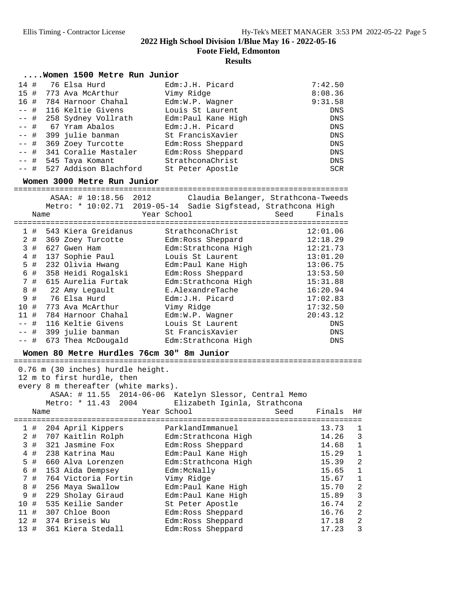**Foote Field, Edmonton**

#### **Results**

#### **....Women 1500 Metre Run Junior**

| 14#    | 76 Elsa Hurd               | Edm: J.H. Picard   | 7:42.50    |
|--------|----------------------------|--------------------|------------|
|        | 15 # 773 Ava McArthur      | Vimy Ridge         | 8:08.36    |
| 16 #   | 784 Harnoor Chahal         | Edm:W.P. Wagner    | 9:31.58    |
|        | -- # 116 Keltie Givens     | Louis St Laurent   | <b>DNS</b> |
|        | -- # 258 Sydney Vollrath   | Edm:Paul Kane High | DNS        |
|        | -- # 67 Yram Abalos        | Edm: J.H. Picard   | DNS        |
|        | -- # 399 julie banman      | St FrancisXavier   | <b>DNS</b> |
|        | -- # 369 Zoey Turcotte     | Edm: Ross Sheppard | <b>DNS</b> |
| $--$ # | 341 Coralie Mastaler       | Edm: Ross Sheppard | DNS        |
|        | -- # 545 Taya Komant       | StrathconaChrist   | <b>DNS</b> |
|        | -- # 527 Addison Blachford | St Peter Apostle   | <b>SCR</b> |

**Women 3000 Metre Run Junior** =========================================================================

|        | Name | ASAA: # 10:18.56    | 2012 | Year School | Claudia Belanger, Strathcona-Tweeds<br>Metro: * 10:02.71 2019-05-14 Sadie Sigfstead, Strathcona High | Seed | Finals     |
|--------|------|---------------------|------|-------------|------------------------------------------------------------------------------------------------------|------|------------|
|        | 1#   | 543 Kiera Greidanus |      |             | StrathconaChrist                                                                                     |      | 12:01.06   |
| 2      | #    | 369 Zoey Turcotte   |      |             | Edm: Ross Sheppard                                                                                   |      | 12:18.29   |
| 3      | #    | 627 Gwen Ham        |      |             | Edm: Strathcona High                                                                                 |      | 12:21.73   |
| 4      | #    | 137 Sophie Paul     |      |             | Louis St Laurent                                                                                     |      | 13:01.20   |
| 5      | #    | 232 Olivia Hwang    |      |             | Edm: Paul Kane High                                                                                  |      | 13:06.75   |
| 6      | #    | 358 Heidi Rogalski  |      |             | Edm: Ross Sheppard                                                                                   |      | 13:53.50   |
| 7      | #    | 615 Aurelia Furtak  |      |             | Edm: Strathcona High                                                                                 |      | 15:31.88   |
| 8      | #    | 22 Amy Legault      |      |             | E.AlexandreTache                                                                                     |      | 16:20.94   |
| 9      | #    | 76 Elsa Hurd        |      |             | Edm: J.H. Picard                                                                                     |      | 17:02.83   |
| 10     | #    | 773 Ava McArthur    |      |             | Vimy Ridge                                                                                           |      | 17:32.50   |
| 11     | #    | 784 Harnoor Chahal  |      |             | Edm:W.P. Wagner                                                                                      |      | 20:43.12   |
|        | #    | 116 Keltie Givens   |      |             | Louis St Laurent                                                                                     |      | <b>DNS</b> |
| $--$ # |      | 399 julie banman    |      |             | St FrancisXavier                                                                                     |      | <b>DNS</b> |
| $--$ # |      | 673 Thea McDougald  |      |             | Edm: Strathcona High                                                                                 |      | <b>DNS</b> |

**Women 80 Metre Hurdles 76cm 30" 8m Junior** ============================================================================ 0.76 m (30 inches) hurdle height. 12 m to first hurdle, then every 8 m thereafter (white marks).

ASAA: # 11.55 2014-06-06 Katelyn Slessor, Central Memo

|     |      |  | Metro: * 11.43 2004   |  |                    | Elizabeth Iginla, Strathcona | ASAA. # II.JJ ZUIT-UU-UU NALEIYII SIESSUI, LEIILIAI MEMU |        |                |
|-----|------|--|-----------------------|--|--------------------|------------------------------|----------------------------------------------------------|--------|----------------|
|     | Name |  |                       |  | Year School        |                              | Seed                                                     | Finals | H#             |
|     | 1#   |  | 204 April Kippers     |  | ParklandImmanuel   |                              |                                                          | 13.73  | 1              |
|     |      |  | 2 # 707 Kaitlin Rolph |  |                    | Edm: Strathcona High         |                                                          | 14.26  | 3              |
|     | 3#   |  | 321 Jasmine Fox       |  | Edm:Ross Sheppard  |                              |                                                          | 14.68  | $\mathbf 1$    |
|     | 4#   |  | 238 Katrina Mau       |  |                    | Edm:Paul Kane High           |                                                          | 15.29  | $\mathbf{1}$   |
|     | 5#   |  | 660 Alva Lorenzen     |  |                    | Edm: Strathcona High         |                                                          | 15.39  | $\overline{2}$ |
|     | 6 #  |  | 153 Aida Dempsey      |  | Edm:McNally        |                              |                                                          | 15.65  | 1              |
|     | 7#   |  | 764 Victoria Fortin   |  | Vimy Ridge         |                              |                                                          | 15.67  | $\mathbf 1$    |
|     | 8 #  |  | 256 Maya Swallow      |  |                    | Edm: Paul Kane High          |                                                          | 15.70  | $\overline{2}$ |
| 9#  |      |  | 229 Sholay Giraud     |  |                    | Edm: Paul Kane High          |                                                          | 15.89  | 3              |
| 10# |      |  | 535 Keilie Sander     |  | St Peter Apostle   |                              |                                                          | 16.74  | $\overline{2}$ |
| 11# |      |  | 307 Chloe Boon        |  | Edm: Ross Sheppard |                              |                                                          | 16.76  | $\overline{2}$ |
|     |      |  | 12 # 374 Briseis Wu   |  | Edm: Ross Sheppard |                              |                                                          | 17.18  | $\overline{2}$ |
| 13# |      |  | 361 Kiera Stedall     |  | Edm: Ross Sheppard |                              |                                                          | 17.23  | 3              |
|     |      |  |                       |  |                    |                              |                                                          |        |                |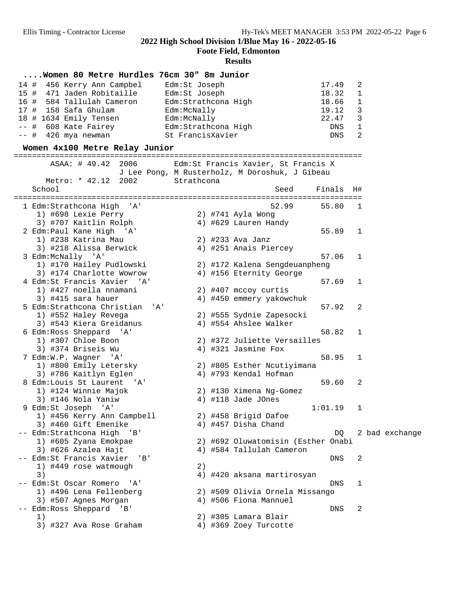**Foote Field, Edmonton**

#### **Results**

#### **....Women 80 Metre Hurdles 76cm 30" 8m Junior**

| 14 # 456 Kerry Ann Campbel | Edm:St Joseph       | 17.49 | $\overline{\phantom{0}}^2$ |
|----------------------------|---------------------|-------|----------------------------|
| 15 # 471 Jaden Robitaille  | Edm:St Joseph       | 18.32 | $\overline{1}$             |
| 16 # 584 Tallulah Cameron  | Edm:Strathcona High | 18.66 | $\overline{1}$             |
| 17 # 158 Safa Ghulam       | Edm:McNally         | 19.12 | $\overline{\phantom{a}}$   |
| 18 # 1634 Emily Tensen     | Edm:McNally         | 22.47 | $\overline{\phantom{a}}$   |
| $--$ # 608 Kate Fairey     | Edm:Strathcona High | DNS   | $\overline{1}$             |
| -- # 426 mya newman        | St FrancisXavier    | DNS   | $\overline{2}$             |

# **Women 4x100 Metre Relay Junior** ============================================================================ ASAA: # 49.42 2006 Edm:St Francis Xavier, St Francis X

|                                                         |            | J Lee Pong, M Rusterholz, M Doroshuk, J Gibeau |            |              |                |
|---------------------------------------------------------|------------|------------------------------------------------|------------|--------------|----------------|
| Metro: * 42.12<br>2002                                  | Strathcona |                                                |            |              |                |
| School                                                  |            | Seed                                           | Finals H#  |              |                |
| 1 Edm:Strathcona High<br>$^{\prime}$ A $^{\prime}$      |            | 52.99                                          | 55.80      | 1            |                |
| 1) #698 Lexie Perry                                     |            | 2) #741 Ayla Wong                              |            |              |                |
| 3) #707 Kaitlin Rolph                                   |            | 4) #629 Lauren Handy                           |            |              |                |
| 2 Edm: Paul Kane High 'A'                               |            |                                                | 55.89      | $\mathbf{1}$ |                |
| 1) #238 Katrina Mau                                     |            | 2) #233 Ava Janz                               |            |              |                |
| 3) #218 Alissa Berwick                                  |            | 4) #251 Anais Piercey                          |            |              |                |
| 3 Edm:McNally 'A'                                       |            |                                                | 57.06      | 1            |                |
| 1) #170 Hailey Pudlowski                                |            | 2) #172 Kalena Sengdeuanpheng                  |            |              |                |
| 3) #174 Charlotte Wowrow                                |            | 4) #156 Eternity George                        |            |              |                |
| 4 Edm: St Francis Xavier 'A'                            |            |                                                | 57.69      | 1            |                |
| 1) #427 noella nnamani                                  |            | 2) #407 mccoy curtis                           |            |              |                |
| 3) #415 sara hauer                                      |            | 4) #450 emmery yakowchuk                       |            |              |                |
| 5 Edm:Strathcona Christian<br>$^{\prime}$ A $^{\prime}$ |            |                                                | 57.92      | 2            |                |
| 1) #552 Haley Revega                                    |            | 2) #555 Sydnie Zapesocki                       |            |              |                |
| 3) #543 Kiera Greidanus                                 |            | 4) #554 Ahslee Walker                          |            |              |                |
| 6 Edm: Ross Sheppard 'A'                                |            |                                                | 58.82      | 1            |                |
| 1) #307 Chloe Boon                                      |            | 2) #372 Juliette Versailles                    |            |              |                |
| 3) #374 Briseis Wu                                      |            | 4) #321 Jasmine Fox                            |            |              |                |
| 7 Edm: W.P. Wagner 'A'                                  |            |                                                | 58.95      | $\mathbf 1$  |                |
| 1) #800 Emily Letersky                                  |            | 2) #805 Esther Ncutiyimana                     |            |              |                |
| 3) #786 Kaitlyn Eglen                                   |            | 4) #793 Kendal Hofman                          |            |              |                |
| 8 Edm:Louis St Laurent 'A'                              |            |                                                | 59.60      | 2            |                |
| 1) #124 Winnie Majok                                    |            | 2) #130 Ximena Ng-Gomez                        |            |              |                |
| 3) #146 Nola Yaniw                                      |            | 4) #118 Jade JOnes                             |            |              |                |
| 9 Edm: St Joseph 'A'                                    |            |                                                | 1:01.19    | 1            |                |
| 1) #456 Kerry Ann Campbell                              |            | 2) #458 Brigid Dafoe                           |            |              |                |
| 3) #460 Gift Emenike                                    |            | 4) #457 Disha Chand                            |            |              |                |
| -- Edm:Strathcona High 'B'                              |            |                                                | DO.        |              | 2 bad exchange |
| 1) #605 Zyana Emokpae                                   |            | 2) #692 Oluwatomisin (Esther Onabi             |            |              |                |
| 3) #626 Azalea Hajt                                     |            | 4) #584 Tallulah Cameron                       |            |              |                |
| -- Edm: St Francis Xavier<br>$\mathbf{B}$               |            |                                                | DNS        | 2            |                |
| 1) #449 rose watmough                                   | 2)         |                                                |            |              |                |
| 3)                                                      |            | 4) #420 aksana martirosyan                     |            |              |                |
| -- Edm: St Oscar Romero<br>' A'                         |            |                                                | <b>DNS</b> | 1            |                |
| 1) #496 Lena Fellenberg                                 |            | 2) #509 Olivia Ornela Missango                 |            |              |                |
| 3) #507 Agnes Morgan                                    |            | 4) #506 Fiona Mannuel                          |            |              |                |
| -- Edm:Ross Sheppard<br>$\mathsf{B}$                    |            |                                                | <b>DNS</b> | 2            |                |
| 1)                                                      |            | 2) #305 Lamara Blair                           |            |              |                |
| 3) #327 Ava Rose Graham                                 |            | 4) #369 Zoey Turcotte                          |            |              |                |
|                                                         |            |                                                |            |              |                |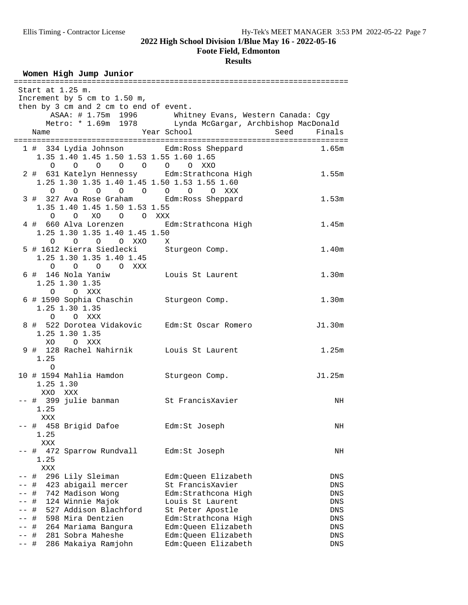#### **Foote Field, Edmonton**

#### **Results**

#### Women High Jump Junior

| =================                                                  |                                                          |                       |
|--------------------------------------------------------------------|----------------------------------------------------------|-----------------------|
| Start at 1.25 m.                                                   |                                                          |                       |
| Increment by 5 cm to 1.50 m,                                       |                                                          |                       |
| then by 3 cm and 2 cm to end of event.                             |                                                          |                       |
|                                                                    | ASAA: # 1.75m 1996 Whitney Evans, Western Canada: Cgy    |                       |
|                                                                    | Metro: * 1.69m 1978 Lynda McGargar, Archbishop MacDonald |                       |
| Name                                                               | Year School                                              | <b>Seed</b><br>Finals |
|                                                                    |                                                          |                       |
| 1 # 334 Lydia Johnson Edm:Ross Sheppard                            |                                                          | 1.65m                 |
| 1.35 1.40 1.45 1.50 1.53 1.55 1.60 1.65                            |                                                          |                       |
|                                                                    |                                                          |                       |
| 0 0 0 0 0 0 0 XXO                                                  |                                                          |                       |
| 2 # 631 Katelyn Hennessy Edm: Strathcona High                      |                                                          | 1.55m                 |
| 1.25 1.30 1.35 1.40 1.45 1.50 1.53 1.55 1.60                       |                                                          |                       |
| 0 0 0 0 0 0 0 0 0 XXX<br>3 # 327 Ava Rose Graham Edm:Ross Sheppard |                                                          |                       |
|                                                                    |                                                          | 1.53m                 |
| 1.35 1.40 1.45 1.50 1.53 1.55                                      |                                                          |                       |
| O O XO O O XXX                                                     |                                                          |                       |
| 4 # 660 Alva Lorenzen <a> Edm:Strathcona High</a>                  |                                                          | 1.45m                 |
| 1.25 1.30 1.35 1.40 1.45 1.50                                      |                                                          |                       |
|                                                                    |                                                          |                       |
| 0 0 0 0 0 XXO X<br>5 # 1612 Kierra Siedlecki Sturgeon Comp.        |                                                          | 1.40m                 |
| 1.25 1.30 1.35 1.40 1.45                                           |                                                          |                       |
| 0 0 0 0 XXX                                                        |                                                          |                       |
| 6 # 146 Nola Yaniw Louis St Laurent                                |                                                          | 1.30 <sub>m</sub>     |
| 1.25 1.30 1.35                                                     |                                                          |                       |
| O O XXX                                                            |                                                          |                       |
| 6 # 1590 Sophia Chaschin Sturgeon Comp.                            |                                                          | 1.30 <sub>m</sub>     |
| 1.25 1.30 1.35                                                     |                                                          |                       |
| O O XXX                                                            |                                                          |                       |
| 8 # 522 Dorotea Vidakovic Edm: St Oscar Romero                     |                                                          | J1.30m                |
| 1.25 1.30 1.35                                                     |                                                          |                       |
| XO OXXX                                                            |                                                          |                       |
| 9 # 128 Rachel Nahirnik Louis St Laurent                           |                                                          | 1.25m                 |
| 1.25                                                               |                                                          |                       |
|                                                                    |                                                          |                       |
| $\circ$                                                            |                                                          |                       |
| 10 # 1594 Mahlia Hamdon Sturgeon Comp.                             |                                                          | J1.25m                |
| 1.25 1.30                                                          |                                                          |                       |
| XXO XXX                                                            |                                                          |                       |
| -- # 399 julie banman<br>St FrancisXavier                          |                                                          | NH                    |
| 1.25                                                               |                                                          |                       |
| XXX                                                                |                                                          |                       |
| -- # 458 Brigid Dafoe                                              | Edm:St Joseph                                            | ΝH                    |
| 1.25                                                               |                                                          |                       |
| XXX                                                                |                                                          |                       |
| 472 Sparrow Rundvall<br>-- #                                       | Edm:St Joseph                                            | NH                    |
| 1.25                                                               |                                                          |                       |
| XXX                                                                |                                                          |                       |
| 296 Lily Sleiman<br>-- #                                           | Edm:Oueen Elizabeth                                      | DNS                   |
| 423 abigail mercer<br>#<br>$--$                                    | St FrancisXavier                                         | DNS                   |
| 742 Madison Wong<br>#<br>$--$                                      | Edm:Strathcona High                                      | DNS                   |
| 124 Winnie Majok<br>#                                              | Louis St Laurent                                         | DNS                   |
| 527 Addison Blachford<br>$\#$                                      | St Peter Apostle                                         | DNS                   |
| 598 Mira Dentzien<br>#                                             | Edm: Strathcona High                                     | DNS                   |
| 264 Mariama Bangura<br>-- #                                        | Edm:Queen Elizabeth                                      | DNS                   |
| 281 Sobra Maheshe<br>-- #                                          | Edm:Queen Elizabeth                                      | DNS                   |
| -- #<br>286 Makaiya Ramjohn                                        | Edm:Queen Elizabeth                                      | DNS                   |
|                                                                    |                                                          |                       |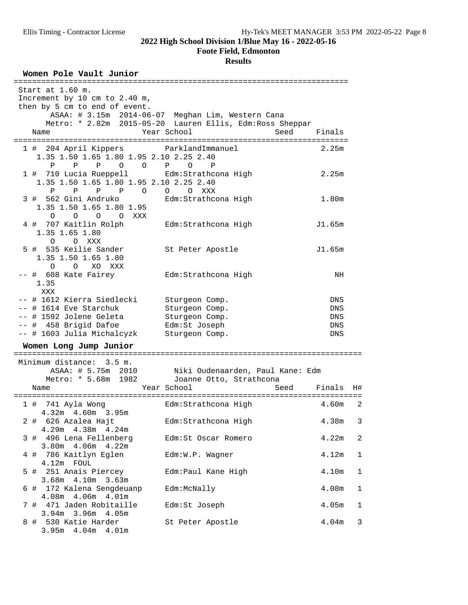3.95m 4.04m 4.01m

**2022 High School Division 1/Blue May 16 - 2022-05-16**

#### **Foote Field, Edmonton**

#### **Results**

**Women Pole Vault Junior** ========================================================================= Start at 1.60 m. Increment by 10 cm to 2.40 m, then by 5 cm to end of event. ASAA: # 3.15m 2014-06-07 Meghan Lim, Western Cana Metro: \* 2.82m 2015-05-20 Lauren Ellis, Edm:Ross Sheppar Name The Year School Seed Finals ========================================================================= 1 # 204 April Kippers ParklandImmanuel 2.25m 1.35 1.50 1.65 1.80 1.95 2.10 2.25 2.40 P P P O O P O P 1 # 710 Lucia Rueppell Edm:Strathcona High 2.25m 1.35 1.50 1.65 1.80 1.95 2.10 2.25 2.40 P P P P O O O XXX 3 # 562 Gini Andruko Edm:Strathcona High 1.80m 1.35 1.50 1.65 1.80 1.95 O O O O XXX 4 # 707 Kaitlin Rolph Edm:Strathcona High J1.65m 1.35 1.65 1.80 O O XXX 5 # 535 Keilie Sander St Peter Apostle J1.65m 1.35 1.50 1.65 1.80 O O XO XXX -- # 608 Kate Fairey Edm:Strathcona High NH 1.35 XXX -- # 1612 Kierra Siedlecki Sturgeon Comp. DNS -- # 1614 Eve Starchuk Sturgeon Comp. DNS -- # 1592 Jolene Geleta Sturgeon Comp. DNS -- # 458 Brigid Dafoe Edm:St Joseph DNS -- # 1603 Julia Michalcyzk Sturgeon Comp. DNS **Women Long Jump Junior** ============================================================================ Minimum distance: 3.5 m. ASAA: # 5.75m 2010 Niki Oudenaarden, Paul Kane: Edm Metro: \* 5.68m 1982 Joanne Otto, Strathcona Name The Year School Seed Finals H# ============================================================================ 1 # 741 Ayla Wong Edm:Strathcona High 4.60m 2 4.32m 4.60m 3.95m 2 # 626 Azalea Hajt Edm:Strathcona High 4.38m 3 4.29m 4.38m 4.24m 3 # 496 Lena Fellenberg Edm:St Oscar Romero 4.22m 2 3.80m 4.06m 4.22m 4 # 786 Kaitlyn Eglen Edm:W.P. Wagner 4.12m 1 4.12m FOUL 5 # 251 Anais Piercey Edm:Paul Kane High 4.10m 1 3.68m 4.10m 3.63m 6 # 172 Kalena Sengdeuanp Edm:McNally 4.08m 1 4.08m 4.06m 4.01m 7 # 471 Jaden Robitaille Edm:St Joseph 4.05m 1 3.94m 3.96m 4.05m 8 # 530 Katie Harder St Peter Apostle 4.04m 3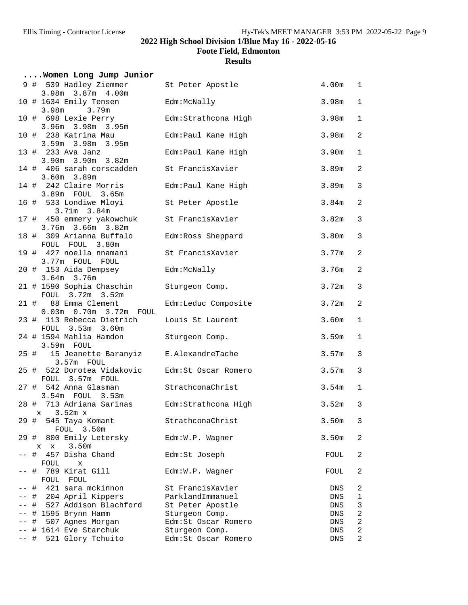**Foote Field, Edmonton**

|       | Women Long Jump Junior                            |                      |                   |                |
|-------|---------------------------------------------------|----------------------|-------------------|----------------|
|       | 9 # 539 Hadley Ziemmer<br>3.98m 3.87m 4.00m       | St Peter Apostle     | 4.00m             | 1              |
|       | 10 # 1634 Emily Tensen<br>3.98m<br>3.79m          | Edm:McNally          | 3.98m             | $\mathbf 1$    |
|       | 10 # 698 Lexie Perry<br>3.96m 3.98m 3.95m         | Edm: Strathcona High | 3.98m             | $\mathbf{1}$   |
|       | 10 # 238 Katrina Mau<br>3.59m 3.98m 3.95m         | Edm: Paul Kane High  | 3.98m             | $\overline{2}$ |
|       | 13 # 233 Ava Janz<br>3.90m 3.90m 3.82m            | Edm:Paul Kane High   | 3.90 <sub>m</sub> | $\mathbf{1}$   |
|       | 14 # 406 sarah corscadden<br>$3.60m$ $3.89m$      | St FrancisXavier     | 3.89 <sub>m</sub> | 2              |
|       | 14 # 242 Claire Morris<br>3.89m FOUL 3.65m        | Edm:Paul Kane High   | 3.89m             | $\mathfrak{Z}$ |
|       | 16 # 533 Londiwe Mloyi<br>$3.71m$ $3.84m$         | St Peter Apostle     | 3.84 <sub>m</sub> | 2              |
|       | 17 # 450 emmery yakowchuk<br>3.76m 3.66m 3.82m    | St FrancisXavier     | 3.82 <sub>m</sub> | 3              |
|       | 18 # 309 Arianna Buffalo<br>FOUL FOUL 3.80m       | Edm: Ross Sheppard   | 3.80m             | $\mathfrak{Z}$ |
|       | 19 # 427 noella nnamani<br>3.77m FOUL FOUL        | St FrancisXavier     | 3.77m             | 2              |
|       | 20 # 153 Aida Dempsey<br>3.64m 3.76m              | Edm:McNally          | 3.76m             | $\overline{2}$ |
|       | 21 # 1590 Sophia Chaschin<br>FOUL 3.72m 3.52m     | Sturgeon Comp.       | 3.72m             | $\mathbf{3}$   |
|       | 21 # 88 Emma Clement<br>0.03m  0.70m  3.72m  FOUL | Edm:Leduc Composite  | 3.72m             | 2              |
|       | 23 # 113 Rebecca Dietrich<br>FOUL 3.53m 3.60m     | Louis St Laurent     | 3.60m             | $\mathbf 1$    |
|       | 24 # 1594 Mahlia Hamdon<br>3.59m FOUL             | Sturgeon Comp.       | 3.59 <sub>m</sub> | $\mathbf{1}$   |
|       | 25 # 15 Jeanette Baranyiz<br>3.57m FOUL           | E.AlexandreTache     | 3.57m             | 3              |
|       | 25 # 522 Dorotea Vidakovic<br>FOUL 3.57m FOUL     | Edm:St Oscar Romero  | 3.57m             | $\mathbf{3}$   |
|       | 27 # 542 Anna Glasman<br>3.54m FOUL 3.53m         | StrathconaChrist     | 3.54m             | $\mathbf{1}$   |
|       | 28 # 713 Adriana Sarinas<br>$x = 3.52m x$         | Edm:Strathcona High  | 3.52m             | 3              |
|       | 29 #<br>545 Taya Komant<br>FOUL 3.50m             | StrathconaChrist     | 3.50m             | 3              |
|       | 29 #<br>800 Emily Letersky<br>3.50m<br>$X$ $X$    | Edm:W.P. Wagner      | 3.50m             | 2              |
|       | #<br>457 Disha Chand<br>FOUL<br>$\mathbf x$       | Edm:St Joseph        | FOUL              | 2              |
| $- -$ | 789 Kirat Gill<br>#<br>FOUL<br>FOUL               | Edm:W.P. Wagner      | FOUL              | 2              |
|       | 421 sara mckinnon<br>#                            | St FrancisXavier     | DNS               | 2              |
|       | # 204 April Kippers                               | ParklandImmanuel     | DNS               | 1              |
|       | # 527 Addison Blachford                           | St Peter Apostle     | DNS               | $\mathsf 3$    |
|       | # 1595 Brynn Hamm                                 | Sturgeon Comp.       | DNS               | $\sqrt{2}$     |
| $- -$ | 507 Agnes Morgan<br>#                             | Edm:St Oscar Romero  | DNS               | $\sqrt{2}$     |
|       | -- # 1614 Eve Starchuk                            | Sturgeon Comp.       | DNS               | $\overline{c}$ |
|       | 521 Glory Tchuito<br>-- #                         | Edm:St Oscar Romero  | DNS               | 2              |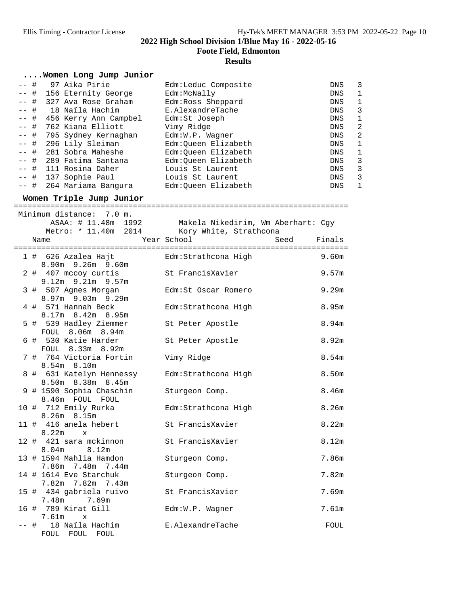**Foote Field, Edmonton**

#### **Results**

#### **....Women Long Jump Junior**

| $--$ # | 97 Aika Pirie              | Edm:Leduc Composite | <b>DNS</b> | 3 |
|--------|----------------------------|---------------------|------------|---|
| $--$ # | 156 Eternity George        | Edm:McNally         | <b>DNS</b> | 1 |
| $--$ # | 327 Ava Rose Graham        | Edm: Ross Sheppard  | DNS        | 1 |
|        | -- # 18 Naila Hachim       | E.AlexandreTache    | DNS        | 3 |
|        | -- # 456 Kerry Ann Campbel | Edm:St Joseph       | DNS        | 1 |
|        | -- # 762 Kiana Elliott     | Vimy Ridge          | DNS        | 2 |
|        | -- # 795 Sydney Kernaghan  | Edm:W.P. Wagner     | DNS        | 2 |
|        | -- # 296 Lily Sleiman      | Edm:Queen Elizabeth | DNS        | 1 |
|        | -- # 281 Sobra Maheshe     | Edm:Oueen Elizabeth | DNS        | 1 |
|        | -- # 289 Fatima Santana    | Edm:Oueen Elizabeth | DNS        | 3 |
|        | -- # 111 Rosina Daher      | Louis St Laurent    | DNS        | 3 |
|        | -- # 137 Sophie Paul       | Louis St Laurent    | DNS        | 3 |
|        | -- # 264 Mariama Bangura   | Edm:Queen Elizabeth | <b>DNS</b> | 1 |
|        |                            |                     |            |   |

**Women Triple Jump Junior** =========================================================================

|  | Minimum distance: 7.0 m.                          | ASAA: # 11.48m 1992 Makela Nikedirim, Wm Aberhart: Cgy |                   |
|--|---------------------------------------------------|--------------------------------------------------------|-------------------|
|  |                                                   | Metro: * 11.40m 2014 Kory White, Strathcona            |                   |
|  | Name                                              | Year School<br>Seed                                    | Finals            |
|  |                                                   |                                                        |                   |
|  | 1 # 626 Azalea Hajt<br>$8.90m$ 9.26m 9.60m        | Edm:Strathcona High                                    | 9.60m             |
|  | 2 # 407 mccoy curtis<br>$9.12m$ $9.21m$ $9.57m$   | St FrancisXavier                                       | 9.57m             |
|  | 3 # 507 Agnes Morgan                              | Edm:St Oscar Romero                                    | 9.29m             |
|  | 8.97m 9.03m 9.29m<br>4 # 571 Hannah Beck          | Edm: Strathcona High                                   | 8.95m             |
|  | $8.17m$ $8.42m$ $8.95m$<br>5 # 539 Hadley Ziemmer | St Peter Apostle                                       | 8.94m             |
|  | FOUL 8.06m 8.94m<br>6 # 530 Katie Harder          | St Peter Apostle                                       | 8.92m             |
|  | FOUL 8.33m 8.92m<br>7 # 764 Victoria Fortin       | Vimy Ridge                                             | 8.54 <sub>m</sub> |
|  | $8.54m$ $8.10m$<br>8 # 631 Katelyn Hennessy       | Edm: Strathcona High                                   | 8.50m             |
|  | 8.50m 8.38m 8.45m<br>9 # 1590 Sophia Chaschin     | Sturgeon Comp.                                         | 8.46m             |
|  | 8.46m FOUL FOUL<br>10 # 712 Emily Rurka           | Edm:Strathcona High                                    | 8.26m             |
|  | $8.26m$ $8.15m$<br>11 # 416 anela hebert          | St FrancisXavier                                       | 8.22m             |
|  | $8.22m \times$<br>12 # 421 sara mckinnon          | St FrancisXavier                                       | 8.12m             |
|  | 8.04m 8.12m                                       |                                                        |                   |
|  | 13 # 1594 Mahlia Hamdon<br>7.86m 7.48m 7.44m      | Sturgeon Comp.                                         | 7.86m             |
|  | 14 # 1614 Eve Starchuk<br>7.82m 7.82m 7.43m       | Sturgeon Comp.                                         | 7.82m             |
|  | 15 # 434 gabriela ruivo<br>7.48m 7.69m            | St FrancisXavier                                       | 7.69m             |
|  | 16 # 789 Kirat Gill<br>$7.61m \times$             | Edm:W.P. Wagner                                        | 7.61m             |
|  | -- # 18 Naila Hachim<br>FOUL FOUL<br>FOUL         | E.AlexandreTache                                       | FOUL              |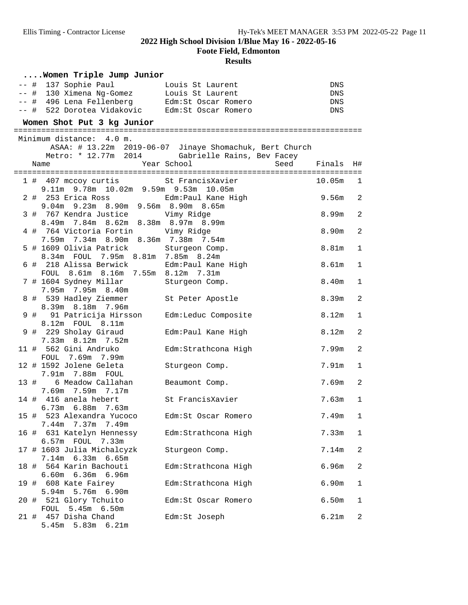**Foote Field, Edmonton**

|  | Women Triple Jump Junior                                                                                                                                                                               |                                                         |                          |                |
|--|--------------------------------------------------------------------------------------------------------------------------------------------------------------------------------------------------------|---------------------------------------------------------|--------------------------|----------------|
|  | -- # 137 Sophie Paul             Louis St Laurent<br>-- # 130 Ximena Ng-Gomez       Louis St Laurent<br>-- # 496 Lena Fellenberg Edm:St Oscar Romero<br>-- # 522 Dorotea Vidakovic Edm:St Oscar Romero |                                                         | DNS<br>DNS<br>DNS<br>DNS |                |
|  | Women Shot Put 3 kg Junior                                                                                                                                                                             |                                                         |                          |                |
|  |                                                                                                                                                                                                        |                                                         |                          |                |
|  | Minimum distance: 4.0 m.                                                                                                                                                                               |                                                         |                          |                |
|  |                                                                                                                                                                                                        | ASAA: # 13.22m 2019-06-07 Jinaye Shomachuk, Bert Church |                          |                |
|  | Metro: * 12.77m 2014                                                                                                                                                                                   | Gabrielle Rains, Bev Facey                              |                          |                |
|  | Name                                                                                                                                                                                                   | Year School<br>Seed                                     | Finals                   | H#             |
|  | 1 # 407 mccoy curtis 5t FrancisXavier                                                                                                                                                                  |                                                         |                          |                |
|  | 9.11m 9.78m 10.02m 9.59m 9.53m 10.05m                                                                                                                                                                  |                                                         | 10.05m                   | $\overline{1}$ |
|  | 2 # 253 Erica Ross <a> Edm:Paul Kane High</a>                                                                                                                                                          |                                                         | 9.56m                    | $\overline{2}$ |
|  | 9.04m 9.23m 8.90m 9.56m 8.90m 8.65m                                                                                                                                                                    |                                                         |                          |                |
|  | 3 # 767 Kendra Justice Wimy Ridge                                                                                                                                                                      |                                                         | 8.99m                    | $\overline{a}$ |
|  | 8.49m 7.84m 8.62m 8.38m 8.97m 8.99m                                                                                                                                                                    |                                                         |                          |                |
|  | 4 # 764 Victoria Fortin                                                                                                                                                                                | Vimy Ridge                                              | 8.90m                    | $\overline{c}$ |
|  | 7.59m 7.34m 8.90m 8.36m 7.38m 7.54m                                                                                                                                                                    |                                                         |                          |                |
|  | 5 # 1609 Olivia Patrick Sturgeon Comp.                                                                                                                                                                 |                                                         | 8.81m                    | $\mathbf 1$    |
|  | 8.34m FOUL 7.95m 8.81m 7.85m 8.24m                                                                                                                                                                     |                                                         |                          |                |
|  | 6 # 218 Alissa Berwick                                                                                                                                                                                 | Edm:Paul Kane High                                      | 8.61 <sub>m</sub>        | $\mathbf 1$    |
|  | FOUL 8.61m 8.16m 7.55m 8.12m 7.31m                                                                                                                                                                     |                                                         |                          |                |
|  | 7 # 1604 Sydney Millar                                                                                                                                                                                 | Sturgeon Comp.                                          | 8.40m                    | $\mathbf{1}$   |
|  | 7.95m 7.95m 8.40m                                                                                                                                                                                      |                                                         |                          |                |
|  | 8 # 539 Hadley Ziemmer                                                                                                                                                                                 | St Peter Apostle                                        | 8.39m                    | $\overline{a}$ |
|  | 8.39m 8.18m 7.96m                                                                                                                                                                                      |                                                         |                          |                |
|  | 9 # 91 Patricija Hirsson                                                                                                                                                                               | Edm:Leduc Composite                                     | 8.12m                    | $\mathbf 1$    |
|  | 8.12m FOUL 8.11m                                                                                                                                                                                       |                                                         |                          |                |
|  | 9 # 229 Sholay Giraud                                                                                                                                                                                  | Edm: Paul Kane High                                     | 8.12m                    | $\overline{2}$ |
|  | 7.33m 8.12m 7.52m                                                                                                                                                                                      |                                                         |                          |                |
|  | 11 # 562 Gini Andruko                                                                                                                                                                                  | Edm: Strathcona High                                    | 7.99m                    | $\overline{a}$ |
|  | FOUL 7.69m 7.99m                                                                                                                                                                                       |                                                         |                          |                |
|  | 12 # 1592 Jolene Geleta                                                                                                                                                                                | Sturgeon Comp.                                          | 7.91m                    | 1              |
|  | 7.91m 7.88m FOUL                                                                                                                                                                                       |                                                         |                          |                |
|  | 6 Meadow Callahan<br>13 #                                                                                                                                                                              | Beaumont Comp.                                          | 7.69m                    | $\overline{a}$ |
|  | 7.69m 7.59m 7.17m                                                                                                                                                                                      |                                                         |                          |                |
|  | 14 # 416 anela hebert                                                                                                                                                                                  | St FrancisXavier                                        | 7.63m                    | $\mathbf{1}$   |
|  | $6.73m$ $6.88m$ $7.63m$                                                                                                                                                                                |                                                         |                          |                |
|  | 15 # 523 Alexandra Yucoco                                                                                                                                                                              | Edm:St Oscar Romero                                     | 7.49m                    | 1              |
|  | 7.44m 7.37m 7.49m                                                                                                                                                                                      |                                                         |                          |                |
|  | 16 # 631 Katelyn Hennessy                                                                                                                                                                              | Edm: Strathcona High                                    | 7.33m                    | 1              |
|  | 6.57m FOUL 7.33m                                                                                                                                                                                       |                                                         |                          |                |
|  | 17 # 1603 Julia Michalcyzk                                                                                                                                                                             | Sturgeon Comp.                                          | 7.14m                    | $\overline{c}$ |
|  | 7.14m 6.33m 6.65m                                                                                                                                                                                      |                                                         |                          |                |
|  | 18 # 564 Karin Bachouti                                                                                                                                                                                | Edm: Strathcona High                                    | 6.96m                    | $\overline{c}$ |
|  | $6.60m$ $6.36m$<br>6.96m                                                                                                                                                                               |                                                         |                          |                |
|  | 19 # 608 Kate Fairey<br>5.94m 5.76m 6.90m                                                                                                                                                              | Edm: Strathcona High                                    | 6.90m                    | $\mathbf{1}$   |
|  | 20 # 521 Glory Tchuito                                                                                                                                                                                 |                                                         |                          |                |
|  | FOUL<br>5.45m 6.50m                                                                                                                                                                                    | Edm:St Oscar Romero                                     | 6.50m                    | 1              |
|  | 21 # 457 Disha Chand                                                                                                                                                                                   | Edm:St Joseph                                           | 6.21m                    | $\overline{c}$ |
|  | $5.45m$ $5.83m$ $6.21m$                                                                                                                                                                                |                                                         |                          |                |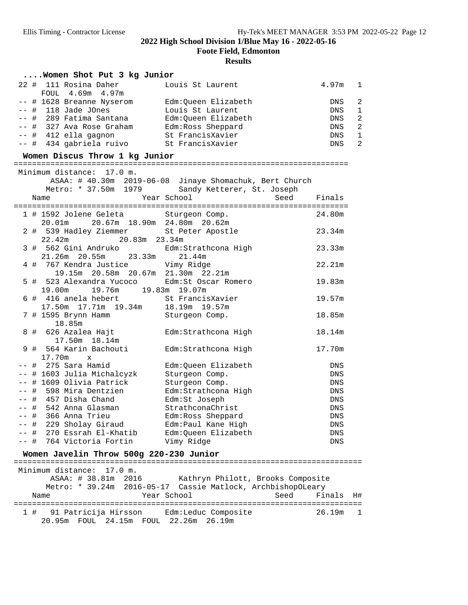**Foote Field, Edmonton**

#### **Results**

#### **....Women Shot Put 3 kg Junior**

| 22 # 111 Rosina Daher       | Louis St Laurent    | 4.97m 1 |                          |
|-----------------------------|---------------------|---------|--------------------------|
| FOUL 4.69m 4.97m            |                     |         |                          |
| $--$ # 1628 Breanne Nyserom | Edm:Oueen Elizabeth | DNS.    | - 2                      |
| $--$ # 118 Jade JOnes       | Louis St Laurent    | DNS.    | $\overline{\phantom{0}}$ |
| -- # 289 Fatima Santana     | Edm:Oueen Elizabeth | DNS     | $\overline{2}$           |
| $--$ # 327 Ava Rose Graham  | Edm: Ross Sheppard  | DNS     | $\overline{2}$           |
| -- # 412 ella gagnon        | St FrancisXavier    | DNS     | - 1                      |
| -- # 434 gabriela ruivo     | St FrancisXavier    | DNS     | $\overline{2}$           |

# **Women Discus Throw 1 kg Junior** =========================================================================

|       | Minimum distance: 17.0 m.                                                   |                                                 |            |  |  |  |  |
|-------|-----------------------------------------------------------------------------|-------------------------------------------------|------------|--|--|--|--|
|       | ASAA: # 40.30m 2019-06-08 Jinaye Shomachuk, Bert Church                     |                                                 |            |  |  |  |  |
|       |                                                                             | Metro: * 37.50m 1979 Sandy Ketterer, St. Joseph |            |  |  |  |  |
|       | Name                                                                        | Year School<br>Seed Finals                      |            |  |  |  |  |
|       |                                                                             | . = = = = = = = = = = = = = = = = =             |            |  |  |  |  |
|       | 1 # 1592 Jolene Geleta Sturgeon Comp.                                       |                                                 | 24.80m     |  |  |  |  |
|       | 20.01m  20.67m  18.90m  24.80m  20.62m                                      |                                                 |            |  |  |  |  |
|       | 2 # 539 Hadley Ziemmer St Peter Apostle                                     |                                                 | 23.34m     |  |  |  |  |
|       | 22.42m 20.83m 23.34m                                                        |                                                 |            |  |  |  |  |
|       | 3 # 562 Gini Andruko $\text{Edm:Strathcona High}$                           |                                                 | 23.33m     |  |  |  |  |
|       | 21.26m 20.55m 23.33m 21.44m                                                 |                                                 |            |  |  |  |  |
|       | 4 # 767 Kendra Justice Vimy Ridge                                           |                                                 | 22.21m     |  |  |  |  |
|       | 19.15m  20.58m  20.67m  21.30m  22.21m                                      |                                                 |            |  |  |  |  |
|       | 5 # 523 Alexandra Yucoco Edm: St Oscar Romero                               |                                                 | 19.83m     |  |  |  |  |
|       | 19.00m 19.76m 19.83m 19.07m                                                 |                                                 |            |  |  |  |  |
|       | 6 # 416 anela hebert St FrancisXavier<br>17.50m 17.71m 19.34m 18.19m 19.57m |                                                 | 19.57m     |  |  |  |  |
|       |                                                                             |                                                 |            |  |  |  |  |
|       | 7 # 1595 Brynn Hamm Sturgeon Comp.<br>18.85m                                |                                                 | 18.85m     |  |  |  |  |
|       | 8 # 626 Azalea Hajt                                                         |                                                 | 18.14m     |  |  |  |  |
|       | 17.50m  18.14m                                                              | Edm:Strathcona High                             |            |  |  |  |  |
|       | 9 # 564 Karin Bachouti                                                      |                                                 | 17.70m     |  |  |  |  |
|       | $17.70m \times$                                                             | Edm:Strathcona High                             |            |  |  |  |  |
|       | -- #  275 Sara Hamid                                                        | Edm:Queen Elizabeth                             | DNS        |  |  |  |  |
|       | -- # 1603 Julia Michalcyzk                                                  | Sturgeon Comp.                                  | <b>DNS</b> |  |  |  |  |
|       | -- # 1609 Olivia Patrick                                                    | Sturgeon Comp.                                  | DNS        |  |  |  |  |
| $- -$ | # 598 Mira Dentzien                                                         | Edm: Strathcona High                            | <b>DNS</b> |  |  |  |  |
|       | -- # 457 Disha Chand                                                        | Edm:St Joseph                                   | DNS        |  |  |  |  |
|       | -- #  542 Anna Glasman                                                      | StrathconaChrist                                | <b>DNS</b> |  |  |  |  |
|       | -- # 366 Anna Trieu                                                         | Edm: Ross Sheppard                              | DNS        |  |  |  |  |
|       | -- # 229 Sholay Giraud                                                      | Edm: Paul Kane High                             | DNS        |  |  |  |  |
|       | -- # 270 Essrah El-Khatib                                                   | Edm:Oueen Elizabeth                             | <b>DNS</b> |  |  |  |  |
|       | -- # 764 Victoria Fortin                                                    | Vimy Ridge                                      | <b>DNS</b> |  |  |  |  |

**Women Javelin Throw 500g 220-230 Junior** ============================================================================ Minimum distance: 17.0 m. Kathryn Philott, Brooks Composite Metro: \* 39.24m 2016-05-17 Cassie Matlock, ArchbishopOLeary Name  $Year School$  Seed Finals H# ============================================================================ 1 # 91 Patricija Hirsson Bdm:Leduc Composite 20.95m FOUL 24.15m FOUL 22.26m 26.19m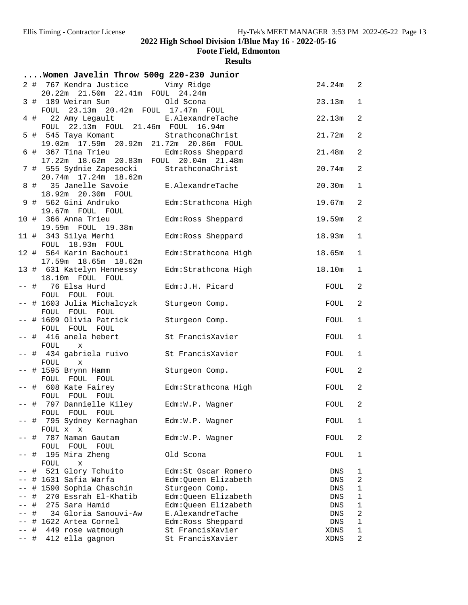**Foote Field, Edmonton**

|      |   | Women Javelin Throw 500g 220-230 Junior                                         |                      |          |                |
|------|---|---------------------------------------------------------------------------------|----------------------|----------|----------------|
|      |   | 2 # 767 Kendra Justice Vimy Ridge                                               |                      | 24.24m 2 |                |
|      |   | 20.22m 21.50m 22.41m FOUL 24.24m<br>3 # 189 Weiran Sun bld Scona                |                      | 23.13m   | $\mathbf{1}$   |
|      |   | FOUL 23.13m 20.42m FOUL 17.47m FOUL                                             |                      |          |                |
|      |   | 22 Amy Legault E.AlexandreTache<br>$4$ #<br>22.13m  FOUL  21.46m  FOUL<br>FOUL  | 16.94m               | 22.13m   | $\overline{2}$ |
|      |   | 5 # 545 Taya Komant StrathconaChrist<br>19.02m 17.59m 20.92m 21.72m 20.86m FOUL |                      | 21.72m   | $\overline{2}$ |
|      |   | 6 # 367 Tina Trieu Edm:Ross Sheppard<br>17.22m 18.62m 20.83m FOUL 20.04m 21.48m |                      | 21.48m   | $\overline{2}$ |
|      |   |                                                                                 |                      |          | $\overline{2}$ |
|      |   | 7 #  555 Sydnie Zapesocki<br>20.74m 17.24m 18.62m                               | StrathconaChrist     | 20.74m   |                |
|      |   | 8 # 35 Janelle Savoie<br>18.92m 20.30m FOUL                                     | E.AlexandreTache     | 20.30m   | $\mathbf{1}$   |
|      |   | 9 # 562 Gini Andruko                                                            | Edm: Strathcona High | 19.67m   | $\overline{2}$ |
|      |   | 19.67m FOUL FOUL                                                                |                      |          |                |
|      |   | 10 # 366 Anna Trieu<br>19.59m FOUL 19.38m                                       | Edm: Ross Sheppard   | 19.59m   | $\overline{2}$ |
|      |   | 11 # 343 Silya Merhi                                                            | Edm: Ross Sheppard   | 18.93m   | $\mathbf{1}$   |
|      |   | FOUL 18.93m FOUL<br>12 # 564 Karin Bachouti                                     | Edm: Strathcona High | 18.65m   | $\mathbf 1$    |
|      |   | 17.59m  18.65m  18.62m                                                          |                      |          |                |
|      |   | 13 # 631 Katelyn Hennessy<br>18.10m FOUL FOUL                                   | Edm: Strathcona High | 18.10m   | $\mathbf{1}$   |
|      |   | -- # 76 Elsa Hurd                                                               | Edm: J.H. Picard     | FOUL     | $\overline{a}$ |
|      |   | FOUL FOUL FOUL                                                                  |                      |          |                |
|      |   | -- # 1603 Julia Michalcyzk Sturgeon Comp.<br>FOUL FOUL FOUL                     |                      | FOUL     | 2              |
|      |   | -- # 1609 Olivia Patrick<br>FOUL FOUL FOUL                                      | Sturgeon Comp.       | FOUL     | $\mathbf 1$    |
|      |   | -- # 416 anela hebert                                                           | St FrancisXavier     | FOUL     | $\mathbf{1}$   |
|      |   | FOUL<br>X<br>-- #  434 gabriela ruivo                                           |                      |          |                |
|      |   | FOUL<br>$\mathbf x$                                                             | St FrancisXavier     | FOUL     | $\mathbf{1}$   |
|      |   | -- # 1595 Brynn Hamm<br>FOUL FOUL FOUL                                          | Sturgeon Comp.       | FOUL     | $\overline{c}$ |
|      |   | -- # 608 Kate Fairey                                                            | Edm: Strathcona High | FOUL     | $\overline{a}$ |
|      |   | FOUL FOUL FOUL                                                                  |                      |          |                |
|      |   | -- # 797 Dannielle Kiley Bdm:W.P. Wagner<br>FOUL FOUL FOUL                      |                      | FOUL     | 2              |
| -- # |   | 795 Sydney Kernaghan                                                            | Edm:W.P. Wagner      | FOUL     | 1              |
|      | # | FOUL x x<br>787 Naman Gautam                                                    | Edm:W.P. Wagner      | FOUL     | 2              |
|      |   | FOUL FOUL FOUL                                                                  |                      |          |                |
|      | # | 195 Mira Zheng<br>FOUL<br>X                                                     | Old Scona            | FOUL     | 1              |
|      | # | 521 Glory Tchuito                                                               | Edm:St Oscar Romero  | DNS      | 1              |
|      |   | # 1631 Safia Warfa                                                              | Edm:Queen Elizabeth  | DNS      | 2              |
|      |   | # 1590 Sophia Chaschin                                                          | Sturgeon Comp.       | DNS      | 1              |
|      | # | 270 Essrah El-Khatib                                                            | Edm:Queen Elizabeth  | DNS      | $\mathbf 1$    |
|      | # | 275 Sara Hamid                                                                  | Edm:Queen Elizabeth  | DNS      | $\mathbf 1$    |
|      |   |                                                                                 |                      |          |                |
|      | # | 34 Gloria Sanouvi-Aw                                                            | E.AlexandreTache     | DNS      | $\sqrt{2}$     |
|      |   | # 1622 Artea Cornel                                                             | Edm: Ross Sheppard   | DNS      | 1              |
|      | # | 449 rose watmough                                                               | St FrancisXavier     | XDNS     | $\mathbf 1$    |
| -- # |   | 412 ella gagnon                                                                 | St FrancisXavier     | XDNS     | $\sqrt{2}$     |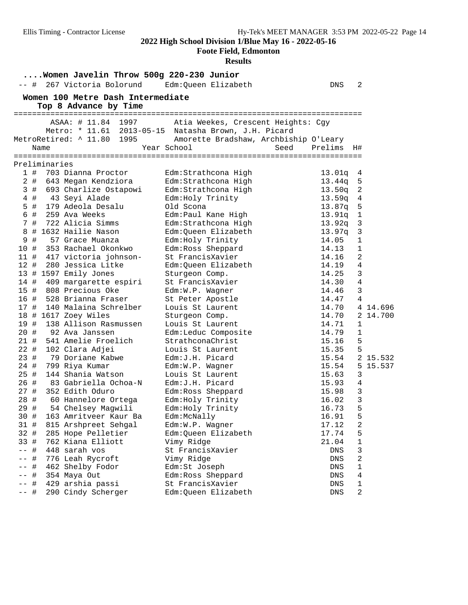#### **Foote Field, Edmonton**

| Women Javelin Throw 500g 220-230 Junior                 |                                        |                 |                  |
|---------------------------------------------------------|----------------------------------------|-----------------|------------------|
| 267 Victoria Bolorund<br>$--$ #                         | Edm:Queen Elizabeth                    | DNS             | 2                |
| Women 100 Metre Dash Intermediate                       |                                        |                 |                  |
| Top 8 Advance by Time                                   |                                        |                 |                  |
|                                                         |                                        |                 |                  |
| ASAA: # 11.84 1997                                      | Atia Weekes, Crescent Heights: Cgy     |                 |                  |
| Metro: * 11.61 2013-05-15 Natasha Brown, J.H. Picard    |                                        |                 |                  |
| MetroRetired: ^ 11.80 1995                              | Amorette Bradshaw, Archbiship O'Leary  |                 |                  |
| Name                                                    | Year School                            | Seed<br>Prelims | H#               |
|                                                         |                                        |                 |                  |
| Preliminaries                                           |                                        |                 |                  |
| 1#<br>703 Dianna Proctor                                | Edm: Strathcona High                   | 13.01q          | 4                |
| 2#<br>643 Megan Kendziora                               | Edm: Strathcona High                   | 13.44q          | 5                |
| 3#<br>693 Charlize Ostapowi                             | Edm: Strathcona High                   | 13.50q          | 2                |
| 43 Seyi Alade<br>4#                                     | Edm: Holy Trinity                      | 13.59q          | 4                |
| 5 #<br>179 Adeola Desalu                                | Old Scona                              | 13.87q          | 5                |
| 6#<br>259 Ava Weeks                                     | Edm: Paul Kane High                    | 13.91q          | 1                |
| 7#<br>722 Alicia Simms                                  | Edm: Strathcona High                   | 13.92q          | 3                |
| # 1632 Hailie Nason<br>8                                | Edm: Queen Elizabeth                   | 13.97q          | 3                |
| 9<br>#<br>57 Grace Muanza                               | Edm: Holy Trinity                      | 14.05           | 1                |
| 10#<br>353 Rachael Okonkwo                              | Edm: Ross Sheppard                     | 14.13           | 1                |
| 11#<br>417 victoria johnson-                            | St FrancisXavier                       | 14.16           | 2                |
| $12$ #<br>280 Jessica Litke                             | Edm:Queen Elizabeth                    | 14.19           | 4                |
| 13 # 1597 Emily Jones                                   | Sturgeon Comp.                         | 14.25           | 3                |
| 14#<br>409 margarette espiri                            | St FrancisXavier                       | 14.30           | 4                |
| 808 Precious Oke<br>15 #                                | Edm:W.P. Wagner                        | 14.46           | 3                |
| 16 #<br>528 Brianna Fraser                              | St Peter Apostle                       | 14.47           | 4                |
| 140 Malaina Schrelber<br>17#                            | Louis St Laurent                       | 14.70           | 4 14.696         |
| 18 # 1617 Zoey Wiles                                    | Sturgeon Comp.                         | 14.70           | 2 14.700         |
| 19 #<br>138 Allison Rasmussen                           | Louis St Laurent                       | 14.71           | $\mathbf 1$      |
| 20#<br>92 Ava Janssen                                   | Edm:Leduc Composite                    | 14.79           | $\mathbf{1}$     |
| 541 Amelie Froelich<br>21 #                             | StrathconaChrist                       | 15.16           | 5                |
| $22 \#$<br>102 Clara Adjei                              | Louis St Laurent                       | 15.35           | 5                |
| 23#<br>79 Doriane Kabwe                                 | Edm: J.H. Picard                       | 15.54           | 2 15.532         |
| 24 #<br>799 Riya Kumar<br>25#<br>144 Shania Watson      | Edm:W.P. Wagner<br>Louis St Laurent    | 15.54           | 5<br>15.537<br>3 |
| 26 #                                                    | Edm: J.H. Picard                       | 15.63           |                  |
| 83 Gabriella Ochoa-N<br>27#<br>352 Edith Oduro          |                                        | 15.93<br>15.98  | 4<br>3           |
| 28 #                                                    | Edm: Ross Sheppard                     | 16.02           | 3                |
| 60 Hannelore Ortega<br>29 #<br>54 Chelsey Magwili       | Edm: Holy Trinity<br>Edm: Holy Trinity | 16.73           | 5                |
| 30 #                                                    |                                        | 16.91           | 5                |
| 163 Amritveer Kaur Ba<br>31#                            | Edm:McNally<br>Edm:W.P. Wagner         | 17.12           | 2                |
| 815 Arshpreet Sehgal                                    |                                        |                 |                  |
| 32 #<br>285 Hope Pelletier<br>33 #<br>762 Kiana Elliott | Edm:Queen Elizabeth<br>Vimy Ridge      | 17.74<br>21.04  | 5<br>1           |
| 448 sarah vos<br>$--$ #                                 | St FrancisXavier                       | DNS             | 3                |
| 776 Leah Rycroft<br>#                                   | Vimy Ridge                             | ${\rm DNS}$     | 2                |
| #<br>462 Shelby Fodor                                   | Edm:St Joseph                          | ${\rm DNS}$     | $\mathbf 1$      |
| $--$ #<br>354 Maya Out                                  | Edm:Ross Sheppard                      | DNS             | 4                |
| 429 arshia passi<br>-- #                                | St FrancisXavier                       | DNS             | 1                |
| 290 Cindy Scherger<br>-- #                              | Edm:Queen Elizabeth                    | DNS             | $\overline{c}$   |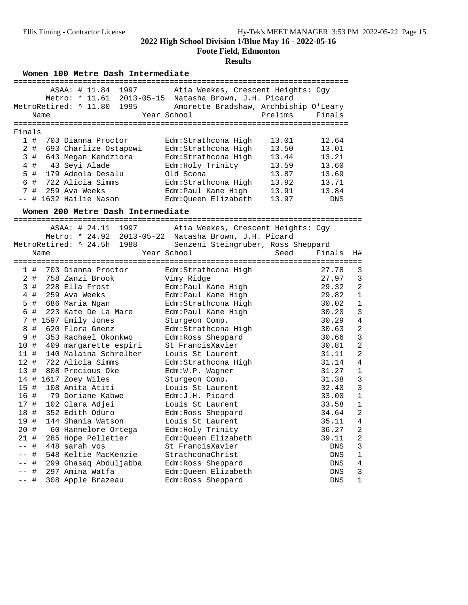**Foote Field, Edmonton**

#### **Results**

Women 100 Metre Dash Intermediate

|           |      | ASAA: # 11.84 1997                | Atia Weekes, Crescent Heights: Cqy                   |         |        |                |
|-----------|------|-----------------------------------|------------------------------------------------------|---------|--------|----------------|
|           |      | Metro: * 11.61 2013-05-15         | Natasha Brown, J.H. Picard                           |         |        |                |
|           |      | MetroRetired: ^ 11.80<br>1995     | Amorette Bradshaw, Archbiship O'Leary                |         |        |                |
|           | Name |                                   | Year School                                          | Prelims | Finals |                |
|           |      |                                   |                                                      |         |        |                |
| Finals    |      |                                   |                                                      |         |        |                |
| 1#        |      | 703 Dianna Proctor                | Edm:Strathcona High                                  | 13.01   | 12.64  |                |
| $2$ #     |      | 693 Charlize Ostapowi             | Edm: Strathcona High                                 | 13.50   | 13.01  |                |
| 3#        |      | 643 Megan Kendziora               | Edm: Strathcona High                                 | 13.44   | 13.21  |                |
| $4$ #     |      | 43 Seyi Alade                     | Edm: Holy Trinity                                    | 13.59   | 13.60  |                |
| 5 #       |      | 179 Adeola Desalu                 | Old Scona                                            | 13.87   | 13.69  |                |
| 6 #       |      | 722 Alicia Simms                  | Edm: Strathcona High                                 | 13.92   | 13.71  |                |
| 7#        |      | 259 Ava Weeks                     | Edm: Paul Kane High                                  | 13.91   | 13.84  |                |
|           |      | # 1632 Hailie Nason               | Edm:Queen Elizabeth                                  | 13.97   | DNS    |                |
|           |      | Women 200 Metre Dash Intermediate |                                                      |         |        |                |
|           |      |                                   |                                                      |         |        |                |
|           |      | ASAA: # 24.11 1997                | Atia Weekes, Crescent Heights: Cgy                   |         |        |                |
|           |      |                                   | Metro: * 24.92 2013-05-22 Natasha Brown, J.H. Picard |         |        |                |
|           |      | 1988<br>MetroRetired: ^ 24.5h     | Senzeni Steingruber, Ross Sheppard<br>Year School    | Seed    | Finals |                |
|           | Name |                                   |                                                      |         |        | H#             |
| 1#        |      | 703 Dianna Proctor                | Edm: Strathcona High                                 |         | 27.78  | 3              |
| 2#        |      | 758 Zanzi Brook                   | Vimy Ridge                                           |         | 27.97  | 3              |
| 3#        |      | 228 Ella Frost                    | Edm: Paul Kane High                                  |         | 29.32  | $\overline{a}$ |
| 4 #       |      | 259 Ava Weeks                     | Edm: Paul Kane High                                  |         | 29.82  | $\mathbf{1}$   |
| 5 #       |      | 686 Maria Ngan                    | Edm: Strathcona High                                 |         | 30.02  | $\mathbf{1}$   |
| #<br>6    |      | 223 Kate De La Mare               | Edm: Paul Kane High                                  |         | 30.20  | 3              |
| 7         |      | # 1597 Emily Jones                | Sturgeon Comp.                                       |         | 30.29  | $\overline{4}$ |
| $\#$<br>8 |      | 620 Flora Gnenz                   | Edm: Strathcona High                                 |         | 30.63  | $\overline{a}$ |
| $\#$<br>9 |      | 353 Rachael Okonkwo               | Edm: Ross Sheppard                                   |         | 30.66  | $\overline{3}$ |
| 10 #      |      | 409 margarette espiri             | St FrancisXavier                                     |         | 30.81  | $\overline{a}$ |
| 11 #      |      | 140 Malaina Schrelber             | Louis St Laurent                                     |         | 31.11  | $\overline{c}$ |
| 12#       |      | 722 Alicia Simms                  | Edm: Strathcona High                                 |         | 31.14  | $\overline{4}$ |
| 13#       |      | 808 Precious Oke                  | Edm:W.P. Wagner                                      |         | 31.27  | $\mathbf{1}$   |
|           |      | 14 # 1617 Zoey Wiles              | Sturgeon Comp.                                       |         | 31.38  | 3              |
| 15#       |      | 108 Anita Atiti                   | Louis St Laurent                                     |         | 32.40  | $\overline{3}$ |
| 16 #      |      | 79 Doriane Kabwe                  | Edm: J.H. Picard                                     |         | 33.00  | $\mathbf{1}$   |
| 17 #      |      | 102 Clara Adjei                   | Louis St Laurent                                     |         | 33.58  | $\mathbf{1}$   |
| 18 #      |      | 352 Edith Oduro                   | Edm: Ross Sheppard                                   |         | 34.64  | $\overline{a}$ |
| 19 #      |      | 144 Shania Watson                 | Louis St Laurent                                     |         | 35.11  | 4              |
| 20 #      |      | 60 Hannelore Ortega               | Edm: Holy Trinity                                    |         | 36.27  | $\overline{a}$ |
| 21#       |      | 285 Hope Pelletier                | Edm:Queen Elizabeth                                  |         | 39.11  | $\overline{a}$ |
| #<br>$ -$ |      | 448 sarah vos                     | St FrancisXavier                                     |         | DNS    | 3              |
| #         |      | 548 Keltie MacKenzie              | StrathconaChrist                                     |         | DNS    | 1              |
| #         |      | 299 Ghasaq Abduljabba             | Edm: Ross Sheppard                                   |         | DNS    | 4              |
| #         |      | 297 Amina Watfa                   | Edm:Queen Elizabeth                                  |         | DNS    | 3              |
| -- #      |      | 308 Apple Brazeau                 | Edm: Ross Sheppard                                   |         | DNS    | $\mathbf 1$    |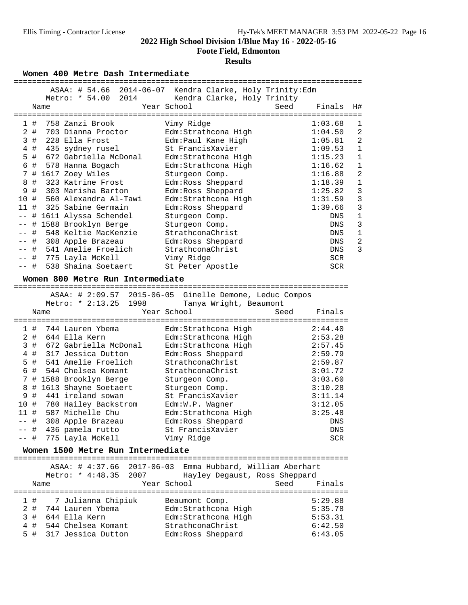**Foote Field, Edmonton**

#### **Results**

Women 400 Metre Dash Intermediate

|                                                | ASAA: # 54.66 2014-06-07 Kendra Clarke, Holy Trinity:Edm |                           |
|------------------------------------------------|----------------------------------------------------------|---------------------------|
| 2014<br>Metro: * 54.00                         | Kendra Clarke, Holy Trinity                              |                           |
| Name                                           | Year School<br>Seed                                      | Finals<br>H#              |
|                                                |                                                          |                           |
| 758 Zanzi Brook<br>1#                          | Vimy Ridge                                               | 1:03.68<br>1              |
| $\overline{2}$<br>703 Dianna Proctor<br>#      | Edm: Strathcona High                                     | $\overline{a}$<br>1:04.50 |
| 3<br>228 Ella Frost<br>#                       |                                                          | $\overline{a}$<br>1:05.81 |
|                                                | Edm: Paul Kane High<br>St FrancisXavier                  | $1\,$                     |
| $\#$<br>4<br>435 sydney rusel                  |                                                          | 1:09.53                   |
| #<br>672 Gabriella McDonal<br>5                | Edm: Strathcona High                                     | $\mathbf{1}$<br>1:15.23   |
| $\#$<br>6<br>578 Hanna Bogach                  | Edm: Strathcona High                                     | $\mathbf{1}$<br>1:16.62   |
| 7<br># 1617 Zoey Wiles                         | Sturgeon Comp.                                           | 2<br>1:16.88              |
| 323 Katrine Frost<br>8<br>#                    | Edm: Ross Sheppard                                       | $1\,$<br>1:18.39          |
| #<br>9<br>303 Marisha Barton                   | Edm: Ross Sheppard                                       | $\overline{3}$<br>1:25.82 |
| 10 #<br>560 Alexandra Al-Tawi                  | Edm: Strathcona High                                     | $\overline{3}$<br>1:31.59 |
| 11#<br>325 Sabine Germain                      | Edm: Ross Sheppard                                       | $\overline{3}$<br>1:39.66 |
| 1611 Alyssa Schendel<br>#<br>$ -$              | Sturgeon Comp.                                           | $\mathbf 1$<br>DNS        |
| 1588 Brooklyn Berge<br>#                       | Sturgeon Comp.                                           | 3<br>DNS                  |
| 548 Keltie MacKenzie<br>#                      | StrathconaChrist                                         | $\mathbf 1$<br>DNS        |
| #<br>308 Apple Brazeau<br>$- -$                | Edm: Ross Sheppard                                       | $\overline{a}$<br>DNS     |
| #<br>541 Amelie Froelich                       | StrathconaChrist                                         | $\overline{3}$<br>DNS     |
| #<br>775 Layla McKell<br>$- -$                 | Vimy Ridge                                               | SCR                       |
| 538 Shaina Soetaert<br>-- #                    | St Peter Apostle                                         | <b>SCR</b>                |
|                                                |                                                          |                           |
| Women 800 Metre Run Intermediate               |                                                          |                           |
|                                                |                                                          |                           |
|                                                | ASAA: # 2:09.57 2015-06-05 Ginelle Demone, Leduc Compos  |                           |
| Metro: * 2:13.25<br>1998                       | Tanya Wright, Beaumont                                   |                           |
| Name                                           | Year School<br>Seed                                      | Finals                    |
|                                                |                                                          |                           |
|                                                |                                                          |                           |
| 1#<br>744 Lauren Ybema                         | Edm:Strathcona High                                      | 2:44.40                   |
| 2#<br>644 Ella Kern                            | Edm:Strathcona High                                      | 2:53.28                   |
| #<br>672 Gabriella McDonal                     |                                                          | 2:57.45                   |
| 3<br>$\overline{4}$<br>#<br>317 Jessica Dutton | Edm: Strathcona High                                     | 2:59.79                   |
|                                                | Edm: Ross Sheppard                                       |                           |
| #<br>541 Amelie Froelich<br>5                  | StrathconaChrist                                         | 2:59.87                   |
| #<br>6<br>544 Chelsea Komant                   | StrathconaChrist                                         | 3:01.72                   |
| 7<br># 1588 Brooklyn Berge                     | Sturgeon Comp.                                           | 3:03.60                   |
| #<br>1613 Shayne Soetaert<br>8                 | Sturgeon Comp.                                           | 3:10.28                   |
| $\#$<br>9<br>441 ireland sowan                 | St FrancisXavier                                         | 3:11.14                   |
| 10#<br>780 Hailey Backstrom                    | Edm:W.P. Wagner                                          | 3:12.05                   |
| 11#<br>587 Michelle Chu                        | Edm: Strathcona High                                     | 3:25.48                   |
| 308 Apple Brazeau<br>-- #                      | Edm: Ross Sheppard                                       | $\mathop{\rm DNS}$        |
| 436 pamela rutto<br>-- #                       | St FrancisXavier                                         | DNS                       |
| -- #<br>775 Layla McKell                       | Vimy Ridge                                               | <b>SCR</b>                |
|                                                |                                                          |                           |
| Women 1500 Metre Run Intermediate              |                                                          |                           |
| ---------------                                | :==========================                              |                           |
| 2017-06-03<br>ASAA: # 4:37.66                  | Emma Hubbard, William Aberhart                           |                           |
| Metro: * 4:48.35<br>2007                       | Hayley Degaust, Ross Sheppard                            |                           |
| Name                                           | Year School<br>Seed                                      | Finals                    |
|                                                |                                                          |                           |
| 7 Julianna Chipiuk<br>1#                       | Beaumont Comp.                                           | 5:29.88                   |
| 2#<br>744 Lauren Ybema                         | Edm: Strathcona High                                     | 5:35.78                   |
| 644 Ella Kern<br>3<br>#                        | Edm:Strathcona High                                      | 5:53.31                   |
| 544 Chelsea Komant<br>#<br>4                   | StrathconaChrist                                         | 6:42.50                   |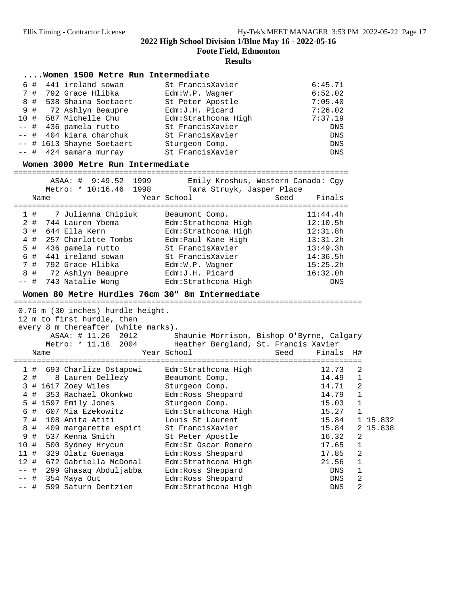**Foote Field, Edmonton**

#### **Results**

|  | Women 1500 Metre Run Intermediate |
|--|-----------------------------------|
|--|-----------------------------------|

|  | 6 # 441 ireland sowan     | St FrancisXavier     | 6:45.71 |
|--|---------------------------|----------------------|---------|
|  | 7 # 792 Grace Hlibka      | Edm:W.P. Wagner      | 6:52.02 |
|  | 8 # 538 Shaina Soetaert   | St Peter Apostle     | 7:05.40 |
|  | 9 # 72 Ashlyn Beaupre     | Edm: J.H. Picard     | 7:26.02 |
|  | 10 # 587 Michelle Chu     | Edm: Strathcona High | 7:37.19 |
|  | -- # 436 pamela rutto     | St FrancisXavier     | DNS     |
|  | -- # 404 kiara charchuk   | St FrancisXavier     | DNS     |
|  | -- # 1613 Shayne Soetaert | Sturgeon Comp.       | DNS     |
|  | $--$ # 424 samara murray  | St FrancisXavier     | DNS     |

# **Women 3000 Metre Run Intermediate** =========================================================================

 ASAA: # 9:49.52 1999 Emily Kroshus, Western Canada: Cgy Metro: \* 10:16.46 1998 Tara Struyk, Jasper Place Name Year School Seed Finals ========================================================================= 1 # 7 Julianna Chipiuk Beaumont Comp. 11:44.4h 2 # 744 Lauren Ybema Edm:Strathcona High 12:10.5h 3 # 644 Ella Kern Edm:Strathcona High 12:31.8h 4 # 257 Charlotte Tombs Edm:Paul Kane High 13:31.2h 5 # 436 pamela rutto St FrancisXavier 13:49.3h 6 # 441 ireland sowan St FrancisXavier 14:36.5h 7 # 792 Grace Hlibka Edm:W.P. Wagner 15:25.2h 8 # 72 Ashlyn Beaupre Edm:J.H. Picard 16:32.0h -- # 743 Natalie Wong Edm:Strathcona High DNS

# **Women 80 Metre Hurdles 76cm 30" 8m Intermediate** ============================================================================

 0.76 m (30 inches) hurdle height. 12 m to first hurdle, then every 8 m thereafter (white marks). ASAA: # 11.26 2012 Shaunie Morrison, Bishop O'Byrne, Calgary Metro: \* 11.18 2004 Heather Bergland, St. Francis Xavier Name Year School Seed Finals H# ============================================================================ 1 # 693 Charlize Ostapowi Edm:Strathcona High 12.73 2 2 # 8 Lauren Dellezy Beaumont Comp. 14.49 1 3 # 1617 Zoey Wiles Sturgeon Comp. 14.71 2 4 # 353 Rachael Okonkwo Edm:Ross Sheppard 14.79 1 5 # 1597 Emily Jones Sturgeon Comp. 15.03 1 6 # 607 Mia Ezekowitz Edm:Strathcona High 15.27 1 7 # 108 Anita Atiti Louis St Laurent 15.84 1 15.832 8 # 409 margarette espiri St FrancisXavier 15.84 2 15.838 9 # 537 Kenna Smith St Peter Apostle 16.32 2 10 # 500 Sydney Hrycun Edm:St Oscar Romero 17.65 1 11 # 329 Olatz Guenaga Edm:Ross Sheppard 17.85 2 12 # 672 Gabriella McDonal Edm:Strathcona High 21.56 1 -- # 299 Ghasaq Abduljabba Edm:Ross Sheppard DNS 1 -- # 354 Maya Out Edm:Ross Sheppard DNS 2 -- # 599 Saturn Dentzien Edm:Strathcona High DNS 2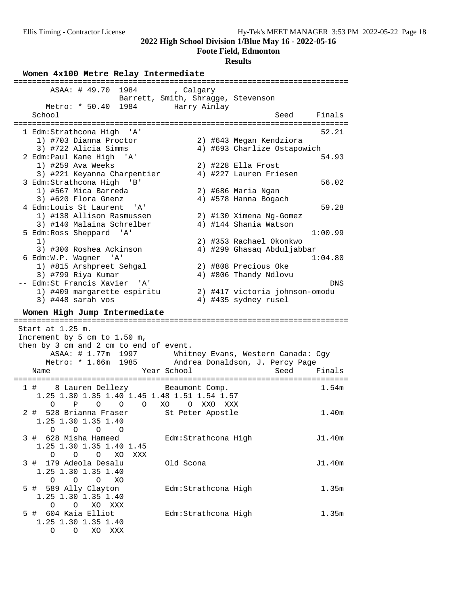**Foote Field, Edmonton**

#### **Results**

Women 4x100 Metre Relay Intermediate

| =====================================                 |                                    | ----------------------------------- |         |
|-------------------------------------------------------|------------------------------------|-------------------------------------|---------|
| ASAA: # 49.70 1984                                    | , Calgary                          |                                     |         |
|                                                       | Barrett, Smith, Shragge, Stevenson |                                     |         |
| Metro: * 50.40 1984 Harry Ainlay                      |                                    |                                     |         |
| School                                                |                                    | Seed                                | Finals  |
| 1 Edm:Strathcona High 'A'                             |                                    |                                     | 52.21   |
| 1) #703 Dianna Proctor                                |                                    | 2) #643 Megan Kendziora             |         |
| 3) #722 Alicia Simms                                  |                                    | 4) #693 Charlize Ostapowich         |         |
| 2 Edm: Paul Kane High<br>' A '                        |                                    |                                     | 54.93   |
| 1) #259 Ava Weeks                                     |                                    | 2) #228 Ella Frost                  |         |
| 3) #221 Keyanna Charpentier                           |                                    | 4) #227 Lauren Friesen              |         |
| 3 Edm: Strathcona High 'B'                            |                                    |                                     | 56.02   |
| 1) #567 Mica Barreda                                  |                                    |                                     |         |
|                                                       |                                    | 2) #686 Maria Ngan                  |         |
| 3) #620 Flora Gnenz                                   |                                    | 4) #578 Hanna Bogach                |         |
| 4 Edm:Louis St Laurent 'A'                            |                                    |                                     | 59.28   |
| 1) #138 Allison Rasmussen                             |                                    | 2) #130 Ximena Ng-Gomez             |         |
| 3) #140 Malaina Schrelber                             |                                    | 4) #144 Shania Watson               |         |
| 5 Edm: Ross Sheppard 'A'                              |                                    |                                     | 1:00.99 |
| 1)                                                    |                                    | 2) #353 Rachael Okonkwo             |         |
| 3) #300 Roshea Ackinson                               |                                    | 4) #299 Ghasaq Abduljabbar          |         |
| 6 Edm:W.P. Wagner 'A'                                 |                                    |                                     | 1:04.80 |
| 1) #815 Arshpreet Sehgal                              |                                    | 2) #808 Precious Oke                |         |
| 3) #799 Riya Kumar                                    |                                    | 4) #806 Thandy Ndlovu               |         |
| -- Edm:St Francis Xavier 'A'                          |                                    |                                     | DNS     |
| 1) #409 margarette espiritu                           |                                    | 2) #417 victoria johnson-omodu      |         |
| $3)$ #448 sarah vos                                   |                                    | 4) #435 sydney rusel                |         |
|                                                       |                                    |                                     |         |
| Women High Jump Intermediate                          |                                    |                                     |         |
|                                                       |                                    |                                     |         |
| Start at 1.25 m.                                      |                                    |                                     |         |
| Increment by 5 cm to 1.50 m,                          |                                    |                                     |         |
| then by 3 cm and 2 cm to end of event.                |                                    |                                     |         |
| ASAA: # 1.77m 1997 Whitney Evans, Western Canada: Cgy |                                    |                                     |         |
| Metro: * 1.66m 1985 Andrea Donaldson, J. Percy Page   |                                    |                                     |         |
| Year School<br>Name                                   |                                    | Seed                                | Finals  |
|                                                       |                                    |                                     |         |
| 1 # 8 Lauren Dellezy Beaumont Comp.                   |                                    |                                     | 1.54m   |
| 1.25 1.30 1.35 1.40 1.45 1.48 1.51 1.54 1.57          |                                    |                                     |         |
| $O$ XO<br>O<br>Ρ<br>O<br>$\circ$                      | $\circ$<br>XXO                     | XXX                                 |         |
|                                                       |                                    |                                     | 1.40m   |
| 2 # 528 Brianna Fraser St Peter Apostle               |                                    |                                     |         |
| 1.25 1.30 1.35 1.40                                   |                                    |                                     |         |
| O<br>O<br>$\circ$<br>O                                |                                    |                                     |         |
| 3 # 628 Misha Hameed                                  | Edm: Strathcona High               |                                     | J1.40m  |
| 1.25 1.30 1.35 1.40 1.45                              |                                    |                                     |         |
| O<br>O<br>$\circ$<br>XO<br>XXX                        |                                    |                                     |         |
| 179 Adeola Desalu<br>3 #                              | Old Scona                          |                                     | J1.40m  |
| 1.25 1.30 1.35 1.40                                   |                                    |                                     |         |
| $\circ$<br>$\overline{O}$<br>O<br>XO                  |                                    |                                     |         |
| 5 # 589 Ally Clayton                                  | Edm: Strathcona High               |                                     | 1.35m   |
| 1.25 1.30 1.35 1.40                                   |                                    |                                     |         |
| O<br>O<br>XO<br>XXX                                   |                                    |                                     |         |
| 5 # 604 Kaia Elliot                                   | Edm: Strathcona High               |                                     | 1.35m   |
| 1.25 1.30 1.35 1.40                                   |                                    |                                     |         |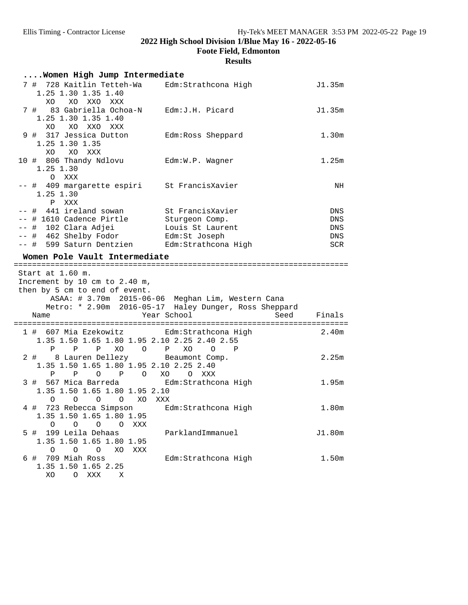**Foote Field, Edmonton**

| Women High Jump Intermediate                                                                                             |                                                                                                                                   |            |
|--------------------------------------------------------------------------------------------------------------------------|-----------------------------------------------------------------------------------------------------------------------------------|------------|
| 7 # 728 Kaitlin Tetteh-Wa<br>1.25 1.30 1.35 1.40<br>XO XO XXO XXX                                                        | Edm:Strathcona High                                                                                                               | J1.35m     |
| 7 # 83 Gabriella Ochoa-N Edm:J.H. Picard<br>1.25 1.30 1.35 1.40<br>XO XXO XXX<br>XO.                                     |                                                                                                                                   | J1.35m     |
| 9 # 317 Jessica Dutton Edm: Ross Sheppard<br>1.25 1.30 1.35<br>XO XO XXX                                                 |                                                                                                                                   | 1.30m      |
| 10 # 806 Thandy Ndlovu Edm: W.P. Wagner<br>1.25 1.30<br>O XXX                                                            |                                                                                                                                   | 1.25m      |
| -- # 409 margarette espiri St FrancisXavier<br>1.25 1.30<br>P XXX                                                        |                                                                                                                                   | NH         |
| -- # 441 ireland sowan                                                                                                   | St FrancisXavier                                                                                                                  | DNS        |
| -- # 1610 Cadence Pirtle                                                                                                 | Sturgeon Comp.                                                                                                                    | DNS        |
| -- # 102 Clara Adjei                                                                                                     | Louis St Laurent                                                                                                                  | DNS        |
| -- # 462 Shelby Fodor <a> Edm:St Joseph<br/>-- # 599 Saturn Dentzien Edm: Strathcona High</a>                            |                                                                                                                                   | DNS<br>SCR |
|                                                                                                                          |                                                                                                                                   |            |
| Women Pole Vault Intermediate                                                                                            |                                                                                                                                   |            |
| Start at 1.60 m.                                                                                                         |                                                                                                                                   |            |
| Increment by 10 cm to 2.40 m,<br>then by 5 cm to end of event.<br>Name                                                   | ASAA: # 3.70m 2015-06-06 Meghan Lim, Western Cana<br>Metro: * 2.90m 2016-05-17 Haley Dunger, Ross Sheppard<br>Year School<br>Seed | Finals     |
|                                                                                                                          |                                                                                                                                   |            |
| 1 # 607 Mia Ezekowitz<br>1.35 1.50 1.65 1.80 1.95 2.10 2.25 2.40 2.55<br>P P P XO O P XO O P                             | Edm:Strathcona High                                                                                                               | 2.40m      |
| 2 # 8 Lauren Dellezy Beaumont Comp.<br>1.35 1.50 1.65 1.80 1.95 2.10 2.25 2.40<br>$\mathbb{P}$                           | O XXX                                                                                                                             | 2.25m      |
| $\circ$<br>P O XO<br>P<br>3 # 567 Mica Barreda Bolm: Strathcona High<br>1.35 1.50 1.65 1.80 1.95 2.10                    |                                                                                                                                   | 1.95m      |
| O O XO XXX<br>$\circ$<br>$\circ$<br>4 # 723 Rebecca Simpson Edm: Strathcona High<br>1.35 1.50 1.65 1.80 1.95<br>$\Omega$ |                                                                                                                                   | 1.80m      |
| O<br>XXX<br>0<br>O<br>199 Leila Dehaas<br>5 #<br>1.35 1.50 1.65 1.80 1.95<br>0<br>$\circ$<br>$\overline{O}$<br>XO<br>XXX | ParklandImmanuel                                                                                                                  | J1.80m     |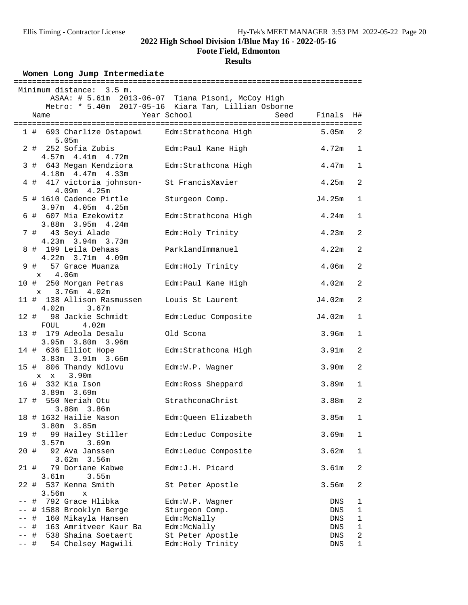### **Foote Field, Edmonton**

### **Results**

**Women Long Jump Intermediate** ============================================================================ Minimum distance: 3.5 m. ASAA: # 5.61m 2013-06-07 Tiana Pisoni, McCoy High Metro: \* 5.40m 2017-05-16 Kiara Tan, Lillian Osborne Name The Year School Seed Finals H# ============================================================================ 1 # 693 Charlize Ostapowi Edm:Strathcona High 5.05m 2 # 252 Sofia Zubis Edm:Paul Kane High 4.72m 1 4.57m 4.41m 4.72m 3 # 643 Megan Kendziora Edm:Strathcona High 4.47m 1 4.18m 4.47m 4.33m 4 # 417 victoria johnson- St FrancisXavier 4.25m 2 4.09m 4.25m 5 # 1610 Cadence Pirtle Sturgeon Comp. J4.25m 1 3.97m 4.05m 4.25m 6 # 607 Mia Ezekowitz Edm:Strathcona High 4.24m 1 3.88m 3.95m 4.24m 7 # 43 Seyi Alade Edm:Holy Trinity 4.23m 2 4.23m 3.94m 3.73m 8 # 199 Leila Dehaas ParklandImmanuel 4.22m 2 4.22m 3.71m 4.09m 9 # 57 Grace Muanza Edm:Holy Trinity 4.06m 2 x 4.06m 10 # 250 Morgan Petras Edm:Paul Kane High 4.02m 2 x 3.76m 4.02m 11 # 138 Allison Rasmussen Louis St Laurent  $J4.02m$  2  $J4.02m$  2  $J4.02m$  4.02m 3.67m 12 # 98 Jackie Schmidt Edm:Leduc Composite J4.02m 1 FOUL 4.02m 13 # 179 Adeola Desalu Old Scona 3.96m 1 3.95m 3.80m 3.96m 14 # 636 Elliot Hope Edm:Strathcona High 3.91m 2 3.83m 3.91m 3.66m 15 # 806 Thandy Ndlovu Edm:W.P. Wagner 3.90m 2 x x 3.90m 16 # 332 Kia Ison Edm:Ross Sheppard 3.89m 1 3.89m 3.69m 17 # 550 Neriah Otu StrathconaChrist 3.88m 2 3.88m 3.86m 3.00m 3.00m<br>18 # 1632 Hailie Nason Edm:Queen Elizabeth 3.85m 1 3.80m 3.85m 19 # 99 Hailey Stiller Edm:Leduc Composite 3.69m 1<br>3.57m 3.69m 3.57m 3.69m 20 # 92 Ava Janssen Edm:Leduc Composite 3.62m 1 3.62m 3.56m 21 # 79 Doriane Kabwe Edm:J.H. Picard 3.61m 2 3.61m 3.55m 22 # 537 Kenna Smith St Peter Apostle 3.56m 2<br>3.56m x 3.56m x -- # 792 Grace Hlibka Edm:W.P. Wagner DNS 1 -- # 1588 Brooklyn Berge Sturgeon Comp. DNS 1 -- # 160 Mikayla Hansen Edm:McNally DNS 1 -- # 163 Amritveer Kaur Ba Edm:McNally DNS 1 -- # 538 Shaina Soetaert St Peter Apostle DNS 2 -- # 54 Chelsey Magwili Edm:Holy Trinity DNS 1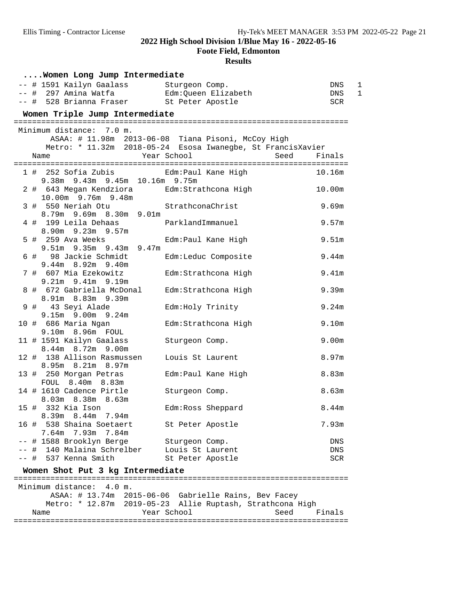**Foote Field, Edmonton**

| Women Long Jump Intermediate                                                            |                                                             |            |
|-----------------------------------------------------------------------------------------|-------------------------------------------------------------|------------|
| -- # 1591 Kailyn Gaalass Sturgeon Comp.<br>-- # 297 Amina Watfa     Edm:Queen Elizabeth |                                                             | 1<br>DNS   |
|                                                                                         |                                                             | 1<br>DNS   |
| -- # 528 Brianna Fraser St Peter Apostle                                                |                                                             | <b>SCR</b> |
| Women Triple Jump Intermediate                                                          |                                                             |            |
| Minimum distance: 7.0 m.                                                                |                                                             |            |
|                                                                                         | ASAA: # 11.98m 2013-06-08 Tiana Pisoni, McCoy High          |            |
|                                                                                         | Metro: * 11.32m 2018-05-24 Esosa Iwanegbe, St FrancisXavier |            |
| Name                                                                                    | Year School<br>Seed                                         | Finals     |
|                                                                                         |                                                             |            |
|                                                                                         |                                                             | 10.16m     |
|                                                                                         |                                                             |            |
| 2 # 643 Megan Kendziora · Edm:Strathcona High<br>10.00m 9.76m 9.48m                     |                                                             | 10.00m     |
| 3 # 550 Neriah Otu                                                                      | StrathconaChrist                                            | 9.69m      |
| 8.79m 9.69m 8.30m 9.01m                                                                 |                                                             |            |
| 4 # 199 Leila Dehaas                                                                    | ParklandImmanuel                                            | 9.57m      |
| 8.90m 9.23m 9.57m                                                                       |                                                             |            |
| 5 # 259 Ava Weeks                                                                       | Edm: Paul Kane High                                         | 9.51m      |
| 9.51m 9.35m 9.43m 9.47m                                                                 |                                                             |            |
| 6 # 98 Jackie Schmidt                                                                   | Edm:Leduc Composite                                         | 9.44m      |
| 9.44m 8.92m 9.40m                                                                       |                                                             |            |
| 7 # 607 Mia Ezekowitz                                                                   | Edm: Strathcona High                                        | 9.41m      |
| $9.21m$ $9.41m$ $9.19m$                                                                 |                                                             |            |
| 8 # 672 Gabriella McDonal                                                               | Edm: Strathcona High                                        | 9.39m      |
| 8.91m 8.83m 9.39m<br>9 # 43 Seyi Alade                                                  | Edm: Holy Trinity                                           | 9.24m      |
| 9.15m 9.00m 9.24m                                                                       |                                                             |            |
| 10 # 686 Maria Ngan                                                                     | Edm: Strathcona High                                        | 9.10m      |
| 9.10m 8.96m FOUL                                                                        |                                                             |            |
| 11 # 1591 Kailyn Gaalass                                                                | Sturgeon Comp.                                              | 9.00m      |
| 8.44m 8.72m 9.00m                                                                       |                                                             |            |
| 12 # 138 Allison Rasmussen                                                              | Louis St Laurent                                            | 8.97m      |
| 8.95m 8.21m 8.97m                                                                       |                                                             |            |
| 13 # 250 Morgan Petras                                                                  | Edm: Paul Kane High                                         | 8.83m      |
| FOUL 8.40m 8.83m                                                                        |                                                             |            |
| 14 # 1610 Cadence Pirtle<br>8.03m 8.38m 8.63m                                           | Sturgeon Comp.                                              | 8.63m      |
| 15 # 332 Kia Ison                                                                       | Edm: Ross Sheppard                                          | 8.44m      |
| 8.44m 7.94m<br>8.39m                                                                    |                                                             |            |
| 16 # 538 Shaina Soetaert                                                                | St Peter Apostle                                            | 7.93m      |
| 7.64m 7.93m 7.84m                                                                       |                                                             |            |
| -- # 1588 Brooklyn Berge                                                                | Sturgeon Comp.                                              | DNS        |
| -- # 140 Malaina Schrelber                                                              | Louis St Laurent                                            | DNS        |
| -- # 537 Kenna Smith                                                                    | St Peter Apostle                                            | <b>SCR</b> |
| Women Shot Put 3 kg Intermediate                                                        |                                                             |            |
|                                                                                         |                                                             |            |
| Minimum distance: 4.0 m.                                                                |                                                             |            |
|                                                                                         | ASAA: # 13.74m 2015-06-06 Gabrielle Rains, Bev Facey        |            |
|                                                                                         | Metro: * 12.87m 2019-05-23 Allie Ruptash, Strathcona High   |            |
| Name<br>======================                                                          | Year School<br>Seed<br>============================         | Finals     |
|                                                                                         |                                                             |            |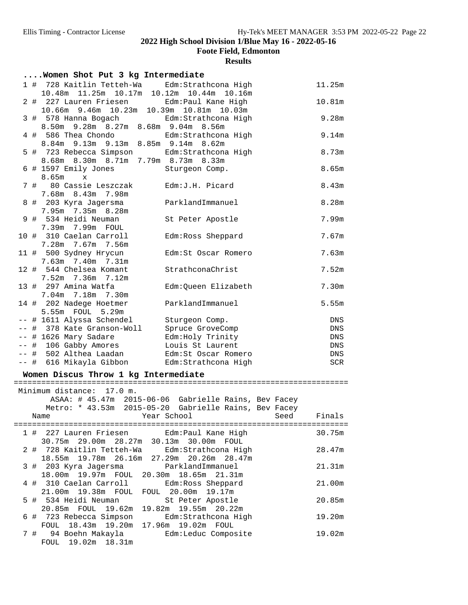**Foote Field, Edmonton**

| Women Shot Put 3 kg Intermediate                                                                                                     |                          |
|--------------------------------------------------------------------------------------------------------------------------------------|--------------------------|
| Edm: Strathcona High<br>1 # 728 Kaitlin Tetteh-Wa<br>10.48m 11.25m 10.17m 10.12m 10.44m 10.16m                                       | 11.25m                   |
| 2 # 227 Lauren Friesen Edm: Paul Kane High                                                                                           | 10.81m                   |
| 10.66m 9.46m 10.23m 10.39m 10.81m 10.03m<br>3 # 578 Hanna Bogach <a> Edm:Strathcona High<br/>8.50m 9.28m 8.27m 8.68m 9.04m 8.56m</a> | 9.28m                    |
| 4 # 586 Thea Chondo<br>Edm: Strathcona High<br>8.84m 9.13m 9.13m 8.85m 9.14m 8.62m                                                   | 9.14m                    |
| 5 # 723 Rebecca Simpson Edm: Strathcona High<br>8.68m 8.30m 8.71m 7.79m 8.73m 8.33m                                                  | 8.73m                    |
| 6 # 1597 Emily Jones<br>Sturgeon Comp.<br>8.65m<br>$\mathbf{x}$                                                                      | 8.65m                    |
| 7 # 80 Cassie Leszczak<br>Edm: J.H. Picard<br>7.68m 8.43m 7.98m                                                                      | 8.43m                    |
| 8 # 203 Kyra Jagersma<br>ParklandImmanuel<br>7.95m 7.35m 8.28m                                                                       | 8.28m                    |
| 9 # 534 Heidi Neuman<br>St Peter Apostle<br>7.39m 7.99m FOUL                                                                         | 7.99m                    |
| 10 # 310 Caelan Carroll<br>Edm: Ross Sheppard<br>7.28m 7.67m 7.56m                                                                   | 7.67m                    |
| 11 # 500 Sydney Hrycun<br>Edm:St Oscar Romero<br>$7.63m$ $7.40m$ $7.31m$                                                             | 7.63m                    |
| 12 # 544 Chelsea Komant<br>StrathconaChrist<br>7.52m 7.36m 7.12m                                                                     | 7.52m                    |
| 13 # 297 Amina Watfa<br>Edm:Queen Elizabeth<br>7.04m 7.18m 7.30m                                                                     | 7.30m                    |
| 14 # 202 Nadege Hoetmer<br>ParklandImmanuel<br>5.55m FOUL 5.29m                                                                      | 5.55m                    |
| -- # 1611 Alyssa Schendel<br>Sturgeon Comp.                                                                                          | DNS                      |
| -- # 378 Kate Granson-Woll<br>Spruce GroveComp                                                                                       | DNS                      |
| -- # 1626 Mary Sadare<br>Edm: Holy Trinity                                                                                           | DNS                      |
| -- # 106 Gabby Amores<br>Louis St Laurent                                                                                            | DNS                      |
| -- # 502 Althea Laadan<br>Edm:St Oscar Romero                                                                                        | DNS                      |
| -- # 616 Mikayla Gibbon Edm:Strathcona High                                                                                          | SCR                      |
| Women Discus Throw 1 kg Intermediate                                                                                                 |                          |
| Minimum distance: 17.0 m.                                                                                                            |                          |
| ASAA: # 45.47m 2015-06-06 Gabrielle Rains, Bev Facey                                                                                 |                          |
| Metro: * 43.53m 2015-05-20 Gabrielle Rains, Bev Facey                                                                                |                          |
| Year School<br>Name                                                                                                                  | Finals<br>Seed           |
| 1#<br>227 Lauren Friesen<br>Edm: Paul Kane High<br>30.75m 29.00m 28.27m<br>30.13m 30.00m FOUL                                        | <b>EEEEEEE</b><br>30.75m |
| 728 Kaitlin Tetteh-Wa<br>Edm: Strathcona High<br>2#<br>18.55m  19.78m  26.16m<br>27.29m                                              | 28.47m<br>20.26m 28.47m  |
| ParklandImmanuel<br>3#<br>203 Kyra Jagersma<br>18.00m  19.97m<br>FOUL<br>20.30m                                                      | 21.31m<br>18.65m 21.31m  |
| 310 Caelan Carroll<br>4#<br>Edm: Ross Sheppard<br>21.00m 19.38m FOUL<br>FOUL 20.00m                                                  | 21.00m<br>19.17m         |
| 534 Heidi Neuman<br>5#<br>St Peter Apostle<br>19.82m 19.55m 20.22m<br>20.85m FOUL 19.62m                                             | 20.85m                   |
| 723 Rebecca Simpson<br>Edm: Strathcona High<br>6#<br>FOUL 18.43m<br>19.20m<br>17.96m<br>19.02m                                       | 19.20m<br>FOUL           |
| 94 Boehn Makayla<br>Edm:Leduc Composite<br>7#<br>FOUL 19.02m 18.31m                                                                  | 19.02m                   |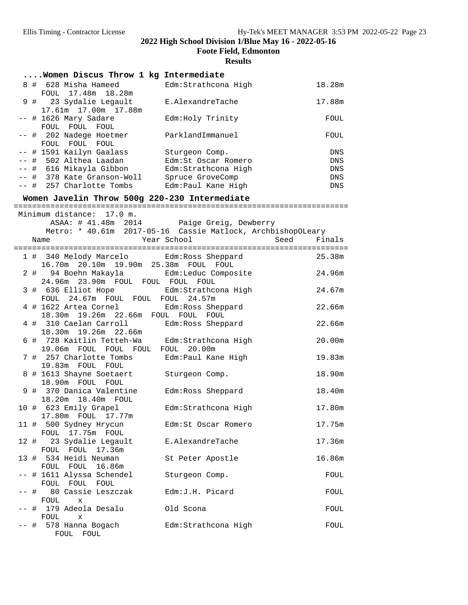**Foote Field, Edmonton**

|  | Women Discus Throw 1 kg Intermediate                                                |                                                             |        |
|--|-------------------------------------------------------------------------------------|-------------------------------------------------------------|--------|
|  | 8 # 628 Misha Hameed<br>FOUL 17.48m 18.28m                                          | Edm: Strathcona High                                        | 18.28m |
|  | 9 # 23 Sydalie Legault<br>17.61m  17.00m  17.88m                                    | E.AlexandreTache                                            | 17.88m |
|  | -- # 1626 Mary Sadare<br>FOUL FOUL FOUL                                             | Edm: Holy Trinity                                           | FOUL   |
|  | -- # 202 Nadege Hoetmer<br>FOUL FOUL FOUL                                           | ParklandImmanuel                                            | FOUL   |
|  | -- # 1591 Kailyn Gaalass                                                            | Sturgeon Comp.                                              | DNS    |
|  | -- # 502 Althea Laadan                                                              | Edm: St Oscar Romero                                        | DNS    |
|  | -- # 616 Mikayla Gibbon Edm:Strathcona High                                         |                                                             | DNS    |
|  | -- # 378 Kate Granson-Woll                                                          | Spruce GroveComp                                            | DNS    |
|  | -- # 257 Charlotte Tombs Edm: Paul Kane High                                        |                                                             | DNS    |
|  | Women Javelin Throw 500g 220-230 Intermediate                                       |                                                             |        |
|  | Minimum distance: 17.0 m.                                                           |                                                             |        |
|  |                                                                                     | ASAA: # 41.48m 2014 Paige Greig, Dewberry                   |        |
|  |                                                                                     | Metro: * 40.61m 2017-05-16 Cassie Matlock, ArchbishopOLeary |        |
|  | Year School<br>Name                                                                 | Seed                                                        | Finals |
|  | 1 # 340 Melody Marcelo Edm: Ross Sheppard                                           |                                                             | 25.38m |
|  | 16.70m  20.10m  19.90m  25.38m  FOUL  FOUL                                          |                                                             |        |
|  | 2 # 94 Boehn Makayla                                                                | Edm:Leduc Composite                                         | 24.96m |
|  | 24.96m 23.90m FOUL FOUL FOUL FOUL                                                   |                                                             |        |
|  | 3 # 636 Elliot Hope Man: Strathcona High                                            |                                                             | 24.67m |
|  | FOUL 24.67m FOUL FOUL FOUL 24.57m<br>4 # 1622 Artea Cornel Edm: Ross Sheppard       |                                                             | 22.66m |
|  | 18.30m  19.26m  22.66m  FOUL  FOUL  FOUL                                            |                                                             |        |
|  | 4 # 310 Caelan Carroll                                                              | Edm: Ross Sheppard                                          | 22.66m |
|  | 18.30m 19.26m 22.66m                                                                |                                                             |        |
|  | 6 # 728 Kaitlin Tetteh-Wa Edm: Strathcona High<br>19.06m FOUL FOUL FOUL FOUL 20.00m |                                                             | 20.00m |
|  | 7 # 257 Charlotte Tombs                                                             | Edm: Paul Kane High                                         | 19.83m |
|  | 19.83m FOUL FOUL                                                                    |                                                             |        |
|  | 8 # 1613 Shayne Soetaert                                                            | Sturgeon Comp.                                              | 18.90m |
|  | 18.90m FOUL FOUL<br>9 # 370 Danica Valentine                                        | Edm: Ross Sheppard                                          | 18.40m |
|  | 18.20m  18.40m  FOUL                                                                |                                                             |        |
|  | 10 # 623 Emily Grapel                                                               | Edm:Strathcona High                                         | 17.80m |
|  | 17.80m FOUL 17.77m                                                                  |                                                             |        |
|  | 11 # 500 Sydney Hrycun<br>FOUL 17.75m FOUL                                          | Edm: St Oscar Romero                                        | 17.75m |
|  | 12 # 23 Sydalie Legault                                                             | E.AlexandreTache                                            | 17.36m |
|  | FOUL FOUL 17.36m                                                                    |                                                             |        |
|  | 13 # 534 Heidi Neuman                                                               | St Peter Apostle                                            | 16.86m |
|  | FOUL FOUL 16.86m                                                                    |                                                             |        |
|  | -- # 1611 Alyssa Schendel<br>FOUL FOUL FOUL                                         | Sturgeon Comp.                                              | FOUL   |
|  | -- # 80 Cassie Leszczak                                                             | Edm: J.H. Picard                                            | FOUL   |
|  | FOUL<br>X                                                                           |                                                             |        |
|  | -- # 179 Adeola Desalu                                                              | Old Scona                                                   | FOUL   |
|  | FOUL<br>X                                                                           |                                                             |        |
|  | -- # 578 Hanna Bogach<br>FOUL FOUL                                                  | Edm:Strathcona High                                         | FOUL   |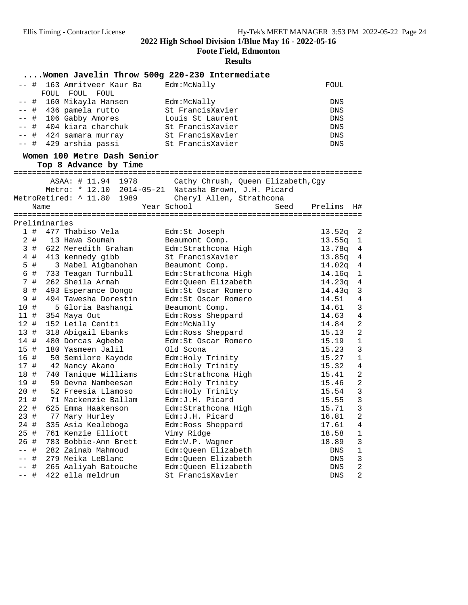**Foote Field, Edmonton**

### **Results**

### **....Women Javelin Throw 500g 220-230 Intermediate** -- # 163 Amritveer Kaur Ba Bdm:McNally FOUL FOUL FOUL FOUL -- # 160 Mikayla Hansen Edm:McNally DNS -- # 436 pamela rutto St FrancisXavier DNS -- # 106 Gabby Amores Louis St Laurent DNS -- # 404 kiara charchuk St FrancisXavier DNS -- # 424 samara murray St FrancisXavier DNS -- # 429 arshia passi St FrancisXavier DNS **Women 100 Metre Dash Senior Top 8 Advance by Time** ============================================================================ ASAA: # 11.94 1978 Cathy Chrush, Queen Elizabeth,Cgy Metro: \* 12.10 2014-05-21 Natasha Brown, J.H. Picard MetroRetired: ^ 11.80 1989 Cheryl Allen, Strathcona<br>Name Year School See Name Year School Seed Prelims H# ============================================================================ Preliminaries 1 # 477 Thabiso Vela Edm:St Joseph 13.52q 2 2 # 13 Hawa Soumah Beaumont Comp. 13.55q 1 3 # 622 Meredith Graham Edm:Strathcona High 13.78q 4 4 # 413 kennedy gibb St FrancisXavier 13.85q 4 5 # 3 Mabel Aigbanohan Beaumont Comp. 14.02q 4 6 # 733 Teagan Turnbull Edm:Strathcona High 14.16q 1 7 # 262 Sheila Armah Edm:Queen Elizabeth 14.23q 4 8 # 493 Esperance Dongo Edm:St Oscar Romero 14.43q 3 9 # 494 Tawesha Dorestin Edm:St Oscar Romero 14.51 4 10 # 5 Gloria Bashangi Beaumont Comp. 14.61 3 11 # 354 Maya Out Edm:Ross Sheppard 14.63 4 12 # 152 Leila Ceniti Edm:McNally 14.84 2 13 # 318 Abigail Ebanks Edm:Ross Sheppard 15.13 2 14 # 480 Dorcas Agbebe Edm:St Oscar Romero 15.19 1 15 # 180 Yasmeen Jalil Old Scona 15.23 3 16 # 50 Semilore Kayode Edm:Holy Trinity 15.27 1 17 # 42 Nancy Akano Edm:Holy Trinity 15.32 4 18 # 740 Tanique Williams Edm:Strathcona High 15.41 2 19 # 59 Devna Nambeesan Edm:Holy Trinity 15.46 2 20 # 52 Freesia Llamoso Edm:Holy Trinity 15.54 3 21 # 71 Mackenzie Ballam Edm:J.H. Picard 15.55 3 22 # 625 Emma Haakenson Edm:Strathcona High 15.71 3 23 # 77 Mary Hurley Edm:J.H. Picard 16.81 2 24 # 335 Asia Kealeboga Edm:Ross Sheppard 17.61 4 25 # 761 Kenzie Elliott Vimy Ridge 18.58 1 26 # 783 Bobbie-Ann Brett Edm:W.P. Wagner 18.89 3 -- # 282 Zainab Mahmoud Edm:Queen Elizabeth DNS 1 -- # 279 Meika LeBlanc Edm:Queen Elizabeth DNS 3 -- # 265 Aaliyah Batouche Edm:Queen Elizabeth DNS 2 -- # 422 ella meldrum St FrancisXavier DNS 2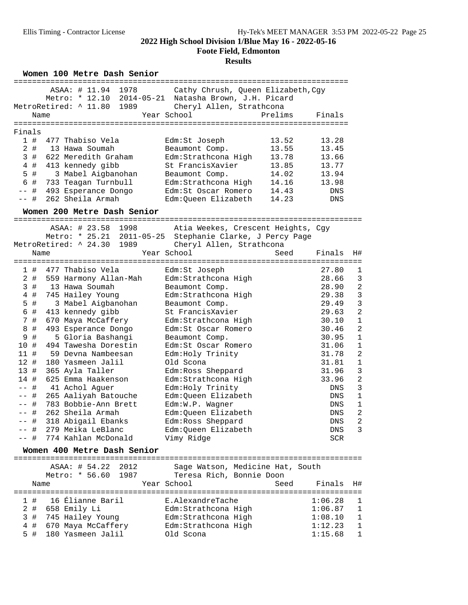**Foote Field, Edmonton**

## **Results**

Women 100 Metre Dash Senior

|                        |                                                                               |                                                                                              | ----------------------------- |                |                                |
|------------------------|-------------------------------------------------------------------------------|----------------------------------------------------------------------------------------------|-------------------------------|----------------|--------------------------------|
|                        | ASAA: # 11.94 1978<br>Metro: * 12.10 2014-05-21<br>MetroRetired: ^ 11.80 1989 | Cathy Chrush, Queen Elizabeth, Cgy<br>Natasha Brown, J.H. Picard<br>Cheryl Allen, Strathcona |                               |                |                                |
| Name                   |                                                                               | Year School                                                                                  | Prelims                       | Finals         |                                |
|                        |                                                                               |                                                                                              |                               |                |                                |
| Finals                 |                                                                               |                                                                                              |                               |                |                                |
| 1#                     | 477 Thabiso Vela                                                              | Edm:St Joseph                                                                                | 13.52                         | 13.28          |                                |
| $2$ #                  | 13 Hawa Soumah                                                                | Beaumont Comp.                                                                               | 13.55                         | 13.45          |                                |
| 3#                     | 622 Meredith Graham                                                           | Edm: Strathcona High                                                                         | 13.78                         | 13.66          |                                |
| $4$ #                  | 413 kennedy gibb                                                              | St FrancisXavier                                                                             | 13.85                         | 13.77          |                                |
| 5<br>#                 | 3 Mabel Aigbanohan                                                            | Beaumont Comp.                                                                               | 14.02                         | 13.94          |                                |
| 6 #                    | 733 Teagan Turnbull                                                           | Edm:Strathcona High                                                                          | 14.16                         | 13.98          |                                |
| #<br>$- -$<br>$--$ #   | 493 Esperance Dongo<br>262 Sheila Armah                                       | Edm:St Oscar Romero<br>Edm:Queen Elizabeth                                                   | 14.43<br>14.23                | DNS<br>DNS     |                                |
|                        | Women 200 Metre Dash Senior                                                   |                                                                                              |                               |                |                                |
|                        |                                                                               |                                                                                              |                               |                |                                |
|                        | ASAA: # 23.58 1998                                                            | Atia Weekes, Crescent Heights, Cgy                                                           |                               |                |                                |
|                        | Metro: * 25.21 2011-05-25 Stephanie Clarke, J Percy Page                      |                                                                                              |                               |                |                                |
|                        | MetroRetired: ^ 24.30 1989                                                    | Cheryl Allen, Strathcona                                                                     |                               |                |                                |
| Name                   |                                                                               | Year School                                                                                  | Seed                          | Finals         | H#                             |
|                        |                                                                               |                                                                                              |                               |                |                                |
| 1#                     | 477 Thabiso Vela                                                              | Edm:St Joseph                                                                                |                               | 27.80          | $\mathbf 1$                    |
| $2$ #                  | 559 Harmony Allan-Mah                                                         | Edm:Strathcona High                                                                          |                               | 28.66          | 3                              |
| 3<br>#                 | 13 Hawa Soumah                                                                | Beaumont Comp.                                                                               |                               | 28.90          | $\overline{a}$                 |
| #<br>4                 | 745 Hailey Young                                                              | Edm: Strathcona High                                                                         |                               | 29.38          | 3<br>$\overline{3}$            |
| $\#$<br>5              | 3 Mabel Aigbanohan                                                            | Beaumont Comp.                                                                               |                               | 29.49          | $\overline{a}$                 |
| 6<br>$\#$              | 413 kennedy gibb                                                              | St FrancisXavier                                                                             |                               | 29.63          |                                |
| $7\phantom{.}$<br>$\#$ | 670 Maya McCaffery                                                            | Edm:Strathcona High                                                                          |                               | 30.10<br>30.46 | $\mathbf{1}$<br>$\overline{c}$ |
| 8<br>$\#$<br>$\#$      | 493 Esperance Dongo                                                           | Edm: St Oscar Romero                                                                         |                               | 30.95          | $\mathbf{1}$                   |
| 9<br>10<br>#           | 5 Gloria Bashangi<br>494 Tawesha Dorestin                                     | Beaumont Comp.<br>Edm:St Oscar Romero                                                        |                               | 31.06          | $\mathbf{1}$                   |
| 11#                    | 59 Devna Nambeesan                                                            | Edm: Holy Trinity                                                                            |                               | 31.78          | $\overline{a}$                 |
| 12#                    | 180 Yasmeen Jalil                                                             | Old Scona                                                                                    |                               | 31.81          | $\mathbf{1}$                   |
| 13#                    | 365 Ayla Taller                                                               | Edm:Ross Sheppard                                                                            |                               | 31.96          | 3                              |
| 14 #                   | 625 Emma Haakenson                                                            | Edm: Strathcona High                                                                         |                               | 33.96          | $\overline{c}$                 |
| #<br>$- -$             | 41 Achol Aguer                                                                | Edm: Holy Trinity                                                                            |                               | DNS            | 3                              |
| #<br>$- -$             | 265 Aaliyah Batouche                                                          | Edm:Queen Elizabeth                                                                          |                               | DNS            | $\mathbf 1$                    |
| -- #                   | 783 Bobbie-Ann Brett                                                          | Edm:W.P. Wagner                                                                              |                               | DNS            | $\mathbf{1}$                   |
| $--$ #                 | 262 Sheila Armah                                                              | Edm:Queen Elizabeth                                                                          |                               | DNS            | $\overline{a}$                 |
| -- #                   | 318 Abigail Ebanks                                                            | Edm:Ross Sheppard                                                                            |                               | ${\rm DNS}$    | $\overline{a}$                 |
| -- #                   | 279 Meika LeBlanc                                                             | Edm:Queen Elizabeth                                                                          |                               | DNS            | 3                              |
| -- #                   | 774 Kahlan McDonald                                                           | Vimy Ridge                                                                                   |                               | SCR            |                                |
|                        | Women 400 Metre Dash Senior                                                   |                                                                                              |                               |                |                                |
|                        | ASAA: # 54.22 2012                                                            | Sage Watson, Medicine Hat, South                                                             |                               |                |                                |
|                        | Metro: * 56.60 1987                                                           | Teresa Rich, Bonnie Doon                                                                     |                               |                |                                |
| Name                   |                                                                               | Year School                                                                                  | Seed                          | Finals         | H#                             |
|                        |                                                                               |                                                                                              |                               |                |                                |
| 1#                     | 16 Élianne Baril                                                              | E.AlexandreTache                                                                             |                               | 1:06.28        | 1                              |
| 2#                     | 658 Emily Li                                                                  | Edm:Strathcona High                                                                          |                               | 1:06.87        | $\mathbf 1$                    |
| 3<br>$\#$              | 745 Hailey Young                                                              | Edm:Strathcona High                                                                          |                               | 1:08.10        | $\mathbf{1}$                   |
| $\#$<br>4              | 670 Maya McCaffery                                                            | Edm:Strathcona High                                                                          |                               | 1:12.23        | $\mathbf 1$                    |
| 5 #                    | 180 Yasmeen Jalil                                                             | Old Scona                                                                                    |                               | 1:15.68        | $\mathbf 1$                    |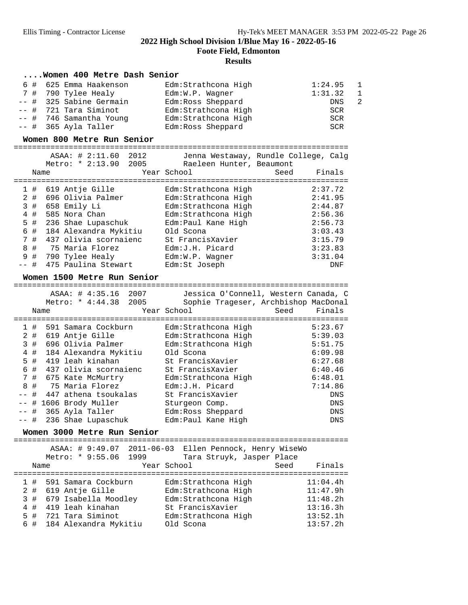**Foote Field, Edmonton**

|                     | Women 400 Metre Dash Senior                   |                                             |                                                                              |
|---------------------|-----------------------------------------------|---------------------------------------------|------------------------------------------------------------------------------|
| 6 #                 | 625 Emma Haakenson                            | Edm:Strathcona High                         | 1:24.95<br>1                                                                 |
|                     | 7 # 790 Tylee Healy                           | Edm:W.P. Wagner                             | $\mathbf{1}$<br>1:31.32                                                      |
| #<br>--             | 325 Sabine Germain                            | Edm: Ross Sheppard                          | $\overline{2}$<br>DNS                                                        |
| -- #                | 721 Tara Siminot                              | Edm: Strathcona High                        | <b>SCR</b>                                                                   |
|                     | -- # 746 Samantha Young                       | Edm: Strathcona High                        | <b>SCR</b>                                                                   |
|                     | -- # 365 Ayla Taller                          | Edm: Ross Sheppard                          | <b>SCR</b>                                                                   |
|                     | Women 800 Metre Run Senior                    |                                             |                                                                              |
|                     |                                               |                                             |                                                                              |
|                     | ASAA: # 2:11.60 2012                          |                                             | Jenna Westaway, Rundle College, Calg                                         |
|                     | Metro: * 2:13.90<br>2005                      | Raeleen Hunter, Beaumont                    | Finals                                                                       |
|                     | Name                                          | Year School                                 | Seed                                                                         |
| 1#                  | 619 Antje Gille                               | Edm:Strathcona High                         | 2:37.72                                                                      |
| 2#                  | 696 Olivia Palmer                             | Edm:Strathcona High                         | 2:41.95                                                                      |
| 3#                  | 658 Emily Li                                  | Edm: Strathcona High                        | 2:44.87                                                                      |
| $4$ #               | 585 Nora Chan                                 | Edm: Strathcona High                        | 2:56.36                                                                      |
| 5 #                 | 236 Shae Lupaschuk                            | Edm: Paul Kane High                         | 2:56.73                                                                      |
| 6 #                 | 184 Alexandra Mykitiu                         | Old Scona                                   | 3:03.43                                                                      |
| 7#                  | 437 olivia scornaienc                         | St FrancisXavier                            | 3:15.79                                                                      |
| 8 #                 | 75 Maria Florez                               | Edm: J.H. Picard                            | 3:23.83                                                                      |
| 9<br>#              | 790 Tylee Healy                               | Edm:W.P. Wagner                             | 3:31.04                                                                      |
| -- #                | 475 Paulina Stewart                           | Edm:St Joseph                               | <b>DNF</b>                                                                   |
|                     | Women 1500 Metre Run Senior                   |                                             |                                                                              |
|                     |                                               |                                             |                                                                              |
|                     | ASAA: # 4:35.16 2007<br>Metro: * 4:44.38 2005 |                                             | Jessica O'Connell, Western Canada, C<br>Sophie Trageser, Archbishop MacDonal |
|                     |                                               |                                             |                                                                              |
|                     |                                               |                                             |                                                                              |
|                     | Name                                          | Year School                                 | Seed<br>Finals                                                               |
|                     |                                               |                                             | ===================================                                          |
| 1#                  | 591 Samara Cockburn                           | Edm:Strathcona High                         | 5:23.67                                                                      |
|                     | 2 # 619 Antje Gille<br>696 Olivia Palmer      | Edm:Strathcona High                         | 5:39.03<br>5:51.75                                                           |
| 3#<br>$4$ #         | 184 Alexandra Mykitiu                         | Edm: Strathcona High<br>Old Scona           | 6:09.98                                                                      |
| $5$ #               | 419 leah kinahan                              | St FrancisXavier                            | 6:27.68                                                                      |
| 6 #                 | 437 olivia scornaienc                         | St FrancisXavier                            | 6:40.46                                                                      |
| $\overline{7}$<br># | 675 Kate McMurtry                             | Edm: Strathcona High                        | 6:48.01                                                                      |
| #<br>8              | 75 Maria Florez                               | Edm: J.H. Picard                            | 7:14.86                                                                      |
| $--$ #              | 447 athena tsoukalas                          | St FrancisXavier                            | <b>DNS</b>                                                                   |
|                     | -- # 1606 Brody Muller                        | Sturgeon Comp.                              | DNS                                                                          |
| -- #                | 365 Ayla Taller                               | Edm: Ross Sheppard                          | $\mathop{\rm DNS}$                                                           |
| ーー 井                | 236 Shae Lupaschuk                            | Edm:Paul Kane High                          | DNS                                                                          |
|                     | Women 3000 Metre Run Senior                   |                                             |                                                                              |
|                     |                                               |                                             |                                                                              |
|                     | ASAA: # 9:49.07<br>2011-06-03                 | Ellen Pennock, Henry WiseWo                 |                                                                              |
|                     | Metro: * 9:55.06<br>1999                      | Tara Struyk, Jasper Place                   |                                                                              |
|                     | Name                                          | Year School                                 | Seed<br>Finals                                                               |
| 1#                  | 591 Samara Cockburn                           | Edm:Strathcona High                         | 11:04.4h                                                                     |
|                     | 2 # 619 Antje Gille                           |                                             | 11:47.9h                                                                     |
|                     | 3 # 679 Isabella Moodley                      | Edm: Strathcona High<br>Edm:Strathcona High | 11:48.2h                                                                     |
| 4                   | 419 leah kinahan<br>#                         | St FrancisXavier                            | 13:16.3h                                                                     |
| 5<br>#<br>6 #       | 721 Tara Siminot<br>184 Alexandra Mykitiu     | Edm: Strathcona High<br>Old Scona           | 13:52.1h<br>13:57.2h                                                         |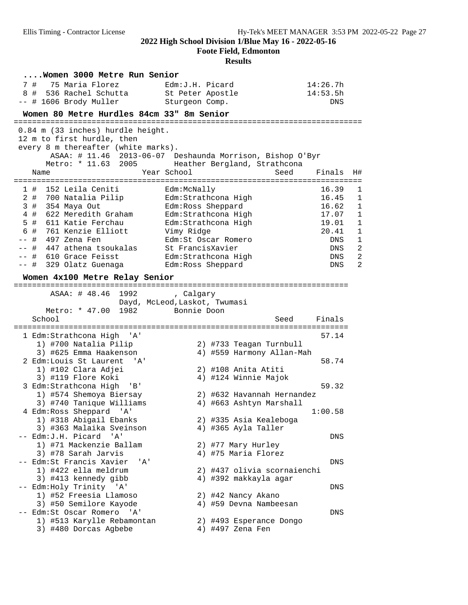**Foote Field, Edmonton**

| Women 3000 Metre Run Senior                          |                                                                                                 |            |                |
|------------------------------------------------------|-------------------------------------------------------------------------------------------------|------------|----------------|
| 75 Maria Florez<br>7#                                | Edm:J.H. Picard                                                                                 | 14:26.7h   |                |
| 8#<br>536 Rachel Schutta                             | St Peter Apostle                                                                                | 14:53.5h   |                |
| -- # 1606 Brody Muller                               | Sturgeon Comp.                                                                                  | <b>DNS</b> |                |
| Women 80 Metre Hurdles 84cm 33" 8m Senior            |                                                                                                 |            |                |
|                                                      |                                                                                                 |            |                |
| 0.84 m (33 inches) hurdle height.                    |                                                                                                 |            |                |
| 12 m to first hurdle, then                           |                                                                                                 |            |                |
| every 8 m thereafter (white marks).<br>ASAA: # 11.46 |                                                                                                 |            |                |
|                                                      | 2013-06-07 Deshaunda Morrison, Bishop O'Byr<br>Metro: * 11.63 2005 Heather Bergland, Strathcona |            |                |
| Name                                                 | Year School<br>Seed                                                                             | Finals     | H#             |
|                                                      |                                                                                                 |            |                |
| 152 Leila Ceniti<br>1#                               | Edm:McNally                                                                                     | 16.39      | 1              |
| 2 # 700 Natalia Pilip                                | Edm: Strathcona High                                                                            | 16.45      | $\mathbf{1}$   |
| 3 # 354 Maya Out                                     | Edm: Ross Sheppard                                                                              | 16.62      | $\mathbf 1$    |
| 4 # 622 Meredith Graham                              | Edm: Strathcona High                                                                            | 17.07      | $\mathbf 1$    |
| $5$ #<br>611 Katie Ferchau                           | Edm: Strathcona High                                                                            | 19.01      | $\mathbf{1}$   |
| 6 #<br>761 Kenzie Elliott                            | Vimy Ridge                                                                                      | 20.41      | $\mathbf{1}$   |
| 497 Zena Fen<br>-- #                                 | Edm:St Oscar Romero                                                                             | DNS        | 1              |
| -- # 447 athena tsoukalas                            | St FrancisXavier                                                                                | <b>DNS</b> | $\overline{2}$ |
| -- # 610 Grace Feisst                                | Edm: Strathcona High                                                                            | DNS        | $\overline{2}$ |
| -- # 329 Olatz Guenaga                               | Edm: Ross Sheppard                                                                              | DNS        | $\overline{2}$ |
| Women 4x100 Metre Relay Senior                       |                                                                                                 |            |                |
|                                                      |                                                                                                 |            |                |
| ASAA: # 48.46<br>1992                                | , Calgary                                                                                       |            |                |
|                                                      | Dayd, McLeod, Laskot, Twumasi                                                                   |            |                |
| Metro: * 47.00<br>1982                               | Bonnie Doon                                                                                     |            |                |
| School                                               | Seed                                                                                            | Finals     |                |
| 1 Edm:Strathcona High<br>' A '                       |                                                                                                 | 57.14      |                |
| 1) #700 Natalia Pilip                                | 2) #733 Teagan Turnbull                                                                         |            |                |
| 3) #625 Emma Haakenson                               | 4) #559 Harmony Allan-Mah                                                                       |            |                |
| 2 Edm: Louis St Laurent<br>'A'                       |                                                                                                 | 58.74      |                |
| 1) #102 Clara Adjei                                  | 2) #108 Anita Atiti                                                                             |            |                |
| 3) #119 Flore Koki                                   | 4) #124 Winnie Majok                                                                            |            |                |
| 3 Edm: Strathcona High<br>'B'                        |                                                                                                 | 59.32      |                |
| 1) #574 Shemoya Biersay                              | 2) #632 Havannah Hernandez                                                                      |            |                |
| 3) #740 Tanique Williams                             | 4) #663 Ashtyn Marshall                                                                         |            |                |
| 4 Edm: Ross Sheppard 'A'                             |                                                                                                 | 1:00.58    |                |
| 1) #318 Abigail Ebanks                               | 2) #335 Asia Kealeboga                                                                          |            |                |
| 3) #363 Malaika Sveinson                             | 4) #365 Ayla Taller                                                                             |            |                |
| -- Edm:J.H. Picard<br>$^{\prime}$ A $^{\prime}$      |                                                                                                 | DNS        |                |
| 1) #71 Mackenzie Ballam                              | 2) #77 Mary Hurley                                                                              |            |                |
| 3) #78 Sarah Jarvis                                  | 4) #75 Maria Florez                                                                             |            |                |
| Edm: St Francis Xavier<br>' A'                       |                                                                                                 | DNS        |                |
| 1) #422 ella meldrum                                 | 2) #437 olivia scornaienchi                                                                     |            |                |
| 3) #413 kennedy gibb                                 |                                                                                                 |            |                |
|                                                      | 4) #392 makkayla agar                                                                           |            |                |
| -- Edm: Holy Trinity 'A'                             |                                                                                                 | DNS        |                |
| 1) #52 Freesia Llamoso                               | 2) #42 Nancy Akano                                                                              |            |                |
| 3) #50 Semilore Kayode                               | 4) #59 Devna Nambeesan                                                                          |            |                |
| -- Edm: St Oscar Romero 'A'                          |                                                                                                 | DNS        |                |
| 1) #513 Karylle Rebamontan<br>3) #480 Dorcas Agbebe  | 2) #493 Esperance Dongo<br>4) #497 Zena Fen                                                     |            |                |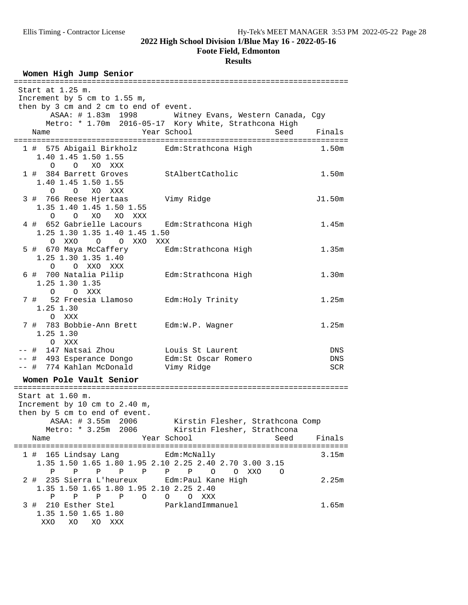### **Foote Field, Edmonton**

## **Results**

## Women High Jump Senior

| Start at 1.25 m.                                              |                                                       |                   |
|---------------------------------------------------------------|-------------------------------------------------------|-------------------|
| Increment by 5 cm to 1.55 m,                                  |                                                       |                   |
| then by 3 cm and 2 cm to end of event.                        |                                                       |                   |
|                                                               | ASAA: # 1.83m 1998 Witney Evans, Western Canada, Cgy  |                   |
|                                                               | Metro: * 1.70m 2016-05-17 Kory White, Strathcona High |                   |
| Name                                                          | Year School                                           | Seed<br>Finals    |
|                                                               |                                                       |                   |
| 1 # 575 Abigail Birkholz Edm: Strathcona High                 |                                                       | 1.50m             |
| 1.40 1.45 1.50 1.55                                           |                                                       |                   |
| O O XO XXX                                                    |                                                       |                   |
| 1 # 384 Barrett Groves                                        | StAlbertCatholic                                      | 1.50m             |
| 1.40 1.45 1.50 1.55                                           |                                                       |                   |
| O O XO XXX                                                    |                                                       |                   |
| 3 # 766 Reese Hjertaas Vimy Ridge<br>1.35 1.40 1.45 1.50 1.55 |                                                       | J1.50m            |
| O O XO XO XXX                                                 |                                                       |                   |
| 4 # 652 Gabrielle Lacours Edm: Strathcona High                |                                                       | 1.45m             |
| 1.25 1.30 1.35 1.40 1.45 1.50                                 |                                                       |                   |
| O XXO<br>O O XXO XXX                                          |                                                       |                   |
| 5 # 670 Maya McCaffery                                        | Edm:Strathcona High                                   | 1.35m             |
| 1.25 1.30 1.35 1.40                                           |                                                       |                   |
| O O XXO XXX                                                   |                                                       |                   |
| 6 # 700 Natalia Pilip Edm: Strathcona High                    |                                                       | 1.30 <sub>m</sub> |
| 1.25 1.30 1.35                                                |                                                       |                   |
| O O XXX                                                       |                                                       |                   |
| 7 # 52 Freesia Llamoso Edm: Holy Trinity                      |                                                       | 1.25m             |
| 1.25 1.30                                                     |                                                       |                   |
| O XXX                                                         |                                                       |                   |
| 7 # 783 Bobbie-Ann Brett Edm: W.P. Wagner                     |                                                       | 1.25m             |
| $1.25$ 1.30                                                   |                                                       |                   |
| O XXX                                                         |                                                       |                   |
| -- # 147 Natsai Zhou                                          | Louis St Laurent                                      | DNS               |
| -- # 493 Esperance Dongo                                      | Edm: St Oscar Romero                                  | DNS               |
| -- # 774 Kahlan McDonald                                      | Vimy Ridge                                            | SCR               |
|                                                               |                                                       |                   |
| Women Pole Vault Senior                                       |                                                       |                   |
| Start at 1.60 m.                                              |                                                       |                   |
| Increment by 10 cm to 2.40 m,                                 |                                                       |                   |
| then by 5 cm to end of event.                                 |                                                       |                   |
| ASAA: # 3.55m 2006 Kirstin Flesher, Strathcona Comp           |                                                       |                   |
|                                                               | Metro: * 3.25m 2006 Kirstin Flesher, Strathcona       |                   |
| Name                                                          | Year School                                           | Seed<br>Finals    |
|                                                               |                                                       |                   |
| 1 # 165 Lindsay Lang <a> Edm:McNally</a>                      |                                                       | 3.15m             |
| 1.35 1.50 1.65 1.80 1.95 2.10 2.25 2.40 2.70 3.00 3.15        |                                                       |                   |
| P P P P P P P P O O XXO                                       | $\overline{O}$                                        |                   |
| 2 # 235 Sierra L'heureux Edm: Paul Kane High                  |                                                       | 2.25m             |
| 1.35 1.50 1.65 1.80 1.95 2.10 2.25 2.40                       |                                                       |                   |
| P P P P O O O XXX                                             |                                                       |                   |
| 3 # 210 Esther Stel                                           | ParklandImmanuel                                      | 1.65m             |
| 1.35 1.50 1.65 1.80                                           |                                                       |                   |
| XXO XO XO XXX                                                 |                                                       |                   |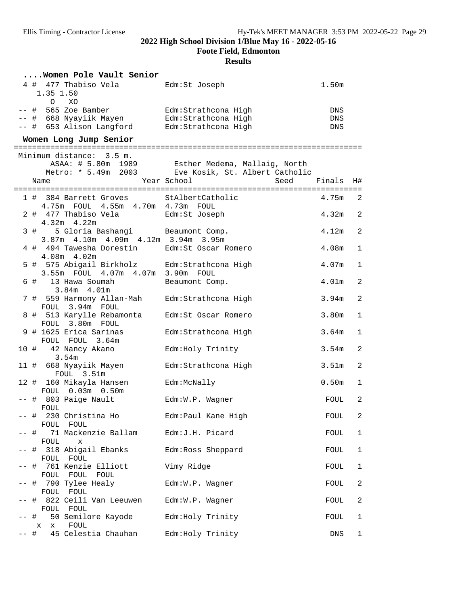**Foote Field, Edmonton**

|      |                                             | Women Pole Vault Senior                  |                                                                                                                          |                   |                         |
|------|---------------------------------------------|------------------------------------------|--------------------------------------------------------------------------------------------------------------------------|-------------------|-------------------------|
|      | 4 # 477 Thabiso Vela<br>1.35 1.50           |                                          | Edm:St Joseph                                                                                                            | 1.50 <sub>m</sub> |                         |
|      | $O$ XO                                      | -- # 653 Alison Langford                 | -- # 565 Zoe Bamber <a> Edm:Strathcona High<br/>-- # 668 Nyayiik Mayen Edm: Strathcona High<br/>Edm: Strathcona High</a> | DNS<br>DNS<br>DNS |                         |
|      | Women Long Jump Senior                      |                                          |                                                                                                                          |                   |                         |
|      | Minimum distance: 3.5 m.                    |                                          |                                                                                                                          |                   |                         |
|      |                                             |                                          | ASAA: # 5.80m 1989 Esther Medema, Mallaig, North<br>Metro: * 5.49m 2003 Eve Kosik, St. Albert Catholic                   |                   |                         |
| Name |                                             |                                          | Year School                                                                                                              | Seed<br>Finals    | H#                      |
|      |                                             |                                          | 1 # 384 Barrett Groves StAlbertCatholic                                                                                  | 4.75m             | $\overline{2}$          |
|      |                                             | 4.75m FOUL 4.55m 4.70m 4.73m FOUL        |                                                                                                                          |                   |                         |
|      | $4.32m$ $4.22m$                             | 2 # 477 Thabiso Vela                     | Edm:St Joseph                                                                                                            | 4.32m             | $\overline{2}$          |
| 3#   |                                             | 3.87m  4.10m  4.09m  4.12m  3.94m  3.95m | 5 Gloria Bashangi Beaumont Comp.                                                                                         | 4.12m             | $\overline{a}$          |
|      | 4.08m 4.02m                                 |                                          | 4 # 494 Tawesha Dorestin Edm: St Oscar Romero                                                                            | 4.08m             | 1                       |
|      |                                             | 3.55m FOUL 4.07m 4.07m 3.90m FOUL        | 5 # 575 Abigail Birkholz Edm: Strathcona High                                                                            | 4.07m             | $\mathbf 1$             |
|      | 6 # 13 Hawa Soumah<br>$3.84m$ $4.01m$       |                                          | Beaumont Comp.                                                                                                           | 4.01 <sub>m</sub> | $\overline{2}$          |
|      | FOUL 3.94m FOUL                             |                                          | 7 # 559 Harmony Allan-Mah Edm: Strathcona High                                                                           | 3.94 <sub>m</sub> | $\overline{a}$          |
|      | FOUL 3.80m FOUL                             | 8 # 513 Karylle Rebamonta                | Edm: St Oscar Romero                                                                                                     | 3.80 <sub>m</sub> | 1                       |
|      | 9 # 1625 Erica Sarinas<br>FOUL FOUL 3.64m   |                                          | Edm:Strathcona High                                                                                                      | 3.64m             | $\mathbf{1}$            |
|      | 10 # 42 Nancy Akano<br>3.54m                |                                          | Edm: Holy Trinity                                                                                                        | 3.54m             | $\overline{2}$          |
|      | FOUL 3.51m                                  | 11 # 668 Nyayiik Mayen                   | Edm: Strathcona High                                                                                                     | 3.51 <sub>m</sub> | $\overline{a}$          |
|      | 12 # 160 Mikayla Hansen<br>FOUL 0.03m 0.50m |                                          | Edm:McNally                                                                                                              | 0.50 <sub>m</sub> | $\mathbf 1$             |
|      | -- # 803 Paige Nault<br>FOUL                |                                          | Edm:W.P. Wagner                                                                                                          | FOUL              | $\overline{c}$          |
|      | -- # 230 Christina Ho<br>FOUL FOUL          |                                          | Edm:Paul Kane High                                                                                                       | FOUL              | 2                       |
| -- # | FOUL<br>X                                   | 71 Mackenzie Ballam                      | Edm:J.H. Picard                                                                                                          | FOUL              | $\mathbf{1}$            |
|      | -- # 318 Abigail Ebanks<br>FOUL FOUL        |                                          | Edm: Ross Sheppard                                                                                                       | FOUL              | $\mathbf{1}$            |
|      | -- # 761 Kenzie Elliott<br>FOUL FOUL FOUL   |                                          | Vimy Ridge                                                                                                               | FOUL              | 1                       |
|      | -- # 790 Tylee Healy<br>FOUL FOUL           |                                          | $Edm:W.P.$ Waqner                                                                                                        | FOUL              | $\overline{a}$          |
|      | FOUL FOUL                                   | -- # 822 Ceili Van Leeuwen               | Edm:W.P. Wagner                                                                                                          | FOUL              | $\overline{\mathbf{c}}$ |
|      | x x FOUL                                    | -- # 50 Semilore Kayode                  | Edm: Holy Trinity                                                                                                        | FOUL              | 1                       |
| -- # | 45 Celestia Chauhan                         |                                          | Edm: Holy Trinity                                                                                                        | DNS               | $\mathbf 1$             |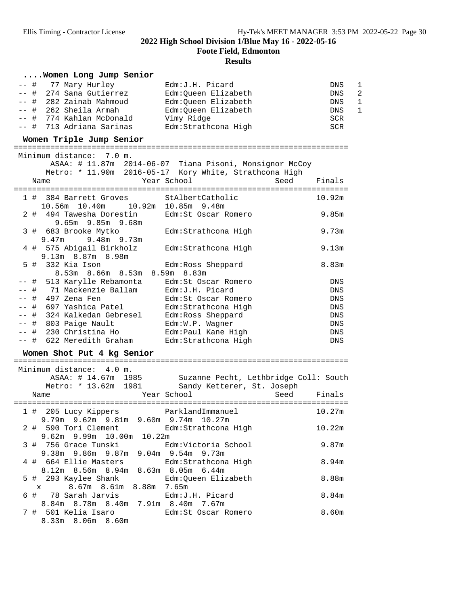**Foote Field, Edmonton**

| Women Long Jump Senior                                                                                                                                                                                                                                                                                                                                                             |                                                                                                                                          |                                                                                                          |
|------------------------------------------------------------------------------------------------------------------------------------------------------------------------------------------------------------------------------------------------------------------------------------------------------------------------------------------------------------------------------------|------------------------------------------------------------------------------------------------------------------------------------------|----------------------------------------------------------------------------------------------------------|
| $--$ #<br>77 Mary Hurley<br>274 Sana Gutierrez<br>-- #<br>-- # 282 Zainab Mahmoud<br>-- # 262 Sheila Armah<br>-- # 774 Kahlan McDonald<br>-- # 713 Adriana Sarinas                                                                                                                                                                                                                 | Edm: J.H. Picard<br>Edm:Queen Elizabeth<br>Edm:Queen Elizabeth<br>Edm:Queen Elizabeth<br>Vimy Ridge<br>Edm: Strathcona High              | 1<br>DNS<br>2<br><b>DNS</b><br><b>DNS</b><br>1<br>$\mathbf{1}$<br><b>DNS</b><br><b>SCR</b><br><b>SCR</b> |
| Women Triple Jump Senior                                                                                                                                                                                                                                                                                                                                                           |                                                                                                                                          |                                                                                                          |
| Minimum distance: 7.0 m.<br>Name                                                                                                                                                                                                                                                                                                                                                   | ASAA: # 11.87m 2014-06-07 Tiana Pisoni, Monsignor McCoy<br>Metro: * 11.90m 2016-05-17 Kory White, Strathcona High<br>Year School<br>Seed | Finals                                                                                                   |
| 1 # 384 Barrett Groves StAlbertCatholic                                                                                                                                                                                                                                                                                                                                            |                                                                                                                                          | 10.92m                                                                                                   |
| 10.56m  10.40m  10.92m  10.85m  9.48m<br>2 # 494 Tawesha Dorestin<br>9.65m 9.85m 9.68m                                                                                                                                                                                                                                                                                             | Edm:St Oscar Romero                                                                                                                      | 9.85m                                                                                                    |
| 3 # 683 Brooke Mytko<br>$9.47m$ $9.48m$ $9.73m$                                                                                                                                                                                                                                                                                                                                    | Edm:Strathcona High                                                                                                                      | 9.73m                                                                                                    |
| 4 # 575 Abigail Birkholz<br>9.13m 8.87m 8.98m                                                                                                                                                                                                                                                                                                                                      | Edm:Strathcona High                                                                                                                      | 9.13m                                                                                                    |
| 332 Kia Ison<br>5#<br>8.53m 8.66m 8.53m 8.59m 8.83m                                                                                                                                                                                                                                                                                                                                | Edm: Ross Sheppard                                                                                                                       | 8.83m                                                                                                    |
| -- #  513 Karylle Rebamonta                                                                                                                                                                                                                                                                                                                                                        | Edm: St Oscar Romero                                                                                                                     | DNS                                                                                                      |
| -- #   71 Mackenzie Ballam                                                                                                                                                                                                                                                                                                                                                         | Edm: J.H. Picard                                                                                                                         | <b>DNS</b>                                                                                               |
| -- # 497 Zena Fen                                                                                                                                                                                                                                                                                                                                                                  | Edm:St Oscar Romero                                                                                                                      | <b>DNS</b>                                                                                               |
| -- # 697 Yashica Patel                                                                                                                                                                                                                                                                                                                                                             | Edm: Strathcona High                                                                                                                     | <b>DNS</b>                                                                                               |
| -- # 324 Kalkedan Gebresel                                                                                                                                                                                                                                                                                                                                                         | Edm: Ross Sheppard                                                                                                                       | DNS                                                                                                      |
| -- # 803 Paige Nault                                                                                                                                                                                                                                                                                                                                                               | Edm:W.P. Wagner                                                                                                                          | DNS                                                                                                      |
| -- # 230 Christina Ho                                                                                                                                                                                                                                                                                                                                                              | Edm: Paul Kane High                                                                                                                      | DNS                                                                                                      |
| -- # 622 Meredith Graham                                                                                                                                                                                                                                                                                                                                                           | Edm:Strathcona High                                                                                                                      | <b>DNS</b>                                                                                               |
| Women Shot Put 4 kg Senior                                                                                                                                                                                                                                                                                                                                                         |                                                                                                                                          |                                                                                                          |
| Minimum distance: 4.0 m.<br>ASAA: # 14.67m 1985<br>Metro: * 13.62m 1981<br>Name                                                                                                                                                                                                                                                                                                    | Suzanne Pecht, Lethbridge Coll: South<br>Sandy Ketterer, St. Joseph<br>Year School<br>Seed                                               | Finals                                                                                                   |
|                                                                                                                                                                                                                                                                                                                                                                                    |                                                                                                                                          |                                                                                                          |
| 1 # 205 Lucy Kippers<br>9.79m 9.62m 9.81m 9.60m 9.74m 10.27m                                                                                                                                                                                                                                                                                                                       | ParklandImmanuel                                                                                                                         | 10.27m                                                                                                   |
| 2 # 590 Tori Clement<br>9.62m 9.99m 10.00m 10.22m                                                                                                                                                                                                                                                                                                                                  | Edm:Strathcona High                                                                                                                      | 10.22m                                                                                                   |
| 3 # 756 Grace Tunski<br>9.38m 9.86m 9.87m 9.04m 9.54m 9.73m                                                                                                                                                                                                                                                                                                                        | Edm:Victoria School                                                                                                                      | 9.87m                                                                                                    |
| 4 # 664 Ellie Masters<br>8.12m 8.56m 8.94m 8.63m 8.05m 6.44m                                                                                                                                                                                                                                                                                                                       | Edm:Strathcona High                                                                                                                      | 8.94m                                                                                                    |
| 5 # 293 Kaylee Shank<br>8.67m 8.61m 8.88m 7.65m<br>$\mathbf x$ and $\mathbf x$ and $\mathbf x$ and $\mathbf x$ and $\mathbf x$ and $\mathbf x$ and $\mathbf x$ and $\mathbf x$ and $\mathbf x$ and $\mathbf x$ and $\mathbf x$ and $\mathbf x$ and $\mathbf x$ and $\mathbf x$ and $\mathbf x$ and $\mathbf x$ and $\mathbf x$ and $\mathbf x$ and $\mathbf x$ and $\mathbf x$ and | Edm:Queen Elizabeth                                                                                                                      | 8.88m                                                                                                    |
| 78 Sarah Jarvis<br>6 #<br>8.84m 8.78m 8.40m 7.91m 8.40m 7.67m                                                                                                                                                                                                                                                                                                                      | Edm: J.H. Picard                                                                                                                         | 8.84m                                                                                                    |
| 7 # 501 Kelia Isaro<br>8.33m 8.06m 8.60m                                                                                                                                                                                                                                                                                                                                           | Edm: St Oscar Romero                                                                                                                     | 8.60m                                                                                                    |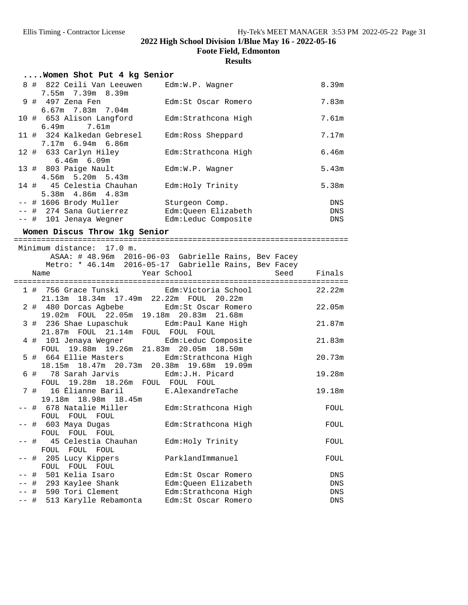**Foote Field, Edmonton**

## **Results**

| Women Shot Put 4 kg Senior                |                     |            |
|-------------------------------------------|---------------------|------------|
| 8 # 822 Ceili Van Leeuwen Edm:W.P. Wagner |                     | 8.39m      |
| $7.55m$ $7.39m$ 8.39m                     |                     |            |
| 9 # 497 Zena Fen                          | Edm:St Oscar Romero | 7.83m      |
| $6.67m$ $7.83m$ $7.04m$                   |                     |            |
| 10 # 653 Alison Langford                  | Edm:Strathcona High | 7.61m      |
| 6.49m 7.61m                               |                     |            |
| 11 # 324 Kalkedan Gebresel                | Edm:Ross Sheppard   | 7.17m      |
| 7.17m 6.94m 6.86m                         |                     |            |
| 12 # 633 Carlyn Hiley                     | Edm:Strathcona High | 6.46m      |
| $6.46m$ $6.09m$                           |                     |            |
| 13 # 803 Paige Nault                      | Edm:W.P. Wagner     | 5.43m      |
| $4.56m$ 5.20m 5.43m                       |                     |            |
| 14 # 45 Celestia Chauhan                  | Edm: Holy Trinity   | 5.38m      |
| $5.38m$ $4.86m$ $4.83m$                   |                     |            |
| -- # 1606 Brody Muller                    | Sturgeon Comp.      | DNS        |
| -- # 274 Sana Gutierrez                   | Edm:Oueen Elizabeth | <b>DNS</b> |
| -- # 101 Jenaya Wegner                    | Edm:Leduc Composite | <b>DNS</b> |

# **Women Discus Throw 1kg Senior** =========================================================================

|  | Minimum distance: 17.0 m.                                                              |                                                       |             |
|--|----------------------------------------------------------------------------------------|-------------------------------------------------------|-------------|
|  |                                                                                        | ASAA: # 48.96m 2016-06-03 Gabrielle Rains, Bev Facey  |             |
|  |                                                                                        | Metro: * 46.14m 2016-05-17 Gabrielle Rains, Bev Facey |             |
|  | Year School<br>Name                                                                    |                                                       | Seed Finals |
|  |                                                                                        |                                                       |             |
|  | 1 # 756 Grace Tunski<br>Edm:Victoria School                                            |                                                       | 22.22m      |
|  | 21.13m 18.34m 17.49m 22.22m FOUL 20.22m                                                |                                                       |             |
|  | 2 # 480 Dorcas Agbebe Edm: St Oscar Romero                                             |                                                       | 22.05m      |
|  | 19.02m FOUL 22.05m 19.18m 20.83m 21.68m                                                |                                                       |             |
|  | 3 # 236 Shae Lupaschuk         Edm:Paul Kane High<br>21.87m FOUL 21.14m FOUL FOUL FOUL |                                                       | 21.87m      |
|  | 4 # 101 Jenaya Wegner Bdm:Leduc Composite                                              |                                                       | 21.83m      |
|  | FOUL 19.88m 19.26m 21.83m 20.05m 18.50m                                                |                                                       |             |
|  | 5 # 664 Ellie Masters Edm: Strathcona High                                             |                                                       | 20.73m      |
|  | 18.15m  18.47m  20.73m  20.38m  19.68m  19.09m                                         |                                                       |             |
|  | 6 # 78 Sarah Jarvis Mam: J.H. Picard                                                   |                                                       | 19.28m      |
|  | FOUL 19.28m 18.26m FOUL FOUL FOUL                                                      |                                                       |             |
|  | 7 # 16 Élianne Baril B.AlexandreTache                                                  |                                                       | 19.18m      |
|  | 19.18m  18.98m  18.45m                                                                 |                                                       |             |
|  | -- # 678 Natalie Miller Bdm:Strathcona High                                            |                                                       | FOUL        |
|  | FOUL FOUL FOUL                                                                         |                                                       |             |
|  | -- # 603 Maya Dugas                                                                    | Edm:Strathcona High                                   | FOUL        |
|  | FOUL FOUL FOUL                                                                         |                                                       |             |
|  | -- # 45 Celestia Chauhan Bdm:Holy Trinity                                              |                                                       | FOUL        |
|  | FOUL FOUL FOUL                                                                         |                                                       |             |
|  | -- # 205 Lucy Kippers                                                                  | ParklandImmanuel                                      | FOUL        |
|  | FOUL FOUL FOUL                                                                         |                                                       |             |
|  | -- # 501 Kelia Isaro                                                                   | Edm:St Oscar Romero                                   | DNS         |
|  | -- # 293 Kaylee Shank Man: Queen Elizabeth                                             |                                                       | DNS         |
|  | -- # 590 Tori Clement Edm:Strathcona High                                              |                                                       | <b>DNS</b>  |
|  | -- # 513 Karylle Rebamonta                                                             | Edm:St Oscar Romero                                   | <b>DNS</b>  |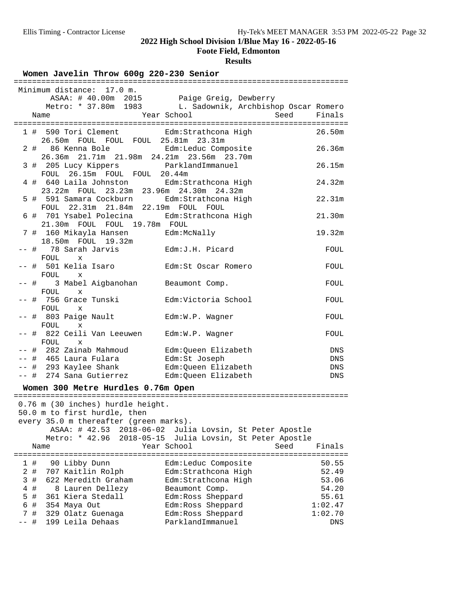**Foote Field, Edmonton**

### **Results**

Women Javelin Throw 600g 220-230 Senior

|   |     | Minimum distance: 17.0 m.                                                    |                                                           |            |
|---|-----|------------------------------------------------------------------------------|-----------------------------------------------------------|------------|
|   |     | ASAA: # 40.00m 2015 Paige Greig, Dewberry                                    |                                                           |            |
|   |     |                                                                              | Metro: * 37.80m 1983 L. Sadownik, Archbishop Oscar Romero |            |
|   |     | Name                                                                         | Year School<br>Seed                                       | Finals     |
|   |     |                                                                              |                                                           |            |
|   |     | 1 # 590 Tori Clement Edm:Strathcona High                                     |                                                           | 26.50m     |
|   |     | 26.50m FOUL FOUL FOUL 25.81m 23.31m                                          |                                                           |            |
|   |     | $2 +$<br>86 Kenna Bole Bolm Edm:Leduc Composite                              |                                                           | 26.36m     |
|   |     | 26.36m 21.71m 21.98m 24.21m 23.56m 23.70m                                    |                                                           |            |
|   |     | 3 # 205 Lucy Kippers                                                         | ParklandImmanuel                                          | 26.15m     |
|   |     | FOUL 26.15m FOUL FOUL 20.44m                                                 |                                                           |            |
|   |     | 4 # 640 Laila Johnston Edm: Strathcona High                                  |                                                           | 24.32m     |
|   |     | 23.22m FOUL 23.23m 23.96m 24.30m 24.32m                                      |                                                           |            |
|   |     | 5 # 591 Samara Cockburn Edm:Strathcona High                                  |                                                           | 22.31m     |
|   |     | FOUL 22.31m 21.84m 22.19m FOUL FOUL                                          |                                                           |            |
|   |     |                                                                              |                                                           | 21.30m     |
|   |     | 6 # 701 Ysabel Polecina Bdm: Strathcona High<br>21.30m FOUL FOUL 19.78m FOUL |                                                           |            |
|   |     |                                                                              |                                                           |            |
|   |     | 7 # 160 Mikayla Hansen<br><td></td> <td>19.32m</td>                          |                                                           | 19.32m     |
|   |     | 18.50m FOUL 19.32m                                                           |                                                           |            |
|   |     | -- # 78 Sarah Jarvis Mam:J.H. Picard                                         |                                                           | FOUL       |
|   |     | FOUL x                                                                       |                                                           |            |
|   |     | -- #  501 Kelia Isaro                                                        | Edm:St Oscar Romero                                       | FOUL       |
|   |     | FOUL x                                                                       |                                                           |            |
|   |     | -- # 3 Mabel Aigbanohan Beaumont Comp.                                       |                                                           | FOUL       |
|   |     | FOUL<br>$\mathbf x$                                                          |                                                           |            |
|   |     | -- #  756 Grace Tunski                                                       | Edm:Victoria School                                       | FOUL       |
|   |     | FOUL<br>$\mathbf x$                                                          |                                                           |            |
|   |     | -- # 803 Paige Nault                                                         | Edm:W.P. Wagner                                           | FOUL       |
|   |     | FOUL<br>X                                                                    |                                                           |            |
|   |     | -- #  822 Ceili Van Leeuwen                                                  | Edm:W.P. Wagner                                           | FOUL       |
|   |     | FOUL x                                                                       |                                                           |            |
|   |     | -- # 282 Zainab Mahmoud                                                      | Edm:Queen Elizabeth                                       | DNS        |
|   |     | -- #  465 Laura Fulara                                                       | Edm:St Joseph                                             | DNS        |
|   |     | -- # 293 Kaylee Shank Man Edm: Queen Elizabeth                               |                                                           | DNS        |
|   |     | -- # 274 Sana Gutierrez Edm: Queen Elizabeth                                 |                                                           | <b>DNS</b> |
|   |     |                                                                              |                                                           |            |
|   |     | Women 300 Metre Hurdles 0.76m Open                                           |                                                           |            |
|   |     |                                                                              |                                                           |            |
|   |     | 0.76 m (30 inches) hurdle height.                                            |                                                           |            |
|   |     | 50.0 m to first hurdle, then                                                 |                                                           |            |
|   |     | every 35.0 m thereafter (green marks).                                       |                                                           |            |
|   |     | ASAA: # 42.53 2018-06-02                                                     | Julia Lovsin, St Peter Apostle                            |            |
|   |     | Metro: * 42.96<br>$2018 - 05 - 15$                                           | Julia Lovsin, St Peter Apostle                            |            |
|   |     | Name                                                                         | Year School<br>Seed                                       | Finals     |
|   |     |                                                                              |                                                           |            |
|   | 1#  | 90 Libby Dunn                                                                | Edm:Leduc Composite                                       | 50.55      |
|   | 2#  | 707 Kaitlin Rolph                                                            | Edm: Strathcona High                                      | 52.49      |
|   | 3#  | 622 Meredith Graham                                                          | Edm: Strathcona High                                      | 53.06      |
|   | 4 # | 8 Lauren Dellezy                                                             | Beaumont Comp.                                            | 54.20      |
|   | 5 # | 361 Kiera Stedall                                                            | Edm: Ross Sheppard                                        | 55.61      |
| 6 | #   | 354 Maya Out                                                                 | Edm: Ross Sheppard                                        | 1:02.47    |
|   | 7#  | 329 Olatz Guenaga                                                            | Edm: Ross Sheppard                                        | 1:02.70    |
|   | #   | 199 Leila Dehaas                                                             | ParklandImmanuel                                          | DNS        |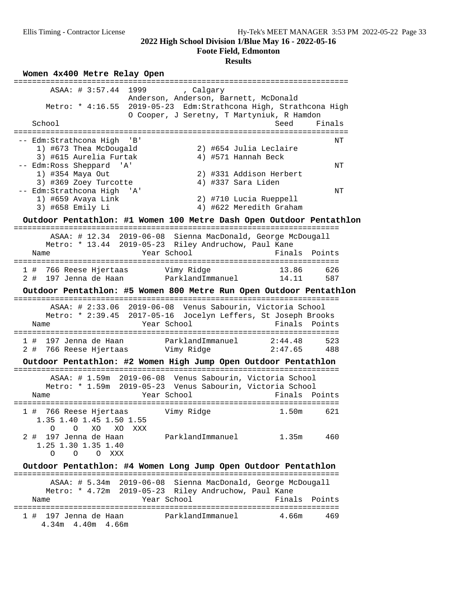**Foote Field, Edmonton**

### **Results**

**Women 4x400 Metre Relay Open** ========================================================================= ASAA: # 3:57.44 1999 , Calgary Anderson, Anderson, Barnett, McDonald Metro: \* 4:16.55 2019-05-23 Edm:Strathcona High, Strathcona High O Cooper, J Seretny, T Martyniuk, R Hamdon School Seed Finals ========================================================================= -- Edm:Strathcona High 'B' NT (1999) -- NT (1999) -- NT (1999) -- NT (1999) -- NT 1) #673 Thea McDougald 2) #654 Julia Leclaire 3) #615 Aurelia Furtak 4) #571 Hannah Beck -- Edm:Ross Sheppard 'A' NT 1) #354 Maya Out 2) #331 Addison Herbert 3) #369 Zoey Turcotte 4) #337 Sara Liden -- Edm:Strathcona High 'A' NT 1) #659 Avaya Link 2) #710 Lucia Rueppell 3) #658 Emily Li 4) #622 Meredith Graham **Outdoor Pentathlon: #1 Women 100 Metre Dash Open Outdoor Pentathlon** ======================================================================= ASAA: # 12.34 2019-06-08 Sienna MacDonald, George McDougall Metro: \* 13.44 2019-05-23 Riley Andruchow, Paul Kane<br>
Year School Fina Name Year School Finals Points ======================================================================= 1 # 766 Reese Hjertaas Vimy Ridge 13.86 626 2 # 197 Jenna de Haan ParklandImmanuel 14.11 587 **Outdoor Pentathlon: #5 Women 800 Metre Run Open Outdoor Pentathlon** ======================================================================= ASAA: # 2:33.06 2019-06-08 Venus Sabourin, Victoria School Metro: \* 2:39.45 2017-05-16 Jocelyn Leffers, St Joseph Brooks Name The Year School The Finals Points ======================================================================= 1 # 197 Jenna de Haan ParklandImmanuel 2:44.48 523 2 # 766 Reese Hjertaas Vimy Ridge 2:47.65 488 **Outdoor Pentathlon: #2 Women High Jump Open Outdoor Pentathlon** ======================================================================= ASAA: # 1.59m 2019-06-08 Venus Sabourin, Victoria School Metro: \* 1.59m 2019-05-23 Venus Sabourin, Victoria School Name The Year School Team Points Points ======================================================================= 1 # 766 Reese Hjertaas Vimy Ridge 1.50m 621 1.35 1.40 1.45 1.50 1.55 O O XO XO XXX 2 # 197 Jenna de Haan ParklandImmanuel 1.35m 460 1.25 1.30 1.35 1.40 O O O XXX **Outdoor Pentathlon: #4 Women Long Jump Open Outdoor Pentathlon** ======================================================================= ASAA: # 5.34m 2019-06-08 Sienna MacDonald, George McDougall Metro: \* 4.72m 2019-05-23 Riley Andruchow, Paul Kane Name **Year School** Finals Points ======================================================================= 1 # 197 Jenna de Haan ParklandImmanuel 4.66m 469 4.34m 4.40m 4.66m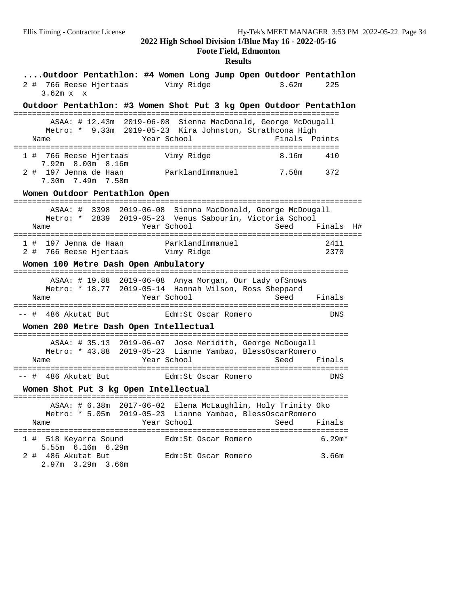### **Foote Field, Edmonton**

| Outdoor Pentathlon: #4 Women Long Jump Open Outdoor Pentathlon<br>2 # 766 Reese Hjertaas<br>Vimy Ridge<br>3.62m<br>$3.62m \times$<br>$\mathbf{x}$                                           | 225               |
|---------------------------------------------------------------------------------------------------------------------------------------------------------------------------------------------|-------------------|
| Outdoor Pentathlon: #3 Women Shot Put 3 kg Open Outdoor Pentathlon                                                                                                                          |                   |
| ASAA: # 12.43m 2019-06-08 Sienna MacDonald, George McDougall<br>Metro: * 9.33m 2019-05-23 Kira Johnston, Strathcona High<br>Year School<br>Finals<br>Name                                   | Points            |
| 1 # 766 Reese Hjertaas<br>Vimy Ridge<br>8.16m<br>7.92m 8.00m 8.16m<br>2 # 197 Jenna de Haan<br>ParklandImmanuel<br>7.58m<br>7.30m 7.49m 7.58m                                               | 410<br>372        |
| Women Outdoor Pentathlon Open                                                                                                                                                               |                   |
| ASAA: # 3398 2019-06-08 Sienna MacDonald, George McDougall<br>Metro: * 2839 2019-05-23 Venus Sabourin, Victoria School<br>Year School<br>Name<br>Seed                                       | Finals<br>H#      |
| 1 # 197 Jenna de Haan<br>ParklandImmanuel<br>2#<br>Women 100 Metre Dash Open Ambulatory                                                                                                     | 2411<br>2370      |
| =====================================<br>ASAA: # 19.88 2019-06-08 Anya Morgan, Our Lady of Snows<br>Metro: * 18.77 2019-05-14 Hannah Wilson, Ross Sheppard<br>Year School<br>Name           | Seed Finals       |
| -- # 486 Akutat But<br>Edm:St Oscar Romero                                                                                                                                                  | DNS               |
| Women 200 Metre Dash Open Intellectual                                                                                                                                                      |                   |
| ASAA: # 35.13 2019-06-07 Jose Meridith, George McDougall<br>Metro: * 43.88 2019-05-23 Lianne Yambao, BlessOscarRomero<br>Year School<br>Seed<br>Name                                        | Finals            |
| -- # 486 Akutat But<br>Edm:St Oscar Romero<br>Women Shot Put 3 kg Open Intellectual                                                                                                         | DNS               |
| ================================<br>ASAA: # 6.38m 2017-06-02 Elena McLaughlin, Holy Trinity Oko<br>Metro: * 5.05m 2019-05-23 Lianne Yambao, BlessOscarRomero<br>Year School<br>Seed<br>Name | Finals            |
| Edm:St Oscar Romero<br>1 # 518 Keyarra Sound<br>5.55m 6.16m 6.29m<br>2 # 486 Akutat But<br>Edm: St Oscar Romero<br>2.97m 3.29m 3.66m                                                        | $6.29m*$<br>3.66m |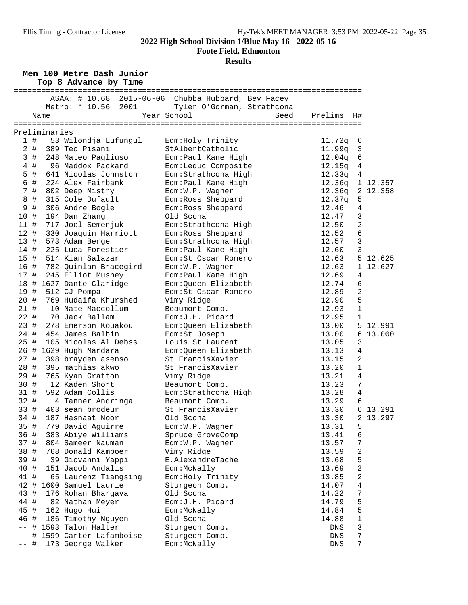**Foote Field, Edmonton**

|      |       |               | Men 100 Metre Dash Junior<br>Top 8 Advance by Time |                                                                                  |                  |                |          |
|------|-------|---------------|----------------------------------------------------|----------------------------------------------------------------------------------|------------------|----------------|----------|
|      |       |               | Metro: * 10.56 2001                                | ASAA: # 10.68 2015-06-06 Chubba Hubbard, Bev Facey<br>Tyler O'Gorman, Strathcona |                  |                |          |
|      |       | Name          |                                                    | Year School<br>Seed                                                              | Prelims          | H#             |          |
|      |       |               |                                                    |                                                                                  |                  |                |          |
|      | 1 #   | Preliminaries |                                                    |                                                                                  |                  |                |          |
|      |       |               | 53 Wilondja Lufungul<br>2 # 389 Teo Pisani         | Edm: Holy Trinity<br>StAlbertCatholic                                            | 11.72q<br>11.99q | - 6<br>3       |          |
|      | 3#    |               | 248 Mateo Pagliuso                                 | Edm: Paul Kane High                                                              | 12.04q           | $\epsilon$     |          |
|      | $4$ # |               | 96 Maddox Packard                                  | Edm:Leduc Composite                                                              | 12.15q           | $\overline{4}$ |          |
|      | 5 #   |               | 641 Nicolas Johnston                               | Edm: Strathcona High                                                             | 12.33q           | 4              |          |
|      | 6 #   |               | 224 Alex Fairbank                                  | Edm: Paul Kane High                                                              | 12.36q           |                | 1 12.357 |
|      | 7 #   |               | 802 Deep Mistry                                    | Edm:W.P. Wagner                                                                  | 12.36q           |                | 2 12.358 |
|      | 8#    |               | 315 Cole Dufault                                   | Edm: Ross Sheppard                                                               | 12.37q           | 5              |          |
|      | 9 #   |               | 306 Andre Bogle                                    | Edm: Ross Sheppard                                                               | 12.46            | $\overline{4}$ |          |
| 10 # |       |               | 194 Dan Zhang                                      | Old Scona                                                                        | 12.47            | 3              |          |
| 11#  |       |               | 717 Joel Semenjuk                                  | Edm: Strathcona High                                                             | 12.50            | $\overline{a}$ |          |
| 12#  |       |               | 330 Joaquin Harriott                               | Edm: Ross Sheppard                                                               | 12.52            | 6              |          |
| 13#  |       |               | 573 Adam Berge                                     | Edm: Strathcona High                                                             | 12.57            | 3              |          |
| 14 # |       |               | 225 Luca Forestier                                 | Edm: Paul Kane High                                                              | 12.60            | 3              |          |
| 15#  |       |               | 514 Kian Salazar                                   | Edm: St Oscar Romero                                                             | 12.63            |                | 5 12.625 |
| 16 # |       |               | 782 Quinlan Bracegird                              | Edm:W.P. Wagner                                                                  | 12.63            |                | 1 12.627 |
| 17#  |       |               | 245 Elliot Mushey                                  | Edm: Paul Kane High                                                              | 12.69            | 4              |          |
|      |       |               | 18 # 1627 Dante Claridge                           | Edm:Queen Elizabeth                                                              | 12.74            | 6              |          |
| 19 # |       |               | 512 CJ Pompa                                       | Edm: St Oscar Romero                                                             | 12.89            | 2              |          |
| 20#  |       |               | 769 Hudaifa Khurshed                               | Vimy Ridge                                                                       | 12.90            | 5              |          |
| 21#  |       |               | 10 Nate Maccollum                                  | Beaumont Comp.                                                                   | 12.93            | $\mathbf 1$    |          |
| 22#  |       |               | 70 Jack Ballam                                     | Edm: J.H. Picard                                                                 | 12.95            | 1              |          |
| 23#  |       |               | 278 Emerson Kouakou                                | Edm:Queen Elizabeth                                                              | 13.00            |                | 5 12.991 |
| 24 # |       |               | 454 James Balbin                                   | Edm:St Joseph                                                                    | 13.00            |                | 613.000  |
| 25#  |       |               | 105 Nicolas Al Debss                               | Louis St Laurent                                                                 | 13.05            | 3              |          |
|      |       |               | 26 # 1629 Hugh Mardara                             | Edm:Queen Elizabeth                                                              | 13.13            | 4              |          |
| 27 # |       |               | 398 brayden asenso                                 | St FrancisXavier                                                                 | 13.15            | 2              |          |
| 28#  |       |               | 395 mathias akwo                                   | St FrancisXavier                                                                 | 13.20            | $\mathbf{1}$   |          |
| 29 # |       |               | 765 Kyan Gratton                                   | Vimy Ridge                                                                       | 13.21            | $\overline{4}$ |          |
| 30#  |       |               | 12 Kaden Short                                     | Beaumont Comp.                                                                   | 13.23            | 7              |          |
| 31#  |       |               | 592 Adam Collis                                    | Edm: Strathcona High                                                             | 13.28            | $\overline{4}$ |          |
| 32#  |       |               | 4 Tanner Andringa                                  | Beaumont Comp.                                                                   | 13.29            | 6              |          |
|      |       |               | 33 # 403 sean brodeur                              | St FrancisXavier                                                                 | 13.30            |                | 6 13.291 |
| 34 # |       |               | 187 Hasnaat Noor                                   | Old Scona                                                                        | 13.30            |                | 2 13.297 |
| 35 # |       |               | 779 David Aguirre                                  | Edm:W.P. Wagner                                                                  | 13.31            | 5              |          |
| 36 # |       |               | 383 Abiye Williams                                 | Spruce GroveComp                                                                 | 13.41            | 6              |          |
| 37 # |       |               | 804 Sameer Nauman                                  | Edm:W.P. Wagner                                                                  | 13.57            | 7              |          |
| 38 # |       |               | 768 Donald Kampoer                                 | Vimy Ridge                                                                       | 13.59            | 2              |          |
| 39 # |       |               | 39 Giovanni Yappi                                  | E.AlexandreTache                                                                 | 13.68            | 5              |          |
| 40 # |       |               | 151 Jacob Andalis                                  | Edm:McNally                                                                      | 13.69            | $\overline{a}$ |          |
| 41 # |       |               | 65 Laurenz Tiangsing                               | Edm: Holy Trinity                                                                | 13.85            | 2              |          |
|      |       |               | 42 # 1600 Samuel Laurie                            | Sturgeon Comp.                                                                   | 14.07            | $\overline{4}$ |          |
| 43 # |       |               | 176 Rohan Bhargava                                 | Old Scona                                                                        | 14.22            | 7              |          |
| 44 # |       |               | 82 Nathan Meyer                                    | Edm: J.H. Picard                                                                 | 14.79            | 5              |          |
| 45 # |       |               | 162 Hugo Hui                                       | Edm:McNally                                                                      | 14.84            | 5              |          |
| 46 # |       |               | 186 Timothy Nguyen                                 | Old Scona                                                                        | 14.88            | $\mathbf 1$    |          |
|      |       |               | -- # 1593 Talon Halter                             | Sturgeon Comp.                                                                   | DNS              | 3              |          |
|      | #     |               | 1599 Carter Lafamboise                             | Sturgeon Comp.                                                                   | DNS              | 7              |          |
| $--$ | #     |               | 173 George Walker                                  | Edm:McNally                                                                      | DNS              | 7              |          |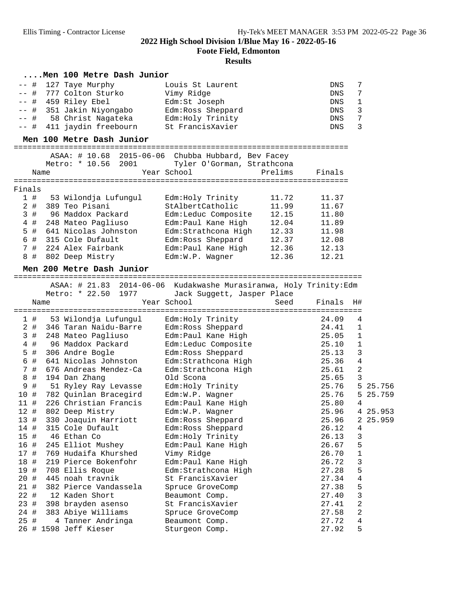**Foote Field, Edmonton**

|        | Men 100 Metre Dash Junior                                         |                                      |         |                             |                         |          |
|--------|-------------------------------------------------------------------|--------------------------------------|---------|-----------------------------|-------------------------|----------|
| #      | 127 Taye Murphy                                                   | Louis St Laurent                     |         | DNS                         | 7                       |          |
| #      | 777 Colton Sturko                                                 | Vimy Ridge                           |         | DNS                         | 7                       |          |
| #      | 459 Riley Ebel                                                    | Edm:St Joseph                        |         | DNS                         | $\mathbf 1$             |          |
| -- #   | 351 Jakin Niyongabo                                               | Edm: Ross Sheppard                   |         | DNS                         | 3                       |          |
| -- #   | 58 Christ Nagateka                                                | Edm: Holy Trinity                    |         | DNS                         | 7                       |          |
| $--$ # | 411 jaydin freebourn                                              | St FrancisXavier                     |         | <b>DNS</b>                  | 3                       |          |
|        |                                                                   |                                      |         |                             |                         |          |
|        | Men 100 Metre Dash Junior                                         |                                      |         | :========================== |                         |          |
|        | ASAA: # 10.68 2015-06-06 Chubba Hubbard, Bev Facey                |                                      |         |                             |                         |          |
|        | Metro: * 10.56 2001                                               | Tyler O'Gorman, Strathcona           |         |                             |                         |          |
| Name   |                                                                   | Year School                          | Prelims | Finals                      |                         |          |
|        |                                                                   |                                      |         |                             |                         |          |
| Finals |                                                                   |                                      |         |                             |                         |          |
| 1#     | 53 Wilondja Lufungul                                              | Edm: Holy Trinity                    | 11.72   | 11.37                       |                         |          |
| $2$ #  | 389 Teo Pisani                                                    | StAlbertCatholic                     | 11.99   | 11.67                       |                         |          |
| 3#     | 96 Maddox Packard                                                 | Edm:Leduc Composite                  | 12.15   | 11.80                       |                         |          |
| $4$ #  | 248 Mateo Pagliuso                                                | Edm:Paul Kane High                   | 12.04   | 11.89                       |                         |          |
| $5$ #  | 641 Nicolas Johnston                                              | Edm:Strathcona High                  | 12.33   | 11.98                       |                         |          |
| 6 #    | 315 Cole Dufault                                                  | Edm:Ross Sheppard                    | 12.37   | 12.08                       |                         |          |
| 7 #    | 224 Alex Fairbank                                                 | Edm: Paul Kane High                  | 12.36   | 12.13                       |                         |          |
| 8 #    | 802 Deep Mistry                                                   | Edm:W.P. Wagner                      | 12.36   | 12.21                       |                         |          |
|        |                                                                   |                                      |         |                             |                         |          |
|        | Men 200 Metre Dash Junior                                         |                                      |         |                             |                         |          |
|        | ASAA: # 21.83 2014-06-06 Kudakwashe Murasiranwa, Holy Trinity:Edm |                                      |         |                             |                         |          |
|        | Metro: * 22.50 1977                                               | Jack Suggett, Jasper Place           |         |                             |                         |          |
| Name   |                                                                   | Year School                          | Seed    | Finals                      | H#                      |          |
|        | ================                                                  | ==================================== |         |                             |                         |          |
| 1#     | 53 Wilondja Lufungul                                              | Edm:Holy Trinity                     |         | 24.09                       | 4                       |          |
| $2$ #  |                                                                   |                                      |         |                             |                         |          |
| 3#     |                                                                   |                                      |         |                             |                         |          |
|        | 346 Taran Naidu-Barre                                             | Edm: Ross Sheppard                   |         | 24.41                       | $1\,$                   |          |
|        | 248 Mateo Pagliuso                                                | Edm: Paul Kane High                  |         | 25.05                       | $\mathbf 1$             |          |
| #<br>4 | 96 Maddox Packard                                                 | Edm:Leduc Composite                  |         | 25.10                       | 1                       |          |
| 5 #    | 306 Andre Bogle                                                   | Edm: Ross Sheppard                   |         | 25.13                       | 3                       |          |
| #<br>6 | 641 Nicolas Johnston                                              | Edm: Strathcona High                 |         | 25.36                       | 4                       |          |
| 7 #    | 676 Andreas Mendez-Ca                                             | Edm: Strathcona High                 |         | 25.61                       | $\sqrt{2}$              |          |
| #<br>8 | 194 Dan Zhang                                                     | Old Scona                            |         | 25.65                       | 3                       |          |
| 9<br># | 51 Ryley Ray Levasse                                              | Edm: Holy Trinity                    |         | 25.76                       |                         | 5 25.756 |
| 10 #   | 782 Quinlan Bracegird                                             | Edm:W.P. Wagner                      |         | 25.76                       |                         | 5 25.759 |
| 11 #   | 226 Christian Francis                                             | Edm: Paul Kane High                  |         | 25.80                       | 4                       |          |
| 12#    | 802 Deep Mistry                                                   | Edm:W.P. Wagner                      |         | 25.96                       |                         | 4 25.953 |
| 13 #   | 330 Joaquin Harriott                                              | Edm: Ross Sheppard                   |         | 25.96                       |                         | 2 25.959 |
| 14 #   | 315 Cole Dufault                                                  | Edm: Ross Sheppard                   |         | 26.12                       | 4                       |          |
| 15 #   | 46 Ethan Co                                                       | Edm: Holy Trinity                    |         | 26.13                       | 3                       |          |
| 16 #   | 245 Elliot Mushey                                                 | Edm: Paul Kane High                  |         | 26.67                       | 5                       |          |
| 17 #   | 769 Hudaifa Khurshed                                              | Vimy Ridge                           |         | 26.70                       | 1                       |          |
| 18 #   | 219 Pierce Bokenfohr                                              | Edm: Paul Kane High                  |         | 26.72                       | 3                       |          |
| 19 #   | 708 Ellis Roque                                                   | Edm: Strathcona High                 |         | 27.28                       | 5                       |          |
| 20 #   | 445 noah travnik                                                  | St FrancisXavier                     |         | 27.34                       | 4                       |          |
| 21 #   | 382 Pierce Vandassela                                             | Spruce GroveComp                     |         | 27.38                       | 5                       |          |
| 22 #   | 12 Kaden Short                                                    | Beaumont Comp.                       |         | 27.40                       | 3                       |          |
| 23#    | 398 brayden asenso                                                | St FrancisXavier                     |         | 27.41                       | 2                       |          |
| 24 #   | 383 Abiye Williams                                                | Spruce GroveComp                     |         | 27.58                       | $\overline{\mathbf{c}}$ |          |
| 25#    | 4 Tanner Andringa<br>26 # 1598 Jeff Kieser                        | Beaumont Comp.<br>Sturgeon Comp.     |         | 27.72<br>27.92              | 4<br>5                  |          |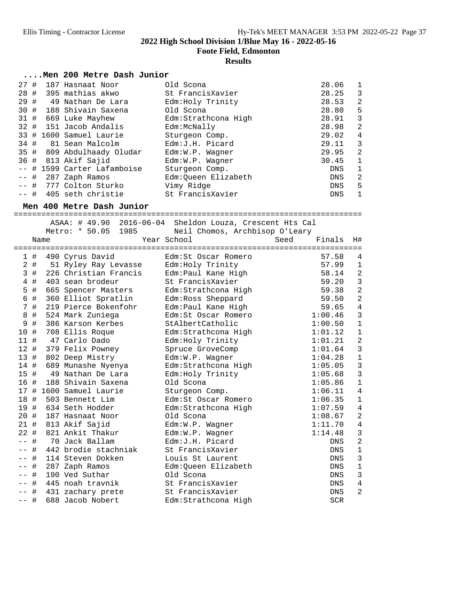**Foote Field, Edmonton**

### **Results**

### **....Men 200 Metre Dash Junior**

| 27#    | 187 Hasnaat Noor            | Old Scona            | 28.06      | 1              |
|--------|-----------------------------|----------------------|------------|----------------|
|        | 28 # 395 mathias akwo       | St FrancisXavier     | 28.25      | 3              |
| 29#    | 49 Nathan De Lara           | Edm: Holy Trinity    | 28.53      | 2              |
|        | 30 # 188 Shivain Saxena     | Old Scona            | 28.80      | 5              |
|        | 31 # 669 Luke Mayhew        | Edm: Strathcona High | 28.91      | 3              |
|        | 32 # 151 Jacob Andalis      | Edm:McNally          | 28.98      | -2             |
|        | 33 # 1600 Samuel Laurie     | Sturgeon Comp.       | 29.02      | $\overline{4}$ |
|        | 34 # 81 Sean Malcolm        | Edm: J.H. Picard     | 29.11      | -3             |
|        | 35 # 809 Abdulhaady Oludar  | Edm:W.P. Wagner      | 29.95      | 2              |
|        | 36 # 813 Akif Sajid         | $Edm:W.P.$ Waqner    | 30.45      | 1              |
|        | -- # 1599 Carter Lafamboise | Sturgeon Comp.       | DNS        | 1              |
|        | $--$ # 287 Zaph Ramos       | Edm:Oueen Elizabeth  | DNS        | -2             |
|        | -- # 777 Colton Sturko      | Vimy Ridge           | DNS        | 5              |
| $--$ # | 405 seth christie           | St FrancisXavier     | <b>DNS</b> | 1              |

## **Men 400 Metre Dash Junior** ============================================================================ ASAA: # 49.90 2016-06-04 Sheldon Louza, Crescent Hts Cal

|                |         | ASAA + 49.90<br>Metro: * 50.05<br>1985 | zulo-00-04 SHEIQON LOUZA, Crescent His Cal<br>Neil Chomos, Archbisop O'Leary |                |                |
|----------------|---------|----------------------------------------|------------------------------------------------------------------------------|----------------|----------------|
|                | Name    |                                        | Year School                                                                  | Seed<br>Finals | H#             |
|                | 1#      | 490 Cyrus David                        | Edm:St Oscar Romero                                                          | 57.58          | $\overline{4}$ |
|                | 2#      | 51 Ryley Ray Levasse                   | Edm: Holy Trinity                                                            | 57.99          | $\mathbf{1}$   |
| 3              | #       | 226 Christian Francis                  | Edm:Paul Kane High                                                           | 58.14          | $\overline{a}$ |
| 4              | #       | 403 sean brodeur                       | St FrancisXavier                                                             | 59.20          | $\overline{3}$ |
| 5              | #       | 665 Spencer Masters                    | Edm:Strathcona High                                                          | 59.38          | $\overline{c}$ |
| 6              | #       | 360 Elliot Spratlin                    | Edm: Ross Sheppard                                                           | 59.50          | $\overline{a}$ |
| $\overline{7}$ | #       | 219 Pierce Bokenfohr                   | Edm: Paul Kane High                                                          | 59.65          | $\overline{4}$ |
| 8              | #       | 524 Mark Zuniega                       | Edm: St Oscar Romero                                                         | 1:00.46        | $\overline{3}$ |
| 9              | #       | 386 Karson Kerbes                      | StAlbertCatholic                                                             | 1:00.50        | $\mathbf{1}$   |
| 10 #           |         | 708 Ellis Roque                        | Edm:Strathcona High                                                          | 1:01.12        | $\mathbf{1}$   |
|                |         | 11 # 47 Carlo Dado                     | Edm: Holy Trinity                                                            | 1:01.21        | $\overline{a}$ |
|                |         | 12 # 379 Felix Powney                  | Spruce GroveComp                                                             | 1:01.64        | 3              |
|                |         | 13 # 802 Deep Mistry                   | Edm:W.P. Wagner                                                              | 1:04.28        | $\mathbf{1}$   |
| 14 #           |         | 689 Munashe Nyenya                     | Edm:Strathcona High                                                          | 1:05.05        | 3              |
| 15#            |         | 49 Nathan De Lara                      | Edm: Holy Trinity                                                            | 1:05.68        | $\overline{3}$ |
|                | 16 #    | 188 Shivain Saxena                     | Old Scona                                                                    | 1:05.86        | $\mathbf{1}$   |
|                |         | 17 # 1600 Samuel Laurie                | Sturgeon Comp.                                                               | 1:06.11        | $\overline{4}$ |
|                |         | 18 # 503 Bennett Lim                   | Edm: St Oscar Romero                                                         | 1:06.35        | $\mathbf{1}$   |
|                |         | 19 # 634 Seth Hodder                   | Edm: Strathcona High                                                         | 1:07.59        | $\overline{4}$ |
|                | 20 #    | 187 Hasnaat Noor                       | Old Scona                                                                    | 1:08.67        | $\overline{a}$ |
|                |         | 21 # 813 Akif Sajid                    | Edm:W.P. Wagner                                                              | 1:11.70        | $\overline{4}$ |
|                | $22 \#$ | 821 Ankit Thakur                       | Edm:W.P. Wagner                                                              | 1:14.48        | 3              |
| $- -$          | #       | 70 Jack Ballam                         | Edm: J.H. Picard                                                             | DNS            | $\overline{a}$ |
| $- -$          | #       | 442 brodie stachniak                   | St FrancisXavier                                                             | <b>DNS</b>     | $\mathbf{1}$   |
| $- -$          | #       | 114 Steven Dokken                      | Louis St Laurent                                                             | DNS            | $\overline{3}$ |
|                | #       | 287 Zaph Ramos                         | Edm:Queen Elizabeth                                                          | DNS            | $\mathbf{1}$   |
|                | #       | 190 Ved Suthar                         | Old Scona                                                                    | DNS            | $\overline{3}$ |
|                | #       | 445 noah travnik                       | St FrancisXavier                                                             | DNS            | $\overline{4}$ |
|                | #       | 431 zachary prete                      | St FrancisXavier                                                             | <b>DNS</b>     | $\overline{2}$ |
| $- -$          | #       | 688 Jacob Nobert                       | Edm: Strathcona High                                                         | <b>SCR</b>     |                |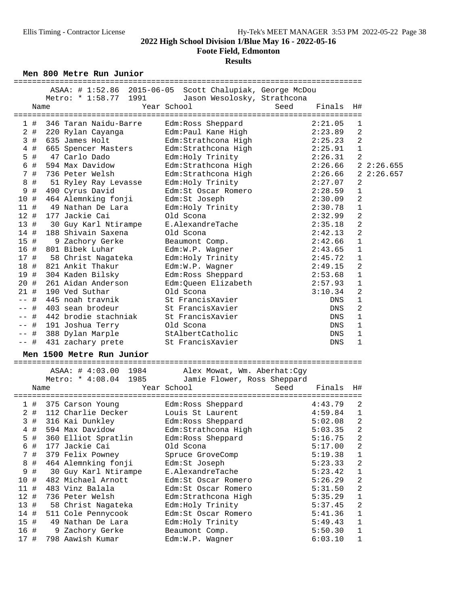**Foote Field, Edmonton**

### **Results**

**Men 800 Metre Run Junior** ============================================================================

|                   |       |                           | ASAA: # 1:52.86 2015-06-05 Scott Chalupiak, George McDou |      |         |                |           |
|-------------------|-------|---------------------------|----------------------------------------------------------|------|---------|----------------|-----------|
|                   |       | Metro: * 1:58.77<br>1991  | Jason Wesolosky, Strathcona                              |      |         |                |           |
|                   |       | Name                      | Year School                                              | Seed | Finals  | H#             |           |
|                   | 1#    | 346 Taran Naidu-Barre     | Edm:Ross Sheppard                                        |      | 2:21.05 | $\mathbf{1}$   |           |
|                   | 2#    | 220 Rylan Cayanga         | Edm:Paul Kane High                                       |      | 2:23.89 | $\overline{a}$ |           |
|                   | 3#    | 635 James Holt            | Edm:Strathcona High                                      |      | 2:25.23 | $\overline{c}$ |           |
|                   | $4$ # | 665 Spencer Masters       | Edm:Strathcona High                                      |      | 2:25.91 | $\mathbf{1}$   |           |
|                   | $5$ # | 47 Carlo Dado             | Edm: Holy Trinity                                        |      | 2:26.31 | 2              |           |
| 6                 | #     | 594 Max Davidow           | Edm:Strathcona High                                      |      | 2:26.66 |                | 22:26.655 |
|                   | 7#    | 736 Peter Welsh           | Edm: Strathcona High                                     |      | 2:26.66 |                | 22:26.657 |
| 8                 | #     | 51 Ryley Ray Levasse      | Edm: Holy Trinity                                        |      | 2:27.07 | 2              |           |
| 9                 | #     | 490 Cyrus David           | Edm:St Oscar Romero                                      |      | 2:28.59 | 1              |           |
| 10 #              |       | 464 Alemnking fonji       | Edm:St Joseph                                            |      | 2:30.09 | 2              |           |
| 11#               |       | 49 Nathan De Lara         | Edm:Holy Trinity                                         |      | 2:30.78 | $\mathbf 1$    |           |
| 12#               |       | 177 Jackie Cai            | Old Scona                                                |      | 2:32.99 | 2              |           |
| 13#               |       | 30 Guy Karl Ntirampe      | E.AlexandreTache                                         |      | 2:35.18 | 2              |           |
| 14#               |       | 188 Shivain Saxena        | Old Scona                                                |      | 2:42.13 | 2              |           |
| 15 #              |       | 9 Zachory Gerke           | Beaumont Comp.                                           |      | 2:42.66 | $\mathbf 1$    |           |
| 16 #              |       | 801 Bibek Luhar           | Edm:W.P. Wagner                                          |      | 2:43.65 | $\mathbf{1}$   |           |
| 17#               |       | 58 Christ Nagateka        | Edm: Holy Trinity                                        |      | 2:45.72 | $\mathbf{1}$   |           |
|                   |       | 18 # 821 Ankit Thakur     | Edm:W.P. Wagner                                          |      | 2:49.15 | $\sqrt{2}$     |           |
|                   |       | 19 # 304 Kaden Bilsky     | Edm: Ross Sheppard                                       |      | 2:53.68 | $\mathbf 1$    |           |
| 20#               |       | 261 Aidan Anderson        | Edm:Queen Elizabeth                                      |      | 2:57.93 | 1              |           |
| 21#               |       | 190 Ved Suthar            | Old Scona                                                |      | 3:10.34 | $\overline{c}$ |           |
| $ -$              | #     | 445 noah travnik          | St FrancisXavier                                         |      | DNS     | 1              |           |
| $\qquad \qquad -$ |       | # 403 sean brodeur        | St FrancisXavier                                         |      | DNS     | 2              |           |
| $- -$             |       | # 442 brodie stachniak    | St FrancisXavier                                         |      | DNS     | $\mathbf 1$    |           |
| $\qquad \qquad -$ | #     | 191 Joshua Terry          | Old Scona                                                |      | DNS     | $\mathbf 1$    |           |
|                   | #     | 388 Dylan Marple          | StAlbertCatholic                                         |      | DNS     | 1              |           |
| $\qquad \qquad -$ | #     | 431 zachary prete         | St FrancisXavier                                         |      | DNS     | 1              |           |
|                   |       | Men 1500 Metre Run Junior |                                                          |      |         |                |           |
|                   |       | ASAA: # 4:03.00 1984      | Alex Mowat, Wm. Aberhat:Cqy                              |      |         |                |           |
|                   |       | 1985<br>Metro: * 4:08.04  | Jamie Flower, Ross Sheppard                              |      |         |                |           |
|                   |       | Name                      | Year School                                              | Seed | Finals  | H#             |           |

|      |       | $\cdot$ 0 $\pm$ 0 $\cdot$ | ュ・vv.vェ<br><b>1000</b> | Udmie Flowel, Ross Sheppard |      |         |                |
|------|-------|---------------------------|------------------------|-----------------------------|------|---------|----------------|
|      | Name  |                           |                        | Year School                 | Seed | Finals  | H#             |
|      | 1#    |                           | 375 Carson Young       | Edm:Ross Sheppard           |      | 4:43.79 | $\overline{2}$ |
|      | $2$ # |                           | 112 Charlie Decker     | Louis St Laurent            |      | 4:59.84 | 1              |
|      | 3#    |                           | 316 Kai Dunkley        | Edm: Ross Sheppard          |      | 5:02.08 | $\overline{2}$ |
|      | $4$ # |                           | 594 Max Davidow        | Edm:Strathcona High         |      | 5:03.35 | $\overline{c}$ |
|      | 5 #   |                           | 360 Elliot Spratlin    | Edm: Ross Sheppard          |      | 5:16.75 | $\overline{2}$ |
| 6    | #     |                           | 177 Jackie Cai         | Old Scona                   |      | 5:17.00 | $\overline{2}$ |
|      | 7 #   |                           | 379 Felix Powney       | Spruce GroveComp            |      | 5:19.38 | 1              |
| 8    | #     |                           | 464 Alemnking fonji    | Edm:St Joseph               |      | 5:23.33 | $\overline{2}$ |
| 9    | #     |                           | 30 Guy Karl Ntirampe   | E.AlexandreTache            |      | 5:23.42 | $\mathbf{1}$   |
| 10 # |       |                           | 482 Michael Arnott     | Edm:St Oscar Romero         |      | 5:26.29 | $\overline{2}$ |
| 11#  |       |                           | 483 Vinz Balala        | Edm: St Oscar Romero        |      | 5:31.50 | $\overline{2}$ |
| 12#  |       |                           | 736 Peter Welsh        | Edm: Strathcona High        |      | 5:35.29 | $\mathbf 1$    |
| 13#  |       |                           | 58 Christ Nagateka     | Edm: Holy Trinity           |      | 5:37.45 | $\overline{2}$ |
| 14 # |       |                           | 511 Cole Pennycook     | Edm: St Oscar Romero        |      | 5:41.36 | 1              |
| 15#  |       |                           | 49 Nathan De Lara      | Edm: Holy Trinity           |      | 5:49.43 | $\mathbf{1}$   |
| 16 # |       |                           | 9 Zachory Gerke        | Beaumont Comp.              |      | 5:50.30 | $\mathbf{1}$   |
| 17#  |       |                           | 798 Aawish Kumar       | Edm:W.P. Wagner             |      | 6:03.10 | $\mathbf{1}$   |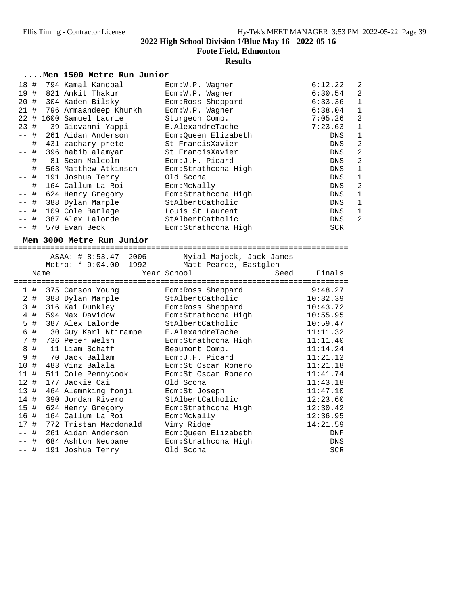**Foote Field, Edmonton**

## **Results**

### **....Men 1500 Metre Run Junior**

| 18 #   |      | 794 Kamal Kandpal     | $Edm:W.P.$ Waqner    | 6:12.22    | $\overline{2}$ |
|--------|------|-----------------------|----------------------|------------|----------------|
| 19 #   |      | 821 Ankit Thakur      | Edm:W.P. Wagner      | 6:30.54    | $\overline{2}$ |
| 20#    |      | 304 Kaden Bilsky      | Edm: Ross Sheppard   | 6:33.36    | $\mathbf 1$    |
| 21#    |      | 796 Armaandeep Khunkh | Edm:W.P. Wagner      | 6:38.04    | 1              |
| 22     | #    | 1600 Samuel Laurie    | Sturgeon Comp.       | 7:05.26    | $\overline{a}$ |
| 23#    |      | 39 Giovanni Yappi     | E.AlexandreTache     | 7:23.63    | $\mathbf 1$    |
|        | -- # | 261 Aidan Anderson    | Edm:Oueen Elizabeth  | <b>DNS</b> | 1              |
| $--$ # |      | 431 zachary prete     | St FrancisXavier     | <b>DNS</b> | 2              |
| $--$ # |      | 396 habib alamyar     | St FrancisXavier     | <b>DNS</b> | $\overline{2}$ |
| $--$ # |      | 81 Sean Malcolm       | Edm: J.H. Picard     | <b>DNS</b> | $\overline{2}$ |
| -- #   |      | 563 Matthew Atkinson- | Edm: Strathcona High | DNS        | 1              |
| -- #   |      | 191 Joshua Terry      | Old Scona            | DNS        | 1              |
| -- #   |      | 164 Callum La Roi     | Edm:McNally          | DNS        | $\overline{2}$ |
| -- #   |      | 624 Henry Gregory     | Edm: Strathcona High | DNS        | 1              |
|        | -- # | 388 Dylan Marple      | StAlbertCatholic     | <b>DNS</b> | 1              |
| $--$ # |      | 109 Cole Barlage      | Louis St Laurent     | <b>DNS</b> | 1              |
|        | -- # | 387 Alex Lalonde      | StAlbertCatholic     | <b>DNS</b> | $\overline{2}$ |
|        | #    | 570 Evan Beck         | Edm: Strathcona High | <b>SCR</b> |                |

**Men 3000 Metre Run Junior** =========================================================================

|      |             | ASAA: # 8:53.47 2006    | Nyial Majock, Jack James |                |
|------|-------------|-------------------------|--------------------------|----------------|
|      |             | Metro: * 9:04.00 1992   | Matt Pearce, Eastglen    |                |
|      | Name        |                         | Year School              | Finals<br>Seed |
|      |             |                         | Edm:Ross Sheppard        | 9:48.27        |
|      |             | 1 # 375 Carson Young    | StAlbertCatholic         | 10:32.39       |
|      | $2$ #<br>3# | 388 Dylan Marple        |                          | 10:43.72       |
|      |             | 316 Kai Dunkley         | Edm:Ross Sheppard        |                |
|      | 4#          | 594 Max Davidow         | Edm:Strathcona High      | 10:55.95       |
|      | 5#          | 387 Alex Lalonde        | StAlbertCatholic         | 10:59.47       |
|      | 6 #         | 30 Guy Karl Ntirampe    | E.AlexandreTache         | 11:11.32       |
|      | 7#          | 736 Peter Welsh         | Edm:Strathcona High      | 11:11.40       |
|      | 8 #         | 11 Liam Schaff          | Beaumont Comp.           | 11:14.24       |
| 9    | #           | 70 Jack Ballam          | Edm:J.H. Picard          | 11:21.12       |
| 10 # |             | 483 Vinz Balala         | Edm:St Oscar Romero      | 11:21.18       |
|      | 11#         | 511 Cole Pennycook      | Edm: St Oscar Romero     | 11:41.74       |
| 12#  |             | 177 Jackie Cai          | Old Scona                | 11:43.18       |
|      | 13 #        | 464 Alemnking fonji     | Edm:St Joseph            | 11:47.10       |
| 14 # |             | 390 Jordan Rivero       | StAlbertCatholic         | 12:23.60       |
|      | 15 #        | 624 Henry Gregory       | Edm:Strathcona High      | 12:30.42       |
| 16 # |             | 164 Callum La Roi       | Edm:McNally              | 12:36.95       |
| 17 # |             | 772 Tristan Macdonald   | Vimy Ridge               | 14:21.59       |
|      | -- #        | 261 Aidan Anderson      | Edm:Queen Elizabeth      | DNF            |
|      |             | -- # 684 Ashton Neupane | Edm:Strathcona High      | DNS            |
| -- # |             | 191 Joshua Terry        | Old Scona                | <b>SCR</b>     |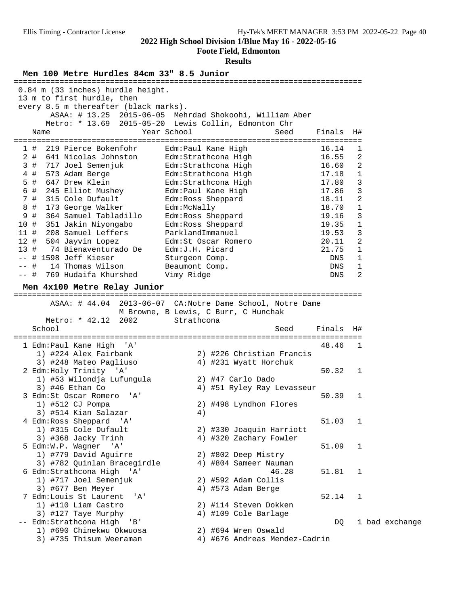### **Foote Field, Edmonton**

| Men 100 Metre Hurdles 84cm 33" 8.5 Junior                                                                |                                                           |            |        |                |
|----------------------------------------------------------------------------------------------------------|-----------------------------------------------------------|------------|--------|----------------|
| 0.84 m (33 inches) hurdle height.<br>13 m to first hurdle, then<br>every 8.5 m thereafter (black marks). | ASAA: # 13.25 2015-06-05 Mehrdad Shokoohi, William Aber   |            |        |                |
|                                                                                                          | Metro: * 13.69 2015-05-20 Lewis Collin, Edmonton Chr      |            |        |                |
| Name                                                                                                     | Year School<br>Seed                                       | Finals     | H#     |                |
| 219 Pierce Bokenfohr<br>1#                                                                               | Edm:Paul Kane High                                        | 16.14      | 1      |                |
| $2$ #<br>641 Nicolas Johnston                                                                            | Edm:Strathcona High                                       | 16.55      | 2      |                |
| 3#<br>717 Joel Semenjuk                                                                                  | Edm: Strathcona High                                      | 16.60      | 2      |                |
| 4#<br>573 Adam Berge                                                                                     | Edm:Strathcona High                                       | 17.18      | 1      |                |
| 5 #<br>647 Drew Klein                                                                                    | Edm:Strathcona High                                       | 17.80      | 3      |                |
| 6 #<br>245 Elliot Mushey                                                                                 | Edm: Paul Kane High                                       | 17.86      | 3      |                |
| 7#<br>315 Cole Dufault                                                                                   | Edm: Ross Sheppard                                        | 18.11      | 2      |                |
| 8 #<br>173 George Walker                                                                                 | Edm:McNally                                               | 18.70      | 1      |                |
| 9 #<br>364 Samuel Tabladillo                                                                             | Edm:Ross Sheppard                                         | 19.16      | 3      |                |
| 10 #<br>351 Jakin Niyongabo                                                                              | Edm: Ross Sheppard                                        | 19.35      | 1      |                |
| 11#<br>208 Samuel Leffers                                                                                | ParklandImmanuel                                          | 19.53      | 3      |                |
| 12#<br>504 Jayvin Lopez                                                                                  | Edm:St Oscar Romero                                       | 20.11      | 2      |                |
| 13#<br>74 Bienaventurado De                                                                              | Edm: J.H. Picard                                          | 21.75      | 1      |                |
| -- # 1598 Jeff Kieser                                                                                    | Sturgeon Comp.                                            | DNS        | 1      |                |
| $--$ #<br>14 Thomas Wilson                                                                               | Beaumont Comp.                                            | DNS        | 1<br>2 |                |
| 769 Hudaifa Khurshed<br>-- #                                                                             | Vimy Ridge                                                | <b>DNS</b> |        |                |
| Men 4x100 Metre Relay Junior                                                                             |                                                           |            |        |                |
|                                                                                                          | ASAA: # 44.04 2013-06-07 CA:Notre Dame School, Notre Dame |            |        |                |
|                                                                                                          | M Browne, B Lewis, C Burr, C Hunchak                      |            |        |                |
| Metro: * 42.12<br>2002                                                                                   | Strathcona                                                |            |        |                |
| School                                                                                                   | Seed                                                      | Finals     | H#     |                |
|                                                                                                          |                                                           |            |        |                |
| 1 Edm:Paul Kane High<br>'' A '                                                                           |                                                           | 48.46      | 1      |                |
| 1) #224 Alex Fairbank                                                                                    | 2) #226 Christian Francis                                 |            |        |                |
| 3) #248 Mateo Pagliuso                                                                                   | 4) #231 Wyatt Horchuk                                     |            |        |                |
| 2 Edm: Holy Trinity 'A'                                                                                  |                                                           | 50.32      | 1      |                |
| 1) #53 Wilondja Lufungula                                                                                | 2) #47 Carlo Dado                                         |            |        |                |
| $3)$ #46 Ethan Co                                                                                        | 4) #51 Ryley Ray Levasseur                                |            |        |                |
| 3 Edm:St Oscar Romero<br>'A'                                                                             |                                                           | 50.39      | 1      |                |
| 1) #512 CJ Pompa                                                                                         | 2) #498 Lyndhon Flores                                    |            |        |                |
| 3) #514 Kian Salazar                                                                                     | 4)                                                        |            |        |                |
| 4 Edm: Ross Sheppard 'A'                                                                                 |                                                           | 51.03      | 1      |                |
| 1) #315 Cole Dufault                                                                                     | 2) #330 Joaquin Harriott<br>4) #320 Zachary Fowler        |            |        |                |
| 3) #368 Jacky Trinh<br>5 Edm: W.P. Wagner 'A'                                                            |                                                           | 51.09      | 1      |                |
| 1) #779 David Aguirre                                                                                    | 2) #802 Deep Mistry                                       |            |        |                |
| 3) #782 Quinlan Bracegirdle                                                                              | 4) #804 Sameer Nauman                                     |            |        |                |
| 6 Edm: Strathcona High 'A'                                                                               | 46.28                                                     | 51.81      | 1      |                |
| 1) #717 Joel Semenjuk                                                                                    | 2) #592 Adam Collis                                       |            |        |                |
| 3) #677 Ben Meyer                                                                                        | 4) #573 Adam Berge                                        |            |        |                |
| 7 Edm: Louis St Laurent<br>'A'                                                                           |                                                           | 52.14      | 1      |                |
| 1) #110 Liam Castro                                                                                      | 2) #114 Steven Dokken                                     |            |        |                |
| 3) #127 Taye Murphy                                                                                      | 4) #109 Cole Barlage                                      |            |        |                |
| -- Edm:Strathcona High<br>' B'                                                                           |                                                           | DQ         |        | 1 bad exchange |
| 1) #690 Chinekwu Okwuosa                                                                                 | 2) #694 Wren Oswald                                       |            |        |                |
| 3) #735 Thisum Weeraman                                                                                  | 4) #676 Andreas Mendez-Cadrin                             |            |        |                |
|                                                                                                          |                                                           |            |        |                |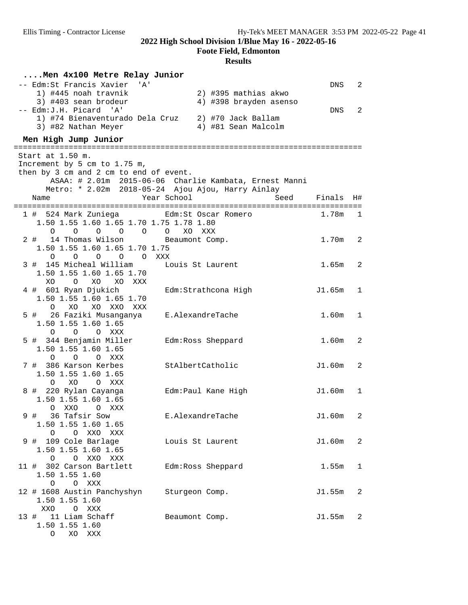**Foote Field, Edmonton**

| Men 4x100 Metre Relay Junior                                             |                                                                                                             |            |                            |
|--------------------------------------------------------------------------|-------------------------------------------------------------------------------------------------------------|------------|----------------------------|
| -- Edm:St Francis Xavier<br>' A'                                         |                                                                                                             | DNS        | $\overline{\phantom{0}}^2$ |
| 1) #445 noah travnik                                                     | 2) #395 mathias akwo                                                                                        |            |                            |
| 3) #403 sean brodeur                                                     | 4) #398 brayden asenso                                                                                      |            |                            |
| -- Edm: J.H. Picard 'A'<br>1) #74 Bienaventurado Dela Cruz               | 2) #70 Jack Ballam                                                                                          | DNS        | $\overline{2}$             |
| 3) #82 Nathan Meyer                                                      | 4) #81 Sean Malcolm                                                                                         |            |                            |
| Men High Jump Junior                                                     |                                                                                                             |            |                            |
|                                                                          | ==============================                                                                              |            |                            |
| Start at 1.50 m.                                                         |                                                                                                             |            |                            |
| Increment by 5 cm to 1.75 m,                                             |                                                                                                             |            |                            |
| then by 3 cm and 2 cm to end of event.                                   |                                                                                                             |            |                            |
|                                                                          | ASAA: # 2.01m 2015-06-06 Charlie Kambata, Ernest Manni<br>Metro: * 2.02m 2018-05-24 Ajou Ajou, Harry Ainlay |            |                            |
| Name                                                                     | Year School<br>Seed                                                                                         | Finals     | H#                         |
|                                                                          |                                                                                                             |            |                            |
| 1 # 524 Mark Zuniega <a>Edm:St Oscar Romero</a>                          |                                                                                                             | 1.78m      | $\overline{1}$             |
| 1.50 1.55 1.60 1.65 1.70 1.75 1.78 1.80                                  |                                                                                                             |            |                            |
| $\overline{O}$<br>$\overline{O}$<br>$\overline{O}$<br>$\circ$<br>$\circ$ | $\overline{O}$<br>XO<br>XXX                                                                                 |            |                            |
| 2#<br>14 Thomas Wilson                                                   | Beaumont Comp.                                                                                              | 1.70m      | $\overline{\phantom{0}}^2$ |
| 1.50 1.55 1.60 1.65 1.70 1.75<br>0 0 0 0 0 XXX                           |                                                                                                             |            |                            |
| 3 # 145 Micheal William                                                  | Louis St Laurent                                                                                            | $1.65m$ 2  |                            |
| 1.50 1.55 1.60 1.65 1.70                                                 |                                                                                                             |            |                            |
| XO<br>XO<br>$\overline{O}$<br>XO XXX                                     |                                                                                                             |            |                            |
| 4 # 601 Ryan Djukich                                                     | Edm:Strathcona High                                                                                         | J1.65m     | 1                          |
| 1.50 1.55 1.60 1.65 1.70                                                 |                                                                                                             |            |                            |
| O XO XO XXO XXX                                                          |                                                                                                             |            |                            |
| 5 #   26 Faziki Musanganya                                               | E.AlexandreTache                                                                                            | 1.60m      | 1                          |
| 1.50 1.55 1.60 1.65                                                      |                                                                                                             |            |                            |
| O O XXX<br>$\circ$<br>5 # 344 Benjamin Miller                            | Edm: Ross Sheppard                                                                                          | 1.60m      | $\overline{\phantom{0}}^2$ |
| 1.50 1.55 1.60 1.65                                                      |                                                                                                             |            |                            |
| O O O XXX                                                                |                                                                                                             |            |                            |
| 7 # 386 Karson Kerbes                                                    | StAlbertCatholic                                                                                            | $J1.60m$ 2 |                            |
| 1.50 1.55 1.60 1.65                                                      |                                                                                                             |            |                            |
| XO<br>$\circ$<br>O XXX                                                   |                                                                                                             |            |                            |
| 8 # 220 Rylan Cayanga                                                    | Edm:Paul Kane High                                                                                          | J1.60m     | $\overline{\phantom{0}}$   |
| 1.50 1.55 1.60 1.65<br>O XXO<br>O XXX                                    |                                                                                                             |            |                            |
| 36 Tafsir Sow<br>9#                                                      | E.AlexandreTache                                                                                            | J1.60m     | 2                          |
| 1.50 1.55 1.60 1.65                                                      |                                                                                                             |            |                            |
| O XXO XXX<br>$\circ$                                                     |                                                                                                             |            |                            |
| 9 # 109 Cole Barlage                                                     | Louis St Laurent                                                                                            | J1.60m     | 2                          |
| 1.50 1.55 1.60 1.65                                                      |                                                                                                             |            |                            |
| O O XXO XXX                                                              |                                                                                                             |            |                            |
| 11 # 302 Carson Bartlett<br>1.50 1.55 1.60                               | Edm:Ross Sheppard                                                                                           | 1.55m      | 1                          |
| O O XXX                                                                  |                                                                                                             |            |                            |
| 12 # 1608 Austin Panchyshyn                                              | Sturgeon Comp.                                                                                              | J1.55m     | $\overline{2}$             |
| 1.50 1.55 1.60                                                           |                                                                                                             |            |                            |
| XXO O XXX                                                                |                                                                                                             |            |                            |
| 13 # 11 Liam Schaff                                                      | Beaumont Comp.                                                                                              | J1.55m     | 2                          |
| 1.50 1.55 1.60                                                           |                                                                                                             |            |                            |
| O XO XXX                                                                 |                                                                                                             |            |                            |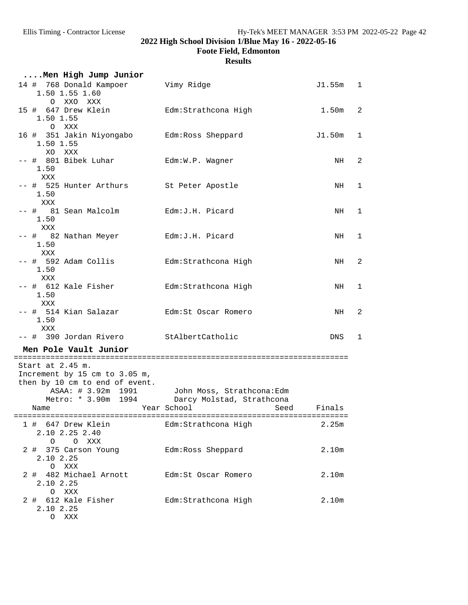**Foote Field, Edmonton**

| Men High Jump Junior                                                                                                             |                                                                                    |           |                |
|----------------------------------------------------------------------------------------------------------------------------------|------------------------------------------------------------------------------------|-----------|----------------|
| 14 # 768 Donald Kampoer<br>1.50 1.55 1.60<br>O XXO XXX                                                                           | Vimy Ridge                                                                         | J1.55m 1  |                |
| 15 # 647 Drew Klein<br>1.50 1.55<br>O XXX                                                                                        | Edm:Strathcona High                                                                | $1.50m$ 2 |                |
| 16 # 351 Jakin Niyongabo Bdm: Ross Sheppard<br>1.50 1.55                                                                         |                                                                                    | J1.50m    | $\mathbf{1}$   |
| XO XXX<br>-- # 801 Bibek Luhar<br>1.50                                                                                           | Edm:W.P. Wagner                                                                    | NH        | $\overline{2}$ |
| XXX<br>-- # 525 Hunter Arthurs<br>1.50                                                                                           | St Peter Apostle                                                                   | NH        | $\mathbf{1}$   |
| XXX<br>-- # 81 Sean Malcolm<br>1.50                                                                                              | Edm:J.H. Picard                                                                    | NH        | 1              |
| XXX<br>-- # 82 Nathan Meyer<br>1.50                                                                                              | Edm:J.H. Picard                                                                    | NH        | 1              |
| XXX<br>-- #  592 Adam Collis<br>1.50                                                                                             | Edm: Strathcona High                                                               | NH        | $\overline{2}$ |
| XXX<br>-- # 612 Kale Fisher<br>1.50                                                                                              | Edm:Strathcona High                                                                | NH        | 1              |
| XXX<br>-- #  514 Kian Salazar<br>1.50                                                                                            | Edm:St Oscar Romero                                                                | NH        | $\overline{2}$ |
| XXX<br>-- # 390 Jordan Rivero                                                                                                    | StAlbertCatholic                                                                   | DNS       | 1              |
| Men Pole Vault Junior                                                                                                            |                                                                                    |           |                |
| Start at 2.45 m.<br>Increment by 15 cm to 3.05 m,<br>then by 10 cm to end of event.<br>ASAA: # 3.92m 1991<br>Year School<br>Name | John Moss, Strathcona:Edm<br>Metro: * 3.90m 1994 Darcy Molstad, Strathcona<br>Seed | Finals    |                |
| 1 # 647 Drew Klein           Edm:Strathcona High<br>2.10 2.25 2.40<br>O O XXX                                                    |                                                                                    | 2.25m     |                |
| 2 # 375 Carson Young<br>2.10 2.25<br>O XXX                                                                                       | Edm:Ross Sheppard                                                                  | 2.10m     |                |
| 2 # 482 Michael Arnott Edm:St Oscar Romero<br>2.10 2.25<br>O XXX                                                                 |                                                                                    | 2.10m     |                |
| 2 # 612 Kale Fisher<br>2.10 2.25<br>O XXX                                                                                        | Edm: Strathcona High                                                               | 2.10m     |                |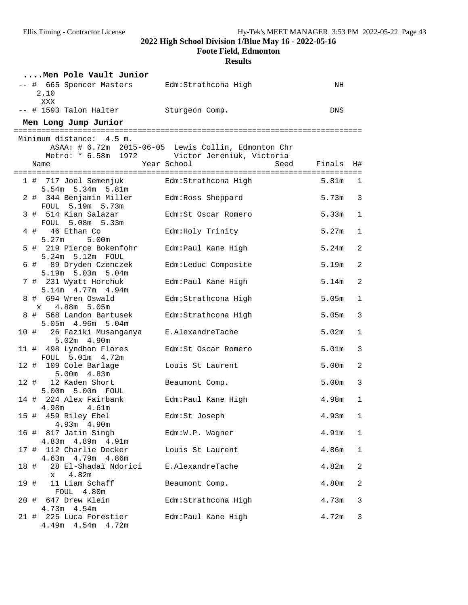**Foote Field, Edmonton**

|      | Men Pole Vault Junior                                        |                                                     |                   |              |
|------|--------------------------------------------------------------|-----------------------------------------------------|-------------------|--------------|
|      | -- # 665 Spencer Masters Edm: Strathcona High<br>2.10<br>XXX |                                                     | ΝH                |              |
|      | -- # 1593 Talon Halter Sturgeon Comp.                        |                                                     | DNS               |              |
|      | Men Long Jump Junior                                         |                                                     |                   |              |
|      | Minimum distance: 4.5 m.                                     |                                                     |                   |              |
|      |                                                              | ASAA: # 6.72m 2015-06-05 Lewis Collin, Edmonton Chr |                   |              |
|      |                                                              | Metro: * 6.58m 1972 Victor Jereniuk, Victoria       |                   |              |
|      | Name                                                         | Year School<br>Seed                                 | Finals            | H#           |
|      | 1 # 717 Joel Semenjuk                                        | Edm:Strathcona High                                 | 5.81m             | $\mathbf{1}$ |
|      | 5.54m 5.34m 5.81m                                            |                                                     |                   |              |
|      | 2 # 344 Benjamin Miller                                      | Edm:Ross Sheppard                                   | 5.73m             | 3            |
|      | FOUL 5.19m 5.73m                                             |                                                     |                   |              |
|      | 3 # 514 Kian Salazar                                         | Edm:St Oscar Romero                                 | 5.33m             | 1            |
|      | FOUL 5.08m 5.33m                                             |                                                     |                   |              |
|      | 4 # 46 Ethan Co                                              | Edm: Holy Trinity                                   | 5.27m             | $\mathbf 1$  |
|      | 5.27m<br>5.00 <sub>m</sub>                                   |                                                     |                   |              |
|      | 5 # 219 Pierce Bokenfohr<br>5.24m 5.12m FOUL                 | Edm:Paul Kane High                                  | 5.24m             | 2            |
|      | 6 # 89 Dryden Czenczek                                       | Edm:Leduc Composite                                 | 5.19m             | $\sqrt{2}$   |
|      | 5.19m 5.03m 5.04m                                            |                                                     |                   |              |
|      | 7 # 231 Wyatt Horchuk                                        | Edm: Paul Kane High                                 | 5.14m             | $\sqrt{2}$   |
|      | 5.14m 4.77m 4.94m                                            |                                                     |                   |              |
|      | 8 # 694 Wren Oswald                                          | Edm: Strathcona High                                | 5.05 <sub>m</sub> | $\mathbf{1}$ |
|      | x 4.88m 5.05m                                                |                                                     |                   |              |
|      | 8 # 568 Landon Bartusek                                      | Edm:Strathcona High                                 | 5.05 <sub>m</sub> | 3            |
|      | 5.05m 4.96m 5.04m                                            |                                                     |                   |              |
|      | 10 # 26 Faziki Musanganya                                    | E.AlexandreTache                                    | 5.02m             | 1            |
|      | $5.02m$ 4.90m                                                |                                                     |                   |              |
|      | 11 # 498 Lyndhon Flores                                      | Edm: St Oscar Romero                                | 5.01 <sub>m</sub> | 3            |
|      | FOUL 5.01m 4.72m<br>12 # 109 Cole Barlage                    | Louis St Laurent                                    | 5.00m             | 2            |
|      | 5.00m 4.83m                                                  |                                                     |                   |              |
|      | 12 # 12 Kaden Short                                          | Beaumont Comp.                                      | 5.00m             | 3            |
|      | 5.00m 5.00m FOUL                                             |                                                     |                   |              |
|      | 14 # 224 Alex Fairbank                                       | Edm: Paul Kane High                                 | 4.98m             | $\mathbf{1}$ |
|      | 4.98m<br>$4.61$ m                                            |                                                     |                   |              |
|      | 459 Riley Ebel<br>15 #                                       | Edm: St Joseph                                      | 4.93m 1           |              |
|      | 4.93m 4.90m                                                  |                                                     |                   |              |
|      | 16 # 817 Jatin Singh                                         | Edm:W.P. Wagner                                     | 4.91m             | $\mathbf 1$  |
|      | 4.83m  4.89m  4.91m                                          |                                                     |                   |              |
|      | 112 Charlie Decker<br>17 #<br>4.63m  4.79m  4.86m            | Louis St Laurent                                    | 4.86m             | $\mathbf 1$  |
| 18 # | 28 El-Shadaï Ndorici                                         | E.AlexandreTache                                    | 4.82m             | 2            |
|      | 4.82m<br>$\mathbf x$                                         |                                                     |                   |              |
| 19 # | 11 Liam Schaff                                               | Beaumont Comp.                                      | 4.80m             | 2            |
|      | FOUL 4.80m                                                   |                                                     |                   |              |
|      | 20 # 647 Drew Klein                                          | Edm: Strathcona High                                | 4.73m             | 3            |
|      | $4.73m$ $4.54m$                                              |                                                     |                   |              |
|      | 21 # 225 Luca Forestier                                      | Edm: Paul Kane High                                 | 4.72m             | $\mathbf{3}$ |
|      | 4.49m  4.54m  4.72m                                          |                                                     |                   |              |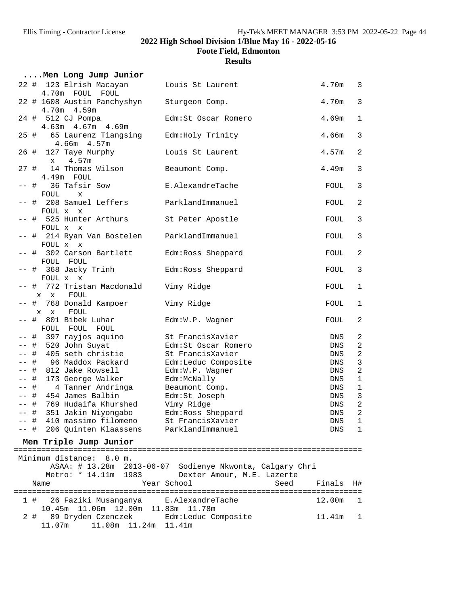**Foote Field, Edmonton**

|      | Men Long Jump Junior                          |                                                          |             |                     |
|------|-----------------------------------------------|----------------------------------------------------------|-------------|---------------------|
|      | 22 # 123 Elrish Macayan<br>4.70m FOUL FOUL    | Louis St Laurent                                         | 4.70m       | 3                   |
|      | 22 # 1608 Austin Panchyshyn<br>4.70m 4.59m    | Sturgeon Comp.                                           | 4.70m       | 3                   |
|      | 24 # 512 CJ Pompa<br>4.63m  4.67m  4.69m      | Edm:St Oscar Romero                                      | 4.69m       | $\mathbf{1}$        |
|      | 25 # 65 Laurenz Tiangsing<br>$4.66m$ $4.57m$  | Edm:Holy Trinity                                         | 4.66m       | 3                   |
|      | 26 # 127 Taye Murphy<br>4.57m<br>$\mathbf{x}$ | Louis St Laurent                                         | 4.57m       | 2                   |
|      | 27 # 14 Thomas Wilson<br>4.49m FOUL           | Beaumont Comp.                                           | 4.49m       | 3                   |
|      | -- #<br>36 Tafsir Sow<br>FOUL<br>$\mathbf x$  | E.AlexandreTache                                         | FOUL        | 3                   |
|      | -- # 208 Samuel Leffers<br>FOUL x x           | ParklandImmanuel                                         | FOUL        | 2                   |
|      | -- # 525 Hunter Arthurs<br>FOUL x x           | St Peter Apostle                                         | FOUL        | 3                   |
|      | -- # 214 Ryan Van Bostelen<br>FOUL x x        | ParklandImmanuel                                         | FOUL        | 3                   |
|      | -- # 302 Carson Bartlett<br>FOUL FOUL         | Edm:Ross Sheppard                                        | FOUL        | 2                   |
|      | -- # 368 Jacky Trinh<br>FOUL x x              | Edm: Ross Sheppard                                       | FOUL        | 3                   |
|      | -- # 772 Tristan Macdonald<br>x x FOUL        | Vimy Ridge                                               | FOUL        | 1                   |
|      | 768 Donald Kampoer<br>-- #<br>FOUL<br>$X$ X   | Vimy Ridge                                               | FOUL        | 1                   |
|      | -- # 801 Bibek Luhar<br>FOUL FOUL FOUL        | Edm:W.P. Wagner                                          | FOUL        | 2                   |
|      | -- # 397 rayjos aquino                        | St FrancisXavier<br>Edm: St Oscar Romero                 | DNS         | 2<br>$\overline{c}$ |
|      | -- # 520 John Suyat                           |                                                          | DNS         |                     |
|      | -- # 405 seth christie                        | St FrancisXavier                                         | DNS         | $\sqrt{2}$          |
|      | -- # 96 Maddox Packard                        | Edm:Leduc Composite                                      | DNS         | $\mathfrak{Z}$      |
|      | -- # 812 Jake Rowsell                         | Edm:W.P. Wagner                                          | DNS         | $\sqrt{2}$          |
|      | -- # 173 George Walker                        | Edm:McNally                                              | DNS         | $\mathbf 1$         |
|      | -- # 4 Tanner Andringa                        | Beaumont Comp.                                           | DNS         | $\mathbf{1}$        |
|      | -- # 454 James Balbin                         | Edm:St Joseph                                            | DNS         | 3                   |
| -- # | 769 Hudaifa Khurshed                          | Vimy Ridge                                               | <b>DNS</b>  | $\sqrt{2}$          |
|      | -- # 351 Jakin Niyongabo                      | Edm:Ross Sheppard                                        | ${\rm DNS}$ | $\sqrt{2}$          |
|      | -- # 410 massimo filomeno                     | St FrancisXavier                                         | DNS         | 1                   |
| —— # | 206 Quinten Klaassens                         | ParklandImmanuel                                         | DNS         | $\mathbf 1$         |
|      | Men Triple Jump Junior                        |                                                          |             |                     |
|      | Minimum distance: 8.0 m.                      |                                                          |             |                     |
|      |                                               | ASAA: # 13.28m 2013-06-07 Sodienye Nkwonta, Calgary Chri |             |                     |
|      |                                               |                                                          |             |                     |
|      | Metro: * 14.11m 1983                          | Dexter Amour, M.E. Lazerte                               |             |                     |
|      | Name                                          | Year School<br>Seed                                      | Finals      | H#                  |
|      | 26 Faziki Musanganya<br>1 #                   | E.AlexandreTache                                         | 12.00m      | 1                   |
|      | 10.45m  11.06m  12.00m  11.83m  11.78m        |                                                          |             |                     |
|      | 89 Dryden Czenczek<br>2#<br>11.07m<br>11.08m  | Edm:Leduc Composite                                      | 11.41m      | 1                   |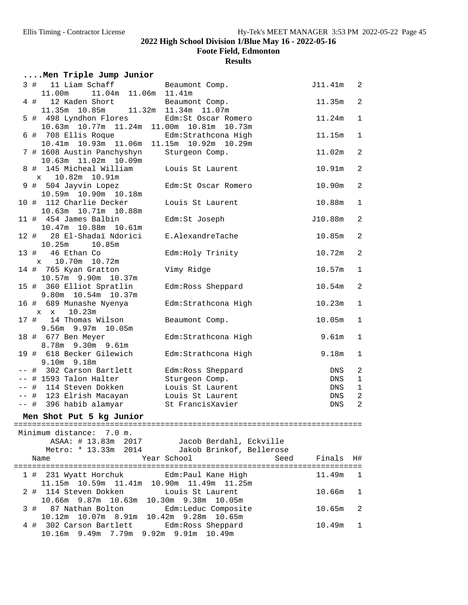**Foote Field, Edmonton**

| Men Triple Jump Junior                                                    |                                                 |                    |                |
|---------------------------------------------------------------------------|-------------------------------------------------|--------------------|----------------|
| 11 Liam Schaff<br>3#<br>11.00m<br>11.04m 11.06m                           | Beaumont Comp.<br>11.41m                        | J11.41m            | $\overline{c}$ |
| 12 Kaden Short<br>4#<br>11.32m<br>11.35m 10.85m                           | Beaumont Comp.<br>11.34m 11.07m                 | 11.35m             | $\overline{c}$ |
| 5 # 498 Lyndhon Flores<br>10.63m 10.77m 11.24m 11.00m 10.81m 10.73m       | Edm:St Oscar Romero                             | 11.24m             | $\mathbf{1}$   |
| 6 # 708 Ellis Roque<br>10.41m  10.93m  11.06m  11.15m  10.92m  10.29m     | Edm: Strathcona High                            | 11.15m             | $\mathbf{1}$   |
| 7 # 1608 Austin Panchyshyn<br>10.63m  11.02m  10.09m                      | Sturgeon Comp.                                  | 11.02m             | $\overline{c}$ |
| 8 # 145 Micheal William<br>10.82m  10.91m<br>$\mathbf x$                  | Louis St Laurent                                | 10.91m             | $\overline{2}$ |
| 9 # 504 Jayvin Lopez<br>10.59m  10.90m  10.18m                            | Edm: St Oscar Romero                            | 10.90m             | $\overline{c}$ |
| 10 # 112 Charlie Decker<br>10.63m  10.71m  10.88m                         | Louis St Laurent                                | 10.88m             | $\mathbf{1}$   |
| 11 # 454 James Balbin<br>10.47m 10.88m 10.61m                             | Edm:St Joseph                                   | J10.88m            | $\overline{2}$ |
| 28 El-Shadaï Ndorici<br>12#<br>10.25m 10.85m                              | E.AlexandreTache                                | 10.85m             | $\overline{2}$ |
| 13 # 46 Ethan Co<br>x 10.70m 10.72m                                       | Edm: Holy Trinity                               | 10.72m             | $\overline{c}$ |
| 14 # 765 Kyan Gratton<br>10.57m 9.90m 10.37m                              | Vimy Ridge                                      | 10.57m             | $\mathbf{1}$   |
| 15 # 360 Elliot Spratlin<br>9.80m 10.54m 10.37m                           | Edm:Ross Sheppard                               | 10.54m             | $\overline{c}$ |
| 16 # 689 Munashe Nyenya<br>10.23m<br>$X$ $X$                              | Edm: Strathcona High                            | 10.23m             | $\mathbf 1$    |
| 14 Thomas Wilson<br>17 #<br>9.56m 9.97m 10.05m                            | Beaumont Comp.                                  | 10.05m             | $\mathbf{1}$   |
| 18 # 677 Ben Meyer<br>8.78m 9.30m 9.61m                                   | Edm:Strathcona High                             | 9.61m              | $\mathbf 1$    |
| 19 # 618 Becker Gilewich<br>9.10m 9.18m                                   | Edm: Strathcona High                            | 9.18m              | 1              |
| -- # 302 Carson Bartlett                                                  | Edm: Ross Sheppard                              | DNS                | $\overline{2}$ |
| -- # 1593 Talon Halter                                                    | Sturgeon Comp.                                  | DNS                | $\mathbf{1}$   |
| -- # 114 Steven Dokken                                                    | Louis St Laurent                                | DNS                | $\mathbf{1}$   |
| -- # 123 Elrish Macayan                                                   | Louis St Laurent                                | DNS                | $\overline{c}$ |
| -- # 396 habib alamyar                                                    | St FrancisXavier                                | $\mathop{\rm DNS}$ | $\overline{2}$ |
| Men Shot Put 5 kg Junior                                                  |                                                 |                    |                |
|                                                                           |                                                 |                    |                |
| Minimum distance: 7.0 m.<br>ASAA: # 13.83m 2017                           | Jacob Berdahl, Eckville                         |                    |                |
| Metro: * 13.33m 2014<br>Name                                              | Jakob Brinkof, Bellerose<br>Year School<br>Seed | Finals             | H#             |
| 1 # 231 Wyatt Horchuk                                                     | Edm:Paul Kane High                              | 11.49m             | $\mathbf{1}$   |
| 11.15m  10.59m  11.41m  10.90m  11.49m  11.25m<br>2#<br>114 Steven Dokken | Louis St Laurent                                | 10.66m             | 1              |
| 10.66m 9.87m 10.63m<br>3 # 87 Nathan Bolton                               | 10.30m 9.38m 10.05m<br>Edm:Leduc Composite      | 10.65m             | 2              |
| 10.12m 10.07m 8.91m 10.42m 9.28m 10.65m                                   |                                                 |                    |                |
| 4 # 302 Carson Bartlett<br>10.16m 9.49m                                   | Edm: Ross Sheppard<br>7.79m 9.92m 9.91m 10.49m  | 10.49m             | 1              |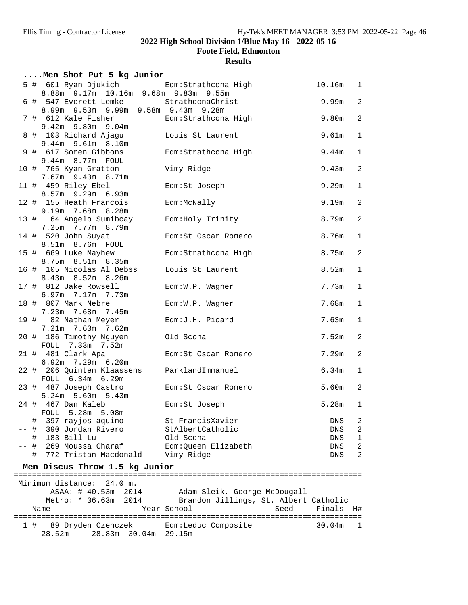**Foote Field, Edmonton**

|      | Men Shot Put 5 kg Junior                                                         |                                                            |                   |                |
|------|----------------------------------------------------------------------------------|------------------------------------------------------------|-------------------|----------------|
|      | 5 # 601 Ryan Djukich Edm:Strathcona High<br>8.88m 9.17m 10.16m 9.68m 9.83m 9.55m |                                                            | 10.16m            | $\mathbf{1}$   |
|      | 6 # 547 Everett Lemke StrathconaChrist<br>8.99m 9.53m 9.99m 9.58m 9.43m 9.28m    |                                                            | 9.99m             | $\overline{c}$ |
|      | 7 # 612 Kale Fisher<br>9.42m 9.80m 9.04m                                         | Edm: Strathcona High                                       | 9.80m             | $\overline{c}$ |
|      | 8 # 103 Richard Ajagu<br>9.44m 9.61m 8.10m                                       | Louis St Laurent                                           | 9.61m             | $1\,$          |
|      | 9 # 617 Soren Gibbons<br>9.44m 8.77m FOUL                                        | Edm: Strathcona High                                       | 9.44m             | $\mathbf{1}$   |
|      | 10 # 765 Kyan Gratton<br>7.67m 9.43m 8.71m                                       | Vimy Ridge                                                 | 9.43m             | $\overline{a}$ |
|      | 11 # 459 Riley Ebel<br>8.57m 9.29m 6.93m                                         | Edm:St Joseph                                              | 9.29 <sub>m</sub> | $\mathbf{1}$   |
|      | 12 # 155 Heath Francois<br>9.19m 7.68m 8.28m                                     | Edm:McNally                                                | 9.19m             | $\overline{c}$ |
|      | 13 # 64 Angelo Sumibcay<br>7.25m 7.77m 8.79m                                     | Edm: Holy Trinity                                          | 8.79m             | $\overline{c}$ |
|      | 14 # 520 John Suyat<br>8.51m 8.76m FOUL                                          | Edm:St Oscar Romero                                        | 8.76m             | $1\,$          |
|      | 15 # 669 Luke Mayhew<br>8.75m 8.51m 8.35m                                        | Edm: Strathcona High                                       | 8.75m             | $\overline{c}$ |
|      | 16 # 105 Nicolas Al Debss<br>8.43m 8.52m 8.26m                                   | Louis St Laurent                                           | 8.52m             | $\mathbf{1}$   |
|      | 17 # 812 Jake Rowsell<br>6.97m 7.17m 7.73m                                       | Edm:W.P. Wagner                                            | 7.73m             | $\mathbf{1}$   |
|      | 18 # 807 Mark Nebre<br>7.23m 7.68m 7.45m                                         | Edm:W.P. Wagner                                            | 7.68m             | $\mathbf{1}$   |
|      | 19 # 82 Nathan Meyer<br>7.21m 7.63m 7.62m                                        | Edm: J.H. Picard                                           | 7.63m             | $\mathbf{1}$   |
|      | 20 # 186 Timothy Nguyen<br>FOUL 7.33m 7.52m                                      | Old Scona                                                  | 7.52m             | $\overline{c}$ |
|      | 21 # 481 Clark Apa<br>6.92m 7.29m 6.20m                                          | Edm:St Oscar Romero                                        | 7.29m             | $\overline{a}$ |
|      | 22 # 206 Quinten Klaassens<br>FOUL 6.34m 6.29m                                   | ParklandImmanuel                                           | 6.34m             | 1              |
|      | 23 # 487 Joseph Castro<br>5.24m 5.60m 5.43m                                      | Edm:St Oscar Romero                                        | 5.60m             | $\overline{a}$ |
|      | 24 # 467 Dan Kaleb<br>FOUL 5.28m 5.08m                                           | Edm:St Joseph                                              | 5.28m             | $\mathbf 1$    |
| ーー 井 | 397 rayjos aquino                                                                | St FrancisXavier                                           | DNS               | 2              |
|      | -- # 390 Jordan Rivero                                                           | StAlbertCatholic                                           | DNS               | $\overline{2}$ |
|      | $--$ # 183 Bill Lu                                                               | Old Scona                                                  | DNS               | $\mathbf{1}$   |
|      | -- # 269 Moussa Charaf                                                           | Edm:Queen Elizabeth                                        | DNS               | $\overline{a}$ |
|      | -- # 772 Tristan Macdonald<br>Men Discus Throw 1.5 kg Junior                     | Vimy Ridge                                                 | DNS               | $\overline{2}$ |
|      |                                                                                  | ========================                                   |                   |                |
|      | Minimum distance: 24.0 m.                                                        |                                                            |                   |                |
|      | ASAA: # 40.53m 2014                                                              | Adam Sleik, George McDougall                               |                   |                |
|      |                                                                                  | Metro: * 36.63m 2014 Brandon Jillings, St. Albert Catholic |                   |                |
|      | Name                                                                             | Year School<br>Seed                                        | Finals            | - H#           |
|      |                                                                                  |                                                            |                   |                |
|      | 1 # 89 Dryden Czenczek Edm:Leduc Composite<br>28.52m<br>28.83m 30.04m 29.15m     |                                                            | 30.04m            | 1              |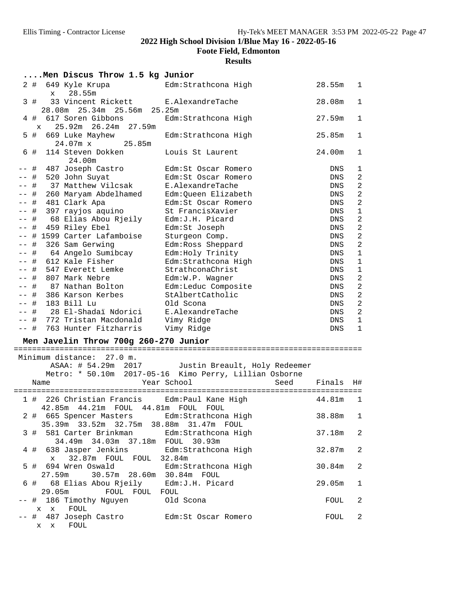**Foote Field, Edmonton**

|       | Men Discus Throw 1.5 kg Junior                                                            |                                                        |        |                |
|-------|-------------------------------------------------------------------------------------------|--------------------------------------------------------|--------|----------------|
|       | 2#<br>649 Kyle Krupa<br>28.55m<br>$\mathbf x$                                             | Edm:Strathcona High                                    | 28.55m | 1              |
|       | 33 Vincent Rickett<br>3#<br>28.08m  25.34m  25.56m                                        | E.AlexandreTache<br>25.25m                             | 28.08m | $\mathbf 1$    |
|       | 4#<br>617 Soren Gibbons<br>25.92m 26.24m 27.59m<br>$\mathbf x$                            | Edm: Strathcona High                                   | 27.59m | $\mathbf 1$    |
|       | 5 #<br>669 Luke Mayhew<br>$24.07m \times$<br>25.85m                                       | Edm:Strathcona High                                    | 25.85m | $\mathbf 1$    |
|       | 114 Steven Dokken<br>6#<br>24.00m                                                         | Louis St Laurent                                       | 24.00m | $\mathbf 1$    |
|       | 487 Joseph Castro<br>#                                                                    | Edm:St Oscar Romero                                    | DNS    | 1              |
| -- #  | 520 John Suyat                                                                            | Edm:St Oscar Romero                                    | DNS    | $\overline{a}$ |
|       | # 37 Matthew Vilcsak                                                                      | E.AlexandreTache                                       | DNS    | $\overline{2}$ |
|       | -- # 260 Maryam Abdelhamed                                                                | Edm:Queen Elizabeth                                    | DNS    | $\overline{a}$ |
| $ -$  | # 481 Clark Apa                                                                           | Edm: St Oscar Romero                                   | DNS    | $\overline{a}$ |
|       | # 397 rayjos aquino                                                                       | St FrancisXavier                                       | DNS    | $\mathbf{1}$   |
|       | # 68 Elias Abou Rjeily                                                                    | Edm: J.H. Picard                                       | DNS    | $\overline{2}$ |
| $ -$  | # 459 Riley Ebel                                                                          | Edm:St Joseph                                          | DNS    | $\overline{a}$ |
|       | -- # 1599 Carter Lafamboise                                                               | Sturgeon Comp.                                         | DNS    | $\overline{2}$ |
|       | -- # 326 Sam Gerwing                                                                      | Edm: Ross Sheppard                                     | DNS    | $\overline{a}$ |
|       | -- # 64 Angelo Sumibcay                                                                   | Edm: Holy Trinity                                      | DNS    | $\overline{1}$ |
|       | -- # 612 Kale Fisher                                                                      | Edm: Strathcona High                                   | DNS    | $\mathbf{1}$   |
|       | -- # 547 Everett Lemke                                                                    | StrathconaChrist                                       | DNS    | $\mathbf 1$    |
|       | -- # 807 Mark Nebre                                                                       | Edm:W.P. Wagner                                        | DNS    | $\overline{a}$ |
|       | -- # 87 Nathan Bolton                                                                     | Edm:Leduc Composite                                    | DNS    | $\overline{2}$ |
|       | -- # 386 Karson Kerbes                                                                    | StAlbertCatholic                                       | DNS    | $\overline{2}$ |
|       | -- # 183 Bill Lu                                                                          | Old Scona                                              | DNS    | $\overline{a}$ |
| $- -$ | # 28 El-Shadaï Ndorici                                                                    | E.AlexandreTache                                       | DNS    | $\overline{2}$ |
|       | -- # 772 Tristan Macdonald                                                                | Vimy Ridge                                             | DNS    | $\mathbf{1}$   |
|       | -- # 763 Hunter Fitzharris                                                                | Vimy Ridge                                             | DNS    | $\mathbf{1}$   |
|       | Men Javelin Throw 700g 260-270 Junior                                                     |                                                        |        |                |
|       |                                                                                           |                                                        |        |                |
|       | Minimum distance: 27.0 m.                                                                 | ASAA: # 54.29m 2017 Justin Breault, Holy Redeemer      |        |                |
|       |                                                                                           | Metro: * 50.10m 2017-05-16 Kimo Perry, Lillian Osborne |        |                |
|       | Name                                                                                      | Year School<br>Seed                                    | Finals | H#             |
|       | 1 # 226 Christian Francis Edm: Paul Kane High<br>42.85m  44.21m  FOUL  44.81m  FOUL  FOUL |                                                        | 44.81m | $\mathbf 1$    |
|       | 2 # 665 Spencer Masters<br>35.39m 33.52m 32.75m                                           | Edm: Strathcona High<br>38.88m 31.47m FOUL             | 38.88m | 1              |
|       | 3#<br>581 Carter Brinkman<br>34.49m 34.03m 37.18m FOUL 30.93m                             | Edm:Strathcona High                                    | 37.18m | $\overline{a}$ |
|       | 638 Jasper Jenkins<br>4#<br>32.87m FOUL FOUL 32.84m<br>$\mathbf{x}$                       | Edm:Strathcona High                                    | 32.87m | $\overline{c}$ |
|       | 694 Wren Oswald<br>5#<br>30.57m 28.60m 30.84m FOUL<br>27.59m                              | Edm:Strathcona High                                    | 30.84m | $\overline{a}$ |
|       | 68 Elias Abou Rjeily<br>6#<br>29.05m<br>FOUL FOUL FOUL                                    | Edm:J.H. Picard                                        | 29.05m | 1              |
| -- #  | 186 Timothy Nguyen<br>$X$ $X$<br>FOUL                                                     | Old Scona                                              | FOUL   | $\overline{c}$ |
|       | 487 Joseph Castro<br>#<br>x x FOUL                                                        | Edm:St Oscar Romero                                    | FOUL   | $\overline{c}$ |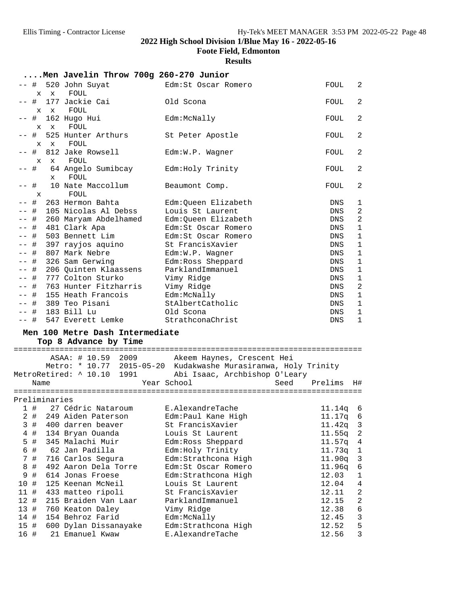**Foote Field, Edmonton**

### **Results**

**....Men Javelin Throw 700g 260-270 Junior** -- # 520 John Suyat Edm:St Oscar Romero FOUL 2 x x FOUL -- # 177 Jackie Cai Old Scona FOUL 2 x x FOUL -- # 162 Hugo Hui Edm:McNally FOUL 2 x x FOUL -- # 525 Hunter Arthurs St Peter Apostle FOUL 2 x x FOUL -- # 812 Jake Rowsell Edm:W.P. Wagner FOUL 2 x x FOUL -- # 64 Angelo Sumibcay Edm:Holy Trinity FOUL 2 x FOUL -- # 10 Nate Maccollum Beaumont Comp. FOUL 2 x FOUL -- # 263 Hermon Bahta Edm:Queen Elizabeth DNS 1 -- # 105 Nicolas Al Debss Louis St Laurent DNS 2 -- # 260 Maryam Abdelhamed Edm:Queen Elizabeth DNS 2 -- # 481 Clark Apa Edm:St Oscar Romero DNS 1 -- # 503 Bennett Lim Edm:St Oscar Romero DNS 1 -- # 397 rayjos aquino St FrancisXavier DNS 1 -- # 807 Mark Nebre Edm:W.P. Wagner DNS 1 -- # 326 Sam Gerwing Edm:Ross Sheppard DNS 1 -- # 206 Quinten Klaassens ParklandImmanuel DNS 1 -- # 777 Colton Sturko Vimy Ridge DNS 1 -- # 763 Hunter Fitzharris Vimy Ridge DNS 2 -- # 155 Heath Francois Edm:McNally DNS 1 -- # 389 Teo Pisani StAlbertCatholic DNS 1 -- # 183 Bill Lu Old Scona DNS 1 -- # 547 Everett Lemke StrathconaChrist DNS 1 **Men 100 Metre Dash Intermediate Top 8 Advance by Time** ============================================================================ ASAA: # 10.59 2009 Akeem Haynes, Crescent Hei Metro: \* 10.77 2015-05-20 Kudakwashe Murasiranwa, Holy Trinity MetroRetired: ^ 10.10 1991 Abi Isaac, Archbishop O'Leary Name Year School Seed Prelims H# ============================================================================ Preliminaries 1 # 27 Cédric Nataroum E.AlexandreTache 11.14q 6 2 # 249 Aiden Paterson Edm:Paul Kane High 11.17q 6 3 # 400 darren beaver St FrancisXavier 11.42q 3 4 # 134 Bryan Ouanda Louis St Laurent 11.55q 2 5 # 345 Malachi Muir Edm:Ross Sheppard 11.57q 4 6 # 62 Jan Padilla Edm:Holy Trinity 11.73q 1 7 # 716 Carlos Segura Edm:Strathcona High 11.90q 3 8 # 492 Aaron Dela Torre Edm:St Oscar Romero 11.96q 6 9 # 614 Jonas Froese Edm:Strathcona High 12.03 1 10 # 125 Keenan McNeil Louis St Laurent 12.04 4 11 # 433 matteo ripoli St FrancisXavier 12.11 2 12 # 215 Braiden Van Laar ParklandImmanuel 12.15 2 13 # 760 Keaton Daley Vimy Ridge 12.38 6 14 # 154 Behroz Farid Edm:McNally 12.45 3 15 # 600 Dylan Dissanayake Edm:Strathcona High 12.52 5

16 # 21 Emanuel Kwaw E.AlexandreTache 12.56 3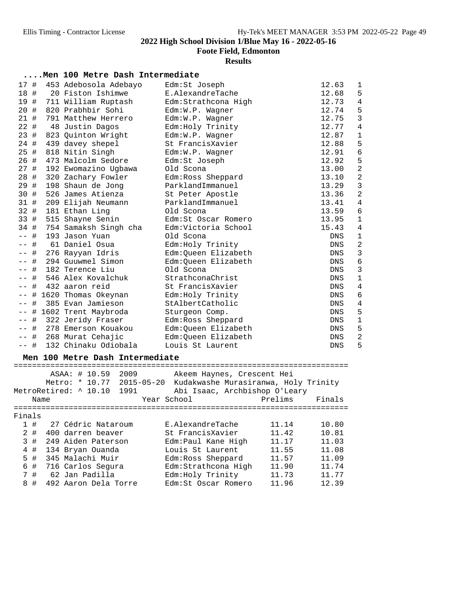**Foote Field, Edmonton**

## **Results**

|  |  |  |  | Men 100 Metre Dash Intermediate |
|--|--|--|--|---------------------------------|
|--|--|--|--|---------------------------------|

| 17 #  |         | 453 Adebosola Adebayo      | Edm:St Joseph        | 12.63      | 1              |
|-------|---------|----------------------------|----------------------|------------|----------------|
|       |         | 18 # 20 Fiston Ishimwe     | E.AlexandreTache     | 12.68      | 5              |
|       | 19 #    | 711 William Ruptash        | Edm:Strathcona High  | 12.73      | $\overline{4}$ |
|       | 20#     | 820 Prabhbir Sohi          | Edm:W.P. Wagner      | 12.74      | 5              |
|       | 21#     | 791 Matthew Herrero        | Edm:W.P. Wagner      | 12.75      | $\overline{3}$ |
|       | $22 \#$ | 48 Justin Dagos            | Edm: Holy Trinity    | 12.77      | $\overline{4}$ |
|       | 23 #    | 823 Quinton Wright         | Edm:W.P. Wagner      | 12.87      | $\mathbf{1}$   |
|       |         | 24 # 439 davey shepel      | St FrancisXavier     | 12.88      | 5              |
| 25#   |         | 818 Nitin Singh            | $Edm:W.P.$ Waqner    | 12.91      | $\overline{6}$ |
|       | 26 #    | 473 Malcolm Sedore         | Edm:St Joseph        | 12.92      | 5              |
|       |         | 27 # 192 Ewomazino Ugbawa  | Old Scona            | 13.00      | $\overline{a}$ |
| 28 #  |         | 320 Zachary Fowler         | Edm: Ross Sheppard   | 13.10      | $\overline{a}$ |
|       | 29 #    | 198 Shaun de Jong          | ParklandImmanuel     | 13.29      | $\overline{3}$ |
|       |         | 30 # 526 James Atienza     | St Peter Apostle     | 13.36      | $\overline{a}$ |
|       | 31 #    | 209 Elijah Neumann         | ParklandImmanuel     | 13.41      | $\overline{4}$ |
| 32 #  |         | 181 Ethan Ling             | Old Scona            | 13.59      | $\overline{6}$ |
|       |         | 33 # 515 Shayne Senin      | Edm: St Oscar Romero | 13.95      | $\mathbf{1}$   |
|       |         | 34 # 754 Samaksh Singh cha | Edm:Victoria School  | 15.43      | $\overline{4}$ |
| $ -$  | #       | 193 Jason Yuan             | Old Scona            | DNS        | $\mathbf{1}$   |
| $- -$ | #       | 61 Daniel Osua             | Edm: Holy Trinity    | <b>DNS</b> | $\overline{a}$ |
| $- -$ | $\#$    | 276 Rayyan Idris           | Edm:Queen Elizabeth  | DNS        | $\overline{3}$ |
| $- -$ |         | # 294 Guuwmel Simon        | Edm:Queen Elizabeth  | <b>DNS</b> | $\overline{6}$ |
| $- -$ | #       | 182 Terence Liu            | Old Scona            | <b>DNS</b> | $\overline{3}$ |
| $- -$ |         | # 546 Alex Kovalchuk       | StrathconaChrist     | <b>DNS</b> | $\mathbf{1}$   |
|       | #       | 432 aaron reid             | St FrancisXavier     | <b>DNS</b> | $\overline{4}$ |
|       | #       | 1620 Thomas Okeynan        | Edm: Holy Trinity    | <b>DNS</b> | $\overline{6}$ |
| $- -$ | #       | 385 Evan Jamieson          | StAlbertCatholic     | DNS        | $\overline{4}$ |
| $- -$ | #       | 1602 Trent Maybroda        | Sturgeon Comp.       | DNS        | 5              |
| $- -$ | #       | 322 Jeridy Fraser          | Edm: Ross Sheppard   | <b>DNS</b> | $\mathbf{1}$   |
| $- -$ | #       | 278 Emerson Kouakou        | Edm:Queen Elizabeth  | DNS        | 5              |
|       | #       | 268 Murat Cehajic          | Edm:Queen Elizabeth  | <b>DNS</b> | $\overline{a}$ |
| $- -$ | #       | 132 Chinaku Odiobala       | Louis St Laurent     | <b>DNS</b> | 5              |

### Men 100 Metre Dash Intermediate

|        |  | ASAA: # 10.59         | 2009       | Akeem Haynes, Crescent Hei |  |                                      |        |
|--------|--|-----------------------|------------|----------------------------|--|--------------------------------------|--------|
|        |  | Metro: * 10.77        | 2015-05-20 |                            |  | Kudakwashe Murasiranwa, Holy Trinity |        |
|        |  | MetroRetired: ^ 10.10 | 1991       |                            |  | Abi Isaac, Archbishop O'Leary        |        |
| Name   |  |                       |            | Year School                |  | Prelims                              | Finals |
|        |  |                       |            |                            |  |                                      |        |
| Finals |  |                       |            |                            |  |                                      |        |
| 1#     |  | 27 Cédric Nataroum    |            | E.AlexandreTache           |  | 11.14                                | 10.80  |
| $2 \#$ |  | 400 darren beaver     |            | St FrancisXavier           |  | 11.42                                | 10.81  |
| 3#     |  | 249 Aiden Paterson    |            | Edm: Paul Kane High        |  | 11.17                                | 11.03  |
| 4#     |  | 134 Bryan Ouanda      |            | Louis St Laurent           |  | 11.55                                | 11.08  |
| 5#     |  | 345 Malachi Muir      |            | Edm: Ross Sheppard         |  | 11.57                                | 11.09  |
| 6#     |  | 716 Carlos Sequra     |            | Edm:Strathcona High        |  | 11.90                                | 11.74  |
| 7#     |  | 62 Jan Padilla        |            | Edm: Holy Trinity          |  | 11.73                                | 11.77  |
| #<br>8 |  | 492 Aaron Dela Torre  |            | Edm: St Oscar Romero       |  | 11.96                                | 12.39  |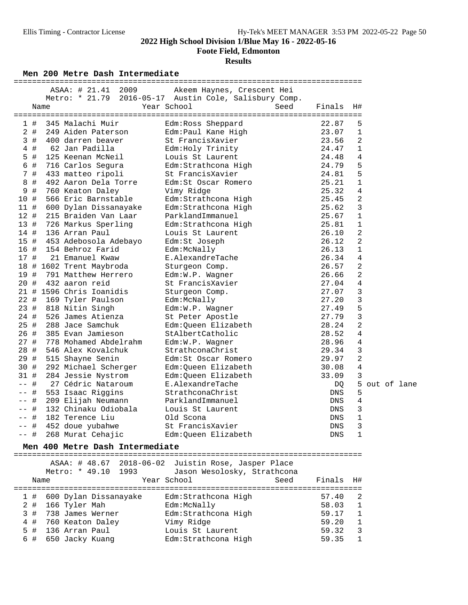**Foote Field, Edmonton**

### **Results**

Men 200 Metre Dash Intermediate

|        |      | ASAA: # 21.41 2009       | Akeem Haynes, Crescent Hei                             |      |            |                |  |               |
|--------|------|--------------------------|--------------------------------------------------------|------|------------|----------------|--|---------------|
|        |      |                          | Metro: * 21.79 2016-05-17 Austin Cole, Salisbury Comp. |      |            |                |  |               |
|        | Name |                          | Year School                                            | Seed | Finals     | H#             |  |               |
| 1#     |      | 345 Malachi Muir         | Edm:Ross Sheppard                                      |      | 22.87      | 5              |  |               |
| $2$ #  |      | 249 Aiden Paterson       | Edm:Paul Kane High                                     |      | 23.07      | 1              |  |               |
| 3#     |      | 400 darren beaver        | St FrancisXavier                                       |      | 23.56      | $\overline{a}$ |  |               |
| $4$ #  |      | 62 Jan Padilla           | Edm: Holy Trinity                                      |      | 24.47      | 1              |  |               |
| 5 #    |      | 125 Keenan McNeil        | Louis St Laurent                                       |      | 24.48      | 4              |  |               |
| 6 #    |      | 716 Carlos Segura        | Edm:Strathcona High                                    |      | 24.79      | 5              |  |               |
| 7 #    |      | 433 matteo ripoli        | St FrancisXavier                                       |      | 24.81      | 5              |  |               |
| 8<br># |      | 492 Aaron Dela Torre     | Edm: St Oscar Romero                                   |      | 25.21      | 1              |  |               |
| #<br>9 |      | 760 Keaton Daley         | Vimy Ridge                                             |      | 25.32      | 4              |  |               |
| 10 #   |      | 566 Eric Barnstable      | Edm:Strathcona High                                    |      | 25.45      | $\overline{a}$ |  |               |
| 11 #   |      | 600 Dylan Dissanayake    | Edm:Strathcona High                                    |      | 25.62      | 3              |  |               |
| 12#    |      | 215 Braiden Van Laar     | ParklandImmanuel                                       |      | 25.67      | 1              |  |               |
| 13#    |      | 726 Markus Sperling      | Edm:Strathcona High                                    |      | 25.81      | $\mathbf{1}$   |  |               |
| 14 #   |      | 136 Arran Paul           | Louis St Laurent                                       |      | 26.10      | $\overline{a}$ |  |               |
| 15#    |      | 453 Adebosola Adebayo    | Edm:St Joseph                                          |      | 26.12      | 2              |  |               |
| 16 #   |      | 154 Behroz Farid         | Edm:McNally                                            |      | 26.13      | 1              |  |               |
| 17 #   |      | 21 Emanuel Kwaw          | E.AlexandreTache                                       |      | 26.34      | 4              |  |               |
|        |      | 18 # 1602 Trent Maybroda | Sturgeon Comp.                                         |      | 26.57      | $\overline{2}$ |  |               |
| 19 #   |      | 791 Matthew Herrero      | Edm:W.P. Wagner                                        |      | 26.66      | 2              |  |               |
| 20 #   |      | 432 aaron reid           | St FrancisXavier                                       |      | 27.04      | 4              |  |               |
|        |      | 21 # 1596 Chris Ioanidis | Sturgeon Comp.                                         |      | 27.07      | 3              |  |               |
| 22 #   |      | 169 Tyler Paulson        | Edm:McNally                                            |      | 27.20      | 3              |  |               |
| 23 #   |      | 818 Nitin Singh          | Edm:W.P. Wagner                                        |      | 27.49      | 5              |  |               |
| 24 #   |      | 526 James Atienza        | St Peter Apostle                                       |      | 27.79      | 3              |  |               |
| 25 #   |      | 288 Jace Samchuk         | Edm:Queen Elizabeth                                    |      | 28.24      | $\overline{2}$ |  |               |
| 26 #   |      | 385 Evan Jamieson        | StAlbertCatholic                                       |      | 28.52      | $\overline{4}$ |  |               |
| 27#    |      | 778 Mohamed Abdelrahm    | Edm:W.P. Wagner                                        |      | 28.96      | 4              |  |               |
| 28 #   |      | 546 Alex Kovalchuk       | StrathconaChrist                                       |      | 29.34      | 3              |  |               |
| 29 #   |      | 515 Shayne Senin         | Edm: St Oscar Romero                                   |      | 29.97      | 2              |  |               |
| 30 #   |      | 292 Michael Scherger     | Edm:Queen Elizabeth                                    |      | 30.08      | $\overline{4}$ |  |               |
| 31 #   |      | 284 Jessie Nystrom       | Edm:Queen Elizabeth                                    |      | 33.09      | 3              |  |               |
| $--$ # |      | 27 Cédric Nataroum       | E.AlexandreTache                                       |      | DQ         |                |  | 5 out of lane |
| #      |      | 553 Isaac Riggins        | StrathconaChrist                                       |      | <b>DNS</b> | 5              |  |               |
| $\#$   |      | 209 Elijah Neumann       | ParklandImmanuel                                       |      | DNS        | 4              |  |               |
| $\#$   |      | 132 Chinaku Odiobala     | Louis St Laurent                                       |      | DNS        | 3              |  |               |
| $\#$   |      | 182 Terence Liu          | Old Scona                                              |      | <b>DNS</b> | 1              |  |               |
| #      |      | 452 doue yubahwe         | St FrancisXavier                                       |      | <b>DNS</b> | 3              |  |               |
| $--$ # |      | 268 Murat Cehajic        | Edm:Oueen Elizabeth                                    |      | <b>DNS</b> | $\mathbf{1}$   |  |               |

**Men 400 Metre Dash Intermediate** ============================================================================

ASAA: # 48.67 2018-06-02 Juistin Rose, Jasper Place

| Name |  |                      | Metro: * 49.10 1993       | Jason Wesolosky, Strathcona<br>Year School | Seed | Finals H# |                |
|------|--|----------------------|---------------------------|--------------------------------------------|------|-----------|----------------|
|      |  |                      | 1 # 600 Dylan Dissanayake | Edm: Strathcona High                       |      | 57.40     | -2.            |
|      |  |                      |                           |                                            |      |           |                |
|      |  | $2$ # 166 Tyler Mah  |                           | Edm:McNally                                |      | 58.03     | 1              |
|      |  | 3 # 738 James Werner |                           | Edm: Strathcona High                       |      | 59.17     | $\overline{1}$ |
|      |  | 4 # 760 Keaton Daley |                           | Vimy Ridge                                 |      | 59.20     | $\overline{1}$ |
|      |  | 5 # 136 Arran Paul   |                           | Louis St Laurent                           |      | 59.32     | $\mathcal{R}$  |
|      |  | 6 # 650 Jacky Kuang  |                           | Edm: Strathcona High                       |      | 59.35     |                |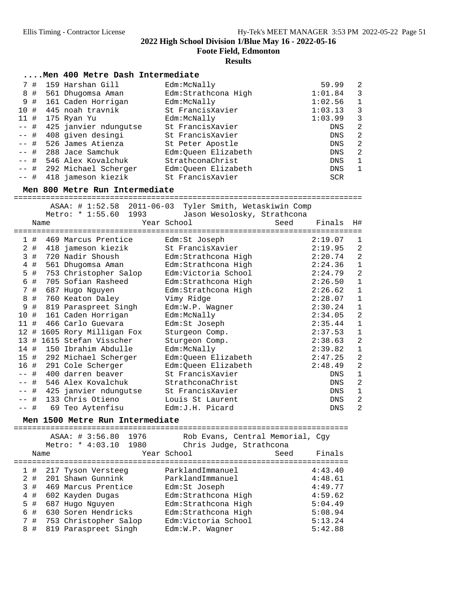**Foote Field, Edmonton**

## **Results**

|                                                                                                                            | Men 400 Metre Dash Intermediate                                                                                                                                                                                                                                                                                                                                                                                                                                                                              |                                                                                                                                                                                                                                                                                                                                                                                                                               |                                   |                                                                                                                                                                                                                 |                                                                                                                                                                                                                                                                                                    |
|----------------------------------------------------------------------------------------------------------------------------|--------------------------------------------------------------------------------------------------------------------------------------------------------------------------------------------------------------------------------------------------------------------------------------------------------------------------------------------------------------------------------------------------------------------------------------------------------------------------------------------------------------|-------------------------------------------------------------------------------------------------------------------------------------------------------------------------------------------------------------------------------------------------------------------------------------------------------------------------------------------------------------------------------------------------------------------------------|-----------------------------------|-----------------------------------------------------------------------------------------------------------------------------------------------------------------------------------------------------------------|----------------------------------------------------------------------------------------------------------------------------------------------------------------------------------------------------------------------------------------------------------------------------------------------------|
| 7#<br>8 #<br>9 #<br>10 #<br>$11$ #<br>-- #<br>$ -$<br>#<br>-- #<br>-- #<br>-- #<br>#<br>$- -$<br>-- #                      | 159 Harshan Gill<br>561 Dhuqomsa Aman<br>161 Caden Horrigan<br>445 noah travnik<br>175 Ryan Yu<br>425 janvier ndungutse<br>408 given desingi<br>526 James Atienza<br>288 Jace Samchuk<br>546 Alex Kovalchuk<br>292 Michael Scherger<br>418 jameson kiezik<br>Men 800 Metre Run Intermediate                                                                                                                                                                                                                  | Edm:McNally<br>Edm: Strathcona High<br>Edm:McNally<br>St FrancisXavier<br>Edm:McNally<br>St FrancisXavier<br>St FrancisXavier<br>St Peter Apostle<br>Edm:Queen Elizabeth<br>StrathconaChrist<br>Edm:Queen Elizabeth<br>St FrancisXavier                                                                                                                                                                                       |                                   | 59.99<br>1:01.84<br>1:02.56<br>1:03.13<br>1:03.99<br>DNS<br>DNS<br>DNS<br>DNS<br>DNS<br>DNS<br>SCR                                                                                                              | 2<br>3<br>$\mathbf{1}$<br>3<br>3<br>$\overline{a}$<br>$\overline{a}$<br>$\overline{c}$<br>$\overline{a}$<br>$\mathbf{1}$<br>1                                                                                                                                                                      |
|                                                                                                                            | ASAA: # 1:52.58<br>$2011 - 06 - 03$                                                                                                                                                                                                                                                                                                                                                                                                                                                                          | Tyler Smith, Wetaskiwin Comp                                                                                                                                                                                                                                                                                                                                                                                                  |                                   |                                                                                                                                                                                                                 |                                                                                                                                                                                                                                                                                                    |
| Name                                                                                                                       | Metro: * 1:55.60<br>1993                                                                                                                                                                                                                                                                                                                                                                                                                                                                                     | Jason Wesolosky, Strathcona<br>Year School                                                                                                                                                                                                                                                                                                                                                                                    | Seed                              | Finals                                                                                                                                                                                                          | H#                                                                                                                                                                                                                                                                                                 |
| 1#<br>3#<br>4#<br>$5$ #<br>6<br>#<br>7#<br>8<br>#<br>#<br>9<br>10 #<br>11#<br>16 #<br>-- #<br>$ -$<br>#<br>$- -$<br>$--$ # | 469 Marcus Prentice<br>2 # 418 jameson kiezik<br>720 Nadir Shoush<br>561 Dhugomsa Aman<br>753 Christopher Salop<br>705 Sofian Rasheed<br>687 Hugo Nguyen<br>760 Keaton Daley<br>819 Paraspreet Singh<br>161 Caden Horrigan<br>466 Carlo Guevara<br>12 # 1605 Rory Milligan Fox<br>13 # 1615 Stefan Visscher<br>14 # 150 Ibrahim Abdulle<br>15 # 292 Michael Scherger<br>291 Cole Scherger<br>400 darren beaver<br># 546 Alex Kovalchuk<br>-- # 425 janvier ndungutse<br>133 Chris Otieno<br>69 Teo Aytenfisu | Edm:St Joseph<br>St FrancisXavier<br>Edm: Strathcona High<br>Edm: Strathcona High<br>Edm:Victoria School<br>Edm:Strathcona High<br>Edm: Strathcona High<br>Vimy Ridge<br>Edm:W.P. Wagner<br>Edm:McNally<br>Edm:St Joseph<br>Sturgeon Comp.<br>Sturgeon Comp.<br>Edm:McNally<br>Edm:Queen Elizabeth<br>Edm:Queen Elizabeth<br>St FrancisXavier<br>StrathconaChrist<br>St FrancisXavier<br>Louis St Laurent<br>Edm: J.H. Picard |                                   | 2:19.07<br>2:19.95<br>2:20.74<br>2:24.36<br>2:24.79<br>2:26.50<br>2:26.62<br>2:28.07<br>2:30.24<br>2:34.05<br>2:35.44<br>2:37.53<br>2:38.63<br>2:39.82<br>2:47.25<br>2:48.49<br>DNS<br>DNS<br>DNS<br>DNS<br>DNS | 1<br>2<br>$\overline{2}$<br>$\mathbf{1}$<br>$\overline{a}$<br>$\mathbf{1}$<br>$\mathbf{1}$<br>$\mathbf{1}$<br>$\mathbf{1}$<br>$\overline{c}$<br>$\mathbf{1}$<br>1<br>$\overline{2}$<br>$\mathbf{1}$<br>$\overline{2}$<br>$\overline{c}$<br>$\mathbf{1}$<br>2<br>$\mathbf 1$<br>$\overline{a}$<br>2 |
|                                                                                                                            | Men 1500 Metre Run Intermediate                                                                                                                                                                                                                                                                                                                                                                                                                                                                              |                                                                                                                                                                                                                                                                                                                                                                                                                               |                                   |                                                                                                                                                                                                                 |                                                                                                                                                                                                                                                                                                    |
| Name                                                                                                                       | ASAA: # 3:56.80<br>1976<br>1980<br>Metro: * 4:03.10                                                                                                                                                                                                                                                                                                                                                                                                                                                          | Rob Evans, Central Memorial, Cgy<br>Chris Judge, Strathcona<br>Year School                                                                                                                                                                                                                                                                                                                                                    | Seed<br>:======================== | Finals                                                                                                                                                                                                          |                                                                                                                                                                                                                                                                                                    |
| 1<br>$\#$<br>$2$ #<br>3<br>#<br>#<br>4<br>5<br>$\#$<br>6<br>#<br>7 #                                                       | 217 Tyson Versteeg<br>201 Shawn Gunnink<br>469 Marcus Prentice<br>602 Kayden Dugas<br>687 Hugo Nguyen<br>630 Soren Hendricks<br>753 Christopher Salop                                                                                                                                                                                                                                                                                                                                                        | ParklandImmanuel<br>ParklandImmanuel<br>Edm:St Joseph<br>Edm:Strathcona High<br>Edm: Strathcona High<br>Edm: Strathcona High<br>Edm:Victoria School                                                                                                                                                                                                                                                                           |                                   | 4:43.40<br>4:48.61<br>4:49.77<br>4:59.62<br>5:04.49<br>5:08.94<br>5:13.24                                                                                                                                       |                                                                                                                                                                                                                                                                                                    |

8 # 819 Paraspreet Singh Edm:W.P. Wagner 5:42.88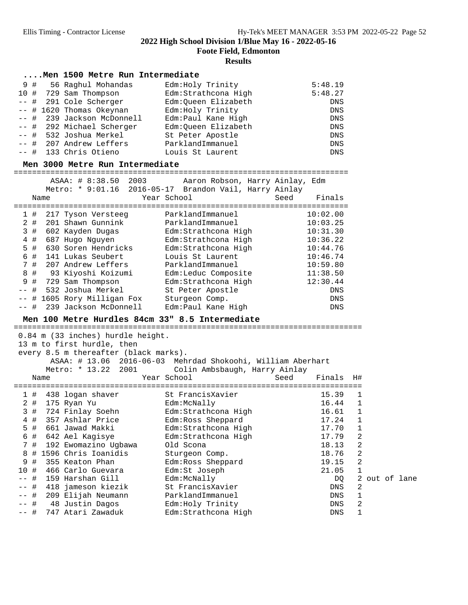**Foote Field, Edmonton**

### **Results**

### **....Men 1500 Metre Run Intermediate**

|  | 9 # 56 Raghul Mohandas     | Edm: Holy Trinity    | 5:48.19    |
|--|----------------------------|----------------------|------------|
|  | 10 # 729 Sam Thompson      | Edm: Strathcona High | 5:48.27    |
|  | -- # 291 Cole Scherger     | Edm:Oueen Elizabeth  | DNS        |
|  | -- # 1620 Thomas Okeynan   | Edm: Holy Trinity    | DNS        |
|  | -- # 239 Jackson McDonnell | Edm: Paul Kane High  | DNS        |
|  | -- # 292 Michael Scherger  | Edm: Oueen Elizabeth | <b>DNS</b> |
|  | -- # 532 Joshua Merkel     | St Peter Apostle     | DNS        |
|  | -- # 207 Andrew Leffers    | ParklandImmanuel     | DNS        |
|  | -- # 133 Chris Otieno      | Louis St Laurent     | DNS        |

**Men 3000 Metre Run Intermediate** =========================================================================

|                     |     |  |                             | ASAA: # 8:38.50       | 2003 |                      | Aaron Robson, Harry Ainlay, Edm                        |  |  |            |
|---------------------|-----|--|-----------------------------|-----------------------|------|----------------------|--------------------------------------------------------|--|--|------------|
|                     |     |  |                             |                       |      |                      | Metro: * 9:01.16 2016-05-17 Brandon Vail, Harry Ainlay |  |  |            |
| Year School<br>Name |     |  |                             |                       |      | Seed                 | Finals                                                 |  |  |            |
|                     |     |  |                             |                       |      |                      |                                                        |  |  |            |
|                     | 1#  |  |                             | 217 Tyson Versteeg    |      |                      | ParklandImmanuel                                       |  |  | 10:02.00   |
|                     | 2 # |  |                             | 201 Shawn Gunnink     |      |                      | ParklandImmanuel                                       |  |  | 10:03.25   |
|                     | 3#  |  | 602 Kayden Dugas            |                       |      | Edm: Strathcona High |                                                        |  |  | 10:31.30   |
|                     | 4#  |  | 687 Hugo Nguyen             |                       |      | Edm:Strathcona High  |                                                        |  |  | 10:36.22   |
|                     | 5#  |  | 630 Soren Hendricks         |                       |      | Edm: Strathcona High |                                                        |  |  | 10:44.76   |
|                     | 6 # |  | 141 Lukas Seubert           |                       |      | Louis St Laurent     |                                                        |  |  | 10:46.74   |
|                     | 7#  |  | 207 Andrew Leffers          |                       |      | ParklandImmanuel     |                                                        |  |  | 10:59.80   |
|                     | 8 # |  | 93 Kiyoshi Koizumi          |                       |      | Edm:Leduc Composite  |                                                        |  |  | 11:38.50   |
|                     | 9#  |  | 729 Sam Thompson            |                       |      | Edm: Strathcona High |                                                        |  |  | 12:30.44   |
|                     | #   |  | 532 Joshua Merkel           |                       |      | St Peter Apostle     |                                                        |  |  | <b>DNS</b> |
|                     |     |  | -- # 1605 Rory Milligan Fox |                       |      | Sturgeon Comp.       |                                                        |  |  | DNS        |
| $--$ #              |     |  |                             | 239 Jackson McDonnell |      |                      | Edm: Paul Kane High                                    |  |  | <b>DNS</b> |

# **Men 100 Metre Hurdles 84cm 33" 8.5 Intermediate** ============================================================================

 0.84 m (33 inches) hurdle height. 13 m to first hurdle, then every 8.5 m thereafter (black marks). ASAA: # 13.06 2016-06-03 Mehrdad Shokoohi, William Aberhart Metro: \* 13.22 2001 Colin Ambsbaugh, Harry Ainlay Name Year School Seed Finals H# ============================================================================ 1 # 438 logan shaver St FrancisXavier 15.39 1 2 # 175 Ryan Yu Edm:McNally 16.44 1 3 # 724 Finlay Soehn Edm:Strathcona High 16.61 1 4 # 357 Ashlar Price Edm:Ross Sheppard 17.24 1 5 # 661 Jawad Makki Edm:Strathcona High 17.70 1 6 # 642 Ael Kagisye Edm:Strathcona High 17.79 2 7 # 192 Ewomazino Ugbawa Old Scona 18.13 2 8 # 1596 Chris Ioanidis Sturgeon Comp. 18.76 2 9 # 355 Keaton Phan Edm:Ross Sheppard 19.15 2 10 # 466 Carlo Guevara Edm:St Joseph 21.05 1 -- # 159 Harshan Gill Edm:McNally DQ 2 out of lane -- # 418 jameson kiezik St FrancisXavier DNS 2 -- # 209 Elijah Neumann ParklandImmanuel DNS 1 -- # 48 Justin Dagos Edm:Holy Trinity DNS 2 -- # 747 Atari Zawaduk Edm:Strathcona High DNS 1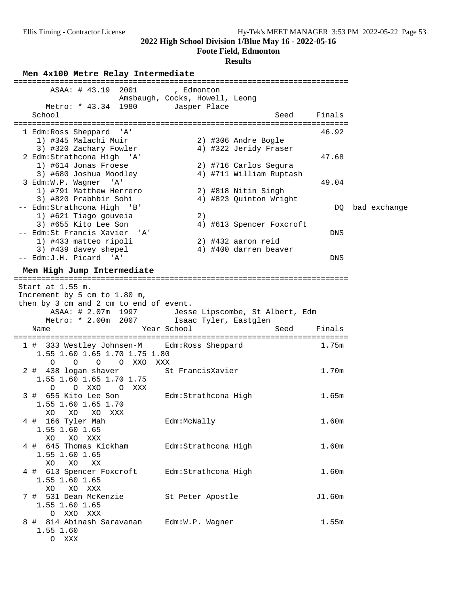**Foote Field, Edmonton**

| Men 4x100 Metre Relay Intermediate<br>----------------                                                                        |                                              |                                                  |            |              |
|-------------------------------------------------------------------------------------------------------------------------------|----------------------------------------------|--------------------------------------------------|------------|--------------|
| ASAA: # 43.19 2001                                                                                                            | , Edmonton<br>Amsbaugh, Cocks, Howell, Leong |                                                  |            |              |
| Metro: * 43.34 1980<br>School                                                                                                 | Jasper Place                                 | Seed                                             | Finals     |              |
| 1 Edm: Ross Sheppard 'A'                                                                                                      |                                              |                                                  | 46.92      |              |
| 1) #345 Malachi Muir<br>3) #320 Zachary Fowler<br>2 Edm: Strathcona High 'A'                                                  |                                              | 2) #306 Andre Bogle<br>4) #322 Jeridy Fraser     | 47.68      |              |
| 1) #614 Jonas Froese<br>3) #680 Joshua Moodley<br>3 Edm:W.P. Wagner 'A'                                                       |                                              | 2) #716 Carlos Segura<br>4) #711 William Ruptash | 49.04      |              |
| 1) #791 Matthew Herrero<br>3) #820 Prabhbir Sohi<br>-- Edm:Strathcona High 'B'                                                |                                              | 2) #818 Nitin Singh<br>4) #823 Quinton Wright    | DQ         | bad exchange |
| 1) #621 Tiago gouveia<br>3) #655 Kito Lee Son                                                                                 | 2)                                           | 4) #613 Spencer Foxcroft                         |            |              |
| -- Edm:St Francis Xavier 'A'<br>1) #433 matteo ripoli<br>3) #439 davey shepel                                                 |                                              | $2)$ #432 aaron reid<br>4) #400 darren beaver    | DNS        |              |
| -- Edm: J.H. Picard 'A'<br>Men High Jump Intermediate                                                                         |                                              |                                                  | <b>DNS</b> |              |
| ASAA: # 2.07m 1997 Jesse Lipscombe, St Albert, Edm<br>Metro: * 2.00m 2007<br>Name                                             | Isaac Tyler, Eastglen<br>Year School         | Seed                                             | Finals     |              |
| 1 # 333 Westley Johnsen-M Edm: Ross Sheppard<br>1.55 1.60 1.65 1.70 1.75 1.80<br>$\Omega$<br>$\circ$<br>O XXO XXX<br>$\Omega$ |                                              |                                                  | 1.75m      |              |
| 2 # 438 logan shaver<br>1.55 1.60 1.65 1.70 1.75<br>OXXO OXXX<br>$\Omega$                                                     | St FrancisXavier                             |                                                  | 1.70m      |              |
| 3 # 655 Kito Lee Son<br>1.55 1.60 1.65 1.70<br>XO<br>XO<br>XO<br>XXX                                                          | Edm:Strathcona High                          |                                                  | 1.65m      |              |
| 4 # 166 Tyler Mah<br>1.55 1.60 1.65<br>XO<br>XO XXX                                                                           | Edm:McNally                                  |                                                  | 1.60m      |              |
| 4 # 645 Thomas Kickham<br>1.55 1.60 1.65<br>XO<br>XO<br>XX                                                                    | Edm:Strathcona High                          |                                                  | 1.60m      |              |
| 4 # 613 Spencer Foxcroft<br>1.55 1.60 1.65<br>XO XXX<br>XO                                                                    | Edm: Strathcona High                         |                                                  | 1.60m      |              |
| 7 # 531 Dean McKenzie<br>1.55 1.60 1.65<br>O XXO XXX                                                                          | St Peter Apostle                             |                                                  | J1.60m     |              |
| 8 # 814 Abinash Saravanan<br>1.55 1.60                                                                                        | Edm:W.P. Wagner                              |                                                  | 1.55m      |              |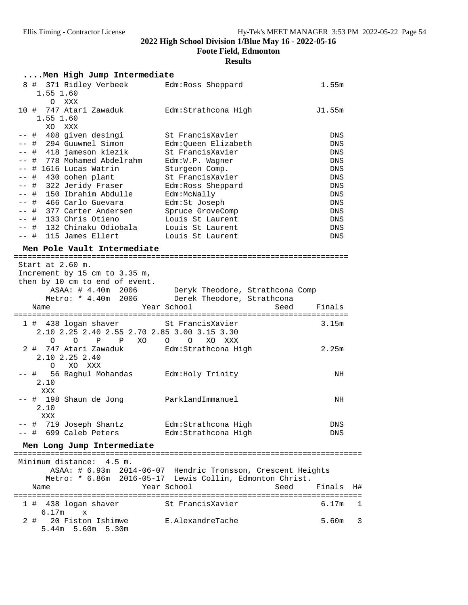**Foote Field, Edmonton**

| Men High Jump Intermediate                                                                                             |                                                                                                                         |            |    |
|------------------------------------------------------------------------------------------------------------------------|-------------------------------------------------------------------------------------------------------------------------|------------|----|
| 8 # 371 Ridley Verbeek<br>1.55 1.60<br>O XXX                                                                           | Edm: Ross Sheppard                                                                                                      | 1.55m      |    |
| 10 # 747 Atari Zawaduk<br>1.55 1.60<br>XO XXX                                                                          | Edm:Strathcona High                                                                                                     | J1.55m     |    |
| -- # 408 given desingi                                                                                                 | St FrancisXavier                                                                                                        | DNS        |    |
| -- # 294 Guuwmel Simon                                                                                                 | Edm:Queen Elizabeth                                                                                                     | <b>DNS</b> |    |
| -- # 418 jameson kiezik                                                                                                | St FrancisXavier                                                                                                        | DNS        |    |
| -- # 778 Mohamed Abdelrahm                                                                                             | Edm:W.P. Wagner                                                                                                         | DNS        |    |
| -- # 1616 Lucas Watrin                                                                                                 | Sturgeon Comp.                                                                                                          | <b>DNS</b> |    |
| -- # 430 cohen plant                                                                                                   | St FrancisXavier                                                                                                        | DNS        |    |
| -- # 322 Jeridy Fraser                                                                                                 | Edm: Ross Sheppard                                                                                                      | DNS        |    |
| -- # 150 Ibrahim Abdulle                                                                                               | Edm:McNally                                                                                                             | <b>DNS</b> |    |
| -- # 466 Carlo Guevara                                                                                                 | Edm:St Joseph                                                                                                           | DNS        |    |
| -- # 377 Carter Andersen                                                                                               | Spruce GroveComp                                                                                                        | <b>DNS</b> |    |
| -- # 133 Chris Otieno                                                                                                  | Louis St Laurent                                                                                                        | <b>DNS</b> |    |
| -- # 132 Chinaku Odiobala                                                                                              | Louis St Laurent                                                                                                        | <b>DNS</b> |    |
| -- # 115 James Ellert                                                                                                  | Louis St Laurent                                                                                                        | <b>DNS</b> |    |
| Men Pole Vault Intermediate                                                                                            |                                                                                                                         |            |    |
| Start at 2.60 m.                                                                                                       |                                                                                                                         |            |    |
| Increment by 15 cm to 3.35 m,                                                                                          |                                                                                                                         |            |    |
| then by 10 cm to end of event.                                                                                         |                                                                                                                         |            |    |
|                                                                                                                        | ASAA: # 4.40m 2006 Deryk Theodore, Strathcona Comp                                                                      |            |    |
|                                                                                                                        | Metro: * 4.40m 2006 Derek Theodore, Strathcona                                                                          |            |    |
| Name                                                                                                                   | Year School<br>Seed                                                                                                     | Finals     |    |
|                                                                                                                        |                                                                                                                         |            |    |
| 1 # 438 logan shaver St FrancisXavier<br>2.10 2.25 2.40 2.55 2.70 2.85 3.00 3.15 3.30<br>$\overline{O}$<br>P P XO<br>O | XO XXX<br>$O$ 0                                                                                                         | 3.15m      |    |
| 2 # 747 Atari Zawaduk <a> Edm:Strathcona High<br/>2.10 2.25 2.40</a>                                                   |                                                                                                                         | 2.25m      |    |
| XO XXX<br>$\circ$                                                                                                      |                                                                                                                         |            |    |
| -- # 56 Raghul Mohandas<br>2.10<br>XXX                                                                                 | Edm:Holy Trinity                                                                                                        | NH         |    |
| -- # 198 Shaun de Jong <a> parklandImmanuel<br/>2.10</a>                                                               |                                                                                                                         | NH         |    |
| XXX                                                                                                                    |                                                                                                                         |            |    |
| 719 Joseph Shantz Mam: Strathcona High<br>-- #<br>-- # 699 Caleb Peters                                                | Edm:Strathcona High                                                                                                     | DNS<br>DNS |    |
| Men Long Jump Intermediate                                                                                             |                                                                                                                         |            |    |
| ===============================<br>Minimum distance: 4.5 m.                                                            | ========                                                                                                                |            |    |
|                                                                                                                        | ASAA: # 6.93m 2014-06-07 Hendric Tronsson, Crescent Heights<br>Metro: * 6.86m 2016-05-17 Lewis Collin, Edmonton Christ. |            |    |
| Name                                                                                                                   | Year School<br>Seed                                                                                                     | Finals     | H# |
|                                                                                                                        |                                                                                                                         | 6.17m      | 1  |
| 1 # 438 logan shaver<br>6.17m<br>$\mathbf{x}$                                                                          | St FrancisXavier                                                                                                        |            |    |
| 20 Fiston Ishimwe<br>2 #<br>5.44m 5.60m 5.30m                                                                          | E.AlexandreTache                                                                                                        | 5.60m      | 3  |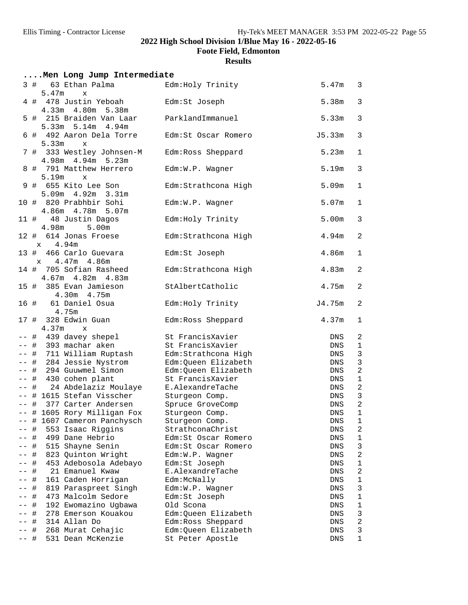**Foote Field, Edmonton**

| Men Long Jump Intermediate |                                                              |                      |                   |              |  |  |
|----------------------------|--------------------------------------------------------------|----------------------|-------------------|--------------|--|--|
|                            | 63 Ethan Palma<br>3#<br>5.47m<br>$\mathbf{x}$                | Edm: Holy Trinity    | 5.47m             | 3            |  |  |
|                            | 4 # 478 Justin Yeboah<br>4.33m  4.80m  5.38m                 | Edm:St Joseph        | 5.38m             | 3            |  |  |
|                            | 5 # 215 Braiden Van Laar<br>5.33m 5.14m 4.94m                | ParklandImmanuel     | 5.33m             | 3            |  |  |
|                            | 6 # 492 Aaron Dela Torre<br>5.33m<br>$\mathbf x$             | Edm:St Oscar Romero  | J5.33m            | 3            |  |  |
|                            | 7 # 333 Westley Johnsen-M<br>4.98m 4.94m 5.23m               | Edm: Ross Sheppard   | 5.23m             | 1            |  |  |
|                            | 8 # 791 Matthew Herrero<br>5.19 <sub>m</sub><br>$\mathbf{x}$ | Edm:W.P. Wagner      | 5.19m             | 3            |  |  |
|                            | 9 # 655 Kito Lee Son<br>5.09m 4.92m 3.31m                    | Edm:Strathcona High  | 5.09 <sub>m</sub> | 1            |  |  |
|                            | 10 # 820 Prabhbir Sohi<br>4.86m  4.78m  5.07m                | Edm:W.P. Wagner      | 5.07m             | 1            |  |  |
|                            | 11 # 48 Justin Dagos<br>4.98m<br>5.00m                       | Edm: Holy Trinity    | 5.00 <sub>m</sub> | 3            |  |  |
|                            | 12 # 614 Jonas Froese<br>4.94m<br>$\mathbf x$                | Edm:Strathcona High  | 4.94m             | 2            |  |  |
|                            | 466 Carlo Guevara<br>13 #<br>$x = 4.47m + 4.86m$             | Edm:St Joseph        | 4.86m             | 1            |  |  |
|                            | 14 # 705 Sofian Rasheed<br>4.67m  4.82m  4.83m               | Edm: Strathcona High | 4.83m             | 2            |  |  |
|                            | 385 Evan Jamieson<br>15 #<br>4.30m 4.75m                     | StAlbertCatholic     | 4.75m             | 2            |  |  |
| 16 #                       | 61 Daniel Osua<br>4.75m                                      | Edm: Holy Trinity    | J4.75m            | 2            |  |  |
|                            | 17 # 328 Edwin Guan<br>4.37 <sub>m</sub><br>$\mathbf x$      | Edm: Ross Sheppard   | 4.37m             | 1            |  |  |
| -- #                       | 439 davey shepel                                             | St FrancisXavier     | DNS               | 2            |  |  |
|                            | -- # 393 machar aken                                         | St FrancisXavier     | DNS               | 1            |  |  |
|                            | -- # 711 William Ruptash                                     | Edm: Strathcona High | DNS               | $\mathsf 3$  |  |  |
|                            | -- # 284 Jessie Nystrom                                      | Edm:Queen Elizabeth  | DNS               | $\mathsf 3$  |  |  |
|                            | -- # 294 Guuwmel Simon                                       | Edm:Queen Elizabeth  | DNS               | $\sqrt{2}$   |  |  |
| $- -$                      | # 430 cohen plant                                            | St FrancisXavier     | DNS               | $\mathbf{1}$ |  |  |
|                            | -- # 24 Abdelaziz Moulaye                                    | E.AlexandreTache     | DNS               | $\sqrt{2}$   |  |  |
|                            | -- # 1615 Stefan Visscher                                    | Sturgeon Comp.       | DNS               | $\mathsf 3$  |  |  |
| $--$ #                     | 377 Carter Andersen                                          | Spruce GroveComp     | <b>DNS</b>        | $\sqrt{2}$   |  |  |
|                            | # 1605 Rory Milligan Fox                                     | Sturgeon Comp.       | ${\rm DNS}$       | $\mathbf 1$  |  |  |
|                            | 1607 Cameron Panchysch<br>$\#$                               | Sturgeon Comp.       | DNS               | 1            |  |  |
|                            | 553 Isaac Riggins<br>#                                       | StrathconaChrist     | DNS               | $\sqrt{2}$   |  |  |
|                            | 499 Dane Hebrio<br>#                                         | Edm:St Oscar Romero  | DNS               | $1\,$        |  |  |
|                            | 515 Shayne Senin<br>#                                        | Edm:St Oscar Romero  | DNS               | 3            |  |  |
|                            | 823 Quinton Wright<br>#                                      | Edm:W.P. Wagner      | DNS               | $\sqrt{2}$   |  |  |
|                            | #<br>453 Adebosola Adebayo                                   | Edm:St Joseph        | DNS               | $\mathbf 1$  |  |  |
|                            | #<br>21 Emanuel Kwaw                                         | E.AlexandreTache     | DNS               | $\sqrt{2}$   |  |  |
|                            | 161 Caden Horrigan<br>#                                      | Edm:McNally          | DNS               | $\mathbf 1$  |  |  |
|                            | #<br>819 Paraspreet Singh                                    | Edm:W.P. Wagner      | DNS               | 3            |  |  |
|                            | 473 Malcolm Sedore<br>#                                      | Edm:St Joseph        | DNS               | 1            |  |  |
|                            | 192 Ewomazino Ugbawa<br>#                                    | Old Scona            | DNS               | 1            |  |  |
|                            | #<br>278 Emerson Kouakou                                     | Edm:Queen Elizabeth  | DNS               | 3            |  |  |
|                            | 314 Allan Do<br>#                                            | Edm: Ross Sheppard   | DNS               | $\sqrt{2}$   |  |  |
|                            | #<br>268 Murat Cehajic                                       | Edm:Queen Elizabeth  | DNS               | 3            |  |  |
| --                         | 531 Dean McKenzie<br>#                                       | St Peter Apostle     | DNS               | $\mathbf 1$  |  |  |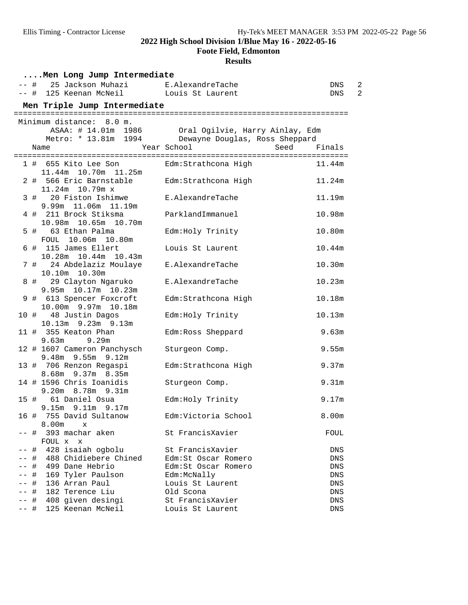**Foote Field, Edmonton**

|      |   | Men Long Jump Intermediate                      |                                                     |                       |
|------|---|-------------------------------------------------|-----------------------------------------------------|-----------------------|
|      |   | -- # 25 Jackson Muhazi E.AlexandreTache         |                                                     | $\overline{2}$<br>DNS |
| —— # |   | 125 Keenan McNeil Louis St Laurent              |                                                     | 2<br><b>DNS</b>       |
|      |   | Men Triple Jump Intermediate                    |                                                     |                       |
|      |   | Minimum distance: 8.0 m.                        |                                                     |                       |
|      |   |                                                 | ASAA: # 14.01m 1986 Oral Ogilvie, Harry Ainlay, Edm |                       |
|      |   |                                                 | Metro: * 13.81m 1994 Dewayne Douglas, Ross Sheppard |                       |
|      |   | Name                                            | Year School<br>Seed                                 | Finals                |
|      |   |                                                 |                                                     |                       |
|      |   | 1 # 655 Kito Lee Son                            | Edm:Strathcona High                                 | 11.44m                |
|      |   | 11.44m 10.70m 11.25m<br>2 # 566 Eric Barnstable | Edm: Strathcona High                                | 11.24m                |
|      |   | 11.24m 10.79m x                                 |                                                     |                       |
|      |   | 3 # 20 Fiston Ishimwe                           | E.AlexandreTache                                    | 11.19m                |
|      |   | 9.99m 11.06m 11.19m                             |                                                     |                       |
|      |   | 4 # 211 Brock Stiksma                           | ParklandImmanuel                                    | 10.98m                |
|      |   | 10.98m 10.65m 10.70m                            |                                                     |                       |
|      |   | 5 # 63 Ethan Palma                              | Edm: Holy Trinity                                   | 10.80m                |
|      |   | FOUL 10.06m 10.80m<br>6 # 115 James Ellert      | Louis St Laurent                                    |                       |
|      |   | 10.28m  10.44m  10.43m                          |                                                     | 10.44m                |
|      |   | 7 # 24 Abdelaziz Moulaye                        | E.AlexandreTache                                    | 10.30m                |
|      |   | 10.10m  10.30m                                  |                                                     |                       |
|      |   | 8 # 29 Clayton Ngaruko                          | E.AlexandreTache                                    | 10.23m                |
|      |   | 9.95m 10.17m 10.23m                             |                                                     |                       |
|      |   | 9 # 613 Spencer Foxcroft                        | Edm: Strathcona High                                | 10.18m                |
|      |   | 10.00m 9.97m 10.18m                             |                                                     |                       |
|      |   | 10 # 48 Justin Dagos<br>10.13m 9.23m 9.13m      | Edm: Holy Trinity                                   | 10.13m                |
|      |   | 11 # 355 Keaton Phan                            | Edm: Ross Sheppard                                  | 9.63m                 |
|      |   | $9.63m$ $9.29m$                                 |                                                     |                       |
|      |   | 12 # 1607 Cameron Panchysch                     | Sturgeon Comp.                                      | 9.55m                 |
|      |   | $9.48m$ 9.55m 9.12m                             |                                                     |                       |
|      |   | 13 # 706 Renzon Regaspi                         | Edm: Strathcona High                                | 9.37m                 |
|      |   | 8.68m 9.37m 8.35m<br>14 # 1596 Chris Ioanidis   | Sturgeon Comp.                                      | 9.31 <sub>m</sub>     |
|      |   | 9.20m 8.78m 9.31m                               |                                                     |                       |
| 15 # |   | 61 Daniel Osua                                  | Edm: Holy Trinity                                   | 9.17m                 |
|      |   | $9.15m$ $9.11m$ $9.17m$                         |                                                     |                       |
|      |   | 16 # 755 David Sultanow                         | Edm:Victoria School                                 | 8.00m                 |
|      |   | 8.00m<br>$\mathbf{x}$                           |                                                     |                       |
| -- # |   | 393 machar aken<br>FOUL X<br>$\mathbf{x}$       | St FrancisXavier                                    | FOUL                  |
| -- # |   | 428 isaiah ogbolu                               | St FrancisXavier                                    | DNS                   |
|      |   | # 488 Chidiebere Chined                         | Edm: St Oscar Romero                                | DNS                   |
|      |   | -- # 499 Dane Hebrio                            | Edm:St Oscar Romero                                 | DNS                   |
|      |   | -- # 169 Tyler Paulson                          | Edm:McNally                                         | DNS                   |
|      | # | 136 Arran Paul                                  | Louis St Laurent                                    | ${\rm DNS}$           |
| -- # |   | 182 Terence Liu                                 | Old Scona                                           | DNS                   |
|      | # | 408 given desingi                               | St FrancisXavier                                    | DNS                   |
| ーー 井 |   | 125 Keenan McNeil                               | Louis St Laurent                                    | ${\rm DNS}$           |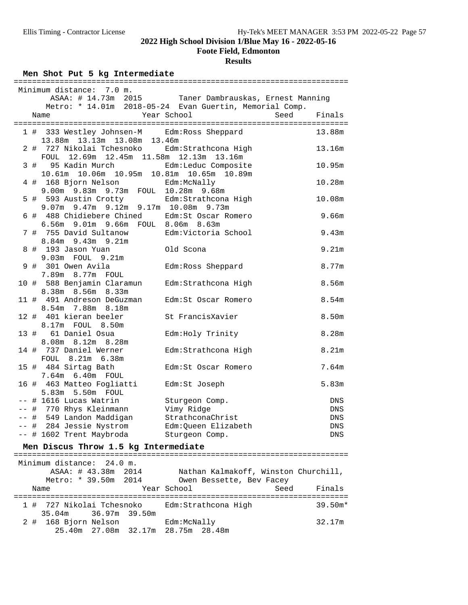**Foote Field, Edmonton**

### **Results**

### Men Shot Put 5 kg Intermediate

|      | Minimum distance:<br>7.0 m.                              | ASAA: # 14.73m 2015 Taner Dambrauskas, Ernest Manning   |                   |
|------|----------------------------------------------------------|---------------------------------------------------------|-------------------|
|      |                                                          | Metro: * 14.01m 2018-05-24 Evan Guertin, Memorial Comp. |                   |
|      | Name                                                     | Year School<br>Seed                                     | Finals            |
|      | 1 # 333 Westley Johnsen-M Edm: Ross Sheppard             |                                                         | 13.88m            |
|      | 13.88m 13.13m 13.08m 13.46m<br>2 # 727 Nikolai Tchesnoko |                                                         | 13.16m            |
|      | 12.69m  12.45m  11.58m  12.13m  13.16m<br>FOUL           | Edm: Strathcona High                                    |                   |
|      | 3#<br>95 Kadin Murch                                     | Edm:Leduc Composite                                     | 10.95m            |
|      | 10.61m  10.06m  10.95m  10.81m  10.65m  10.89m           |                                                         |                   |
|      | 4 # 168 Bjorn Nelson                                     | Edm:McNally                                             | 10.28m            |
|      | 9.00m 9.83m 9.73m FOUL 10.28m 9.68m                      |                                                         |                   |
|      | 5 # 593 Austin Crotty                                    | Edm: Strathcona High                                    | 10.08m            |
|      | 9.07m 9.47m 9.12m 9.17m 10.08m 9.73m                     |                                                         |                   |
|      | 6 # 488 Chidiebere Chined                                | Edm:St Oscar Romero                                     | 9.66m             |
|      | 6.56m 9.01m 9.66m FOUL 8.06m 8.63m                       |                                                         |                   |
|      | 7 # 755 David Sultanow<br>$8.84m$ 9.43m 9.21m            | Edm:Victoria School                                     | 9.43m             |
|      | 8 # 193 Jason Yuan                                       | Old Scona                                               | 9.21m             |
|      | 9.03m FOUL 9.21m                                         |                                                         |                   |
|      | 9 # 301 Owen Avila                                       | Edm: Ross Sheppard                                      | 8.77m             |
|      | 7.89m 8.77m FOUL                                         |                                                         |                   |
|      | 10 # 588 Benjamin Claramun                               | Edm:Strathcona High                                     | 8.56m             |
|      | 8.38m 8.56m 8.33m                                        |                                                         |                   |
|      | 11 # 491 Andreson DeGuzman                               | Edm:St Oscar Romero                                     | 8.54 <sub>m</sub> |
|      | 8.54m 7.88m 8.18m                                        |                                                         |                   |
| 12 # | 401 kieran beeler<br>8.17m FOUL 8.50m                    | St FrancisXavier                                        | 8.50m             |
| 13 # | 61 Daniel Osua                                           | Edm: Holy Trinity                                       | 8.28m             |
|      | 8.08m 8.12m 8.28m                                        |                                                         |                   |
|      | 14 # 737 Daniel Werner                                   | Edm: Strathcona High                                    | 8.21m             |
|      | FOUL 8.21m 6.38m                                         |                                                         |                   |
|      | 15 # 484 Sirtag Bath                                     | Edm: St Oscar Romero                                    | 7.64m             |
|      | 7.64m 6.40m FOUL                                         |                                                         |                   |
|      | 16 # 463 Matteo Fogliatti                                | Edm:St Joseph                                           | 5.83m             |
|      | 5.83m 5.50m FOUL                                         |                                                         |                   |
|      | $--$ # 1616 Lucas Watrin                                 | Sturgeon Comp.                                          | DNS               |
|      | -- # 770 Rhys Kleinmann                                  | Vimy Ridge                                              | DNS               |
|      | -- # 549 Landon Maddigan                                 | StrathconaChrist                                        | DNS               |
|      | -- # 284 Jessie Nystrom                                  | Edm:Queen Elizabeth                                     | DNS               |
|      | -- # 1602 Trent Maybroda                                 | Sturgeon Comp.                                          | DNS               |

# **Men Discus Throw 1.5 kg Intermediate** =========================================================================

| Minimum distance: 24.0 m. |                      |                                               |                |
|---------------------------|----------------------|-----------------------------------------------|----------------|
|                           | ASAA: # 43.38m 2014  | Nathan Kalmakoff, Winston Churchill,          |                |
|                           | Metro: * 39.50m 2014 | Owen Bessette, Bev Facey                      |                |
| Name                      |                      | Year School                                   | Finals<br>Seed |
|                           |                      |                                               |                |
|                           |                      | 1 # 727 Nikolai Tchesnoko Edm:Strathcona High | $39.50m*$      |
|                           | 35.04m 36.97m 39.50m |                                               |                |
| 2 # 168 Bjorn Nelson      |                      | Edm:McNally                                   | 32.17m         |
|                           |                      | 25.40m 27.08m 32.17m 28.75m 28.48m            |                |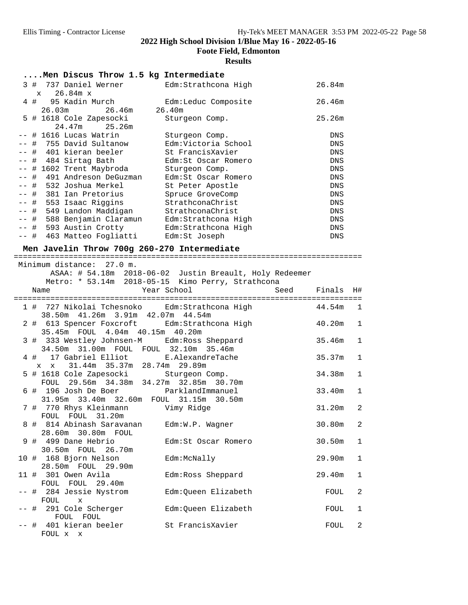**Foote Field, Edmonton**

|                                             | I cole I iena, Bahnonton<br><b>Results</b> |            |
|---------------------------------------------|--------------------------------------------|------------|
| Men Discus Throw 1.5 kg Intermediate        |                                            |            |
| 3 # 737 Daniel Werner                       | Edm:Strathcona High                        | 26.84m     |
| 26.84m x<br>$\mathbf x$                     |                                            |            |
| 4 # 95 Kadin Murch                          | Edm:Leduc Composite                        | 26.46m     |
| 26.03m 26.46m<br>26.40m                     |                                            |            |
| 5 # 1618 Cole Zapesocki                     | Sturgeon Comp.                             | 25.26m     |
| 24.47m<br>25.26m                            |                                            |            |
| -- # 1616 Lucas Watrin                      | Sturgeon Comp.                             | <b>DNS</b> |
| -- # 755 David Sultanow                     | Edm:Victoria School                        | <b>DNS</b> |
| -- #  401 kieran beeler                     | St FrancisXavier                           | <b>DNS</b> |
| -- # 484 Sirtag Bath                        | Edm:St Oscar Romero                        | <b>DNS</b> |
| -- # 1602 Trent Maybroda                    | Sturgeon Comp.                             | <b>DNS</b> |
| -- #  491 Andreson DeGuzman                 | Edm:St Oscar Romero                        | <b>DNS</b> |
| -- #  532 Joshua Merkel                     | St Peter Apostle                           | <b>DNS</b> |
| -- #  381 Ian Pretorius                     | Spruce GroveComp                           | <b>DNS</b> |
| -- # 553 Isaac Riggins                      | StrathconaChrist                           | <b>DNS</b> |
| -- # 549 Landon Maddigan                    | StrathconaChrist                           | <b>DNS</b> |
| -- # 588 Benjamin Claramun                  | Edm:Strathcona High                        | <b>DNS</b> |
| -- # 593 Austin Crotty                      | Edm:Strathcona High                        | <b>DNS</b> |
| -- # 463 Matteo Foqliatti                   | Edm:St Joseph                              | <b>DNS</b> |
| Men Javelin Throw 700g 260-270 Intermediate |                                            |            |
| =======================                     |                                            |            |

|  | Minimum distance: 27.0 m.                                                        |        |              |
|--|----------------------------------------------------------------------------------|--------|--------------|
|  | ASAA: # 54.18m 2018-06-02 Justin Breault, Holy Redeemer                          |        |              |
|  | Metro: * 53.14m 2018-05-15 Kimo Perry, Strathcona                                |        |              |
|  | Year School<br>Seed Finals<br>Name                                               |        | H#           |
|  |                                                                                  |        |              |
|  | 1 # 727 Nikolai Tchesnoko Edm: Strathcona High 644.54m                           |        | 1            |
|  | 38.50m  41.26m  3.91m  42.07m  44.54m<br>40.20m                                  |        |              |
|  | 2 # 613 Spencer Foxcroft Edm: Strathcona High<br>35.45m FOUL 4.04m 40.15m 40.20m |        | $\mathbf{1}$ |
|  | 3 # 333 Westley Johnsen-M Edm: Ross Sheppard                                     | 35.46m | $\mathbf{1}$ |
|  | 34.50m 31.00m FOUL FOUL 32.10m 35.46m                                            |        |              |
|  | 4 # 17 Gabriel Elliot E.AlexandreTache                                           | 35.37m | $\mathbf{1}$ |
|  | 31.44m 35.37m 28.74m 29.89m<br>$X$ $X$                                           |        |              |
|  | 5 # 1618 Cole Zapesocki Sturgeon Comp.                                           | 34.38m | $\mathbf{1}$ |
|  | FOUL 29.56m 34.38m 34.27m 32.85m 30.70m<br>6 # 196 Josh De Boer ParklandImmanuel | 33.40m | $\mathbf{1}$ |
|  | 31.95m 33.40m 32.60m FOUL 31.15m 30.50m                                          |        |              |
|  | 7 # 770 Rhys Kleinmann Wimy Ridge                                                | 31.20m | 2            |
|  | FOUL FOUL 31.20m                                                                 |        |              |
|  | 8 # 814 Abinash Saravanan Edm:W.P. Wagner                                        | 30.80m | 2            |
|  | 28.60m 30.80m FOUL                                                               |        |              |
|  | Edm:St Oscar Romero<br>9 # 499 Dane Hebrio                                       | 30.50m | $\mathbf{1}$ |
|  | 30.50m FOUL 26.70m<br>10 # 168 Bjorn Nelson<br>Edm:McNally                       | 29.90m | $\mathbf{1}$ |
|  | 28.50m FOUL 29.90m                                                               |        |              |
|  | 11 # 301 Owen Avila<br>Edm:Ross Sheppard                                         | 29.40m | $\mathbf{1}$ |
|  | FOUL FOUL 29.40m                                                                 |        |              |
|  | Edm:Queen Elizabeth<br>-- # 284 Jessie Nystrom                                   | FOUL   | 2            |
|  | FOUL x                                                                           |        |              |
|  | -- #  291 Cole Scherger<br>Edm:Queen Elizabeth                                   | FOUL   | $\mathbf{1}$ |
|  | FOUL FOUL<br>-- # 401 kieran beeler · St FrancisXavier                           | FOUL   | 2            |
|  | FOUL x x                                                                         |        |              |
|  |                                                                                  |        |              |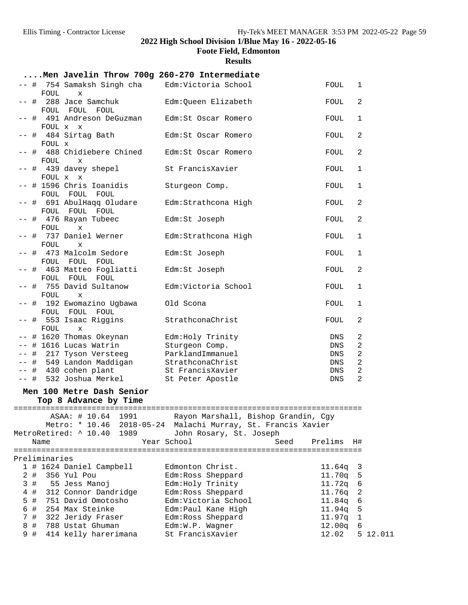**Foote Field, Edmonton**

**Results**

# **....Men Javelin Throw 700g 260-270 Intermediate**

|                |       | FOUL          | -- #  754 Samaksh Singh cha<br>$\mathbf x$         | Edm:Victoria School                                                                                 | FOUL    | 1            |          |
|----------------|-------|---------------|----------------------------------------------------|-----------------------------------------------------------------------------------------------------|---------|--------------|----------|
| $--$ #         |       |               | 288 Jace Samchuk                                   | Edm:Queen Elizabeth                                                                                 | FOUL    | 2            |          |
|                |       | FOUL          | FOUL FOUL                                          |                                                                                                     |         |              |          |
|                |       |               | -- #  491 Andreson DeGuzman<br>FOUL x x            | Edm: St Oscar Romero                                                                                | FOUL    | 1            |          |
|                |       | FOUL X        | -- # 484 Sirtag Bath                               | Edm: St Oscar Romero                                                                                | FOUL    | 2            |          |
|                |       | FOUL          | -- #  488 Chidiebere Chined<br>X                   | Edm: St Oscar Romero                                                                                | FOUL    | $\mathbf{2}$ |          |
|                |       |               | -- # 439 davey shepel<br>FOUL x x                  | St FrancisXavier                                                                                    | FOUL    | 1            |          |
|                |       |               | -- # 1596 Chris Ioanidis<br>FOUL FOUL FOUL         | Sturgeon Comp.                                                                                      | FOUL    | 1            |          |
|                |       |               | -- # 691 AbulHaqq Oludare<br>FOUL FOUL FOUL        | Edm: Strathcona High                                                                                | FOUL    | 2            |          |
|                |       | FOUL          | -- #  476 Rayan Tubeec<br>$\mathbf x$              | Edm:St Joseph                                                                                       | FOUL    | 2            |          |
|                |       | FOUL          | -- # 737 Daniel Werner<br>X                        | Edm: Strathcona High                                                                                | FOUL    | $\mathbf{1}$ |          |
|                |       |               | -- # 473 Malcolm Sedore<br>FOUL FOUL FOUL          | Edm:St Joseph                                                                                       | FOUL    | $\mathbf 1$  |          |
|                |       | FOUL          | -- # 463 Matteo Fogliatti<br>FOUL FOUL             | Edm:St Joseph                                                                                       | FOUL    | $\mathbf{2}$ |          |
|                |       |               | -- # 755 David Sultanow                            | Edm:Victoria School                                                                                 | FOUL    | 1            |          |
|                |       | FOUL          | X<br>-- # 192 Ewomazino Ugbawa                     | Old Scona                                                                                           | FOUL    | 1            |          |
|                |       |               | FOUL FOUL FOUL<br>-- # 553 Isaac Riggins           | StrathconaChrist                                                                                    | FOUL    | 2            |          |
|                |       | FOUL          | $\mathbf x$<br>-- # 1620 Thomas Okeynan            | Edm: Holy Trinity                                                                                   | DNS     | 2            |          |
|                |       |               | -- # 1616 Lucas Watrin                             | Sturgeon Comp.                                                                                      | DNS     | 2            |          |
|                |       |               | -- # 217 Tyson Versteeg                            | ParklandImmanuel                                                                                    | DNS     | 2            |          |
|                |       |               | -- # 549 Landon Maddigan                           | StrathconaChrist                                                                                    | DNS     | $\mathbf{2}$ |          |
| -- #           |       |               | 430 cohen plant                                    | St FrancisXavier                                                                                    | DNS     | 2            |          |
|                |       |               | -- # 532 Joshua Merkel                             | St Peter Apostle                                                                                    | DNS     | 2            |          |
|                |       |               | Men 100 Metre Dash Senior<br>Top 8 Advance by Time |                                                                                                     |         |              |          |
|                |       |               | ASAA: # 10.64 1991                                 | Rayon Marshall, Bishop Grandin, Cgy<br>Metro: * 10.46 2018-05-24 Malachi Murray, St. Francis Xavier |         |              |          |
|                |       | Name          | MetroRetired: ^ 10.40<br>1989                      | John Rosary, St. Joseph<br>Year School<br>Seed                                                      | Prelims | H#           |          |
|                |       | Preliminaries |                                                    |                                                                                                     |         |              |          |
|                |       |               | 1 # 1624 Daniel Campbell                           | Edmonton Christ.                                                                                    | 11.64q  | 3            |          |
| 2              | #     |               | 356 Yul Pou                                        | Edm: Ross Sheppard                                                                                  | 11.70q  | 5            |          |
| $\mathbf{3}$   | #     |               |                                                    |                                                                                                     |         |              |          |
|                |       |               | 55 Jess Manoj                                      | Edm: Holy Trinity                                                                                   | 11.72q  | 6            |          |
|                | 4#    |               | 312 Connor Dandridge                               | Edm: Ross Sheppard                                                                                  | 11.76q  | $\sqrt{2}$   |          |
|                | $5$ # |               | 751 David Omotosho                                 | Edm:Victoria School                                                                                 | 11.84q  | 6            |          |
| 6              | #     |               | 254 Max Steinke                                    | Edm: Paul Kane High                                                                                 | 11.94q  | 5            |          |
| $7\phantom{.}$ | $#$   |               | 322 Jeridy Fraser                                  | Edm: Ross Sheppard                                                                                  | 11.97q  | $\mathbf 1$  |          |
| 8              | #     |               | 788 Ustat Ghuman                                   | Edm:W.P. Wagner                                                                                     | 12.00q  | 6            |          |
|                | 9 #   |               | 414 kelly harerimana                               | St FrancisXavier                                                                                    | 12.02   |              | 5 12.011 |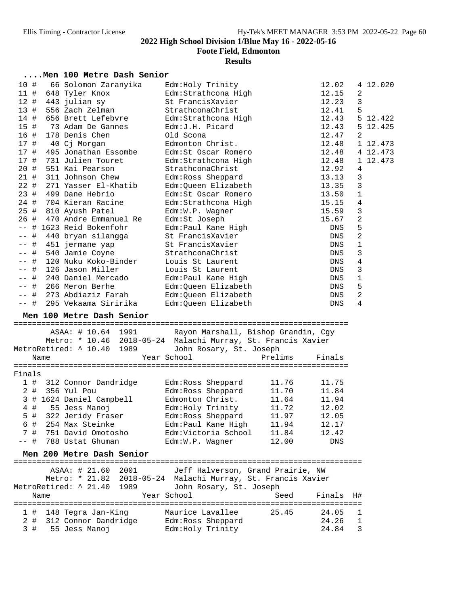**Foote Field, Edmonton**

### **Results**

### **....Men 100 Metre Dash Senior**

| 10 #<br>$11$ # |      | 66 Solomon Zaranyika<br>648 Tyler Knox                       | Edm: Holy Trinity<br>Edm: Strathcona High     |         | 12.02<br>12.15 | 2                       | 4 12.020 |
|----------------|------|--------------------------------------------------------------|-----------------------------------------------|---------|----------------|-------------------------|----------|
| 12 #           |      | 443 julian sy                                                | St FrancisXavier                              |         | 12.23          | $\mathfrak{Z}$          |          |
| 13#            |      | 556 Zach Zelman                                              | StrathconaChrist                              |         | 12.41          | 5                       |          |
| 14#            |      | 656 Brett Lefebvre                                           | Edm:Strathcona High                           |         | 12.43          |                         | 5 12.422 |
| 15#            |      | 73 Adam De Gannes                                            | Edm:J.H. Picard                               |         |                |                         | 5 12.425 |
|                |      |                                                              |                                               |         | 12.43          |                         |          |
| 16 #           |      | 178 Denis Chen                                               | Old Scona                                     |         | 12.47          | 2                       |          |
| 17 #           |      | 40 Cj Morgan                                                 | Edmonton Christ.                              |         | 12.48          |                         | 1 12.473 |
| 17#            |      | 495 Jonathan Essombe                                         | Edm:St Oscar Romero                           |         | 12.48          |                         | 4 12.473 |
| 17#            |      | 731 Julien Touret                                            | Edm: Strathcona High                          |         | 12.48          |                         | 1 12.473 |
| 20 #           |      | 551 Kai Pearson                                              | StrathconaChrist                              |         | 12.92          | 4                       |          |
| 21#            |      | 311 Johnson Chew                                             | Edm: Ross Sheppard                            |         | 13.13          | 3                       |          |
| 22#            |      | 271 Yasser El-Khatib                                         | Edm:Queen Elizabeth                           |         | 13.35          | 3                       |          |
| 23#            |      | 499 Dane Hebrio                                              | Edm:St Oscar Romero                           |         | 13.50          | $\mathbf 1$             |          |
| 24 #           |      | 704 Kieran Racine                                            | Edm:Strathcona High                           |         | 15.15          | $\overline{4}$          |          |
| 25 #           |      | 810 Ayush Patel                                              | Edm:W.P. Wagner                               |         | 15.59          | 3                       |          |
| 26 #           |      | 470 Andre Emmanuel Re                                        | Edm:St Joseph                                 |         | 15.67          | $\overline{\mathbf{c}}$ |          |
| $- -$          |      | # 1623 Reid Bokenfohr                                        | Edm: Paul Kane High                           |         | DNS            | 5                       |          |
| #<br>$- -$     |      | 440 bryan silangga                                           | St FrancisXavier                              |         | DNS            | $\overline{c}$          |          |
| $ -$           | #    | 451 jermane yap                                              | St FrancisXavier                              |         | DNS            | $\mathbf 1$             |          |
| $- -$          | #    | 540 Jamie Coyne                                              | StrathconaChrist                              |         | DNS            | 3                       |          |
| $ -$           | #    | 120 Nuku Koko-Binder                                         | Louis St Laurent                              |         | DNS            | 4                       |          |
| $ -$           | #    | 126 Jason Miller                                             | Louis St Laurent                              |         | DNS            | 3                       |          |
| $- -$          | #    | 240 Daniel Mercado                                           | Edm: Paul Kane High                           |         | DNS            | $\mathbf{1}$            |          |
| $- -$          | #    | 266 Meron Berhe                                              | Edm:Queen Elizabeth                           |         | DNS            | 5                       |          |
| $ -$           | #    | 273 Abdiaziz Farah                                           | Edm:Queen Elizabeth                           |         | DNS            | $\overline{\mathbf{c}}$ |          |
|                |      |                                                              |                                               |         |                |                         |          |
| $--$ #         |      | 295 Vekaama Siririka                                         |                                               |         | <b>DNS</b>     | 4                       |          |
|                |      | Men 100 Metre Dash Senior                                    | Edm:Queen Elizabeth                           |         |                |                         |          |
|                |      |                                                              |                                               |         |                |                         |          |
|                |      | ASAA: # 10.64 1991                                           | Rayon Marshall, Bishop Grandin, Cgy           |         |                |                         |          |
|                |      | Metro: * 10.46 2018-05-24 Malachi Murray, St. Francis Xavier |                                               |         |                |                         |          |
|                |      | MetroRetired: ^ 10.40 1989                                   | John Rosary, St. Joseph                       |         |                |                         |          |
|                | Name |                                                              | Year School                                   | Prelims | Finals         |                         |          |
|                |      |                                                              |                                               |         |                |                         |          |
| Finals         |      |                                                              |                                               |         |                |                         |          |
|                |      | 1 # 312 Connor Dandridge                                     | Edm:Ross Sheppard                             | 11.76   | 11.75          |                         |          |
| $2$ #          |      | 356 Yul Pou                                                  | Edm:Ross Sheppard                             | 11.70   | 11.84          |                         |          |
|                |      | 3 # 1624 Daniel Campbell                                     | Edmonton Christ.                              | 11.64   | 11.94          |                         |          |
| 4#             |      | 55 Jess Manoj                                                | Edm:Holy Trinity                              | 11.72   | 12.02          |                         |          |
| 5 #            |      | 322 Jeridy Fraser                                            | Edm:Ross Sheppard                             | 11.97   | 12.05          |                         |          |
| 6 #            |      | 254 Max Steinke                                              | Edm:Paul Kane High                            | 11.94   | 12.17          |                         |          |
| 7#             |      | 751 David Omotosho                                           | Edm:Victoria School                           | 11.84   | 12.42          |                         |          |
| -- #           |      | 788 Ustat Ghuman                                             | Edm:W.P. Wagner                               | 12.00   | DNS            |                         |          |
|                |      |                                                              |                                               |         |                |                         |          |
|                |      | Men 200 Metre Dash Senior                                    |                                               |         |                |                         |          |
|                |      |                                                              |                                               |         |                |                         |          |
|                |      | ASAA: # 21.60 2001                                           | Jeff Halverson, Grand Prairie, NW             |         |                |                         |          |
|                |      | Metro: * 21.82                                               | 2018-05-24 Malachi Murray, St. Francis Xavier |         |                |                         |          |
|                |      | MetroRetired: ^ 21.40<br>1989                                | John Rosary, St. Joseph                       |         |                |                         |          |
|                | Name |                                                              | Year School                                   | Seed    | Finals         | H#                      |          |
|                |      |                                                              |                                               |         |                |                         |          |
| 1#             |      | 148 Tegra Jan-King                                           | Maurice Lavallee                              | 25.45   | 24.05          | 1                       |          |
| 2#<br>3#       |      | 312 Connor Dandridge<br>55 Jess Manoj                        | Edm: Ross Sheppard<br>Edm: Holy Trinity       |         | 24.26<br>24.84 | $\mathbf 1$<br>3        |          |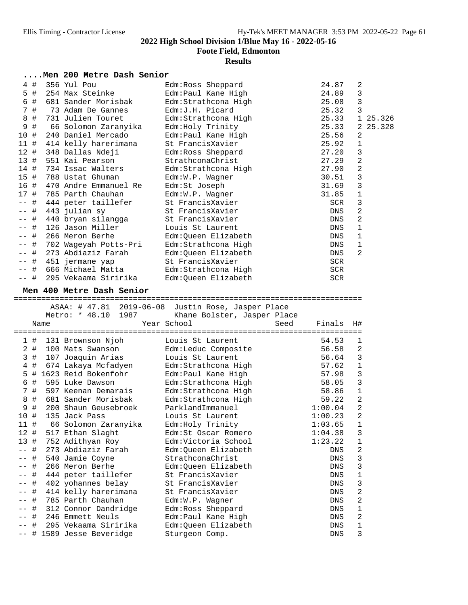**Foote Field, Edmonton**

|       |      |      | Men 200 Metre Dash Senior                      |                                                    |                   |                         |          |
|-------|------|------|------------------------------------------------|----------------------------------------------------|-------------------|-------------------------|----------|
|       | 4#   |      | 356 Yul Pou                                    | Edm: Ross Sheppard                                 | 24.87             | 2                       |          |
|       | 5 #  |      | 254 Max Steinke                                | Edm: Paul Kane High                                | 24.89             | 3                       |          |
| 6     | #    |      | 681 Sander Morisbak                            | Edm: Strathcona High                               | 25.08             | 3                       |          |
|       | 7#   |      | 73 Adam De Gannes                              | Edm: J.H. Picard                                   | 25.32             | 3                       |          |
| 8     | $#$  |      | 731 Julien Touret                              | Edm: Strathcona High                               | 25.33             |                         | 1 25.326 |
| 9     | $\#$ |      | 66 Solomon Zaranyika                           | Edm: Holy Trinity                                  | 25.33             |                         | 2 25.328 |
| 10    | #    |      | 240 Daniel Mercado                             | Edm: Paul Kane High                                | 25.56             | 2                       |          |
| 11#   |      |      | 414 kelly harerimana                           | St FrancisXavier                                   | 25.92             | 1                       |          |
| 12#   |      |      | 348 Dallas Ndeji                               | Edm: Ross Sheppard                                 | 27.20             | 3                       |          |
| 13#   |      |      | 551 Kai Pearson                                | StrathconaChrist                                   | 27.29             | $\overline{\mathbf{c}}$ |          |
| 14    | #    |      | 734 Issac Walters                              | Edm: Strathcona High                               | 27.90             | $\overline{a}$          |          |
| 15    | #    |      | 788 Ustat Ghuman                               | Edm:W.P. Wagner                                    | 30.51             | 3                       |          |
| 16 #  |      |      | 470 Andre Emmanuel Re                          | Edm:St Joseph                                      | 31.69             | 3                       |          |
| 17#   |      |      | 785 Parth Chauhan                              | Edm:W.P. Wagner                                    | 31.85             | 1                       |          |
| $- -$ | #    |      | 444 peter taillefer                            | St FrancisXavier                                   | SCR               | 3                       |          |
|       | #    |      | 443 julian sy                                  | St FrancisXavier                                   | DNS               | 2                       |          |
|       | #    |      | 440 bryan silangga                             | St FrancisXavier                                   | DNS               | 2                       |          |
| $- -$ | #    |      | 126 Jason Miller                               | Louis St Laurent                                   | DNS               | $\mathbf 1$             |          |
| --    | $\#$ |      | 266 Meron Berhe                                | Edm:Queen Elizabeth                                | DNS               | $\mathbf{1}$            |          |
|       | $#$  |      | 702 Wageyah Potts-Pri                          | Edm:Strathcona High                                | DNS               | 1                       |          |
| $- -$ | #    |      | 273 Abdiaziz Farah                             | Edm: Queen Elizabeth                               | DNS               | 2                       |          |
| $- -$ | #    |      | 451 jermane yap                                | St FrancisXavier                                   | SCR               |                         |          |
| $ -$  | #    |      | 666 Michael Matta                              | Edm: Strathcona High                               | <b>SCR</b>        |                         |          |
| $- -$ | #    |      | 295 Vekaama Siririka                           | Edm:Queen Elizabeth                                | SCR               |                         |          |
|       |      |      | Men 400 Metre Dash Senior                      |                                                    |                   |                         |          |
|       |      |      |                                                |                                                    |                   |                         |          |
|       |      |      |                                                |                                                    |                   |                         |          |
|       |      |      |                                                | ASAA: # 47.81 2019-06-08 Justin Rose, Jasper Place |                   |                         |          |
|       |      |      | Metro: * 48.10<br>1987                         | Khane Bolster, Jasper Place                        |                   |                         |          |
|       |      | Name |                                                | Year School<br>Seed                                | Finals            | H#                      |          |
|       | 1#   |      | 131 Brownson Njoh                              | Louis St Laurent                                   | 54.53             | 1                       |          |
|       | 2#   |      | 100 Mats Swanson                               | Edm:Leduc Composite                                | 56.58             | 2                       |          |
|       | 3#   |      | 107 Joaquin Arias                              | Louis St Laurent                                   | 56.64             | 3                       |          |
| 4     | #    |      | 674 Lakaya Mcfadyen                            | Edm: Strathcona High                               | 57.62             | $\mathbf 1$             |          |
| 5     |      |      | # 1623 Reid Bokenfohr                          | Edm: Paul Kane High                                | 57.98             | 3                       |          |
| 6     | #    |      | 595 Luke Dawson                                | Edm: Strathcona High                               | 58.05             | 3                       |          |
| 7     | #    |      | 597 Keenan Demarais                            | Edm: Strathcona High                               | 58.86             | 1                       |          |
| 8     | #    |      | 681 Sander Morisbak                            | Edm:Strathcona High                                | 59.22             | 2                       |          |
| 9     | #    |      | 200 Shaun Geusebroek                           | ParklandImmanuel                                   | 1:00.04           | $\overline{2}$          |          |
| 10 #  |      |      | 135 Jack Pass                                  | Louis St Laurent                                   | 1:00.23           | 2                       |          |
| 11#   |      |      | 66 Solomon Zaranyika                           | Edm: Holy Trinity                                  | 1:03.65           | $\mathbf 1$             |          |
| 12#   |      |      | 517 Ethan Slaght                               | Edm:St Oscar Romero                                | 1:04.38           | 3                       |          |
| 13#   |      |      | 752 Adithyan Roy                               | Edm:Victoria School                                | 1:23.22           | $\mathbf 1$             |          |
|       | #    |      | 273 Abdiaziz Farah                             | Edm:Queen Elizabeth                                | <b>DNS</b>        | $\overline{\mathbf{c}}$ |          |
|       | #    |      | 540 Jamie Coyne                                | StrathconaChrist                                   | <b>DNS</b>        | 3                       |          |
|       | #    |      | 266 Meron Berhe                                | Edm:Queen Elizabeth                                | DNS               | 3                       |          |
|       | #    |      | 444 peter taillefer                            | St FrancisXavier                                   | DNS               | $\mathbf 1$             |          |
|       | #    |      | 402 yohannes belay                             | St FrancisXavier                                   | ${\rm DNS}$       | 3                       |          |
|       | #    |      | 414 kelly harerimana                           | St FrancisXavier                                   | DNS               | $\overline{\mathbf{c}}$ |          |
|       | #    |      | 785 Parth Chauhan                              | Edm:W.P. Wagner                                    | ${\rm DNS}$       | $\overline{\mathbf{c}}$ |          |
|       | #    |      | 312 Connor Dandridge                           | Edm: Ross Sheppard                                 | ${\rm DNS}$       | $\mathbf 1$             |          |
|       | #    |      | 246 Emmett Neuls                               | Edm: Paul Kane High                                | DNS               | $\overline{\mathbf{c}}$ |          |
|       | #    |      | 295 Vekaama Siririka<br># 1589 Jesse Beveridge | Edm:Queen Elizabeth<br>Sturgeon Comp.              | DNS<br><b>DNS</b> | $\mathbf 1$<br>3        |          |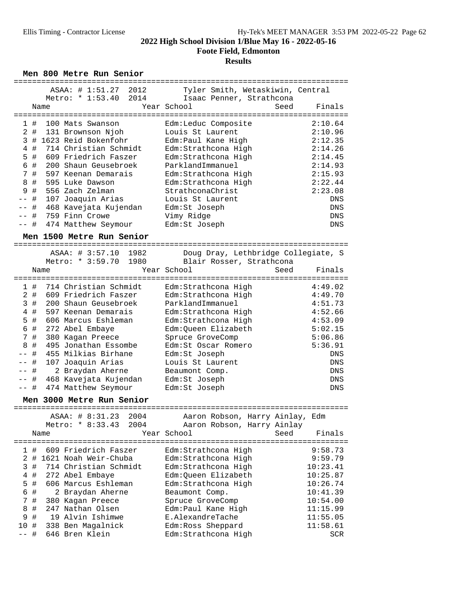**Foote Field, Edmonton**

### **Results**

Men 800 Metre Run Senior

|                   | ASAA: # 1:51.27 2012                          | Tyler Smith, Wetaskiwin, Central         |                    |
|-------------------|-----------------------------------------------|------------------------------------------|--------------------|
|                   | 2014<br>Metro: * 1:53.40                      | Isaac Penner, Strathcona                 |                    |
|                   | Name                                          | Year School<br>Seed                      | Finals             |
|                   |                                               |                                          |                    |
| 1#                | 100 Mats Swanson                              | Edm:Leduc Composite                      | 2:10.64            |
| #<br>$\mathbf{2}$ | 131 Brownson Njoh                             | Louis St Laurent                         | 2:10.96            |
|                   | 3 # 1623 Reid Bokenfohr                       | Edm: Paul Kane High                      | 2:12.35            |
| $4$ #             | 714 Christian Schmidt                         | Edm: Strathcona High                     | 2:14.26            |
| 5 #               | 609 Friedrich Faszer                          | Edm: Strathcona High                     | 2:14.45            |
| #<br>6            | 200 Shaun Geusebroek                          | ParklandImmanuel                         | 2:14.93            |
| 7#                | 597 Keenan Demarais                           | Edm: Strathcona High                     | 2:15.93            |
| #<br>8            | 595 Luke Dawson                               | Edm: Strathcona High                     | 2:22.44            |
| #<br>9            | 556 Zach Zelman                               | StrathconaChrist                         | 2:23.08            |
| $\#$              | 107 Joaquin Arias                             | Louis St Laurent                         | DNS                |
| $\#$<br>$ -$      | 468 Kavejata Kujendan                         | Edm:St Joseph                            | DNS                |
| #<br>$ -$         | 759 Finn Crowe                                | Vimy Ridge                               | DNS                |
| -- #              | 474 Matthew Seymour                           | Edm:St Joseph                            | <b>DNS</b>         |
|                   |                                               |                                          |                    |
|                   | Men 1500 Metre Run Senior                     |                                          |                    |
|                   | =============================                 |                                          |                    |
|                   | ASAA: # 3:57.10<br>1982                       | Doug Dray, Lethbridge Collegiate, S      |                    |
|                   | 1980<br>Metro: * 3:59.70                      | Blair Rosser, Strathcona                 |                    |
|                   | Name                                          | Year School<br>Seed                      | Finals             |
|                   |                                               |                                          |                    |
| 1#<br>2#          | 714 Christian Schmidt<br>609 Friedrich Faszer | Edm: Strathcona High                     | 4:49.02<br>4:49.70 |
|                   | 200 Shaun Geusebroek                          | Edm: Strathcona High<br>ParklandImmanuel | 4:51.73            |
| 3#                |                                               |                                          |                    |
| 4#                | 597 Keenan Demarais                           | Edm: Strathcona High                     | 4:52.66            |
| 5 #<br>#<br>6     | 606 Marcus Eshleman                           | Edm: Strathcona High                     | 4:53.09            |
|                   | 272 Abel Embaye                               | Edm:Queen Elizabeth                      | 5:02.15            |
| #<br>7            | 380 Kagan Preece                              | Spruce GroveComp                         | 5:06.86            |
| #<br>8            | 495 Jonathan Essombe                          | Edm:St Oscar Romero                      | 5:36.91            |
| $\#$              | 455 Milkias Birhane                           | Edm:St Joseph                            | <b>DNS</b>         |
| $\#$<br>$ -$      | 107 Joaquin Arias                             | Louis St Laurent                         | <b>DNS</b>         |
| #<br>$-\,-$       | 2 Braydan Aherne                              | Beaumont Comp.                           | DNS                |
| $\#$<br>$- \,$    | 468 Kavejata Kujendan                         | Edm:St Joseph                            | DNS                |
| $--$ #            | 474 Matthew Seymour                           | Edm:St Joseph                            | DNS                |
|                   | Men 3000 Metre Run Senior                     |                                          |                    |
|                   |                                               |                                          |                    |
|                   | 2004<br>ASAA: # 8:31.23                       | Aaron Robson, Harry Ainlay, Edm          |                    |
|                   | Metro: * 8:33.43<br>2004                      | Aaron Robson, Harry Ainlay               |                    |
|                   | Name                                          | Year School<br>Seed                      | Finals             |
| 1#                | 609 Friedrich Faszer                          | Edm:Strathcona High                      | 9:58.73            |
| 2                 | # 1621 Noah Weir-Chuba                        | Edm:Strathcona High                      | 9:59.79            |
| #<br>3            | 714 Christian Schmidt                         | Edm: Strathcona High                     | 10:23.41           |
| $\#$<br>4         | 272 Abel Embaye                               | Edm:Queen Elizabeth                      | 10:25.87           |
| #<br>5            | 606 Marcus Eshleman                           | Edm: Strathcona High                     | 10:26.74           |
| #<br>6            | 2 Braydan Aherne                              | Beaumont Comp.                           | 10:41.39           |
| $\#$<br>7         | 380 Kagan Preece                              | Spruce GroveComp                         | 10:54.00           |
| 8<br>#            | 247 Nathan Olsen                              | Edm:Paul Kane High                       | 11:15.99           |
| #<br>9            | 19 Alvin Ishimwe                              | E.AlexandreTache                         | 11:55.05           |
| 10                |                                               |                                          |                    |
| $\#$              | 338 Ben Magalnick                             | Edm: Ross Sheppard                       | 11:58.61           |
| #                 | 646 Bren Klein                                | Edm: Strathcona High                     | <b>SCR</b>         |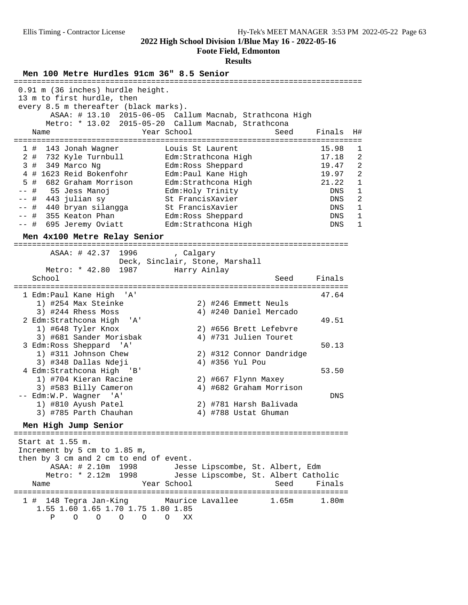#### **Foote Field, Edmonton**

#### **Results**

**Men 100 Metre Hurdles 91cm 36" 8.5 Senior** exercises and the senior exercise exercise exercise exercise to the s 0.91 m (36 inches) hurdle height. 13 m to first hurdle, then every 8.5 m thereafter (black marks). ASAA: # 13.10 2015-06-05 Callum Macnab, Strathcona High Metro: \* 13.02 2015-05-20 Callum Macnab, Strathcona Name The Year School Seed Finals H# ============================================================================ 1 # 143 Jonah Wagner Louis St Laurent 15.98 1 2 # 732 Kyle Turnbull Edm:Strathcona High 17.18 2 3 # 349 Marco Ng Edm:Ross Sheppard 19.47 2 4 # 1623 Reid Bokenfohr Edm:Paul Kane High 19.97 2 5 # 682 Graham Morrison Edm:Strathcona High 21.22 1 -- # 55 Jess Manoj Edm:Holy Trinity DNS 1 -- # 443 julian sy St FrancisXavier DNS 2 -- # 440 bryan silangga St FrancisXavier DNS 1 -- # 355 Keaton Phan Edm:Ross Sheppard DNS 1 -- # 695 Jeremy Oviatt Edm:Strathcona High DNS 1 **Men 4x100 Metre Relay Senior** ========================================================================= ASAA: # 42.37 1996 , Calgary Deck, Sinclair, Stone, Marshall Metro: \* 42.80 1987 Harry Ainlay School Seed Finals ========================================================================= 1 Edm:Paul Kane High 'A' 47.64 1) #254 Max Steinke 2) #246 Emmett Neuls 3) #244 Rhess Moss 4) #240 Daniel Mercado 2 Edm:Strathcona High 'A' 49.51 1) #648 Tyler Knox <br>3) #681 Sander Morisbak <br>4) #731 Julien Touret 3) #681 Sander Morisbak<br>3 Edm:Ross Sheppard 'A' 3 Edm:Ross Sheppard 'A' 50.13 1) #311 Johnson Chew 2) #312 Connor Dandridge 1) #311 Johnson Chew<br>3) #348 Dallas Ndeji 4 Edm:Strathcona High 'B' 53.50 1) #704 Kieran Racine 2) #667 Flynn Maxey 3) #583 Billy Cameron 4) #682 Graham Morrison -- Edm:W.P. Wagner 'A' DNS 1) #810 Ayush Patel 2) #781 Harsh Balivada 3) #785 Parth Chauhan 4) #788 Ustat Ghuman **Men High Jump Senior** ========================================================================= Start at 1.55 m. Increment by 5 cm to 1.85 m, then by 3 cm and 2 cm to end of event. ASAA: # 2.10m 1998 Jesse Lipscombe, St. Albert, Edm Metro: \* 2.12m 1998 Jesse Lipscombe, St. Albert Catholic Name Year School Seed Finals ========================================================================= 1 # 148 Tegra Jan-King Maurice Lavallee 1.65m 1.80m 1.55 1.60 1.65 1.70 1.75 1.80 1.85 P O O O O O XX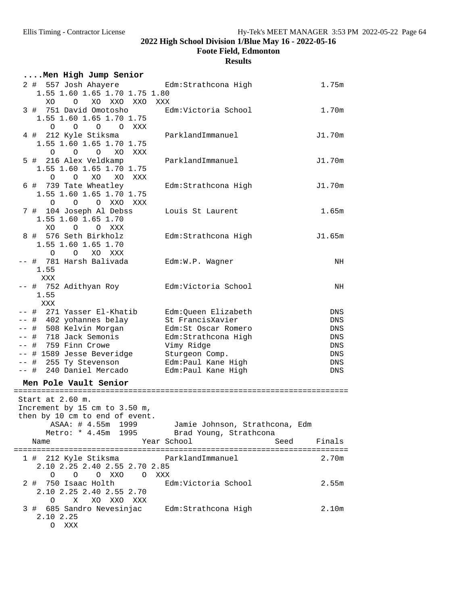**Foote Field, Edmonton**

| Men High Jump Senior                                                                                                                                                                                              |                                                                                                                                                                     |                                                      |
|-------------------------------------------------------------------------------------------------------------------------------------------------------------------------------------------------------------------|---------------------------------------------------------------------------------------------------------------------------------------------------------------------|------------------------------------------------------|
| 2 # 557 Josh Ahayere<br>1.55 1.60 1.65 1.70 1.75 1.80<br>XO O XO XXO XXO XXX                                                                                                                                      | Edm:Strathcona High                                                                                                                                                 | 1.75m                                                |
| 3 # 751 David Omotosho<br>1.55 1.60 1.65 1.70 1.75                                                                                                                                                                | Edm:Victoria School                                                                                                                                                 | 1.70m                                                |
| O O O O XXX<br>4 # 212 Kyle Stiksma<br>1.55 1.60 1.65 1.70 1.75<br>O O O XO XXX                                                                                                                                   | ParklandImmanuel                                                                                                                                                    | J1.70m                                               |
| 5 # 216 Alex Veldkamp<br>1.55 1.60 1.65 1.70 1.75                                                                                                                                                                 | ParklandImmanuel                                                                                                                                                    | J1.70m                                               |
| $O$ $O$ $XO$ $XO$<br>XXX<br>6 # 739 Tate Wheatley<br>1.55 1.60 1.65 1.70 1.75                                                                                                                                     | Edm:Strathcona High                                                                                                                                                 | J1.70m                                               |
| O O O XXO XXX<br>7 # 104 Joseph Al Debss<br>1.55 1.60 1.65 1.70                                                                                                                                                   | Louis St Laurent                                                                                                                                                    | 1.65m                                                |
| XO O O XXX<br>8 # 576 Seth Birkholz<br>1.55 1.60 1.65 1.70<br>O O XO XXX                                                                                                                                          | Edm:Strathcona High                                                                                                                                                 | J1.65m                                               |
| -- # 781 Harsh Balivada<br>1.55<br>XXX                                                                                                                                                                            | Edm:W.P. Wagner                                                                                                                                                     | NH                                                   |
| -- # 752 Adithyan Roy<br>1.55<br>XXX                                                                                                                                                                              | Edm:Victoria School                                                                                                                                                 | NH                                                   |
| -- # 271 Yasser El-Khatib<br>-- # 402 yohannes belay<br>-- # 508 Kelvin Morgan<br>-- # 718 Jack Semonis<br>$--$ # 759 Finn Crowe<br>-- # 1589 Jesse Beveridge<br>-- # 255 Ty Stevenson<br>-- # 240 Daniel Mercado | Edm:Queen Elizabeth<br>St FrancisXavier<br>Edm:St Oscar Romero<br>Edm:Strathcona High<br>Vimy Ridge<br>Sturgeon Comp.<br>Edm: Paul Kane High<br>Edm: Paul Kane High | DNS<br>DNS<br>DNS<br>DNS<br>DNS<br>DNS<br>DNS<br>DNS |
| Men Pole Vault Senior                                                                                                                                                                                             |                                                                                                                                                                     |                                                      |
| Start at 2.60 m.<br>Increment by 15 cm to 3.50 m,<br>then by 10 cm to end of event.<br>Metro: * 4.45m 1995 Brad Young, Strathcona<br>Year School<br>Name                                                          | ASAA: # 4.55m 1999 Jamie Johnson, Strathcona, Edm<br>Seed                                                                                                           | Finals                                               |
| 1 # 212 Kyle Stiksma <a> ParklandImmanuel<br/>2.10 2.25 2.40 2.55 2.70 2.85</a>                                                                                                                                   |                                                                                                                                                                     | 2.70m                                                |
| O XXO O XXX<br>O<br>$\circ$<br>2 # 750 Isaac Holth<br>2.10 2.25 2.40 2.55 2.70<br>0 X XO XXO XXX                                                                                                                  | Edm:Victoria School                                                                                                                                                 | 2.55m                                                |
| 3 # 685 Sandro Nevesinjac Edm: Strathcona High<br>2.10 2.25<br>O XXX                                                                                                                                              |                                                                                                                                                                     | 2.10 <sub>m</sub>                                    |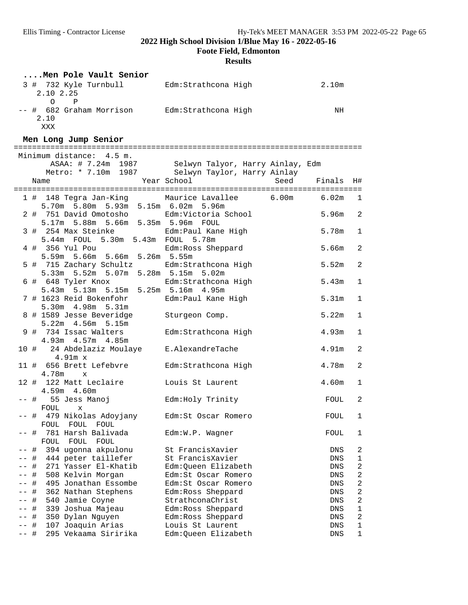**Foote Field, Edmonton**

|      | Men Pole Vault Senior                                                                        |                                                                        |                   |                |
|------|----------------------------------------------------------------------------------------------|------------------------------------------------------------------------|-------------------|----------------|
|      | 3 # 732 Kyle Turnbull Bdm:Strathcona High<br>2.10 2.25                                       |                                                                        | 2.10 <sub>m</sub> |                |
|      | $\overline{P}$<br>$\overline{O}$<br>-- # 682 Graham Morrison Edm: Strathcona High<br>2.10    |                                                                        | NH                |                |
|      | XXX<br>Men Long Jump Senior                                                                  |                                                                        |                   |                |
|      |                                                                                              |                                                                        |                   |                |
|      | Minimum distance: 4.5 m.                                                                     | ASAA: # 7.24m 1987 Selwyn Talyor, Harry Ainlay, Edm                    |                   |                |
|      | Name                                                                                         | Metro: * 7.10m 1987 Selwyn Taylor, Harry Ainlay<br>Year School<br>Seed | Finals H#         |                |
|      |                                                                                              |                                                                        |                   |                |
|      | 1 # 148 Tegra Jan-King Maurice Lavallee 6.00m 6.02m 1<br>5.70m 5.80m 5.93m 5.15m 6.02m 5.96m |                                                                        |                   |                |
|      | 2 # 751 David Omotosho<br>5.17m 5.88m 5.66m 5.35m 5.96m FOUL                                 | Edm:Victoria School                                                    | 5.96m             | $\overline{2}$ |
|      | 3 # 254 Max Steinke . Edm: Paul Kane High<br>5.44m FOUL 5.30m 5.43m FOUL 5.78m               |                                                                        | 5.78m             | $\mathbf{1}$   |
|      | 4 # 356 Yul Pou<br>5.59m 5.66m 5.66m 5.26m 5.55m                                             | Edm:Ross Sheppard                                                      | 5.66m             | $\overline{c}$ |
|      | 5 # 715 Zachary Schultz Edm: Strathcona High<br>5.33m 5.52m 5.07m 5.28m 5.15m 5.02m          |                                                                        | 5.52m             | $\overline{c}$ |
|      | 6 # 648 Tyler Knox Edm:Strathcona High<br>5.43m 5.13m 5.15m 5.25m 5.16m 4.95m                |                                                                        | 5.43m             | $\mathbf{1}$   |
|      | 7 # 1623 Reid Bokenfohr<br>5.30m 4.98m 5.31m                                                 | Edm:Paul Kane High                                                     | 5.31m             | $\mathbf{1}$   |
|      | 8 # 1589 Jesse Beveridge<br>5.22m 4.56m 5.15m                                                | Sturgeon Comp.                                                         | 5.22m             | 1              |
|      | 9 # 734 Issac Walters<br>4.93m  4.57m  4.85m                                                 | Edm:Strathcona High                                                    | 4.93m             | $\mathbf{1}$   |
|      | 10 # 24 Abdelaziz Moulaye E.AlexandreTache<br>4.91m x                                        |                                                                        | 4.91m             | $\overline{a}$ |
|      | 11 # 656 Brett Lefebvre<br>4.78m x                                                           | Edm:Strathcona High                                                    | 4.78m             | $\overline{c}$ |
|      | 12 # 122 Matt Leclaire<br>4.59m 4.60m                                                        | Louis St Laurent                                                       | 4.60m             | $\mathbf 1$    |
|      | 55 Jess Manoj<br>-- #<br>FOUL<br>$\mathbf{x}$                                                | Edm:Holy Trinity                                                       | FOUL              | $\overline{c}$ |
|      | 479 Nikolas Adoyjany<br>-- #<br>FOUL<br>FOUL<br>FOUL                                         | Edm:St Oscar Romero                                                    | FOUL              | $\mathbf{1}$   |
| -- # | 781 Harsh Balivada<br>FOUL<br>FOUL<br>FOUL                                                   | Edm:W.P. Wagner                                                        | FOUL              | 1              |
|      | 394 ugonna akpulonu<br>#                                                                     | St FrancisXavier                                                       | DNS               | 2              |
|      | 444 peter taillefer<br>$\#$                                                                  | St FrancisXavier                                                       | DNS               | 1              |
|      | 271 Yasser El-Khatib<br>#                                                                    | Edm: Queen Elizabeth                                                   | DNS               | 2              |
|      | 508 Kelvin Morgan<br>#                                                                       | Edm:St Oscar Romero                                                    | DNS               | $\overline{a}$ |
|      | #<br>495 Jonathan Essombe                                                                    | Edm:St Oscar Romero                                                    | DNS               | $\overline{a}$ |
|      | 362 Nathan Stephens<br>#                                                                     | Edm: Ross Sheppard                                                     | ${\rm DNS}$       | $\overline{c}$ |
|      | #<br>540 Jamie Coyne                                                                         | StrathconaChrist                                                       | DNS               | $\overline{a}$ |
|      | 339 Joshua Majeau<br>$\#$                                                                    | Edm: Ross Sheppard                                                     | DNS               | 1              |
|      | #<br>350 Dylan Nguyen                                                                        | Edm: Ross Sheppard                                                     | DNS               | $\overline{c}$ |
|      | $\#$<br>107 Joaquin Arias                                                                    | Louis St Laurent                                                       | DNS               | $\mathbf{1}$   |
| -- # | 295 Vekaama Siririka                                                                         | Edm:Queen Elizabeth                                                    | ${\rm DNS}$       | $\mathbf{1}$   |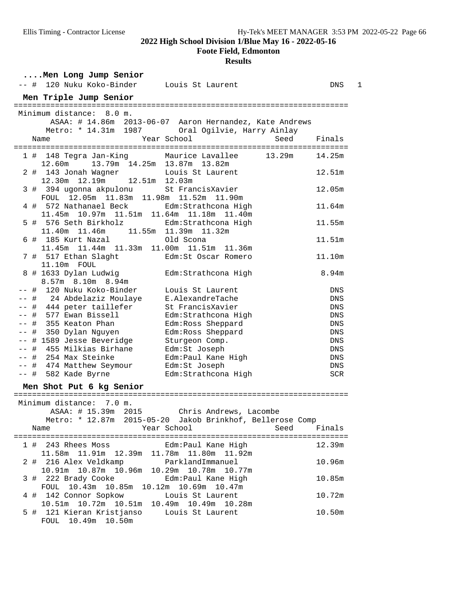**Foote Field, Edmonton**

|        | Men Long Jump Senior                                                    |                                                                                  |            |
|--------|-------------------------------------------------------------------------|----------------------------------------------------------------------------------|------------|
|        | -- # 120 Nuku Koko-Binder                                               | Louis St Laurent                                                                 | 1<br>DNS   |
|        | Men Triple Jump Senior                                                  |                                                                                  |            |
|        | Minimum distance: 8.0 m.                                                |                                                                                  |            |
|        |                                                                         | ASAA: # 14.86m 2013-06-07 Aaron Hernandez, Kate Andrews                          |            |
|        | Metro: * 14.31m 1987                                                    | Oral Ogilvie, Harry Ainlay                                                       |            |
| Name   |                                                                         | Year School<br>Seed                                                              | Finals     |
|        |                                                                         |                                                                                  |            |
| 12.60m | 1 # 148 Tegra Jan-King                                                  | 13.29m<br>Maurice Lavallee<br>13.79m 14.25m 13.87m 13.82m                        | 14.25m     |
|        | 2 # 143 Jonah Wagner<br>12.51m 12.03m<br>12.30m 12.19m                  | Louis St Laurent                                                                 | 12.51m     |
|        | 3 # 394 ugonna akpulonu<br>FOUL 12.05m 11.83m 11.98m 11.52m 11.90m      | St FrancisXavier                                                                 | 12.05m     |
| 4#     | 572 Nathanael Beck<br>11.45m 10.97m 11.51m 11.64m 11.18m 11.40m         | Edm:Strathcona High                                                              | 11.64m     |
|        | 5 # 576 Seth Birkholz<br>11.40m  11.46m  11.55m  11.39m  11.32m         | Edm: Strathcona High                                                             | 11.55m     |
|        | 6 # 185 Kurt Nazal<br>11.45m  11.44m  11.33m  11.00m  11.51m  11.36m    | Old Scona                                                                        | 11.51m     |
|        | 7 # 517 Ethan Slaght<br>11.10m FOUL                                     | Edm:St Oscar Romero                                                              | 11.10m     |
|        | 8 # 1633 Dylan Ludwig<br>8.57m 8.10m 8.94m                              | Edm: Strathcona High                                                             | 8.94m      |
|        | -- # 120 Nuku Koko-Binder                                               | Louis St Laurent                                                                 | DNS        |
|        | -- # 24 Abdelaziz Moulaye                                               | E.AlexandreTache                                                                 | <b>DNS</b> |
|        | -- # 444 peter taillefer                                                | St FrancisXavier                                                                 | DNS        |
|        | -- # 577 Ewan Bissell                                                   | Edm: Strathcona High                                                             | <b>DNS</b> |
|        | -- # 355 Keaton Phan                                                    | Edm: Ross Sheppard                                                               | DNS        |
|        | # 350 Dylan Nguyen                                                      | Edm: Ross Sheppard                                                               | <b>DNS</b> |
| $- -$  | # 1589 Jesse Beveridge                                                  | Sturgeon Comp.                                                                   | DNS        |
| $- -$  | # 455 Milkias Birhane                                                   | Edm:St Joseph                                                                    | DNS        |
|        | -- # 254 Max Steinke                                                    | Edm: Paul Kane High                                                              | DNS        |
|        | -- # 474 Matthew Seymour                                                | Edm:St Joseph                                                                    | DNS        |
|        | -- # 582 Kade Byrne                                                     | Edm: Strathcona High                                                             | <b>SCR</b> |
|        | Men Shot Put 6 kg Senior                                                |                                                                                  |            |
|        |                                                                         |                                                                                  |            |
|        | Minimum distance: 7.0 m.<br>ASAA: # 15.39m<br>2015                      | Chris Andrews, Lacombe                                                           |            |
| Name   |                                                                         | Metro: * 12.87m 2015-05-20 Jakob Brinkhof, Bellerose Comp<br>Year School<br>Seed | Finals     |
| 11.58m | 1 # 243 Rhees Moss       Edm:Paul Kane High                             | 11.80m 11.92m                                                                    | 12.39m     |
|        | 2 # 216 Alex Veldkamp<br>10.91m  10.87m  10.96m  10.29m  10.78m  10.77m | ParklandImmanuel                                                                 | 10.96m     |
|        | 3 # 222 Brady Cooke<br>FOUL 10.43m 10.85m 10.12m 10.69m 10.47m          | Edm: Paul Kane High                                                              | 10.85m     |
|        | 4 # 142 Connor Sopkow<br>10.51m  10.72m  10.51m  10.49m  10.49m  10.28m | Louis St Laurent                                                                 | 10.72m     |
|        | 5 # 121 Kieran Kristjanso<br>FOUL 10.49m 10.50m                         | Louis St Laurent                                                                 | 10.50m     |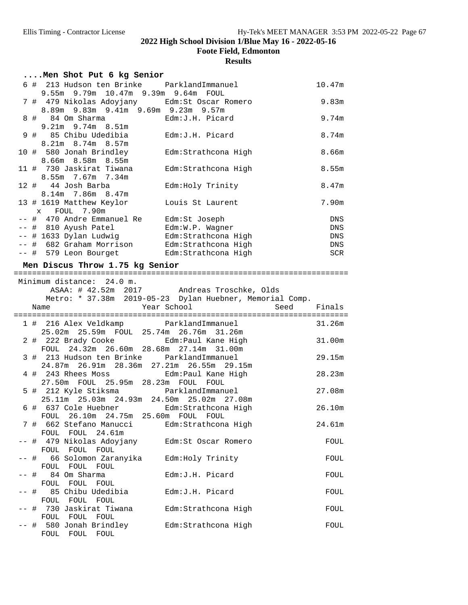**Foote Field, Edmonton**

|      | Men Shot Put 6 kg Senior                                                                               |                                                          |        |
|------|--------------------------------------------------------------------------------------------------------|----------------------------------------------------------|--------|
|      | 6 # 213 Hudson ten Brinke ParklandImmanuel<br>9.55m 9.79m 10.47m 9.39m 9.64m FOUL                      |                                                          | 10.47m |
|      | 7 # 479 Nikolas Adoyjany Bdm: St Oscar Romero<br>8.89m 9.83m 9.41m 9.69m 9.23m 9.57m                   |                                                          | 9.83m  |
|      | 8 # 84 Om Sharma<br>9.21m 9.74m 8.51m                                                                  | Edm: J.H. Picard                                         | 9.74m  |
|      | 9 # 85 Chibu Udedibia<br>8.21m 8.74m 8.57m                                                             | Edm: J.H. Picard                                         | 8.74m  |
|      | 10 # 580 Jonah Brindley<br>8.66m 8.58m 8.55m                                                           | Edm:Strathcona High                                      | 8.66m  |
|      | 11 # 730 Jaskirat Tiwana<br>8.55m 7.67m 7.34m                                                          | Edm:Strathcona High                                      | 8.55m  |
|      | 12 # 44 Josh Barba<br>8.14m 7.86m 8.47m                                                                | Edm: Holy Trinity                                        | 8.47m  |
|      | 13 # 1619 Matthew Keylor<br>FOUL 7.90m<br>$\mathbf x$                                                  | Louis St Laurent                                         | 7.90m  |
|      | -- # 470 Andre Emmanuel Re Edm: St Joseph                                                              |                                                          | DNS    |
|      | -- # 810 Ayush Patel                                                                                   | Edm:W.P. Wagner                                          | DNS    |
|      |                                                                                                        |                                                          | DNS    |
|      | -- # 1633 Dylan Ludwig         Edm:Strathcona High<br>-- # 682 Graham Morrison     Edm:Strathcona High |                                                          | DNS    |
|      | -- # 579 Leon Bourget Edm: Strathcona High                                                             |                                                          | SCR    |
|      |                                                                                                        |                                                          |        |
|      | Men Discus Throw 1.75 kg Senior                                                                        |                                                          |        |
|      |                                                                                                        |                                                          |        |
|      | Minimum distance: 24.0 m.                                                                              |                                                          |        |
|      |                                                                                                        | ASAA: # 42.52m 2017 Andreas Troschke, Olds               |        |
|      |                                                                                                        | Metro: * 37.38m 2019-05-23 Dylan Huebner, Memorial Comp. |        |
|      | Name                                                                                                   |                                                          |        |
|      |                                                                                                        | Year School<br>Seed                                      | Finals |
|      |                                                                                                        |                                                          |        |
|      | 1 # 216 Alex Veldkamp ParklandImmanuel                                                                 |                                                          | 31.26m |
|      | 25.02m  25.59m  FOUL  25.74m  26.76m  31.26m                                                           |                                                          |        |
|      |                                                                                                        |                                                          | 31.00m |
|      | 2 # 222 Brady Cooke                                                                                    | Edm: Paul Kane High                                      |        |
|      | FOUL 24.32m 26.60m 28.68m 27.14m 31.00m                                                                |                                                          |        |
|      | 3 # 213 Hudson ten Brinke ParklandImmanuel                                                             |                                                          | 29.15m |
|      | 24.87m  26.91m  28.36m  27.21m  26.55m  29.15m                                                         |                                                          |        |
|      | 4 # 243 Rhees Moss <a> Edm:Paul Kane High</a>                                                          |                                                          | 28.23m |
|      | 27.50m FOUL 25.95m 28.23m FOUL FOUL                                                                    |                                                          |        |
|      | 5 # 212 Kyle Stiksma <a> parklandImmanuel</a>                                                          |                                                          | 27.08m |
|      | 25.11m 25.03m 24.93m 24.50m 25.02m 27.08m                                                              |                                                          |        |
|      | 6 # 637 Cole Huebner                                                                                   | Edm:Strathcona High                                      | 26.10m |
|      | FOUL 26.10m 24.75m 25.60m FOUL FOUL                                                                    |                                                          |        |
|      | 7 #  662 Stefano Manucci                                                                               | Edm:Strathcona High                                      | 24.61m |
|      | FOUL FOUL 24.61m                                                                                       |                                                          |        |
|      | -- #  479 Nikolas Adoyjany                                                                             | Edm: St Oscar Romero                                     | FOUL   |
|      | FOUL FOUL FOUL                                                                                         |                                                          |        |
| -- # |                                                                                                        |                                                          | FOUL   |
|      | 66 Solomon Zaranyika                                                                                   | Edm: Holy Trinity                                        |        |
|      | FOUL FOUL FOUL                                                                                         |                                                          |        |
| -- # | 84 Om Sharma                                                                                           | Edm: J.H. Picard                                         | FOUL   |
|      | FOUL FOUL FOUL                                                                                         |                                                          |        |
| -- # | 85 Chibu Udedibia                                                                                      | Edm: J.H. Picard                                         | FOUL   |
|      | FOUL FOUL FOUL                                                                                         |                                                          |        |
|      | -- # 730 Jaskirat Tiwana                                                                               | Edm: Strathcona High                                     | FOUL   |
|      | FOUL FOUL FOUL                                                                                         |                                                          |        |
|      | -- # 580 Jonah Brindley<br>FOUL FOUL FOUL                                                              | Edm: Strathcona High                                     | FOUL   |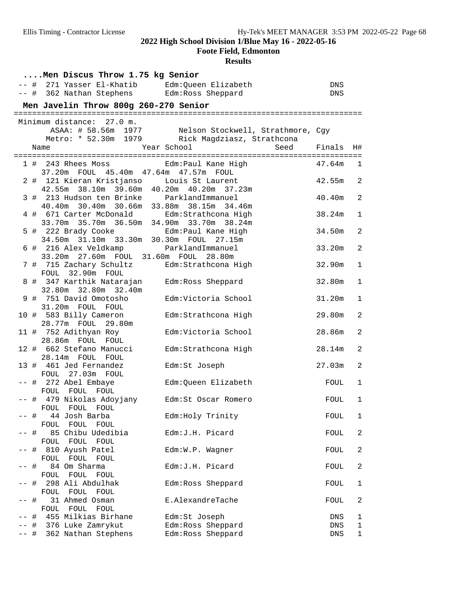**Foote Field, Edmonton**

| Men Discus Throw 1.75 kg Senior |      |                                                                                                                |                                                                                                          |        |                         |  |
|---------------------------------|------|----------------------------------------------------------------------------------------------------------------|----------------------------------------------------------------------------------------------------------|--------|-------------------------|--|
|                                 |      | -- # 271 Yasser El-Khatib                                                                                      | Edm:Queen Elizabeth                                                                                      | DNS    |                         |  |
|                                 |      | -- # 362 Nathan Stephens Edm: Ross Sheppard                                                                    |                                                                                                          | DNS    |                         |  |
|                                 |      | Men Javelin Throw 800g 260-270 Senior                                                                          |                                                                                                          |        |                         |  |
|                                 |      | Minimum distance: 27.0 m.                                                                                      |                                                                                                          |        |                         |  |
|                                 |      |                                                                                                                | ASAA: # 58.56m 1977 Nelson Stockwell, Strathmore, Cgy<br>Metro: * 52.30m 1979 Rick Magdziasz, Strathcona |        |                         |  |
|                                 |      | Name                                                                                                           | Year School<br>Seed                                                                                      | Finals | H#                      |  |
|                                 |      |                                                                                                                |                                                                                                          |        |                         |  |
|                                 |      | 1 # 243 Rhees Moss<br>37.20m FOUL 45.40m 47.64m 47.57m FOUL                                                    | Edm:Paul Kane High                                                                                       | 47.64m | 1                       |  |
|                                 |      | 2 # 121 Kieran Kristjanso                                                                                      | Louis St Laurent<br>42.55m 38.10m 39.60m 40.20m 40.20m 37.23m                                            | 42.55m | 2                       |  |
|                                 |      | 3 # 213 Hudson ten Brinke                                                                                      | ParklandImmanuel<br>40.40m 30.40m 30.66m 33.88m 38.15m 34.46m                                            | 40.40m | $\overline{2}$          |  |
|                                 |      | 4 # 671 Carter McDonald                                                                                        | Edm: Strathcona High<br>33.70m 35.70m 36.50m 34.90m 33.70m 38.24m                                        | 38.24m | 1                       |  |
|                                 |      | 5 # 222 Brady Cooke <a> Edm:Paul Kane High</a>                                                                 |                                                                                                          | 34.50m | $\overline{a}$          |  |
|                                 |      | 34.50m 31.10m 33.30m 30.30m FOUL 27.15m<br>6 # 216 Alex Veldkamp<br>33.20m  27.60m  FOUL  31.60m  FOUL  28.80m | ParklandImmanuel                                                                                         | 33.20m | $\overline{2}$          |  |
|                                 |      | 7 # 715 Zachary Schultz                                                                                        | Edm: Strathcona High                                                                                     | 32.90m | $\mathbf{1}$            |  |
|                                 |      | FOUL 32.90m FOUL<br>8 # 347 Karthik Natarajan                                                                  | Edm: Ross Sheppard                                                                                       | 32.80m | 1                       |  |
|                                 |      | 32.80m 32.80m 32.40m<br>9 # 751 David Omotosho                                                                 | Edm:Victoria School                                                                                      | 31.20m | 1                       |  |
|                                 |      | 31.20m FOUL FOUL<br>10 # 583 Billy Cameron                                                                     | Edm:Strathcona High                                                                                      | 29.80m | $\overline{2}$          |  |
|                                 |      | 28.77m FOUL 29.80m<br>11 # 752 Adithyan Roy                                                                    | Edm:Victoria School                                                                                      | 28.86m | $\overline{a}$          |  |
|                                 |      | 28.86m FOUL FOUL                                                                                               |                                                                                                          |        |                         |  |
|                                 |      | 12 # 662 Stefano Manucci<br>28.14m FOUL FOUL                                                                   | Edm: Strathcona High                                                                                     | 28.14m | 2                       |  |
|                                 |      | 13 # 461 Jed Fernandez<br>FOUL 27.03m FOUL                                                                     | Edm:St Joseph                                                                                            | 27.03m | $\overline{a}$          |  |
|                                 |      | -- # 272 Abel Embaye<br>FOUL FOUL FOUL                                                                         | Edm:Queen Elizabeth                                                                                      | FOUL   | 1                       |  |
|                                 |      | -- # 479 Nikolas Adoyjany<br>FOUL FOUL FOUL                                                                    | Edm:St Oscar Romero                                                                                      | FOUL   | 1                       |  |
| -- #                            |      | 44 Josh Barba<br>FOUL<br>FOUL<br>FOUL                                                                          | Edm: Holy Trinity                                                                                        | FOUL   | 1                       |  |
|                                 | #    | 85 Chibu Udedibia<br>FOUL                                                                                      | Edm: J.H. Picard                                                                                         | FOUL   | 2                       |  |
|                                 |      | FOUL<br>FOUL<br># 810 Ayush Patel                                                                              | Edm:W.P. Wagner                                                                                          | FOUL   | 2                       |  |
|                                 | #    | FOUL<br>FOUL<br>FOUL<br>84 Om Sharma                                                                           | Edm: J.H. Picard                                                                                         | FOUL   | 2                       |  |
|                                 | #    | FOUL<br>FOUL<br>FOUL<br>298 Ali Abdulhak                                                                       | Edm: Ross Sheppard                                                                                       | FOUL   | 1                       |  |
|                                 | #    | FOUL FOUL<br>FOUL<br>31 Ahmed Osman                                                                            | E.AlexandreTache                                                                                         | FOUL   | $\overline{\mathbf{c}}$ |  |
|                                 | #    | FOUL FOUL FOUL<br>455 Milkias Birhane                                                                          | Edm:St Joseph                                                                                            | DNS    | 1                       |  |
|                                 | $\#$ | 376 Luke Zamrykut                                                                                              | Edm: Ross Sheppard                                                                                       | DNS    | $\mathbf 1$             |  |
| -- #                            |      | 362 Nathan Stephens                                                                                            | Edm: Ross Sheppard                                                                                       | DNS    | $\mathbf 1$             |  |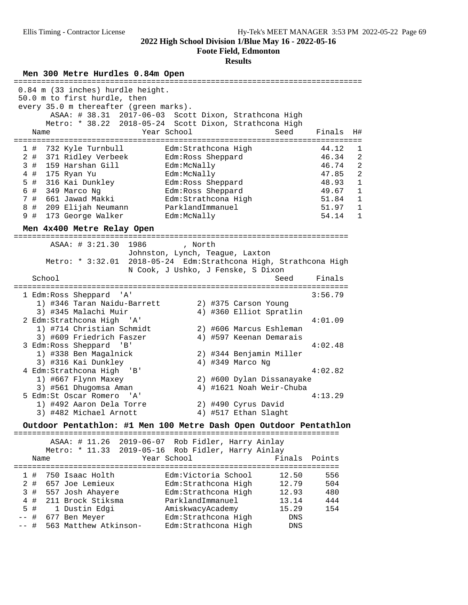**Foote Field, Edmonton**

| Men 300 Metre Hurdles 0.84m Open<br>=====================                                                                                                                                                                                                                                                                                                                                                                                                                                              |                                                                               |                                                                                                               |  |  |  |
|--------------------------------------------------------------------------------------------------------------------------------------------------------------------------------------------------------------------------------------------------------------------------------------------------------------------------------------------------------------------------------------------------------------------------------------------------------------------------------------------------------|-------------------------------------------------------------------------------|---------------------------------------------------------------------------------------------------------------|--|--|--|
| 0.84 m (33 inches) hurdle height.<br>50.0 m to first hurdle, then<br>every 35.0 m thereafter (green marks).<br>ASAA: # 38.31 2017-06-03 Scott Dixon, Strathcona High<br>Metro: * 38.22 2018-05-24 Scott Dixon, Strathcona High<br>Year School<br>Seed<br>Name                                                                                                                                                                                                                                          | Finals                                                                        | H#                                                                                                            |  |  |  |
| 732 Kyle Turnbull<br>Edm: Strathcona High<br>1#<br>$2$ #<br>371 Ridley Verbeek<br>Edm: Ross Sheppard<br>3#<br>159 Harshan Gill<br>Edm:McNally<br>175 Ryan Yu<br>Edm:McNally<br>4#<br>5 #<br>316 Kai Dunkley<br>Edm: Ross Sheppard<br>6 # 349 Marco Ng<br>Edm: Ross Sheppard<br>7 # 661 Jawad Makki<br>Edm:Strathcona High<br>8<br># 209 Elijah Neumann<br>ParklandImmanuel<br>173 George Walker<br>9#<br>Edm:McNally<br>Men 4x400 Metre Relay Open                                                     | 44.12<br>46.34<br>46.74<br>47.85<br>48.93<br>49.67<br>51.84<br>51.97<br>54.14 | 1<br>2<br>2<br>$\overline{2}$<br>$\mathbf{1}$<br>$\mathbf{1}$<br>$\mathbf{1}$<br>$\mathbf{1}$<br>$\mathbf{1}$ |  |  |  |
| ASAA: # 3:21.30<br>1986<br>, North<br>Johnston, Lynch, Teague, Laxton<br>Metro: * 3:32.01 2018-05-24 Edm: Strathcona High, Strathcona High<br>N Cook, J Ushko, J Fenske, S Dixon<br>School<br>Seed                                                                                                                                                                                                                                                                                                     | Finals                                                                        |                                                                                                               |  |  |  |
| 1 Edm:Ross Sheppard<br>' A '<br>1) #346 Taran Naidu-Barrett<br>2) #375 Carson Young<br>4) #360 Elliot Spratlin<br>3) #345 Malachi Muir<br>2 Edm: Strathcona High 'A'<br>1) #714 Christian Schmidt<br>2) #606 Marcus Eshleman<br>3) #609 Friedrich Faszer<br>4) #597 Keenan Demarais<br>3 Edm: Ross Sheppard<br>'B'<br>1) #338 Ben Magalnick<br>2) #344 Benjamin Miller<br>4) #349 Marco Ng<br>3) #316 Kai Dunkley<br>4 Edm:Strathcona High<br>'B '<br>1) #667 Flynn Maxey<br>2) #600 Dylan Dissanayake | 3:56.79<br>4:01.09<br>4:02.48<br>4:02.82                                      |                                                                                                               |  |  |  |
| 4) #1621 Noah Weir-Chuba<br>3) #561 Dhuqomsa Aman<br>5 Edm:St Oscar Romero<br>4:13.29<br>$\overline{A}$<br>1) #492 Aaron Dela Torre<br>2) #490 Cyrus David<br>3) #482 Michael Arnott<br>4) #517 Ethan Slaght<br>Outdoor Pentathlon: #1 Men 100 Metre Dash Open Outdoor Pentathlon<br>ASAA: # 11.26<br>$2019 - 06 - 07$<br>Rob Fidler, Harry Ainlay<br>Metro: * 11.33<br>$2019 - 05 - 16$<br>Rob Fidler, Harry Ainlay<br>Year School<br>Finals<br>Points<br>Name                                        |                                                                               |                                                                                                               |  |  |  |
| ============<br>Edm:Victoria School<br>750 Isaac Holth<br>12.50<br>$\#$<br>ı<br>2#<br>657 Joe Lemieux<br>Edm:Strathcona High<br>12.79<br>3<br>557 Josh Ahayere<br>Edm: Strathcona High<br>12.93<br>$\#$<br>211 Brock Stiksma<br>ParklandImmanuel<br>13.14<br>4<br>#<br>5<br>#<br>1 Dustin Edgi<br>AmiskwacyAcademy<br>15.29<br>#<br>677 Ben Meyer<br>Edm: Strathcona High<br>DNS<br>563 Matthew Atkinson-<br>#<br>Edm: Strathcona High<br>DNS<br>$--$                                                  | 556<br>504<br>480<br>444<br>154                                               |                                                                                                               |  |  |  |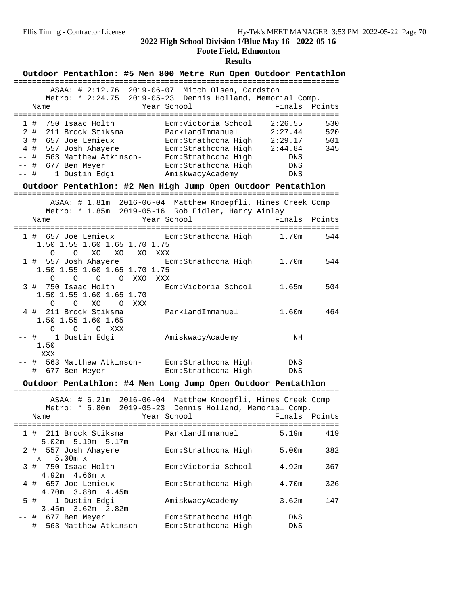#### **Foote Field, Edmonton**

|                                     |                    | Outdoor Pentathlon: #5 Men 800 Metre Run Open Outdoor Pentathlon                                                                       |           |             |                                                                                                                                  |  |                                                              |                   |                          |
|-------------------------------------|--------------------|----------------------------------------------------------------------------------------------------------------------------------------|-----------|-------------|----------------------------------------------------------------------------------------------------------------------------------|--|--------------------------------------------------------------|-------------------|--------------------------|
|                                     | Name               | ASAA: # 2:12.76 2019-06-07 Mitch Olsen, Cardston<br>Metro: * 2:24.75 2019-05-23 Dennis Holland, Memorial Comp.                         |           | Year School |                                                                                                                                  |  | Finals                                                       |                   | Points                   |
| 2#<br>4#<br>$- -$<br>$--$<br>$--$ # | 1#<br>3#<br>#<br># | 750 Isaac Holth<br>211 Brock Stiksma<br>657 Joe Lemieux<br>557 Josh Ahayere<br>563 Matthew Atkinson-<br>677 Ben Meyer<br>1 Dustin Edgi |           |             | Edm:Victoria School<br>ParklandImmanuel<br>Edm:Strathcona High<br>Edm:Strathcona High<br>Edm:Strathcona High<br>AmiskwacyAcademy |  | 2:26.55<br>2:27.44<br>Edm:Strathcona High 2:29.17<br>2:44.84 | DNS<br>DNS<br>DNS | 530<br>520<br>501<br>345 |
|                                     |                    | Outdoor Pentathlon: #2 Men High Jump Open Outdoor Pentathlon                                                                           |           |             |                                                                                                                                  |  |                                                              |                   |                          |
|                                     | Name               | ASAA: # 1.81m 2016-06-04 Matthew Knoepfli, Hines Creek Comp<br>Metro: * 1.85m 2019-05-16 Rob Fidler, Harry Ainlay                      |           | Year School |                                                                                                                                  |  | Finals                                                       |                   | Points                   |
|                                     | O                  | 1 #  657 Joe Lemieux<br>1.50 1.55 1.60 1.65 1.70 1.75<br>XO.<br>$\circ$                                                                | XO XO XXX |             | Edm:Strathcona High                                                                                                              |  |                                                              | 1.70m             | 544                      |
|                                     | 0                  | 1 # 557 Josh Ahayere<br>1.50 1.55 1.60 1.65 1.70 1.75<br>$\circ$<br>$\circ$                                                            | O XXO     | XXX         | Edm:Strathcona High                                                                                                              |  | 1.70m                                                        |                   | 544                      |
|                                     | $\circ$            | 3 # 750 Isaac Holth<br>1.50 1.55 1.60 1.65 1.70<br>$\overline{O}$                                                                      | XO OXXX   |             | Edm:Victoria School                                                                                                              |  | 1.65m                                                        |                   | 504                      |
|                                     | $\circ$            | 4 # 211 Brock Stiksma<br>1.50 1.55 1.60 1.65<br>$\overline{O}$<br>$\overline{O}$<br>XXX                                                |           |             | ParklandImmanuel                                                                                                                 |  | 1.60 <sub>m</sub>                                            |                   | 464                      |
|                                     | 1.50<br>XXX        | -- # 1 Dustin Edgi                                                                                                                     |           |             | AmiskwacyAcademy                                                                                                                 |  |                                                              | NH                |                          |
|                                     |                    | -- # 563 Matthew Atkinson-<br>-- # 677 Ben Meyer                                                                                       |           |             | Edm:Strathcona High<br>Edm: Strathcona High                                                                                      |  |                                                              | <b>DNS</b><br>DNS |                          |
|                                     |                    | Outdoor Pentathlon: #4 Men Long Jump Open Outdoor Pentathlon                                                                           |           |             |                                                                                                                                  |  |                                                              |                   |                          |
|                                     | Name               | ASAA: # 6.21m 2016-06-04 Matthew Knoepfli, Hines Creek Comp<br>Metro: * 5.80m 2019-05-23 Dennis Holland, Memorial Comp.                |           | Year School |                                                                                                                                  |  |                                                              |                   | Finals Points            |
|                                     |                    | 1 # 211 Brock Stiksma                                                                                                                  |           |             | ParklandImmanuel                                                                                                                 |  | 5.19m                                                        |                   | 419                      |
|                                     | $\mathbf x$        | 5.02m 5.19m 5.17m<br>2 # 557 Josh Ahayere<br>$5.00m \times$                                                                            |           |             | Edm: Strathcona High                                                                                                             |  | 5.00m                                                        |                   | 382                      |
|                                     |                    | 3 # 750 Isaac Holth<br>$4.92m$ $4.66m$ x                                                                                               |           |             | Edm:Victoria School                                                                                                              |  | 4.92m                                                        |                   | 367                      |
|                                     |                    | 4 # 657 Joe Lemieux<br>4.70m 3.88m 4.45m                                                                                               |           |             | Edm: Strathcona High                                                                                                             |  | 4.70m                                                        |                   | 326                      |
|                                     | 5#                 | 1 Dustin Edgi<br>3.45m 3.62m 2.82m                                                                                                     |           |             | AmiskwacyAcademy                                                                                                                 |  | 3.62m                                                        |                   | 147                      |
| $--$                                |                    | -- # 677 Ben Meyer<br># 563 Matthew Atkinson-                                                                                          |           |             | Edm:Strathcona High<br>Edm: Strathcona High                                                                                      |  |                                                              | DNS<br>DNS        |                          |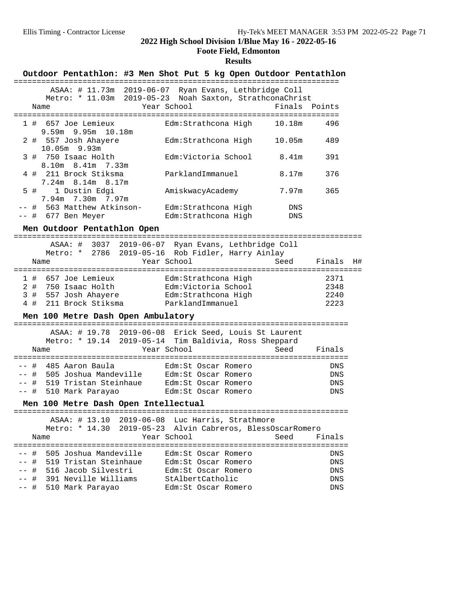#### **Foote Field, Edmonton**

| Outdoor Pentathlon: #3 Men Shot Put 5 kg Open Outdoor Pentathlon                                                                                   |            |    |
|----------------------------------------------------------------------------------------------------------------------------------------------------|------------|----|
| ASAA: # 11.73m 2019-06-07 Ryan Evans, Lethbridge Coll<br>Metro: * 11.03m 2019-05-23 Noah Saxton, StrathconaChrist<br>Year School<br>Finals<br>Name | Points     |    |
| 1 # 657 Joe Lemieux<br>Edm:Strathcona High<br>10.18m<br>$9.59m$ $9.95m$ $10.18m$                                                                   | 496        |    |
| 2 # 557 Josh Ahayere<br>Edm:Strathcona High<br>10.05m<br>$10.05m$ 9.93m                                                                            | 489        |    |
| 3 # 750 Isaac Holth<br>Edm:Victoria School<br>8.41m<br>$8.10m$ $8.41m$ $7.33m$                                                                     | 391        |    |
| 4 # 211 Brock Stiksma<br>ParklandImmanuel<br>8.17m<br>7.24m 8.14m 8.17m                                                                            | 376        |    |
| 5 #<br>1 Dustin Edgi<br>7.97m<br>AmiskwacyAcademy<br>7.94m 7.30m 7.97m                                                                             | 365        |    |
| -- # 563 Matthew Atkinson-<br>Edm:Strathcona High<br>DNS<br>$--$ # 677 Ben Meyer<br>Edm:Strathcona High<br>DNS                                     |            |    |
| Men Outdoor Pentathlon Open                                                                                                                        |            |    |
| ASAA: # 3037 2019-06-07 Ryan Evans, Lethbridge Coll<br>Metro: * 2786 2019-05-16 Rob Fidler, Harry Ainlay<br>Year School<br>Seed<br>Name            | Finals     | H# |
| 1 # 657 Joe Lemieux<br>Edm:Strathcona High                                                                                                         | 2371       |    |
| Edm:Victoria School<br>2 # 750 Isaac Holth                                                                                                         | 2348       |    |
| 3#<br>557 Josh Ahayere       Edm:Strathcona High                                                                                                   | 2240       |    |
| 211 Brock Stiksma<br>ParklandImmanuel<br>4#                                                                                                        | 2223       |    |
| Men 100 Metre Dash Open Ambulatory                                                                                                                 |            |    |
| ASAA: # 19.78 2019-06-08 Erick Seed, Louis St Laurent<br>Metro: * 19.14 2019-05-14 Tim Baldivia, Ross Sheppard                                     |            |    |
| Year School<br>Seed<br>Name                                                                                                                        | Finals     |    |
|                                                                                                                                                    |            |    |
| -- # 485 Aaron Baula<br>Edm:St Oscar Romero<br>-- # 505 Joshua Mandeville Edm:St Oscar Romero                                                      | DNS        |    |
| -- # 519 Tristan Steinhaue Edm: St Oscar Romero                                                                                                    | DNS<br>DNS |    |
| 510 Mark Parayao<br>-- #<br>Edm:St Oscar Romero                                                                                                    | DNS        |    |
| Men 100 Metre Dash Open Intellectual                                                                                                               |            |    |
| ASAA: # 13.10 2019-06-08 Luc Harris, Strathmore                                                                                                    |            |    |
| Metro: * 14.30 2019-05-23 Alvin Cabreros, BlessOscarRomero                                                                                         |            |    |
| Year School<br>Seed<br>Name                                                                                                                        | Finals     |    |
| 505 Joshua Mandeville<br>-- #<br>Edm:St Oscar Romero                                                                                               | DNS        |    |
| -- # 519 Tristan Steinhaue<br>Edm:St Oscar Romero                                                                                                  | DNS        |    |
| -- #<br>516 Jacob Silvestri<br>Edm:St Oscar Romero                                                                                                 | DNS        |    |
| -- #<br>391 Neville Williams<br>StAlbertCatholic                                                                                                   | DNS        |    |
| -- #<br>510 Mark Parayao<br>Edm: St Oscar Romero                                                                                                   | DNS        |    |